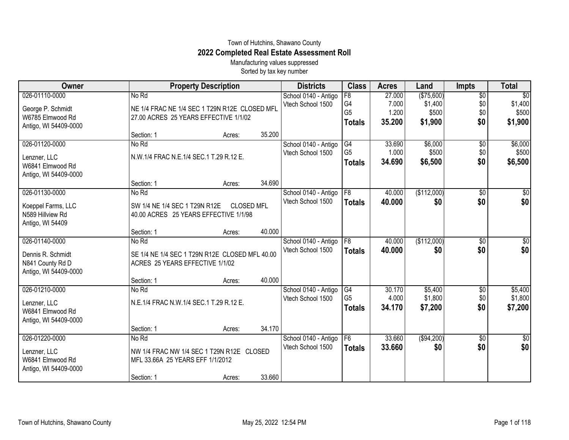## Town of Hutchins, Shawano County **2022 Completed Real Estate Assessment Roll**

Manufacturing values suppressed Sorted by tax key number

| Owner                 |                                                | <b>Property Description</b> |                   | <b>Districts</b>                          | <b>Class</b>          | <b>Acres</b>    | Land                  | <b>Impts</b>           | <b>Total</b>               |
|-----------------------|------------------------------------------------|-----------------------------|-------------------|-------------------------------------------|-----------------------|-----------------|-----------------------|------------------------|----------------------------|
| 026-01110-0000        | No Rd                                          |                             |                   | School 0140 - Antigo<br>Vtech School 1500 | $\overline{F8}$<br>G4 | 27.000<br>7.000 | (\$75,600)<br>\$1,400 | $\overline{50}$<br>\$0 | $\overline{50}$<br>\$1,400 |
| George P. Schmidt     | NE 1/4 FRAC NE 1/4 SEC 1 T29N R12E CLOSED MFL  |                             |                   |                                           | G <sub>5</sub>        | 1.200           | \$500                 | \$0                    | \$500                      |
| W6785 Elmwood Rd      | 27.00 ACRES 25 YEARS EFFECTIVE 1/1/02          |                             |                   |                                           | <b>Totals</b>         | 35.200          | \$1,900               | \$0                    | \$1,900                    |
| Antigo, WI 54409-0000 |                                                |                             |                   |                                           |                       |                 |                       |                        |                            |
| 026-01120-0000        | Section: 1<br>No Rd                            | Acres:                      | 35.200            |                                           | G4                    | 33.690          | \$6,000               |                        | \$6,000                    |
|                       |                                                |                             |                   | School 0140 - Antigo<br>Vtech School 1500 | G <sub>5</sub>        | 1.000           | \$500                 | $\overline{50}$<br>\$0 | \$500                      |
| Lenzner, LLC          | N.W.1/4 FRAC N.E.1/4 SEC.1 T.29 R.12 E.        |                             |                   |                                           | <b>Totals</b>         | 34.690          | \$6,500               | \$0                    | \$6,500                    |
| W6841 Elmwood Rd      |                                                |                             |                   |                                           |                       |                 |                       |                        |                            |
| Antigo, WI 54409-0000 |                                                |                             |                   |                                           |                       |                 |                       |                        |                            |
| 026-01130-0000        | Section: 1<br>No Rd                            | Acres:                      | 34.690            |                                           | $\overline{F8}$       | 40.000          |                       |                        |                            |
|                       |                                                |                             |                   | School 0140 - Antigo<br>Vtech School 1500 |                       |                 | (\$112,000)<br>\$0    | \$0<br>\$0             | \$0<br>\$0                 |
| Koeppel Farms, LLC    | SW 1/4 NE 1/4 SEC 1 T29N R12E                  |                             | <b>CLOSED MFL</b> |                                           | <b>Totals</b>         | 40.000          |                       |                        |                            |
| N589 Hillview Rd      | 40.00 ACRES 25 YEARS EFFECTIVE 1/1/98          |                             |                   |                                           |                       |                 |                       |                        |                            |
| Antigo, WI 54409      |                                                |                             |                   |                                           |                       |                 |                       |                        |                            |
|                       | Section: 1                                     | Acres:                      | 40.000            |                                           |                       |                 |                       |                        |                            |
| 026-01140-0000        | No Rd                                          |                             |                   | School 0140 - Antigo<br>Vtech School 1500 | $\overline{F8}$       | 40.000          | (\$112,000)           | \$0                    | $\sqrt{50}$                |
| Dennis R. Schmidt     | SE 1/4 NE 1/4 SEC 1 T29N R12E CLOSED MFL 40.00 |                             |                   |                                           | <b>Totals</b>         | 40.000          | \$0                   | \$0                    | \$0                        |
| N841 County Rd D      | ACRES 25 YEARS EFFECTIVE 1/1/02                |                             |                   |                                           |                       |                 |                       |                        |                            |
| Antigo, WI 54409-0000 |                                                |                             |                   |                                           |                       |                 |                       |                        |                            |
|                       | Section: 1                                     | Acres:                      | 40.000            |                                           |                       |                 |                       |                        |                            |
| 026-01210-0000        | No Rd                                          |                             |                   | School 0140 - Antigo                      | G4                    | 30.170          | \$5,400               | \$0                    | \$5,400                    |
| Lenzner, LLC          | N.E.1/4 FRAC N.W.1/4 SEC.1 T.29 R.12 E.        |                             |                   | Vtech School 1500                         | G <sub>5</sub>        | 4.000<br>34.170 | \$1,800<br>\$7,200    | \$0<br>\$0             | \$1,800<br>\$7,200         |
| W6841 Elmwood Rd      |                                                |                             |                   |                                           | <b>Totals</b>         |                 |                       |                        |                            |
| Antigo, WI 54409-0000 |                                                |                             |                   |                                           |                       |                 |                       |                        |                            |
|                       | Section: 1                                     | Acres:                      | 34.170            |                                           |                       |                 |                       |                        |                            |
| 026-01220-0000        | No Rd                                          |                             |                   | School 0140 - Antigo                      | $\overline{F6}$       | 33.660          | ( \$94, 200)          | $\overline{50}$        | $\overline{50}$            |
| Lenzner, LLC          | NW 1/4 FRAC NW 1/4 SEC 1 T29N R12E CLOSED      |                             |                   | Vtech School 1500                         | <b>Totals</b>         | 33.660          | \$0                   | \$0                    | \$0                        |
| W6841 Elmwood Rd      | MFL 33.66A 25 YEARS EFF 1/1/2012               |                             |                   |                                           |                       |                 |                       |                        |                            |
| Antigo, WI 54409-0000 |                                                |                             |                   |                                           |                       |                 |                       |                        |                            |
|                       | Section: 1                                     | Acres:                      | 33.660            |                                           |                       |                 |                       |                        |                            |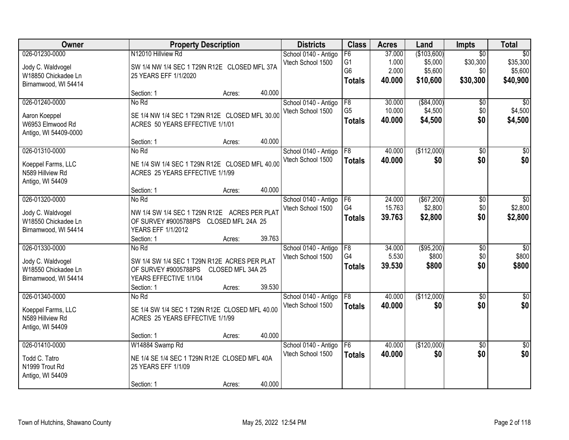| <b>Owner</b>                                                                       |                                                                                                                                     | <b>Property Description</b> |        | <b>Districts</b>                          | <b>Class</b>                                            | <b>Acres</b>                       | Land                                          | Impts                                          | <b>Total</b>                                       |
|------------------------------------------------------------------------------------|-------------------------------------------------------------------------------------------------------------------------------------|-----------------------------|--------|-------------------------------------------|---------------------------------------------------------|------------------------------------|-----------------------------------------------|------------------------------------------------|----------------------------------------------------|
| 026-01230-0000<br>Jody C. Waldvogel<br>W18850 Chickadee Ln<br>Birnamwood, WI 54414 | N12010 Hillview Rd<br>SW 1/4 NW 1/4 SEC 1 T29N R12E CLOSED MFL 37A<br>25 YEARS EFF 1/1/2020                                         |                             |        | School 0140 - Antigo<br>Vtech School 1500 | F6<br>G <sub>1</sub><br>G <sub>6</sub><br><b>Totals</b> | 37.000<br>1.000<br>2.000<br>40.000 | (\$103,600)<br>\$5,000<br>\$5,600<br>\$10,600 | $\overline{50}$<br>\$30,300<br>\$0<br>\$30,300 | $\overline{50}$<br>\$35,300<br>\$5,600<br>\$40,900 |
|                                                                                    | Section: 1                                                                                                                          | Acres:                      | 40.000 |                                           |                                                         |                                    |                                               |                                                |                                                    |
| 026-01240-0000<br>Aaron Koeppel<br>W6953 Elmwood Rd<br>Antigo, WI 54409-0000       | No Rd<br>SE 1/4 NW 1/4 SEC 1 T29N R12E CLOSED MFL 30.00<br>ACRES 50 YEARS EFFECTIVE 1/1/01                                          |                             |        | School 0140 - Antigo<br>Vtech School 1500 | F8<br>G <sub>5</sub><br><b>Totals</b>                   | 30.000<br>10.000<br>40.000         | ( \$84,000)<br>\$4,500<br>\$4,500             | \$0<br>\$0<br>\$0                              | $\overline{30}$<br>\$4,500<br>\$4,500              |
| 026-01310-0000                                                                     | Section: 1                                                                                                                          | Acres:                      | 40.000 |                                           | F8                                                      | 40.000                             | (\$112,000)                                   |                                                | \$0                                                |
| Koeppel Farms, LLC<br>N589 Hillview Rd<br>Antigo, WI 54409                         | No Rd<br>NE 1/4 SW 1/4 SEC 1 T29N R12E CLOSED MFL 40.00<br>ACRES 25 YEARS EFFECTIVE 1/1/99                                          |                             |        | School 0140 - Antigo<br>Vtech School 1500 | <b>Totals</b>                                           | 40.000                             | \$0                                           | \$0<br>\$0                                     | \$0                                                |
|                                                                                    | Section: 1                                                                                                                          | Acres:                      | 40.000 |                                           |                                                         |                                    |                                               |                                                |                                                    |
| 026-01320-0000<br>Jody C. Waldvogel<br>W18550 Chickadee Ln<br>Birnamwood, WI 54414 | No Rd<br>NW 1/4 SW 1/4 SEC 1 T29N R12E ACRES PER PLAT<br>OF SURVEY #9005788PS CLOSED MFL 24A 25<br>YEARS EFF 1/1/2012<br>Section: 1 | Acres:                      | 39.763 | School 0140 - Antigo<br>Vtech School 1500 | F6<br>G4<br><b>Totals</b>                               | 24.000<br>15.763<br>39.763         | ( \$67,200)<br>\$2,800<br>\$2,800             | \$0<br>\$0<br>\$0                              | $\overline{30}$<br>\$2,800<br>\$2,800              |
| 026-01330-0000                                                                     | No Rd                                                                                                                               |                             |        | School 0140 - Antigo                      | F8                                                      | 34.000                             | ( \$95,200)                                   | $\overline{50}$                                | $\overline{30}$                                    |
| Jody C. Waldvogel<br>W18550 Chickadee Ln<br>Birnamwood, WI 54414                   | SW 1/4 SW 1/4 SEC 1 T29N R12E ACRES PER PLAT<br>OF SURVEY #9005788PS<br>YEARS EFFECTIVE 1/1/04<br>Section: 1                        | CLOSED MFL 34A 25<br>Acres: | 39.530 | Vtech School 1500                         | G <sub>4</sub><br><b>Totals</b>                         | 5.530<br>39.530                    | \$800<br>\$800                                | \$0<br>\$0                                     | \$800<br>\$800                                     |
| 026-01340-0000<br>Koeppel Farms, LLC<br>N589 Hillview Rd<br>Antigo, WI 54409       | No Rd<br>SE 1/4 SW 1/4 SEC 1 T29N R12E CLOSED MFL 40.00<br>ACRES 25 YEARS EFFECTIVE 1/1/99                                          |                             |        | School 0140 - Antigo<br>Vtech School 1500 | F8<br><b>Totals</b>                                     | 40.000<br>40.000                   | (\$112,000)<br>\$0                            | $\overline{50}$<br>\$0                         | $\overline{50}$<br>\$0                             |
|                                                                                    | Section: 1                                                                                                                          | Acres:                      | 40.000 |                                           |                                                         |                                    |                                               |                                                |                                                    |
| 026-01410-0000<br>Todd C. Tatro<br>N1999 Trout Rd<br>Antigo, WI 54409              | W14884 Swamp Rd<br>NE 1/4 SE 1/4 SEC 1 T29N R12E CLOSED MFL 40A<br>25 YEARS EFF 1/1/09<br>Section: 1                                | Acres:                      | 40.000 | School 0140 - Antigo<br>Vtech School 1500 | F6<br><b>Totals</b>                                     | 40.000<br>40.000                   | (\$120,000)<br>\$0                            | $\overline{30}$<br>\$0                         | $\overline{50}$<br>\$0                             |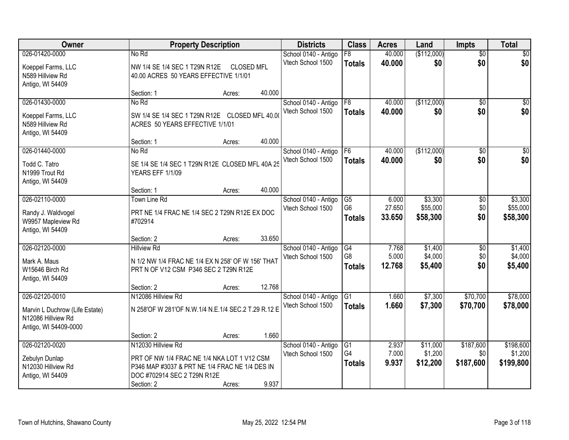| <b>Owner</b>                                         |                                                     | <b>Property Description</b> |        | <b>Districts</b>                          | <b>Class</b>         | <b>Acres</b>    | Land                | <b>Impts</b>         | <b>Total</b>        |
|------------------------------------------------------|-----------------------------------------------------|-----------------------------|--------|-------------------------------------------|----------------------|-----------------|---------------------|----------------------|---------------------|
| 026-01420-0000                                       | No Rd                                               |                             |        | School 0140 - Antigo                      | $\overline{F8}$      | 40.000          | (\$112,000)         | $\overline{60}$      | \$0                 |
| Koeppel Farms, LLC                                   | NW 1/4 SE 1/4 SEC 1 T29N R12E                       | <b>CLOSED MFL</b>           |        | Vtech School 1500                         | <b>Totals</b>        | 40.000          | \$0                 | \$0                  | \$0                 |
| N589 Hillview Rd                                     | 40.00 ACRES 50 YEARS EFFECTIVE 1/1/01               |                             |        |                                           |                      |                 |                     |                      |                     |
| Antigo, WI 54409                                     |                                                     |                             |        |                                           |                      |                 |                     |                      |                     |
|                                                      | Section: 1                                          | Acres:                      | 40.000 |                                           |                      |                 |                     |                      |                     |
| 026-01430-0000                                       | No Rd                                               |                             |        | School 0140 - Antigo                      | F8                   | 40.000          | (\$112,000)         | $\overline{50}$      | \$0                 |
| Koeppel Farms, LLC                                   | SW 1/4 SE 1/4 SEC 1 T29N R12E CLOSED MFL 40.00      |                             |        | Vtech School 1500                         | <b>Totals</b>        | 40,000          | \$0                 | \$0                  | \$0                 |
| N589 Hillview Rd                                     | ACRES 50 YEARS EFFECTIVE 1/1/01                     |                             |        |                                           |                      |                 |                     |                      |                     |
| Antigo, WI 54409                                     |                                                     |                             |        |                                           |                      |                 |                     |                      |                     |
|                                                      | Section: 1                                          | Acres:                      | 40.000 |                                           |                      |                 |                     |                      |                     |
| 026-01440-0000                                       | No Rd                                               |                             |        | School 0140 - Antigo                      | F6                   | 40.000          | (\$112,000)         | \$0                  | $\overline{50}$     |
| Todd C. Tatro                                        | SE 1/4 SE 1/4 SEC 1 T29N R12E CLOSED MFL 40A 25     |                             |        | Vtech School 1500                         | <b>Totals</b>        | 40.000          | \$0                 | \$0                  | \$0                 |
| N1999 Trout Rd                                       | <b>YEARS EFF 1/1/09</b>                             |                             |        |                                           |                      |                 |                     |                      |                     |
| Antigo, WI 54409                                     |                                                     |                             |        |                                           |                      |                 |                     |                      |                     |
| 026-02110-0000                                       | Section: 1                                          | Acres:                      | 40.000 |                                           |                      |                 |                     |                      |                     |
|                                                      | <b>Town Line Rd</b>                                 |                             |        | School 0140 - Antigo<br>Vtech School 1500 | G5<br>G <sub>6</sub> | 6.000<br>27.650 | \$3,300<br>\$55,000 | $\sqrt[6]{3}$<br>\$0 | \$3,300<br>\$55,000 |
| Randy J. Waldvogel                                   | PRT NE 1/4 FRAC NE 1/4 SEC 2 T29N R12E EX DOC       |                             |        |                                           | <b>Totals</b>        | 33.650          | \$58,300            | \$0                  | \$58,300            |
| W9957 Mapleview Rd                                   | #702914                                             |                             |        |                                           |                      |                 |                     |                      |                     |
| Antigo, WI 54409                                     |                                                     |                             | 33.650 |                                           |                      |                 |                     |                      |                     |
| 026-02120-0000                                       | Section: 2<br><b>Hillview Rd</b>                    | Acres:                      |        | School 0140 - Antigo                      | G4                   | 7.768           | \$1,400             | $\overline{50}$      | \$1,400             |
|                                                      |                                                     |                             |        | Vtech School 1500                         | G8                   | 5.000           | \$4,000             | \$0                  | \$4,000             |
| Mark A. Maus                                         | N 1/2 NW 1/4 FRAC NE 1/4 EX N 258' OF W 156' THAT   |                             |        |                                           | <b>Totals</b>        | 12.768          | \$5,400             | \$0                  | \$5,400             |
| W15646 Birch Rd                                      | PRT N OF V12 CSM P346 SEC 2 T29N R12E               |                             |        |                                           |                      |                 |                     |                      |                     |
| Antigo, WI 54409                                     | Section: 2                                          | Acres:                      | 12.768 |                                           |                      |                 |                     |                      |                     |
| 026-02120-0010                                       | N12086 Hillview Rd                                  |                             |        | School 0140 - Antigo                      | G1                   | 1.660           | \$7,300             | \$70,700             | \$78,000            |
|                                                      |                                                     |                             |        | Vtech School 1500                         | <b>Totals</b>        | 1.660           | \$7,300             | \$70,700             | \$78,000            |
| Marvin L Duchrow (Life Estate)<br>N12086 Hillview Rd | N 258'OF W 281'OF N.W.1/4 N.E.1/4 SEC.2 T.29 R.12 E |                             |        |                                           |                      |                 |                     |                      |                     |
| Antigo, WI 54409-0000                                |                                                     |                             |        |                                           |                      |                 |                     |                      |                     |
|                                                      | Section: 2                                          | Acres:                      | 1.660  |                                           |                      |                 |                     |                      |                     |
| 026-02120-0020                                       | N12030 Hillview Rd                                  |                             |        | School 0140 - Antigo                      | $\overline{G1}$      | 2.937           | \$11,000            | \$187,600            | \$198,600           |
|                                                      | PRT OF NW 1/4 FRAC NE 1/4 NKA LOT 1 V12 CSM         |                             |        | Vtech School 1500                         | G4                   | 7.000           | \$1,200             | \$0                  | \$1,200             |
| Zebulyn Dunlap<br>N12030 Hillview Rd                 | P346 MAP #3037 & PRT NE 1/4 FRAC NE 1/4 DES IN      |                             |        |                                           | <b>Totals</b>        | 9.937           | \$12,200            | \$187,600            | \$199,800           |
| Antigo, WI 54409                                     | DOC #702914 SEC 2 T29N R12E                         |                             |        |                                           |                      |                 |                     |                      |                     |
|                                                      | Section: 2                                          | Acres:                      | 9.937  |                                           |                      |                 |                     |                      |                     |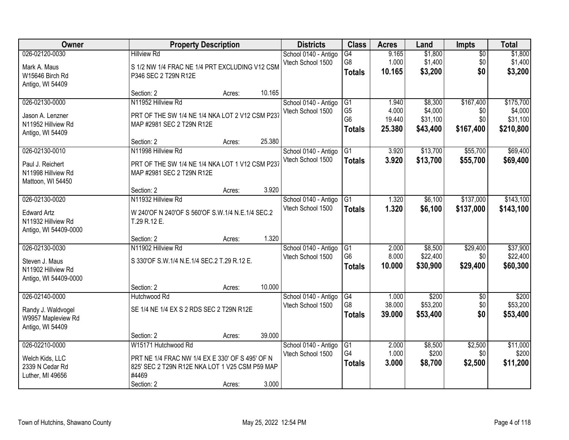| Owner                 | <b>Property Description</b>                      |        |        | <b>Districts</b>     | <b>Class</b>    | <b>Acres</b> | Land     | <b>Impts</b>    | <b>Total</b> |
|-----------------------|--------------------------------------------------|--------|--------|----------------------|-----------------|--------------|----------|-----------------|--------------|
| 026-02120-0030        | <b>Hillview Rd</b>                               |        |        | School 0140 - Antigo | G4              | 9.165        | \$1,800  | $\overline{50}$ | \$1,800      |
| Mark A. Maus          | S 1/2 NW 1/4 FRAC NE 1/4 PRT EXCLUDING V12 CSM   |        |        | Vtech School 1500    | G8              | 1.000        | \$1,400  | \$0             | \$1,400      |
| W15646 Birch Rd       | P346 SEC 2 T29N R12E                             |        |        |                      | <b>Totals</b>   | 10.165       | \$3,200  | \$0             | \$3,200      |
| Antigo, WI 54409      |                                                  |        |        |                      |                 |              |          |                 |              |
|                       | Section: 2                                       | Acres: | 10.165 |                      |                 |              |          |                 |              |
| 026-02130-0000        | N11952 Hillview Rd                               |        |        | School 0140 - Antigo | G1              | 1.940        | \$8,300  | \$167,400       | \$175,700    |
| Jason A. Lenzner      | PRT OF THE SW 1/4 NE 1/4 NKA LOT 2 V12 CSM P237  |        |        | Vtech School 1500    | G <sub>5</sub>  | 4.000        | \$4,000  | \$0             | \$4,000      |
| N11952 Hillview Rd    | MAP #2981 SEC 2 T29N R12E                        |        |        |                      | G <sub>6</sub>  | 19.440       | \$31,100 | \$0             | \$31,100     |
| Antigo, WI 54409      |                                                  |        |        |                      | <b>Totals</b>   | 25.380       | \$43,400 | \$167,400       | \$210,800    |
|                       | Section: 2                                       | Acres: | 25.380 |                      |                 |              |          |                 |              |
| 026-02130-0010        | N11998 Hillview Rd                               |        |        | School 0140 - Antigo | G1              | 3.920        | \$13,700 | \$55,700        | \$69,400     |
| Paul J. Reichert      | PRT OF THE SW 1/4 NE 1/4 NKA LOT 1 V12 CSM P237  |        |        | Vtech School 1500    | <b>Totals</b>   | 3.920        | \$13,700 | \$55,700        | \$69,400     |
| N11998 Hillview Rd    | MAP #2981 SEC 2 T29N R12E                        |        |        |                      |                 |              |          |                 |              |
| Mattoon, WI 54450     |                                                  |        |        |                      |                 |              |          |                 |              |
|                       | Section: 2                                       | Acres: | 3.920  |                      |                 |              |          |                 |              |
| 026-02130-0020        | N11932 Hillview Rd                               |        |        | School 0140 - Antigo | G1              | 1.320        | \$6,100  | \$137,000       | \$143,100    |
| <b>Edward Artz</b>    | W 240'OF N 240'OF S 560'OF S.W.1/4 N.E.1/4 SEC.2 |        |        | Vtech School 1500    | <b>Totals</b>   | 1.320        | \$6,100  | \$137,000       | \$143,100    |
| N11932 Hillview Rd    | T.29 R.12 E.                                     |        |        |                      |                 |              |          |                 |              |
| Antigo, WI 54409-0000 |                                                  |        |        |                      |                 |              |          |                 |              |
|                       | Section: 2                                       | Acres: | 1.320  |                      |                 |              |          |                 |              |
| 026-02130-0030        | N11902 Hillview Rd                               |        |        | School 0140 - Antigo | G1              | 2.000        | \$8,500  | \$29,400        | \$37,900     |
| Steven J. Maus        | S 330'OF S.W.1/4 N.E.1/4 SEC.2 T.29 R.12 E.      |        |        | Vtech School 1500    | G <sub>6</sub>  | 8.000        | \$22,400 | \$0             | \$22,400     |
| N11902 Hillview Rd    |                                                  |        |        |                      | <b>Totals</b>   | 10.000       | \$30,900 | \$29,400        | \$60,300     |
| Antigo, WI 54409-0000 |                                                  |        |        |                      |                 |              |          |                 |              |
|                       | Section: 2                                       | Acres: | 10.000 |                      |                 |              |          |                 |              |
| 026-02140-0000        | Hutchwood Rd                                     |        |        | School 0140 - Antigo | G4              | 1.000        | \$200    | $\overline{60}$ | \$200        |
| Randy J. Waldvogel    | SE 1/4 NE 1/4 EX S 2 RDS SEC 2 T29N R12E         |        |        | Vtech School 1500    | G8              | 38.000       | \$53,200 | \$0             | \$53,200     |
| W9957 Mapleview Rd    |                                                  |        |        |                      | <b>Totals</b>   | 39.000       | \$53,400 | \$0             | \$53,400     |
| Antigo, WI 54409      |                                                  |        |        |                      |                 |              |          |                 |              |
|                       | Section: 2                                       | Acres: | 39.000 |                      |                 |              |          |                 |              |
| 026-02210-0000        | W15171 Hutchwood Rd                              |        |        | School 0140 - Antigo | $\overline{G1}$ | 2.000        | \$8,500  | \$2,500         | \$11,000     |
| Welch Kids, LLC       | PRT NE 1/4 FRAC NW 1/4 EX E 330' OF S 495' OF N  |        |        | Vtech School 1500    | G4              | 1.000        | \$200    | \$0             | \$200        |
| 2339 N Cedar Rd       | 825' SEC 2 T29N R12E NKA LOT 1 V25 CSM P59 MAP   |        |        |                      | <b>Totals</b>   | 3.000        | \$8,700  | \$2,500         | \$11,200     |
| Luther, MI 49656      | #4469                                            |        |        |                      |                 |              |          |                 |              |
|                       | Section: 2                                       | Acres: | 3.000  |                      |                 |              |          |                 |              |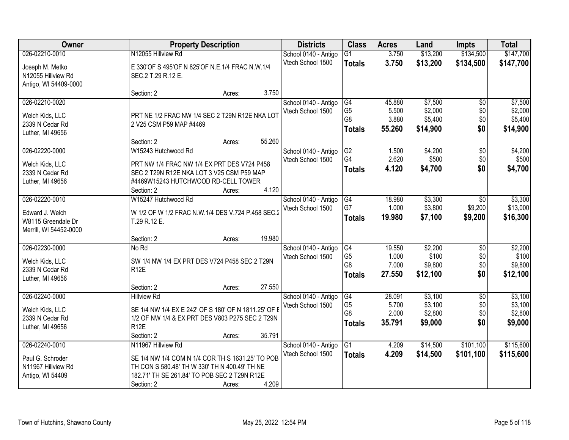| Owner                  | <b>Property Description</b>                          | <b>Districts</b>     | <b>Class</b>   | <b>Acres</b> | Land     | <b>Impts</b>    | <b>Total</b> |
|------------------------|------------------------------------------------------|----------------------|----------------|--------------|----------|-----------------|--------------|
| 026-02210-0010         | N12055 Hillview Rd                                   | School 0140 - Antigo | G1             | 3.750        | \$13,200 | \$134,500       | \$147,700    |
| Joseph M. Metko        | E 330'OF S 495'OF N 825'OF N.E.1/4 FRAC N.W.1/4      | Vtech School 1500    | <b>Totals</b>  | 3.750        | \$13,200 | \$134,500       | \$147,700    |
| N12055 Hillview Rd     | SEC.2 T.29 R.12 E.                                   |                      |                |              |          |                 |              |
| Antigo, WI 54409-0000  |                                                      |                      |                |              |          |                 |              |
|                        | 3.750<br>Section: 2<br>Acres:                        |                      |                |              |          |                 |              |
| 026-02210-0020         |                                                      | School 0140 - Antigo | G4             | 45.880       | \$7,500  | \$0             | \$7,500      |
| Welch Kids, LLC        | PRT NE 1/2 FRAC NW 1/4 SEC 2 T29N R12E NKA LOT       | Vtech School 1500    | G <sub>5</sub> | 5.500        | \$2,000  | \$0             | \$2,000      |
| 2339 N Cedar Rd        | 2 V25 CSM P59 MAP #4469                              |                      | G <sub>8</sub> | 3.880        | \$5,400  | \$0             | \$5,400      |
| Luther, MI 49656       |                                                      |                      | <b>Totals</b>  | 55.260       | \$14,900 | \$0             | \$14,900     |
|                        | 55.260<br>Section: 2<br>Acres:                       |                      |                |              |          |                 |              |
| 026-02220-0000         | W15243 Hutchwood Rd                                  | School 0140 - Antigo | G2             | 1.500        | \$4,200  | \$0             | \$4,200      |
| Welch Kids, LLC        | PRT NW 1/4 FRAC NW 1/4 EX PRT DES V724 P458          | Vtech School 1500    | G4             | 2.620        | \$500    | \$0             | \$500        |
| 2339 N Cedar Rd        | SEC 2 T29N R12E NKA LOT 3 V25 CSM P59 MAP            |                      | <b>Totals</b>  | 4.120        | \$4,700  | \$0             | \$4,700      |
| Luther, MI 49656       | #4469W15243 HUTCHWOOD RD-CELL TOWER                  |                      |                |              |          |                 |              |
|                        | 4.120<br>Section: 2<br>Acres:                        |                      |                |              |          |                 |              |
| 026-02220-0010         | W15247 Hutchwood Rd                                  | School 0140 - Antigo | G4             | 18.980       | \$3,300  | $\overline{50}$ | \$3,300      |
| Edward J. Welch        | W 1/2 OF W 1/2 FRAC N.W.1/4 DES V.724 P.458 SEC.2    | Vtech School 1500    | G7             | 1.000        | \$3,800  | \$9,200         | \$13,000     |
| W8115 Greendale Dr     | T.29 R.12 E.                                         |                      | <b>Totals</b>  | 19.980       | \$7,100  | \$9,200         | \$16,300     |
| Merrill, WI 54452-0000 |                                                      |                      |                |              |          |                 |              |
|                        | 19.980<br>Section: 2<br>Acres:                       |                      |                |              |          |                 |              |
| 026-02230-0000         | No Rd                                                | School 0140 - Antigo | G4             | 19.550       | \$2,200  | \$0             | \$2,200      |
| Welch Kids, LLC        | SW 1/4 NW 1/4 EX PRT DES V724 P458 SEC 2 T29N        | Vtech School 1500    | G <sub>5</sub> | 1.000        | \$100    | \$0             | \$100        |
| 2339 N Cedar Rd        | R <sub>12</sub> E                                    |                      | G <sub>8</sub> | 7.000        | \$9,800  | \$0             | \$9,800      |
| Luther, MI 49656       |                                                      |                      | <b>Totals</b>  | 27.550       | \$12,100 | \$0             | \$12,100     |
|                        | 27.550<br>Section: 2<br>Acres:                       |                      |                |              |          |                 |              |
| 026-02240-0000         | <b>Hillview Rd</b>                                   | School 0140 - Antigo | G4             | 28.091       | \$3,100  | $\overline{50}$ | \$3,100      |
| Welch Kids, LLC        | SE 1/4 NW 1/4 EX E 242' OF S 180' OF N 1811.25' OF E | Vtech School 1500    | G <sub>5</sub> | 5.700        | \$3,100  | \$0             | \$3,100      |
| 2339 N Cedar Rd        | 1/2 OF NW 1/4 & EX PRT DES V803 P275 SEC 2 T29N      |                      | G <sub>8</sub> | 2.000        | \$2,800  | \$0             | \$2,800      |
| Luther, MI 49656       | <b>R12E</b>                                          |                      | <b>Totals</b>  | 35.791       | \$9,000  | \$0             | \$9,000      |
|                        | 35.791<br>Section: 2<br>Acres:                       |                      |                |              |          |                 |              |
| 026-02240-0010         | N11967 Hillview Rd                                   | School 0140 - Antigo | G1             | 4.209        | \$14,500 | \$101,100       | \$115,600    |
| Paul G. Schroder       | SE 1/4 NW 1/4 COM N 1/4 COR TH S 1631.25' TO POB     | Vtech School 1500    | <b>Totals</b>  | 4.209        | \$14,500 | \$101,100       | \$115,600    |
| N11967 Hillview Rd     | TH CON S 580.48' TH W 330' TH N 400.49' TH NE        |                      |                |              |          |                 |              |
| Antigo, WI 54409       | 182.71' TH SE 261.84' TO POB SEC 2 T29N R12E         |                      |                |              |          |                 |              |
|                        | 4.209<br>Section: 2<br>Acres:                        |                      |                |              |          |                 |              |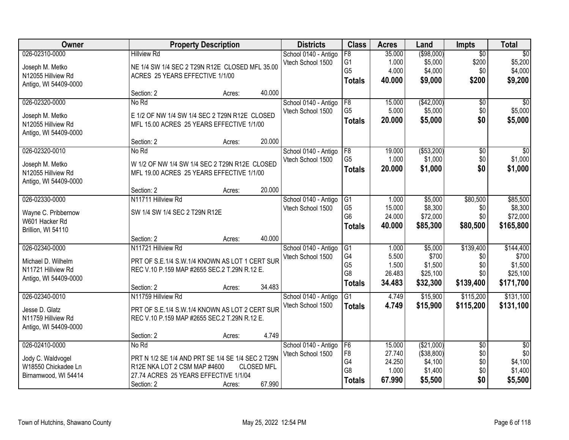| Owner                 | <b>Property Description</b>                       |                   | <b>Districts</b>     | <b>Class</b>         | <b>Acres</b>    | Land               | Impts           | <b>Total</b>       |
|-----------------------|---------------------------------------------------|-------------------|----------------------|----------------------|-----------------|--------------------|-----------------|--------------------|
| 026-02310-0000        | <b>Hillview Rd</b>                                |                   | School 0140 - Antigo | $\overline{F8}$      | 35.000          | ( \$98,000)        | $\overline{30}$ | $\overline{50}$    |
| Joseph M. Metko       | NE 1/4 SW 1/4 SEC 2 T29N R12E CLOSED MFL 35.00    |                   | Vtech School 1500    | G1                   | 1.000           | \$5,000            | \$200           | \$5,200            |
| N12055 Hillview Rd    | ACRES 25 YEARS EFFECTIVE 1/1/00                   |                   |                      | G <sub>5</sub>       | 4.000           | \$4,000            | \$0             | \$4,000            |
| Antigo, WI 54409-0000 |                                                   |                   |                      | <b>Totals</b>        | 40.000          | \$9,000            | \$200           | \$9,200            |
|                       | Section: 2                                        | 40.000<br>Acres:  |                      |                      |                 |                    |                 |                    |
| 026-02320-0000        | No Rd                                             |                   | School 0140 - Antigo | F8                   | 15.000          | (\$42,000)         | $\overline{50}$ | $\overline{50}$    |
| Joseph M. Metko       | E 1/2 OF NW 1/4 SW 1/4 SEC 2 T29N R12E CLOSED     |                   | Vtech School 1500    | G <sub>5</sub>       | 5.000           | \$5,000            | \$0             | \$5,000            |
| N12055 Hillview Rd    | MFL 15.00 ACRES 25 YEARS EFFECTIVE 1/1/00         |                   |                      | <b>Totals</b>        | 20.000          | \$5,000            | \$0             | \$5,000            |
| Antigo, WI 54409-0000 |                                                   |                   |                      |                      |                 |                    |                 |                    |
|                       | Section: 2                                        | 20.000<br>Acres:  |                      |                      |                 |                    |                 |                    |
| 026-02320-0010        | No Rd                                             |                   | School 0140 - Antigo | F8                   | 19.000          | ( \$53,200)        | \$0             | \$0                |
| Joseph M. Metko       | W 1/2 OF NW 1/4 SW 1/4 SEC 2 T29N R12E CLOSED     |                   | Vtech School 1500    | G <sub>5</sub>       | 1.000           | \$1,000            | \$0             | \$1,000            |
| N12055 Hillview Rd    | MFL 19.00 ACRES 25 YEARS EFFECTIVE 1/1/00         |                   |                      | <b>Totals</b>        | 20.000          | \$1,000            | \$0             | \$1,000            |
| Antigo, WI 54409-0000 |                                                   |                   |                      |                      |                 |                    |                 |                    |
|                       | Section: 2                                        | 20.000<br>Acres:  |                      |                      |                 |                    |                 |                    |
| 026-02330-0000        | N11711 Hillview Rd                                |                   | School 0140 - Antigo | G1                   | 1.000           | \$5,000            | \$80,500        | \$85,500           |
| Wayne C. Pribbernow   | SW 1/4 SW 1/4 SEC 2 T29N R12E                     |                   | Vtech School 1500    | G <sub>5</sub>       | 15.000          | \$8,300            | \$0             | \$8,300            |
| W601 Hacker Rd        |                                                   |                   |                      | G <sub>6</sub>       | 24.000          | \$72,000           | \$0             | \$72,000           |
| Brillion, WI 54110    |                                                   |                   |                      | <b>Totals</b>        | 40.000          | \$85,300           | \$80,500        | \$165,800          |
|                       | Section: 2                                        | 40.000<br>Acres:  |                      |                      |                 |                    |                 |                    |
| 026-02340-0000        | N11721 Hillview Rd                                |                   | School 0140 - Antigo | G <sub>1</sub>       | 1.000           | \$5,000            | \$139,400       | \$144,400          |
| Michael D. Wilhelm    | PRT OF S.E.1/4 S.W.1/4 KNOWN AS LOT 1 CERT SUR    |                   | Vtech School 1500    | G4                   | 5.500           | \$700              | \$0             | \$700              |
| N11721 Hillview Rd    | REC V.10 P.159 MAP #2655 SEC.2 T.29N R.12 E.      |                   |                      | G <sub>5</sub>       | 1.500           | \$1,500            | \$0             | \$1,500            |
| Antigo, WI 54409-0000 |                                                   |                   |                      | G <sub>8</sub>       | 26.483          | \$25,100           | \$0             | \$25,100           |
|                       | Section: 2                                        | 34.483<br>Acres:  |                      | <b>Totals</b>        | 34.483          | \$32,300           | \$139,400       | \$171,700          |
| 026-02340-0010        | N11759 Hillview Rd                                |                   | School 0140 - Antigo | $\overline{G1}$      | 4.749           | \$15,900           | \$115,200       | \$131,100          |
| Jesse D. Glatz        | PRT OF S.E.1/4 S.W.1/4 KNOWN AS LOT 2 CERT SUR    |                   | Vtech School 1500    | <b>Totals</b>        | 4.749           | \$15,900           | \$115,200       | \$131,100          |
| N11759 Hillview Rd    | REC V.10 P.159 MAP #2655 SEC.2 T.29N R.12 E.      |                   |                      |                      |                 |                    |                 |                    |
| Antigo, WI 54409-0000 |                                                   |                   |                      |                      |                 |                    |                 |                    |
|                       | Section: 2                                        | 4.749<br>Acres:   |                      |                      |                 |                    |                 |                    |
| 026-02410-0000        | No Rd                                             |                   | School 0140 - Antigo | F6                   | 15.000          | (\$21,000)         | $\overline{50}$ | $\overline{30}$    |
| Jody C. Waldvogel     | PRT N 1/2 SE 1/4 AND PRT SE 1/4 SE 1/4 SEC 2 T29N |                   | Vtech School 1500    | F <sub>8</sub>       | 27.740          | (\$38,800)         | \$0             | \$0                |
| W18550 Chickadee Ln   | R12E NKA LOT 2 CSM MAP #4600                      | <b>CLOSED MFL</b> |                      | G4<br>G <sub>8</sub> | 24.250<br>1.000 | \$4,100<br>\$1,400 | \$0<br>\$0      | \$4,100<br>\$1,400 |
| Birnamwood, WI 54414  | 27.74 ACRES 25 YEARS EFFECTIVE 1/1/04             |                   |                      |                      | 67.990          | \$5,500            | \$0             | \$5,500            |
|                       | Section: 2                                        | 67.990<br>Acres:  |                      | <b>Totals</b>        |                 |                    |                 |                    |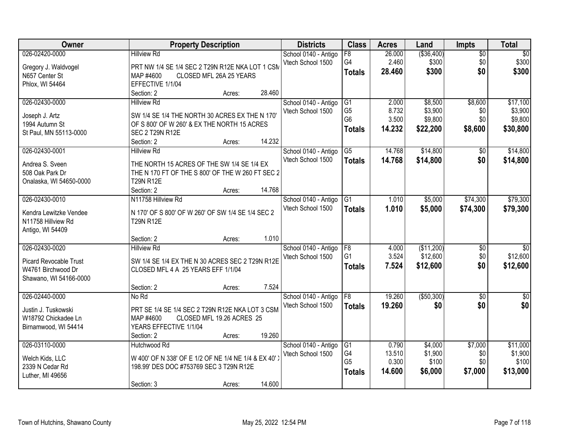| Owner                                      | <b>Property Description</b>                                          | <b>Districts</b>     | <b>Class</b>         | <b>Acres</b>   | Land                   | <b>Impts</b>    | <b>Total</b>            |
|--------------------------------------------|----------------------------------------------------------------------|----------------------|----------------------|----------------|------------------------|-----------------|-------------------------|
| 026-02420-0000                             | <b>Hillview Rd</b>                                                   | School 0140 - Antigo | $\overline{F8}$      | 26.000         | ( \$36,400)            | $\overline{50}$ | $\sqrt{50}$             |
| Gregory J. Waldvogel                       | PRT NW 1/4 SE 1/4 SEC 2 T29N R12E NKA LOT 1 CSM                      | Vtech School 1500    | G4                   | 2.460          | \$300                  | \$0             | \$300                   |
| N657 Center St                             | CLOSED MFL 26A 25 YEARS<br>MAP #4600                                 |                      | <b>Totals</b>        | 28.460         | \$300                  | \$0             | \$300                   |
| Phlox, WI 54464                            | EFFECTIVE 1/1/04                                                     |                      |                      |                |                        |                 |                         |
|                                            | 28.460<br>Section: 2<br>Acres:                                       |                      |                      |                |                        |                 |                         |
| 026-02430-0000                             | <b>Hillview Rd</b>                                                   | School 0140 - Antigo | G1                   | 2.000          | \$8,500                | \$8,600         | \$17,100                |
| Joseph J. Artz                             | SW 1/4 SE 1/4 THE NORTH 30 ACRES EX THE N 170'                       | Vtech School 1500    | G <sub>5</sub>       | 8.732          | \$3,900                | \$0             | \$3,900                 |
| 1994 Autumn St                             | OF S 800' OF W 260' & EX THE NORTH 15 ACRES                          |                      | G <sub>6</sub>       | 3.500          | \$9,800                | \$0             | \$9,800                 |
| St Paul, MN 55113-0000                     | <b>SEC 2 T29N R12E</b>                                               |                      | <b>Totals</b>        | 14.232         | \$22,200               | \$8,600         | \$30,800                |
|                                            | 14.232<br>Section: 2<br>Acres:                                       |                      |                      |                |                        |                 |                         |
| 026-02430-0001                             | <b>Hillview Rd</b>                                                   | School 0140 - Antigo | $\overline{G5}$      | 14.768         | \$14,800               | $\overline{50}$ | \$14,800                |
|                                            |                                                                      | Vtech School 1500    | <b>Totals</b>        | 14.768         | \$14,800               | \$0             | \$14,800                |
| Andrea S. Sveen                            | THE NORTH 15 ACRES OF THE SW 1/4 SE 1/4 EX                           |                      |                      |                |                        |                 |                         |
| 508 Oak Park Dr<br>Onalaska, WI 54650-0000 | THE N 170 FT OF THE S 800' OF THE W 260 FT SEC 2<br><b>T29N R12E</b> |                      |                      |                |                        |                 |                         |
|                                            | 14.768<br>Section: 2<br>Acres:                                       |                      |                      |                |                        |                 |                         |
| 026-02430-0010                             | N11758 Hillview Rd                                                   | School 0140 - Antigo | G1                   | 1.010          | \$5,000                | \$74,300        | \$79,300                |
|                                            |                                                                      | Vtech School 1500    | <b>Totals</b>        | 1.010          | \$5,000                | \$74,300        | \$79,300                |
| Kendra Lewitzke Vendee                     | N 170' OF S 800' OF W 260' OF SW 1/4 SE 1/4 SEC 2                    |                      |                      |                |                        |                 |                         |
| N11758 Hillview Rd                         | <b>T29N R12E</b>                                                     |                      |                      |                |                        |                 |                         |
| Antigo, WI 54409                           |                                                                      |                      |                      |                |                        |                 |                         |
| 026-02430-0020                             | 1.010<br>Section: 2<br>Acres:                                        |                      |                      |                |                        |                 |                         |
|                                            | <b>Hillview Rd</b>                                                   | School 0140 - Antigo | F8<br>G <sub>1</sub> | 4.000<br>3.524 | (\$11,200)<br>\$12,600 | \$0<br>\$0      | $\sqrt{30}$<br>\$12,600 |
| <b>Picard Revocable Trust</b>              | SW 1/4 SE 1/4 EX THE N 30 ACRES SEC 2 T29N R12E                      | Vtech School 1500    |                      |                |                        | \$0             |                         |
| W4761 Birchwood Dr                         | CLOSED MFL 4 A 25 YEARS EFF 1/1/04                                   |                      | <b>Totals</b>        | 7.524          | \$12,600               |                 | \$12,600                |
| Shawano, WI 54166-0000                     |                                                                      |                      |                      |                |                        |                 |                         |
|                                            | 7.524<br>Section: 2<br>Acres:                                        |                      |                      |                |                        |                 |                         |
| 026-02440-0000                             | No Rd                                                                | School 0140 - Antigo | F <sub>8</sub>       | 19.260         | ( \$50, 300)           | $\overline{50}$ | $\overline{30}$         |
| Justin J. Tuskowski                        | PRT SE 1/4 SE 1/4 SEC 2 T29N R12E NKA LOT 3 CSM                      | Vtech School 1500    | <b>Totals</b>        | 19.260         | \$0                    | \$0             | \$0                     |
| W18792 Chickadee Ln                        | CLOSED MFL 19.26 ACRES 25<br>MAP #4600                               |                      |                      |                |                        |                 |                         |
| Birnamwood, WI 54414                       | YEARS EFFECTIVE 1/1/04                                               |                      |                      |                |                        |                 |                         |
|                                            | 19.260<br>Section: 2<br>Acres:                                       |                      |                      |                |                        |                 |                         |
| 026-03110-0000                             | Hutchwood Rd                                                         | School 0140 - Antigo | G1                   | 0.790          | \$4,000                | \$7,000         | \$11,000                |
| Welch Kids, LLC                            | W 400' OF N 338' OF E 1/2 OF NE 1/4 NE 1/4 & EX 40'.                 | Vtech School 1500    | G4                   | 13.510         | \$1,900                | \$0             | \$1,900                 |
| 2339 N Cedar Rd                            | 198.99' DES DOC #753769 SEC 3 T29N R12E                              |                      | G <sub>5</sub>       | 0.300          | \$100                  | \$0             | \$100                   |
| Luther, MI 49656                           |                                                                      |                      | <b>Totals</b>        | 14.600         | \$6,000                | \$7,000         | \$13,000                |
|                                            | 14.600<br>Section: 3<br>Acres:                                       |                      |                      |                |                        |                 |                         |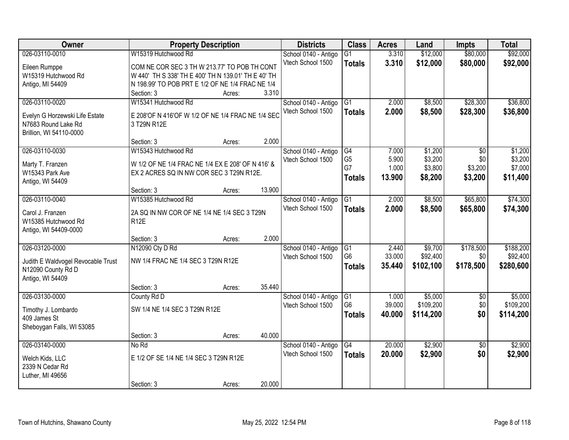| Owner                               | <b>Property Description</b>                         |        |        | <b>Districts</b>     | <b>Class</b>    | <b>Acres</b> | Land      | <b>Impts</b>    | <b>Total</b> |
|-------------------------------------|-----------------------------------------------------|--------|--------|----------------------|-----------------|--------------|-----------|-----------------|--------------|
| 026-03110-0010                      | W15319 Hutchwood Rd                                 |        |        | School 0140 - Antigo | $\overline{G1}$ | 3.310        | \$12,000  | \$80,000        | \$92,000     |
| Eileen Rumppe                       | COM NE COR SEC 3 TH W 213.77' TO POB TH CONT        |        |        | Vtech School 1500    | <b>Totals</b>   | 3.310        | \$12,000  | \$80,000        | \$92,000     |
| W15319 Hutchwood Rd                 | W 440' TH S 338' TH E 400' TH N 139.01' TH E 40' TH |        |        |                      |                 |              |           |                 |              |
| Antigo, MI 54409                    | N 198.99' TO POB PRT E 1/2 OF NE 1/4 FRAC NE 1/4    |        |        |                      |                 |              |           |                 |              |
|                                     | Section: 3                                          | Acres: | 3.310  |                      |                 |              |           |                 |              |
| 026-03110-0020                      | W15341 Hutchwood Rd                                 |        |        | School 0140 - Antigo | $\overline{G1}$ | 2.000        | \$8,500   | \$28,300        | \$36,800     |
|                                     |                                                     |        |        | Vtech School 1500    | <b>Totals</b>   | 2.000        | \$8,500   | \$28,300        | \$36,800     |
| Evelyn G Horzewski Life Estate      | E 208'OF N 416'OF W 1/2 OF NE 1/4 FRAC NE 1/4 SEC   |        |        |                      |                 |              |           |                 |              |
| N7683 Round Lake Rd                 | 3 T29N R12E                                         |        |        |                      |                 |              |           |                 |              |
| Brillion, WI 54110-0000             | Section: 3                                          | Acres: | 2.000  |                      |                 |              |           |                 |              |
| 026-03110-0030                      | W15343 Hutchwood Rd                                 |        |        | School 0140 - Antigo | G4              | 7.000        | \$1,200   | \$0             | \$1,200      |
|                                     |                                                     |        |        | Vtech School 1500    | G <sub>5</sub>  | 5.900        | \$3,200   | \$0             | \$3,200      |
| Marty T. Franzen                    | W 1/2 OF NE 1/4 FRAC NE 1/4 EX E 208' OF N 416' &   |        |        |                      | G7              | 1.000        | \$3,800   | \$3,200         | \$7,000      |
| W15343 Park Ave                     | EX 2 ACRES SQ IN NW COR SEC 3 T29N R12E.            |        |        |                      | <b>Totals</b>   | 13,900       | \$8,200   | \$3,200         | \$11,400     |
| Antigo, WI 54409                    |                                                     |        |        |                      |                 |              |           |                 |              |
|                                     | Section: 3                                          | Acres: | 13.900 |                      |                 |              |           |                 |              |
| 026-03110-0040                      | W15385 Hutchwood Rd                                 |        |        | School 0140 - Antigo | G1              | 2.000        | \$8,500   | \$65,800        | \$74,300     |
| Carol J. Franzen                    | 2A SQ IN NW COR OF NE 1/4 NE 1/4 SEC 3 T29N         |        |        | Vtech School 1500    | <b>Totals</b>   | 2.000        | \$8,500   | \$65,800        | \$74,300     |
| W15385 Hutchwood Rd                 | R <sub>12</sub> E                                   |        |        |                      |                 |              |           |                 |              |
| Antigo, WI 54409-0000               |                                                     |        |        |                      |                 |              |           |                 |              |
|                                     | Section: 3                                          | Acres: | 2.000  |                      |                 |              |           |                 |              |
| 026-03120-0000                      | N12090 Cty D Rd                                     |        |        | School 0140 - Antigo | G1              | 2.440        | \$9,700   | \$178,500       | \$188,200    |
| Judith E Waldvogel Revocable Trust  | NW 1/4 FRAC NE 1/4 SEC 3 T29N R12E                  |        |        | Vtech School 1500    | G <sub>6</sub>  | 33.000       | \$92,400  | \$0             | \$92,400     |
| N12090 County Rd D                  |                                                     |        |        |                      | <b>Totals</b>   | 35.440       | \$102,100 | \$178,500       | \$280,600    |
| Antigo, WI 54409                    |                                                     |        |        |                      |                 |              |           |                 |              |
|                                     | Section: 3                                          | Acres: | 35.440 |                      |                 |              |           |                 |              |
| 026-03130-0000                      | County Rd D                                         |        |        | School 0140 - Antigo | G1              | 1.000        | \$5,000   | $\overline{60}$ | \$5,000      |
|                                     | SW 1/4 NE 1/4 SEC 3 T29N R12E                       |        |        | Vtech School 1500    | G <sub>6</sub>  | 39.000       | \$109,200 | \$0             | \$109,200    |
| Timothy J. Lombardo<br>409 James St |                                                     |        |        |                      | <b>Totals</b>   | 40.000       | \$114,200 | \$0             | \$114,200    |
|                                     |                                                     |        |        |                      |                 |              |           |                 |              |
| Sheboygan Falls, WI 53085           | Section: 3                                          | Acres: | 40.000 |                      |                 |              |           |                 |              |
| 026-03140-0000                      | No Rd                                               |        |        | School 0140 - Antigo | G4              | 20.000       | \$2,900   | $\overline{50}$ | \$2,900      |
|                                     |                                                     |        |        | Vtech School 1500    | <b>Totals</b>   | 20.000       | \$2,900   | \$0             | \$2,900      |
| Welch Kids, LLC                     | E 1/2 OF SE 1/4 NE 1/4 SEC 3 T29N R12E              |        |        |                      |                 |              |           |                 |              |
| 2339 N Cedar Rd                     |                                                     |        |        |                      |                 |              |           |                 |              |
| Luther, MI 49656                    |                                                     |        |        |                      |                 |              |           |                 |              |
|                                     | Section: 3                                          | Acres: | 20.000 |                      |                 |              |           |                 |              |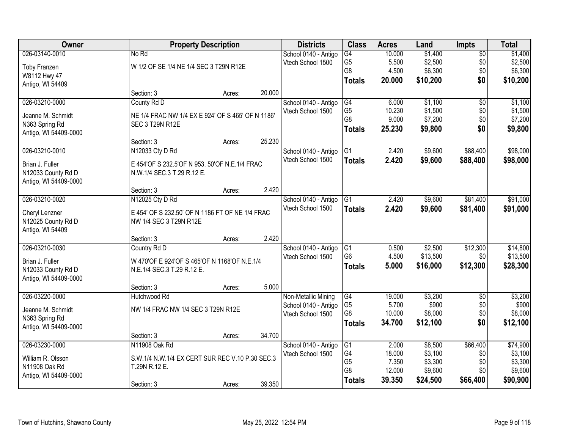| <b>Owner</b>          |                                                   | <b>Property Description</b> |        | <b>Districts</b>     | <b>Class</b>    | <b>Acres</b>     | Land     | <b>Impts</b>    | <b>Total</b> |
|-----------------------|---------------------------------------------------|-----------------------------|--------|----------------------|-----------------|------------------|----------|-----------------|--------------|
| 026-03140-0010        | No Rd                                             |                             |        | School 0140 - Antigo | $\overline{G4}$ | 10.000           | \$1,400  | $\overline{50}$ | \$1,400      |
| Toby Franzen          | W 1/2 OF SE 1/4 NE 1/4 SEC 3 T29N R12E            |                             |        | Vtech School 1500    | G <sub>5</sub>  | 5.500            | \$2,500  | \$0             | \$2,500      |
| W8112 Hwy 47          |                                                   |                             |        |                      | G8              | 4.500            | \$6,300  | \$0             | \$6,300      |
| Antigo, WI 54409      |                                                   |                             |        |                      | <b>Totals</b>   | 20.000           | \$10,200 | \$0             | \$10,200     |
|                       | Section: 3                                        | Acres:                      | 20.000 |                      |                 |                  |          |                 |              |
| 026-03210-0000        | County Rd D                                       |                             |        | School 0140 - Antigo | G4              | 6.000            | \$1,100  | $\overline{30}$ | \$1,100      |
| Jeanne M. Schmidt     | NE 1/4 FRAC NW 1/4 EX E 924' OF S 465' OF N 1186' |                             |        | Vtech School 1500    | G <sub>5</sub>  | 10.230           | \$1,500  | \$0             | \$1,500      |
| N363 Spring Rd        | <b>SEC 3 T29N R12E</b>                            |                             |        |                      | G8              | 9.000            | \$7,200  | \$0             | \$7,200      |
| Antigo, WI 54409-0000 |                                                   |                             |        |                      | <b>Totals</b>   | 25.230           | \$9,800  | \$0             | \$9,800      |
|                       | Section: 3                                        | Acres:                      | 25.230 |                      |                 |                  |          |                 |              |
| 026-03210-0010        | N12033 Cty D Rd                                   |                             |        | School 0140 - Antigo | G1              | 2.420            | \$9,600  | \$88,400        | \$98,000     |
| Brian J. Fuller       | E 454'OF S 232.5'OF N 953. 50'OF N.E.1/4 FRAC     |                             |        | Vtech School 1500    | <b>Totals</b>   | 2.420            | \$9,600  | \$88,400        | \$98,000     |
| N12033 County Rd D    | N.W.1/4 SEC.3 T.29 R.12 E.                        |                             |        |                      |                 |                  |          |                 |              |
| Antigo, WI 54409-0000 |                                                   |                             |        |                      |                 |                  |          |                 |              |
|                       | Section: 3                                        | Acres:                      | 2.420  |                      |                 |                  |          |                 |              |
| 026-03210-0020        | N12025 Cty D Rd                                   |                             |        | School 0140 - Antigo | G1              | 2.420            | \$9,600  | \$81,400        | \$91,000     |
| Cheryl Lenzner        | E 454' OF S 232.50' OF N 1186 FT OF NE 1/4 FRAC   |                             |        | Vtech School 1500    | <b>Totals</b>   | 2.420            | \$9,600  | \$81,400        | \$91,000     |
| N12025 County Rd D    | NW 1/4 SEC 3 T29N R12E                            |                             |        |                      |                 |                  |          |                 |              |
| Antigo, WI 54409      |                                                   |                             |        |                      |                 |                  |          |                 |              |
|                       | Section: 3                                        | Acres:                      | 2.420  |                      |                 |                  |          |                 |              |
| 026-03210-0030        | Country Rd D                                      |                             |        | School 0140 - Antigo | $\overline{G1}$ | 0.500            | \$2,500  | \$12,300        | \$14,800     |
| Brian J. Fuller       | W 470'OF E 924'OF S 465'OF N 1168'OF N.E.1/4      |                             |        | Vtech School 1500    | G <sub>6</sub>  | 4.500            | \$13,500 | \$0             | \$13,500     |
| N12033 County Rd D    | N.E.1/4 SEC.3 T.29 R.12 E.                        |                             |        |                      | <b>Totals</b>   | 5.000            | \$16,000 | \$12,300        | \$28,300     |
| Antigo, WI 54409-0000 |                                                   |                             |        |                      |                 |                  |          |                 |              |
|                       | Section: 3                                        | Acres:                      | 5.000  |                      |                 |                  |          |                 |              |
| 026-03220-0000        | Hutchwood Rd                                      |                             |        | Non-Metallic Mining  | G4              | 19.000           | \$3,200  | $\overline{50}$ | \$3,200      |
| Jeanne M. Schmidt     | NW 1/4 FRAC NW 1/4 SEC 3 T29N R12E                |                             |        | School 0140 - Antigo | G <sub>5</sub>  | 5.700            | \$900    | \$0             | \$900        |
| N363 Spring Rd        |                                                   |                             |        | Vtech School 1500    | G8              | 10.000           | \$8,000  | \$0             | \$8,000      |
| Antigo, WI 54409-0000 |                                                   |                             |        |                      | <b>Totals</b>   | 34.700           | \$12,100 | \$0             | \$12,100     |
|                       | Section: 3                                        | Acres:                      | 34.700 |                      |                 |                  |          |                 |              |
| 026-03230-0000        | N11908 Oak Rd                                     |                             |        | School 0140 - Antigo | $\overline{G1}$ | 2.000            | \$8,500  | \$66,400        | \$74,900     |
| William R. Olsson     | S.W.1/4 N.W.1/4 EX CERT SUR REC V.10 P.30 SEC.3   |                             |        | Vtech School 1500    | G4              | 18.000           | \$3,100  | \$0             | \$3,100      |
| N11908 Oak Rd         | T.29N R.12 E.                                     |                             |        |                      | G <sub>5</sub>  | 7.350            | \$3,300  | \$0             | \$3,300      |
| Antigo, WI 54409-0000 |                                                   |                             |        |                      | G8              | 12.000<br>39.350 | \$9,600  | \$0             | \$9,600      |
|                       | Section: 3                                        | Acres:                      | 39.350 |                      | <b>Totals</b>   |                  | \$24,500 | \$66,400        | \$90,900     |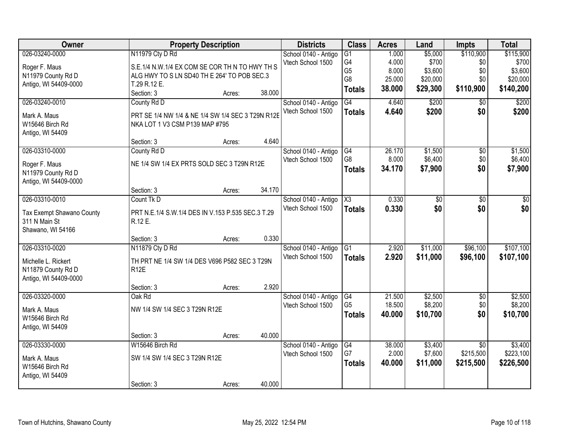| Owner                               |                                                   | <b>Property Description</b> |        | <b>Districts</b>     | <b>Class</b>    | <b>Acres</b> | Land     | <b>Impts</b>    | <b>Total</b> |
|-------------------------------------|---------------------------------------------------|-----------------------------|--------|----------------------|-----------------|--------------|----------|-----------------|--------------|
| 026-03240-0000                      | N11979 Cty D Rd                                   |                             |        | School 0140 - Antigo | $\overline{G1}$ | 1.000        | \$5,000  | \$110,900       | \$115,900    |
| Roger F. Maus                       | S.E.1/4 N.W.1/4 EX COM SE COR TH N TO HWY TH S    |                             |        | Vtech School 1500    | G4              | 4.000        | \$700    | \$0             | \$700        |
| N11979 County Rd D                  | ALG HWY TO S LN SD40 TH E 264' TO POB SEC.3       |                             |        |                      | G <sub>5</sub>  | 8.000        | \$3,600  | \$0             | \$3,600      |
| Antigo, WI 54409-0000               | T.29 R.12 E.                                      |                             |        |                      | G <sub>8</sub>  | 25.000       | \$20,000 | \$0             | \$20,000     |
|                                     | Section: 3                                        | Acres:                      | 38.000 |                      | <b>Totals</b>   | 38.000       | \$29,300 | \$110,900       | \$140,200    |
| 026-03240-0010                      | County Rd D                                       |                             |        | School 0140 - Antigo | G4              | 4.640        | \$200    | $\overline{50}$ | \$200        |
| Mark A. Maus                        | PRT SE 1/4 NW 1/4 & NE 1/4 SW 1/4 SEC 3 T29N R12E |                             |        | Vtech School 1500    | <b>Totals</b>   | 4.640        | \$200    | \$0             | \$200        |
| W15646 Birch Rd                     | NKA LOT 1 V3 CSM P139 MAP #795                    |                             |        |                      |                 |              |          |                 |              |
| Antigo, WI 54409                    |                                                   |                             |        |                      |                 |              |          |                 |              |
|                                     | Section: 3                                        | Acres:                      | 4.640  |                      |                 |              |          |                 |              |
| 026-03310-0000                      | County Rd D                                       |                             |        | School 0140 - Antigo | G4              | 26.170       | \$1,500  | \$0             | \$1,500      |
|                                     | NE 1/4 SW 1/4 EX PRTS SOLD SEC 3 T29N R12E        |                             |        | Vtech School 1500    | G8              | 8.000        | \$6,400  | \$0             | \$6,400      |
| Roger F. Maus<br>N11979 County Rd D |                                                   |                             |        |                      | <b>Totals</b>   | 34.170       | \$7,900  | \$0             | \$7,900      |
| Antigo, WI 54409-0000               |                                                   |                             |        |                      |                 |              |          |                 |              |
|                                     | Section: 3                                        | Acres:                      | 34.170 |                      |                 |              |          |                 |              |
| 026-03310-0010                      | Count Tk D                                        |                             |        | School 0140 - Antigo | X3              | 0.330        | \$0      | \$0             | \$0          |
|                                     |                                                   |                             |        | Vtech School 1500    | <b>Totals</b>   | 0.330        | \$0      | \$0             | \$0          |
| Tax Exempt Shawano County           | PRT N.E.1/4 S.W.1/4 DES IN V.153 P.535 SEC.3 T.29 |                             |        |                      |                 |              |          |                 |              |
| 311 N Main St                       | R.12 E.                                           |                             |        |                      |                 |              |          |                 |              |
| Shawano, WI 54166                   | Section: 3                                        |                             | 0.330  |                      |                 |              |          |                 |              |
| 026-03310-0020                      | N11879 Cty D Rd                                   | Acres:                      |        | School 0140 - Antigo | $\overline{G1}$ | 2.920        | \$11,000 | \$96,100        | \$107,100    |
|                                     |                                                   |                             |        | Vtech School 1500    |                 | 2.920        | \$11,000 | \$96,100        | \$107,100    |
| Michelle L. Rickert                 | TH PRT NE 1/4 SW 1/4 DES V696 P582 SEC 3 T29N     |                             |        |                      | <b>Totals</b>   |              |          |                 |              |
| N11879 County Rd D                  | R <sub>12</sub> E                                 |                             |        |                      |                 |              |          |                 |              |
| Antigo, WI 54409-0000               |                                                   |                             |        |                      |                 |              |          |                 |              |
|                                     | Section: 3                                        | Acres:                      | 2.920  |                      |                 |              |          |                 |              |
| 026-03320-0000                      | Oak Rd                                            |                             |        | School 0140 - Antigo | G4              | 21.500       | \$2,500  | $\overline{50}$ | \$2,500      |
| Mark A. Maus                        | NW 1/4 SW 1/4 SEC 3 T29N R12E                     |                             |        | Vtech School 1500    | G <sub>5</sub>  | 18.500       | \$8,200  | \$0             | \$8,200      |
| W15646 Birch Rd                     |                                                   |                             |        |                      | <b>Totals</b>   | 40.000       | \$10,700 | \$0             | \$10,700     |
| Antigo, WI 54409                    |                                                   |                             |        |                      |                 |              |          |                 |              |
|                                     | Section: 3                                        | Acres:                      | 40.000 |                      |                 |              |          |                 |              |
| 026-03330-0000                      | W15646 Birch Rd                                   |                             |        | School 0140 - Antigo | G4              | 38,000       | \$3,400  | $\overline{30}$ | \$3,400      |
| Mark A. Maus                        | SW 1/4 SW 1/4 SEC 3 T29N R12E                     |                             |        | Vtech School 1500    | G7              | 2.000        | \$7,600  | \$215,500       | \$223,100    |
| W15646 Birch Rd                     |                                                   |                             |        |                      | <b>Totals</b>   | 40.000       | \$11,000 | \$215,500       | \$226,500    |
| Antigo, WI 54409                    |                                                   |                             |        |                      |                 |              |          |                 |              |
|                                     | Section: 3                                        | Acres:                      | 40.000 |                      |                 |              |          |                 |              |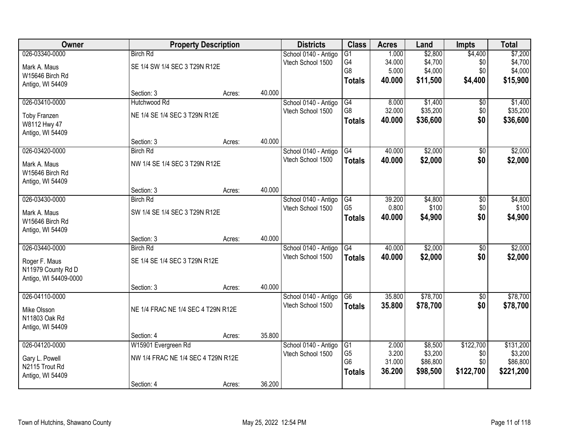| Owner                 |                                    | <b>Property Description</b> |        | <b>Districts</b>     | <b>Class</b>    | <b>Acres</b> | Land     | <b>Impts</b>    | <b>Total</b> |
|-----------------------|------------------------------------|-----------------------------|--------|----------------------|-----------------|--------------|----------|-----------------|--------------|
| 026-03340-0000        | <b>Birch Rd</b>                    |                             |        | School 0140 - Antigo | $\overline{G1}$ | 1.000        | \$2,800  | \$4,400         | \$7,200      |
| Mark A. Maus          | SE 1/4 SW 1/4 SEC 3 T29N R12E      |                             |        | Vtech School 1500    | G4              | 34.000       | \$4,700  | \$0             | \$4,700      |
| W15646 Birch Rd       |                                    |                             |        |                      | G8              | 5.000        | \$4,000  | \$0             | \$4,000      |
| Antigo, WI 54409      |                                    |                             |        |                      | <b>Totals</b>   | 40.000       | \$11,500 | \$4,400         | \$15,900     |
|                       | Section: 3                         | Acres:                      | 40.000 |                      |                 |              |          |                 |              |
| 026-03410-0000        | Hutchwood Rd                       |                             |        | School 0140 - Antigo | G4              | 8.000        | \$1,400  | \$0             | \$1,400      |
| <b>Toby Franzen</b>   | NE 1/4 SE 1/4 SEC 3 T29N R12E      |                             |        | Vtech School 1500    | G8              | 32.000       | \$35,200 | \$0             | \$35,200     |
| W8112 Hwy 47          |                                    |                             |        |                      | <b>Totals</b>   | 40.000       | \$36,600 | \$0             | \$36,600     |
| Antigo, WI 54409      |                                    |                             |        |                      |                 |              |          |                 |              |
|                       | Section: 3                         | Acres:                      | 40.000 |                      |                 |              |          |                 |              |
| 026-03420-0000        | <b>Birch Rd</b>                    |                             |        | School 0140 - Antigo | G4              | 40.000       | \$2,000  | $\overline{50}$ | \$2,000      |
| Mark A. Maus          | NW 1/4 SE 1/4 SEC 3 T29N R12E      |                             |        | Vtech School 1500    | <b>Totals</b>   | 40.000       | \$2,000  | \$0             | \$2,000      |
| W15646 Birch Rd       |                                    |                             |        |                      |                 |              |          |                 |              |
| Antigo, WI 54409      |                                    |                             |        |                      |                 |              |          |                 |              |
|                       | Section: 3                         | Acres:                      | 40.000 |                      |                 |              |          |                 |              |
| 026-03430-0000        | <b>Birch Rd</b>                    |                             |        | School 0140 - Antigo | G4              | 39.200       | \$4,800  | \$0             | \$4,800      |
| Mark A. Maus          | SW 1/4 SE 1/4 SEC 3 T29N R12E      |                             |        | Vtech School 1500    | G <sub>5</sub>  | 0.800        | \$100    | \$0             | \$100        |
| W15646 Birch Rd       |                                    |                             |        |                      | <b>Totals</b>   | 40.000       | \$4,900  | \$0             | \$4,900      |
| Antigo, WI 54409      |                                    |                             |        |                      |                 |              |          |                 |              |
|                       | Section: 3                         | Acres:                      | 40.000 |                      |                 |              |          |                 |              |
| 026-03440-0000        | <b>Birch Rd</b>                    |                             |        | School 0140 - Antigo | $\overline{G4}$ | 40.000       | \$2,000  | $\overline{50}$ | \$2,000      |
| Roger F. Maus         | SE 1/4 SE 1/4 SEC 3 T29N R12E      |                             |        | Vtech School 1500    | <b>Totals</b>   | 40.000       | \$2,000  | \$0             | \$2,000      |
| N11979 County Rd D    |                                    |                             |        |                      |                 |              |          |                 |              |
| Antigo, WI 54409-0000 |                                    |                             |        |                      |                 |              |          |                 |              |
|                       | Section: 3                         | Acres:                      | 40.000 |                      |                 |              |          |                 |              |
| 026-04110-0000        |                                    |                             |        | School 0140 - Antigo | G <sub>6</sub>  | 35.800       | \$78,700 | $\sqrt{6}$      | \$78,700     |
| Mike Olsson           | NE 1/4 FRAC NE 1/4 SEC 4 T29N R12E |                             |        | Vtech School 1500    | <b>Totals</b>   | 35.800       | \$78,700 | \$0             | \$78,700     |
| N11803 Oak Rd         |                                    |                             |        |                      |                 |              |          |                 |              |
| Antigo, WI 54409      |                                    |                             |        |                      |                 |              |          |                 |              |
|                       | Section: 4                         | Acres:                      | 35.800 |                      |                 |              |          |                 |              |
| 026-04120-0000        | W15901 Evergreen Rd                |                             |        | School 0140 - Antigo | G1              | 2.000        | \$8,500  | \$122,700       | \$131,200    |
| Gary L. Powell        | NW 1/4 FRAC NE 1/4 SEC 4 T29N R12E |                             |        | Vtech School 1500    | G <sub>5</sub>  | 3.200        | \$3,200  | \$0             | \$3,200      |
| N2115 Trout Rd        |                                    |                             |        |                      | G <sub>6</sub>  | 31.000       | \$86,800 | \$0             | \$86,800     |
| Antigo, WI 54409      |                                    |                             |        |                      | <b>Totals</b>   | 36.200       | \$98,500 | \$122,700       | \$221,200    |
|                       | Section: 4                         | Acres:                      | 36.200 |                      |                 |              |          |                 |              |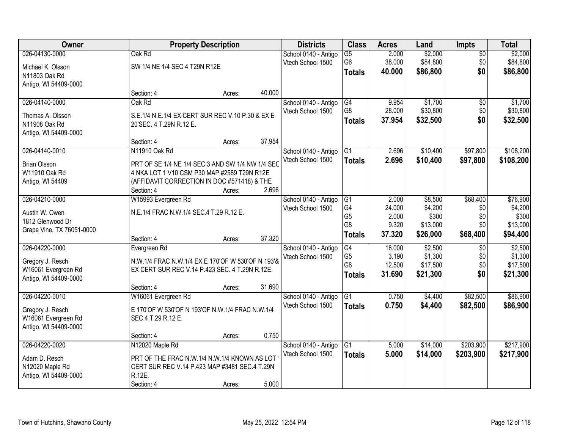| Owner                     |                                                   | <b>Property Description</b> |        | <b>Districts</b>     | <b>Class</b>    | <b>Acres</b> | Land     | Impts           | <b>Total</b> |
|---------------------------|---------------------------------------------------|-----------------------------|--------|----------------------|-----------------|--------------|----------|-----------------|--------------|
| 026-04130-0000            | Oak Rd                                            |                             |        | School 0140 - Antigo | $\overline{G5}$ | 2.000        | \$2,000  | $\overline{50}$ | \$2,000      |
| Michael K. Olsson         | SW 1/4 NE 1/4 SEC 4 T29N R12E                     |                             |        | Vtech School 1500    | G <sub>6</sub>  | 38.000       | \$84,800 | \$0             | \$84,800     |
| N11803 Oak Rd             |                                                   |                             |        |                      | <b>Totals</b>   | 40.000       | \$86,800 | \$0             | \$86,800     |
| Antigo, WI 54409-0000     |                                                   |                             |        |                      |                 |              |          |                 |              |
|                           | Section: 4                                        | Acres:                      | 40.000 |                      |                 |              |          |                 |              |
| 026-04140-0000            | Oak Rd                                            |                             |        | School 0140 - Antigo | G4              | 9.954        | \$1,700  | \$0             | \$1,700      |
| Thomas A. Olsson          | S.E.1/4 N.E.1/4 EX CERT SUR REC V.10 P.30 & EX E  |                             |        | Vtech School 1500    | G8              | 28.000       | \$30,800 | \$0             | \$30,800     |
| N11908 Oak Rd             | 20'SEC. 4 T.29N R.12 E.                           |                             |        |                      | <b>Totals</b>   | 37.954       | \$32,500 | \$0             | \$32,500     |
| Antigo, WI 54409-0000     |                                                   |                             |        |                      |                 |              |          |                 |              |
|                           | Section: 4                                        | Acres:                      | 37.954 |                      |                 |              |          |                 |              |
| 026-04140-0010            | N11910 Oak Rd                                     |                             |        | School 0140 - Antigo | G1              | 2.696        | \$10,400 | \$97,800        | \$108,200    |
| <b>Brian Olsson</b>       | PRT OF SE 1/4 NE 1/4 SEC 3 AND SW 1/4 NW 1/4 SEC  |                             |        | Vtech School 1500    | <b>Totals</b>   | 2.696        | \$10,400 | \$97,800        | \$108,200    |
| W11910 Oak Rd             | 4 NKA LOT 1 V10 CSM P30 MAP #2589 T29N R12E       |                             |        |                      |                 |              |          |                 |              |
| Antigo, WI 54409          | (AFFIDAVIT CORRECTION IN DOC #571418) & THE       |                             |        |                      |                 |              |          |                 |              |
|                           | Section: 4                                        | Acres:                      | 2.696  |                      |                 |              |          |                 |              |
| 026-04210-0000            | W15993 Evergreen Rd                               |                             |        | School 0140 - Antigo | G1              | 2.000        | \$8,500  | \$68,400        | \$76,900     |
| Austin W. Owen            | N.E.1/4 FRAC N.W.1/4 SEC.4 T.29 R.12 E.           |                             |        | Vtech School 1500    | G4              | 24.000       | \$4,200  | \$0             | \$4,200      |
| 1812 Glenwood Dr          |                                                   |                             |        |                      | G <sub>5</sub>  | 2.000        | \$300    | \$0             | \$300        |
| Grape Vine, TX 76051-0000 |                                                   |                             |        |                      | G8              | 9.320        | \$13,000 | \$0             | \$13,000     |
|                           | Section: 4                                        | Acres:                      | 37.320 |                      | <b>Totals</b>   | 37.320       | \$26,000 | \$68,400        | \$94,400     |
| 026-04220-0000            | Evergreen Rd                                      |                             |        | School 0140 - Antigo | G4              | 16.000       | \$2,500  | $\overline{30}$ | \$2,500      |
| Gregory J. Resch          | N.W.1/4 FRAC N.W.1/4 EX E 170'OF W 530'OF N 193'& |                             |        | Vtech School 1500    | G <sub>5</sub>  | 3.190        | \$1,300  | \$0             | \$1,300      |
| W16061 Evergreen Rd       | EX CERT SUR REC V.14 P.423 SEC. 4 T.29N R.12E.    |                             |        |                      | G <sub>8</sub>  | 12.500       | \$17,500 | \$0             | \$17,500     |
| Antigo, WI 54409-0000     |                                                   |                             |        |                      | <b>Totals</b>   | 31.690       | \$21,300 | \$0             | \$21,300     |
|                           | Section: 4                                        | Acres:                      | 31.690 |                      |                 |              |          |                 |              |
| 026-04220-0010            | W16061 Evergreen Rd                               |                             |        | School 0140 - Antigo | G1              | 0.750        | \$4,400  | \$82,500        | \$86,900     |
| Gregory J. Resch          | E 170'OF W 530'OF N 193'OF N.W.1/4 FRAC N.W.1/4   |                             |        | Vtech School 1500    | <b>Totals</b>   | 0.750        | \$4,400  | \$82,500        | \$86,900     |
| W16061 Evergreen Rd       | SEC.4 T.29 R.12 E.                                |                             |        |                      |                 |              |          |                 |              |
| Antigo, WI 54409-0000     |                                                   |                             |        |                      |                 |              |          |                 |              |
|                           | Section: 4                                        | Acres:                      | 0.750  |                      |                 |              |          |                 |              |
| 026-04220-0020            | N12020 Maple Rd                                   |                             |        | School 0140 - Antigo | G1              | 5.000        | \$14,000 | \$203,900       | \$217,900    |
| Adam D. Resch             | PRT OF THE FRAC N.W.1/4 N.W.1/4 KNOWN AS LOT      |                             |        | Vtech School 1500    | <b>Totals</b>   | 5.000        | \$14,000 | \$203,900       | \$217,900    |
| N12020 Maple Rd           | CERT SUR REC V.14 P.423 MAP #3481 SEC.4 T.29N     |                             |        |                      |                 |              |          |                 |              |
| Antigo, WI 54409-0000     | R.12E.                                            |                             |        |                      |                 |              |          |                 |              |
|                           | Section: 4                                        | Acres:                      | 5.000  |                      |                 |              |          |                 |              |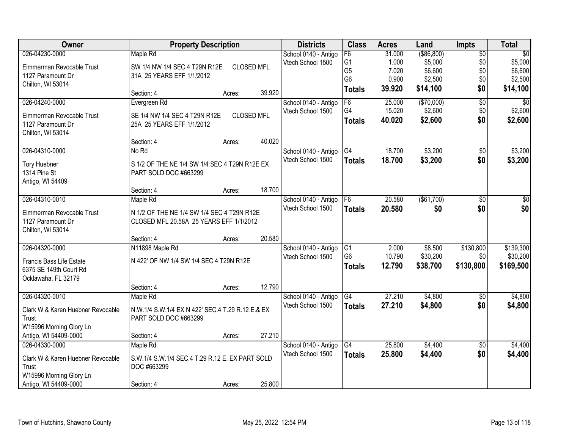| Owner                                         | <b>Property Description</b>                      |                   |        | <b>Districts</b>     | <b>Class</b>   | <b>Acres</b> | Land         | <b>Impts</b>    | <b>Total</b>    |
|-----------------------------------------------|--------------------------------------------------|-------------------|--------|----------------------|----------------|--------------|--------------|-----------------|-----------------|
| 026-04230-0000                                | Maple Rd                                         |                   |        | School 0140 - Antigo | F6             | 31.000       | ( \$86, 800) | $\overline{50}$ | $\overline{50}$ |
| Eimmerman Revocable Trust                     | SW 1/4 NW 1/4 SEC 4 T29N R12E                    | <b>CLOSED MFL</b> |        | Vtech School 1500    | G <sub>1</sub> | 1.000        | \$5,000      | \$0             | \$5,000         |
| 1127 Paramount Dr                             | 31A 25 YEARS EFF 1/1/2012                        |                   |        |                      | G <sub>5</sub> | 7.020        | \$6,600      | \$0             | \$6,600         |
| Chilton, WI 53014                             |                                                  |                   |        |                      | G <sub>6</sub> | 0.900        | \$2,500      | \$0             | \$2,500         |
|                                               | Section: 4                                       | Acres:            | 39.920 |                      | <b>Totals</b>  | 39.920       | \$14,100     | \$0             | \$14,100        |
| 026-04240-0000                                | Evergreen Rd                                     |                   |        | School 0140 - Antigo | F6             | 25.000       | (\$70,000)   | $\overline{50}$ | $\overline{30}$ |
| Eimmerman Revocable Trust                     | SE 1/4 NW 1/4 SEC 4 T29N R12E                    | <b>CLOSED MFL</b> |        | Vtech School 1500    | G4             | 15.020       | \$2,600      | \$0             | \$2,600         |
| 1127 Paramount Dr                             | 25A 25 YEARS EFF 1/1/2012                        |                   |        |                      | <b>Totals</b>  | 40.020       | \$2,600      | \$0             | \$2,600         |
| Chilton, WI 53014                             |                                                  |                   |        |                      |                |              |              |                 |                 |
|                                               | Section: 4                                       | Acres:            | 40.020 |                      |                |              |              |                 |                 |
| 026-04310-0000                                | No Rd                                            |                   |        | School 0140 - Antigo | G4             | 18.700       | \$3,200      | \$0             | \$3,200         |
| <b>Tory Huebner</b>                           | S 1/2 OF THE NE 1/4 SW 1/4 SEC 4 T29N R12E EX    |                   |        | Vtech School 1500    | <b>Totals</b>  | 18.700       | \$3,200      | \$0             | \$3,200         |
| 1314 Pine St                                  | PART SOLD DOC #663299                            |                   |        |                      |                |              |              |                 |                 |
| Antigo, WI 54409                              |                                                  |                   |        |                      |                |              |              |                 |                 |
|                                               | Section: 4                                       | Acres:            | 18.700 |                      |                |              |              |                 |                 |
| 026-04310-0010                                | Maple Rd                                         |                   |        | School 0140 - Antigo | F <sub>6</sub> | 20.580       | (\$61,700)   | $\overline{50}$ | \$0             |
| Eimmerman Revocable Trust                     | N 1/2 OF THE NE 1/4 SW 1/4 SEC 4 T29N R12E       |                   |        | Vtech School 1500    | <b>Totals</b>  | 20.580       | \$0          | \$0             | \$0             |
| 1127 Paramount Dr                             | CLOSED MFL 20.58A 25 YEARS EFF 1/1/2012          |                   |        |                      |                |              |              |                 |                 |
| Chilton, WI 53014                             |                                                  |                   |        |                      |                |              |              |                 |                 |
|                                               | Section: 4                                       | Acres:            | 20.580 |                      |                |              |              |                 |                 |
| 026-04320-0000                                | N11898 Maple Rd                                  |                   |        | School 0140 - Antigo | G1             | 2.000        | \$8,500      | \$130,800       | \$139,300       |
|                                               |                                                  |                   |        | Vtech School 1500    | G <sub>6</sub> | 10.790       | \$30,200     | \$0             | \$30,200        |
| Francis Bass Life Estate                      | N 422' OF NW 1/4 SW 1/4 SEC 4 T29N R12E          |                   |        |                      | <b>Totals</b>  | 12.790       | \$38,700     | \$130,800       | \$169,500       |
| 6375 SE 149th Court Rd<br>Ocklawaha, FL 32179 |                                                  |                   |        |                      |                |              |              |                 |                 |
|                                               | Section: 4                                       | Acres:            | 12.790 |                      |                |              |              |                 |                 |
| 026-04320-0010                                | Maple Rd                                         |                   |        | School 0140 - Antigo | G4             | 27.210       | \$4,800      | $\overline{50}$ | \$4,800         |
|                                               |                                                  |                   |        | Vtech School 1500    | <b>Totals</b>  | 27.210       | \$4,800      | \$0             | \$4,800         |
| Clark W & Karen Huebner Revocable             | N.W.1/4 S.W.1/4 EX N 422' SEC.4 T.29 R.12 E.& EX |                   |        |                      |                |              |              |                 |                 |
| Trust                                         | PART SOLD DOC #663299                            |                   |        |                      |                |              |              |                 |                 |
| W15996 Morning Glory Ln                       |                                                  |                   |        |                      |                |              |              |                 |                 |
| Antigo, WI 54409-0000                         | Section: 4                                       | Acres:            | 27.210 |                      |                |              |              |                 |                 |
| 026-04330-0000                                | Maple Rd                                         |                   |        | School 0140 - Antigo | G4             | 25.800       | \$4,400      | $\overline{50}$ | \$4,400         |
| Clark W & Karen Huebner Revocable             | S.W.1/4 S.W.1/4 SEC.4 T.29 R.12 E. EX PART SOLD  |                   |        | Vtech School 1500    | <b>Totals</b>  | 25.800       | \$4,400      | \$0             | \$4,400         |
| Trust                                         | DOC #663299                                      |                   |        |                      |                |              |              |                 |                 |
| W15996 Morning Glory Ln                       |                                                  |                   |        |                      |                |              |              |                 |                 |
| Antigo, WI 54409-0000                         | Section: 4                                       | Acres:            | 25.800 |                      |                |              |              |                 |                 |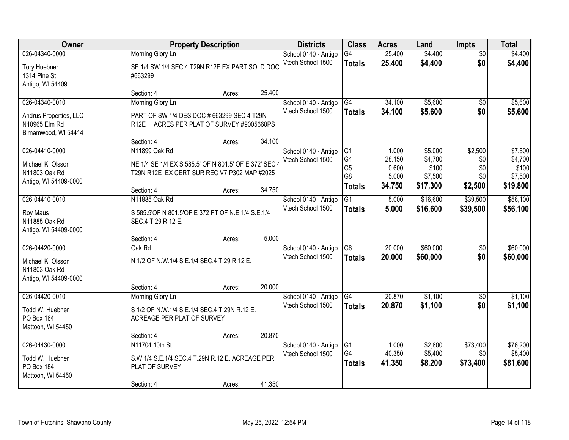| Owner                                                                             |                                                                                                                                     | <b>Property Description</b> |                 | <b>Districts</b>                          | <b>Class</b>                                                   | <b>Acres</b>                                | Land                                               | Impts                                   | <b>Total</b>                                       |
|-----------------------------------------------------------------------------------|-------------------------------------------------------------------------------------------------------------------------------------|-----------------------------|-----------------|-------------------------------------------|----------------------------------------------------------------|---------------------------------------------|----------------------------------------------------|-----------------------------------------|----------------------------------------------------|
| 026-04340-0000<br><b>Tory Huebner</b><br>1314 Pine St<br>Antigo, WI 54409         | Morning Glory Ln<br>SE 1/4 SW 1/4 SEC 4 T29N R12E EX PART SOLD DOC<br>#663299                                                       |                             |                 | School 0140 - Antigo<br>Vtech School 1500 | G4<br><b>Totals</b>                                            | 25.400<br>25.400                            | \$4,400<br>\$4,400                                 | $\overline{50}$<br>\$0                  | \$4,400<br>\$4,400                                 |
|                                                                                   | Section: 4                                                                                                                          | Acres:                      | 25.400          |                                           |                                                                |                                             |                                                    |                                         |                                                    |
| 026-04340-0010<br>Andrus Properties, LLC<br>N10965 Elm Rd<br>Birnamwood, WI 54414 | Morning Glory Ln<br>PART OF SW 1/4 DES DOC # 663299 SEC 4 T29N<br>R12E ACRES PER PLAT OF SURVEY #9005660PS<br>Section: 4            | Acres:                      | 34.100          | School 0140 - Antigo<br>Vtech School 1500 | G4<br><b>Totals</b>                                            | 34.100<br>34.100                            | \$5,600<br>\$5,600                                 | \$0<br>\$0                              | \$5,600<br>\$5,600                                 |
| 026-04410-0000<br>Michael K. Olsson<br>N11803 Oak Rd<br>Antigo, WI 54409-0000     | N11899 Oak Rd<br>NE 1/4 SE 1/4 EX S 585.5' OF N 801.5' OF E 372' SEC 4<br>T29N R12E EX CERT SUR REC V7 P302 MAP #2025<br>Section: 4 | Acres:                      | 34.750          | School 0140 - Antigo<br>Vtech School 1500 | IG1<br>G4<br>G <sub>5</sub><br>G <sub>8</sub><br><b>Totals</b> | 1.000<br>28.150<br>0.600<br>5.000<br>34.750 | \$5,000<br>\$4,700<br>\$100<br>\$7,500<br>\$17,300 | \$2,500<br>\$0<br>\$0<br>\$0<br>\$2,500 | \$7,500<br>\$4,700<br>\$100<br>\$7,500<br>\$19,800 |
| 026-04410-0010<br>Roy Maus<br>N11885 Oak Rd<br>Antigo, WI 54409-0000              | N11885 Oak Rd<br>S 585.5'OF N 801.5'OF E 372 FT OF N.E.1/4 S.E.1/4<br>SEC.4 T.29 R.12 E.                                            |                             |                 | School 0140 - Antigo<br>Vtech School 1500 | G1<br><b>Totals</b>                                            | 5.000<br>5.000                              | \$16,600<br>\$16,600                               | \$39,500<br>\$39,500                    | \$56,100<br>\$56,100                               |
| 026-04420-0000<br>Michael K. Olsson<br>N11803 Oak Rd<br>Antigo, WI 54409-0000     | Section: 4<br>Oak Rd<br>N 1/2 OF N.W.1/4 S.E.1/4 SEC.4 T.29 R.12 E.<br>Section: 4                                                   | Acres:<br>Acres:            | 5.000<br>20.000 | School 0140 - Antigo<br>Vtech School 1500 | $\overline{G6}$<br><b>Totals</b>                               | 20.000<br>20.000                            | \$60,000<br>\$60,000                               | $\overline{50}$<br>\$0                  | \$60,000<br>\$60,000                               |
| 026-04420-0010<br>Todd W. Huebner<br>PO Box 184<br>Mattoon, WI 54450              | Morning Glory Ln<br>S 1/2 OF N.W.1/4 S.E.1/4 SEC.4 T.29N R.12 E.<br>ACREAGE PER PLAT OF SURVEY<br>Section: 4                        | Acres:                      | 20.870          | School 0140 - Antigo<br>Vtech School 1500 | G4<br><b>Totals</b>                                            | 20.870<br>20.870                            | \$1,100<br>\$1,100                                 | $\overline{50}$<br>\$0                  | \$1,100<br>\$1,100                                 |
| 026-04430-0000<br>Todd W. Huebner<br>PO Box 184<br>Mattoon, WI 54450              | N11704 10th St<br>S.W.1/4 S.E.1/4 SEC.4 T.29N R.12 E. ACREAGE PER<br>PLAT OF SURVEY<br>Section: 4                                   | Acres:                      | 41.350          | School 0140 - Antigo<br>Vtech School 1500 | $\overline{G1}$<br>G <sub>4</sub><br><b>Totals</b>             | 1.000<br>40.350<br>41.350                   | \$2,800<br>\$5,400<br>\$8,200                      | \$73,400<br>\$0<br>\$73,400             | \$76,200<br>\$5,400<br>\$81,600                    |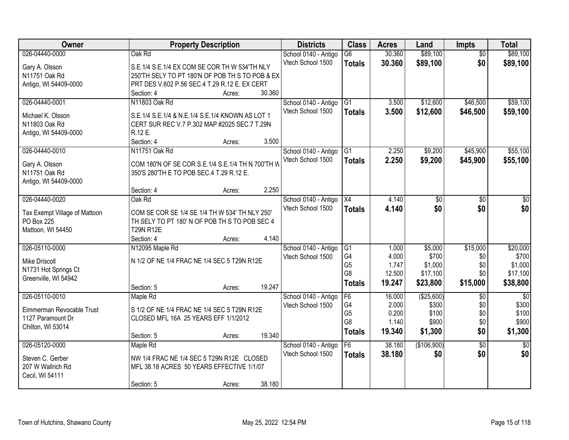| Owner                         |                                                   | <b>Property Description</b> |        | <b>Districts</b>     | <b>Class</b>         | <b>Acres</b>    | Land                | Impts           | <b>Total</b>        |
|-------------------------------|---------------------------------------------------|-----------------------------|--------|----------------------|----------------------|-----------------|---------------------|-----------------|---------------------|
| 026-04440-0000                | Oak Rd                                            |                             |        | School 0140 - Antigo | $\overline{G6}$      | 30.360          | \$89,100            | $\overline{50}$ | \$89,100            |
| Gary A. Olsson                | S.E.1/4 S.E.1/4 EX COM SE COR TH W 534'TH NLY     |                             |        | Vtech School 1500    | <b>Totals</b>        | 30.360          | \$89,100            | \$0             | \$89,100            |
| N11751 Oak Rd                 | 250'TH SELY TO PT 180'N OF POB TH S TO POB & EX   |                             |        |                      |                      |                 |                     |                 |                     |
| Antigo, WI 54409-0000         | PRT DES V.602 P.56 SEC.4 T.29 R.12 E. EX CERT     |                             |        |                      |                      |                 |                     |                 |                     |
|                               | Section: 4                                        | Acres:                      | 30.360 |                      |                      |                 |                     |                 |                     |
| 026-04440-0001                | N11803 Oak Rd                                     |                             |        | School 0140 - Antigo | $\overline{G1}$      | 3.500           | \$12,600            | \$46,500        | \$59,100            |
|                               |                                                   |                             |        | Vtech School 1500    | <b>Totals</b>        | 3.500           | \$12,600            | \$46,500        | \$59,100            |
| Michael K. Olsson             | S.E.1/4 S.E.1/4 & N.E.1/4 S.E.1/4 KNOWN AS LOT 1  |                             |        |                      |                      |                 |                     |                 |                     |
| N11803 Oak Rd                 | CERT SUR REC V.7 P.302 MAP #2025 SEC.7 T.29N      |                             |        |                      |                      |                 |                     |                 |                     |
| Antigo, WI 54409-0000         | R.12 E.                                           |                             |        |                      |                      |                 |                     |                 |                     |
|                               | Section: 4                                        | Acres:                      | 3.500  |                      |                      |                 |                     |                 |                     |
| 026-04440-0010                | N11751 Oak Rd                                     |                             |        | School 0140 - Antigo | G1                   | 2.250           | \$9,200             | \$45,900        | \$55,100            |
| Gary A. Olsson                | COM 180'N OF SE COR S.E.1/4 S.E.1/4 TH N 700'TH W |                             |        | Vtech School 1500    | <b>Totals</b>        | 2.250           | \$9,200             | \$45,900        | \$55,100            |
| N11751 Oak Rd                 | 350'S 280'TH E TO POB SEC.4 T.29 R.12 E.          |                             |        |                      |                      |                 |                     |                 |                     |
| Antigo, WI 54409-0000         |                                                   |                             |        |                      |                      |                 |                     |                 |                     |
|                               | Section: 4                                        | Acres:                      | 2.250  |                      |                      |                 |                     |                 |                     |
| 026-04440-0020                | Oak Rd                                            |                             |        | School 0140 - Antigo | X4                   | 4.140           | \$0                 | \$0             | \$0                 |
|                               |                                                   |                             |        | Vtech School 1500    | <b>Totals</b>        | 4.140           | \$0                 | \$0             | \$0                 |
| Tax Exempt Village of Mattoon | COM SE COR SE 1/4 SE 1/4 TH W 534' TH NLY 250'    |                             |        |                      |                      |                 |                     |                 |                     |
| PO Box 225                    | TH SELY TO PT 180' N OF POB TH S TO POB SEC 4     |                             |        |                      |                      |                 |                     |                 |                     |
| Mattoon, WI 54450             | <b>T29N R12E</b>                                  |                             |        |                      |                      |                 |                     |                 |                     |
|                               | Section: 4                                        | Acres:                      | 4.140  |                      |                      |                 |                     |                 |                     |
| 026-05110-0000                | N12095 Maple Rd                                   |                             |        | School 0140 - Antigo | G1                   | 1.000           | \$5,000             | \$15,000        | \$20,000            |
| Mike Driscoll                 | N 1/2 OF NE 1/4 FRAC NE 1/4 SEC 5 T29N R12E       |                             |        | Vtech School 1500    | G4                   | 4.000           | \$700               | \$0             | \$700               |
| N1731 Hot Springs Ct          |                                                   |                             |        |                      | G <sub>5</sub><br>G8 | 1.747<br>12.500 | \$1,000<br>\$17,100 | \$0<br>\$0      | \$1,000<br>\$17,100 |
| Greenville, WI 54942          |                                                   |                             |        |                      |                      |                 |                     |                 |                     |
|                               | Section: 5                                        | Acres:                      | 19.247 |                      | <b>Totals</b>        | 19.247          | \$23,800            | \$15,000        | \$38,800            |
| 026-05110-0010                | Maple Rd                                          |                             |        | School 0140 - Antigo | F6                   | 16.000          | ( \$25,600)         | $\overline{50}$ | $\overline{50}$     |
| Eimmerman Revocable Trust     | S 1/2 OF NE 1/4 FRAC NE 1/4 SEC 5 T29N R12E       |                             |        | Vtech School 1500    | G4                   | 2.000           | \$300               | \$0             | \$300               |
| 1127 Paramount Dr             | CLOSED MFL 16A 25 YEARS EFF 1/1/2012              |                             |        |                      | G <sub>5</sub>       | 0.200           | \$100               | \$0             | \$100               |
| Chilton, WI 53014             |                                                   |                             |        |                      | G <sub>8</sub>       | 1.140           | \$900               | \$0             | \$900               |
|                               | Section: 5                                        | Acres:                      | 19.340 |                      | <b>Totals</b>        | 19.340          | \$1,300             | \$0             | \$1,300             |
| 026-05120-0000                | Maple Rd                                          |                             |        | School 0140 - Antigo | F6                   | 38.180          | (\$106,900)         | $\overline{50}$ | $\overline{50}$     |
|                               |                                                   |                             |        | Vtech School 1500    | <b>Totals</b>        | 38.180          | \$0                 | \$0             | \$0                 |
| Steven C. Gerber              | NW 1/4 FRAC NE 1/4 SEC 5 T29N R12E CLOSED         |                             |        |                      |                      |                 |                     |                 |                     |
| 207 W Wallrich Rd             | MFL 38.18 ACRES 50 YEARS EFFECTIVE 1/1/07         |                             |        |                      |                      |                 |                     |                 |                     |
| Cecil, WI 54111               |                                                   |                             |        |                      |                      |                 |                     |                 |                     |
|                               | Section: 5                                        | Acres:                      | 38.180 |                      |                      |                 |                     |                 |                     |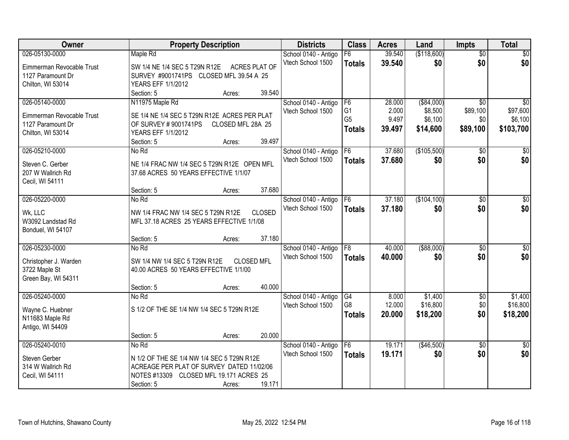| Owner                     | <b>Property Description</b>                                                     | <b>Districts</b>     | <b>Class</b>   | <b>Acres</b> | Land          | <b>Impts</b>    | <b>Total</b>    |
|---------------------------|---------------------------------------------------------------------------------|----------------------|----------------|--------------|---------------|-----------------|-----------------|
| 026-05130-0000            | Maple Rd                                                                        | School 0140 - Antigo | F6             | 39.540       | (\$118,600)   | $\overline{50}$ | $\sqrt{50}$     |
| Eimmerman Revocable Trust | SW 1/4 NE 1/4 SEC 5 T29N R12E<br><b>ACRES PLAT OF</b>                           | Vtech School 1500    | <b>Totals</b>  | 39.540       | \$0           | \$0             | \$0             |
| 1127 Paramount Dr         | SURVEY #9001741PS CLOSED MFL 39.54 A 25                                         |                      |                |              |               |                 |                 |
| Chilton, WI 53014         | YEARS EFF 1/1/2012                                                              |                      |                |              |               |                 |                 |
|                           | 39.540<br>Section: 5<br>Acres:                                                  |                      |                |              |               |                 |                 |
| 026-05140-0000            | N11975 Maple Rd                                                                 | School 0140 - Antigo | F <sub>6</sub> | 28.000       | ( \$84,000)   | $\overline{30}$ | $\overline{50}$ |
| Eimmerman Revocable Trust | SE 1/4 NE 1/4 SEC 5 T29N R12E ACRES PER PLAT                                    | Vtech School 1500    | G <sub>1</sub> | 2.000        | \$8,500       | \$89,100        | \$97,600        |
| 1127 Paramount Dr         | OF SURVEY #9001741PS<br>CLOSED MFL 28A 25                                       |                      | G <sub>5</sub> | 9.497        | \$6,100       | \$0             | \$6,100         |
| Chilton, WI 53014         | YEARS EFF 1/1/2012                                                              |                      | <b>Totals</b>  | 39.497       | \$14,600      | \$89,100        | \$103,700       |
|                           | 39.497<br>Section: 5<br>Acres:                                                  |                      |                |              |               |                 |                 |
| 026-05210-0000            | No Rd                                                                           | School 0140 - Antigo | F6             | 37.680       | (\$105,500)   | $\overline{50}$ | $\overline{30}$ |
| Steven C. Gerber          | NE 1/4 FRAC NW 1/4 SEC 5 T29N R12E OPEN MFL                                     | Vtech School 1500    | <b>Totals</b>  | 37.680       | \$0           | \$0             | \$0             |
| 207 W Wallrich Rd         | 37.68 ACRES 50 YEARS EFFECTIVE 1/1/07                                           |                      |                |              |               |                 |                 |
| Cecil, WI 54111           |                                                                                 |                      |                |              |               |                 |                 |
|                           | 37.680<br>Section: 5<br>Acres:                                                  |                      |                |              |               |                 |                 |
| 026-05220-0000            | No Rd                                                                           | School 0140 - Antigo | F <sub>6</sub> | 37.180       | (\$104,100)   | \$0             | \$0             |
| Wk, LLC                   | <b>CLOSED</b>                                                                   | Vtech School 1500    | <b>Totals</b>  | 37.180       | \$0           | \$0             | \$0             |
| W3092 Landstad Rd         | NW 1/4 FRAC NW 1/4 SEC 5 T29N R12E<br>MFL 37.18 ACRES 25 YEARS EFFECTIVE 1/1/08 |                      |                |              |               |                 |                 |
| Bonduel, WI 54107         |                                                                                 |                      |                |              |               |                 |                 |
|                           | 37.180<br>Section: 5<br>Acres:                                                  |                      |                |              |               |                 |                 |
| 026-05230-0000            | No Rd                                                                           | School 0140 - Antigo | F8             | 40.000       | $($ \$88,000) | $\overline{30}$ | $\overline{30}$ |
|                           |                                                                                 | Vtech School 1500    | <b>Totals</b>  | 40.000       | \$0           | \$0             | \$0             |
| Christopher J. Warden     | SW 1/4 NW 1/4 SEC 5 T29N R12E<br><b>CLOSED MFL</b>                              |                      |                |              |               |                 |                 |
| 3722 Maple St             | 40.00 ACRES 50 YEARS EFFECTIVE 1/1/00                                           |                      |                |              |               |                 |                 |
| Green Bay, WI 54311       | 40.000                                                                          |                      |                |              |               |                 |                 |
| 026-05240-0000            | Section: 5<br>Acres:<br>No Rd                                                   | School 0140 - Antigo | G4             | 8.000        | \$1,400       | $\sqrt{$0}$     | \$1,400         |
|                           |                                                                                 | Vtech School 1500    | G8             | 12.000       | \$16,800      | \$0             | \$16,800        |
| Wayne C. Huebner          | S 1/2 OF THE SE 1/4 NW 1/4 SEC 5 T29N R12E                                      |                      | <b>Totals</b>  | 20.000       | \$18,200      | \$0             | \$18,200        |
| N11683 Maple Rd           |                                                                                 |                      |                |              |               |                 |                 |
| Antigo, WI 54409          |                                                                                 |                      |                |              |               |                 |                 |
|                           | 20.000<br>Section: 5<br>Acres:                                                  |                      |                |              |               |                 |                 |
| 026-05240-0010            | No Rd                                                                           | School 0140 - Antigo | F6             | 19.171       | (\$46,500)    | $\overline{50}$ | $\overline{50}$ |
| Steven Gerber             | N 1/2 OF THE SE 1/4 NW 1/4 SEC 5 T29N R12E                                      | Vtech School 1500    | <b>Totals</b>  | 19.171       | \$0           | \$0             | \$0             |
| 314 W Wallrich Rd         | ACREAGE PER PLAT OF SURVEY DATED 11/02/06                                       |                      |                |              |               |                 |                 |
| Cecil, WI 54111           | NOTES #13309 CLOSED MFL 19.171 ACRES 25                                         |                      |                |              |               |                 |                 |
|                           | 19.171<br>Section: 5<br>Acres:                                                  |                      |                |              |               |                 |                 |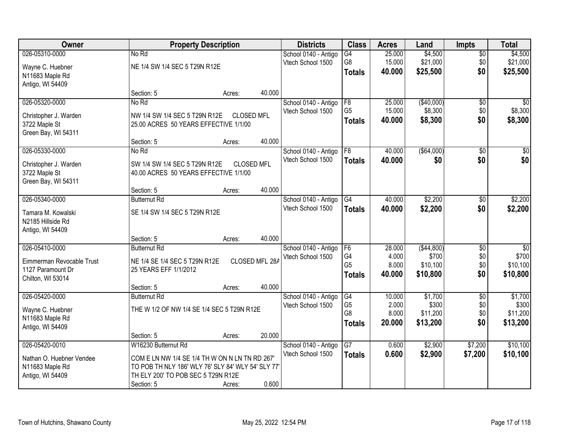| Owner                     |                                                    | <b>Property Description</b> |                   | <b>Districts</b>     | <b>Class</b>                     | <b>Acres</b>    | Land         | <b>Impts</b>    | <b>Total</b>    |
|---------------------------|----------------------------------------------------|-----------------------------|-------------------|----------------------|----------------------------------|-----------------|--------------|-----------------|-----------------|
| 026-05310-0000            | No Rd                                              |                             |                   | School 0140 - Antigo | $\overline{G4}$                  | 25.000          | \$4,500      | $\sqrt{$0}$     | \$4,500         |
| Wayne C. Huebner          | NE 1/4 SW 1/4 SEC 5 T29N R12E                      |                             |                   | Vtech School 1500    | G8                               | 15.000          | \$21,000     | \$0             | \$21,000        |
| N11683 Maple Rd           |                                                    |                             |                   |                      | <b>Totals</b>                    | 40.000          | \$25,500     | \$0             | \$25,500        |
| Antigo, WI 54409          |                                                    |                             |                   |                      |                                  |                 |              |                 |                 |
|                           | Section: 5                                         | Acres:                      | 40.000            |                      |                                  |                 |              |                 |                 |
| 026-05320-0000            | No Rd                                              |                             |                   | School 0140 - Antigo | F8                               | 25.000          | (\$40,000)   | \$0             | \$0             |
| Christopher J. Warden     | NW 1/4 SW 1/4 SEC 5 T29N R12E                      | <b>CLOSED MFL</b>           |                   | Vtech School 1500    | G <sub>5</sub>                   | 15.000          | \$8,300      | \$0             | \$8,300         |
| 3722 Maple St             | 25.00 ACRES 50 YEARS EFFECTIVE 1/1/00              |                             |                   |                      | <b>Totals</b>                    | 40.000          | \$8,300      | \$0             | \$8,300         |
| Green Bay, WI 54311       |                                                    |                             |                   |                      |                                  |                 |              |                 |                 |
|                           | Section: 5                                         | Acres:                      | 40.000            |                      |                                  |                 |              |                 |                 |
| 026-05330-0000            | No Rd                                              |                             |                   | School 0140 - Antigo | F <sub>8</sub>                   | 40.000          | ( \$64,000)  | \$0             | $\sqrt{50}$     |
| Christopher J. Warden     | SW 1/4 SW 1/4 SEC 5 T29N R12E                      |                             | <b>CLOSED MFL</b> | Vtech School 1500    | <b>Totals</b>                    | 40.000          | \$0          | \$0             | \$0             |
| 3722 Maple St             | 40.00 ACRES 50 YEARS EFFECTIVE 1/1/00              |                             |                   |                      |                                  |                 |              |                 |                 |
| Green Bay, WI 54311       |                                                    |                             |                   |                      |                                  |                 |              |                 |                 |
|                           | Section: 5                                         | Acres:                      | 40.000            |                      |                                  |                 |              |                 |                 |
| 026-05340-0000            | <b>Butternut Rd</b>                                |                             |                   | School 0140 - Antigo | G4                               | 40.000          | \$2,200      | \$0             | \$2,200         |
| Tamara M. Kowalski        | SE 1/4 SW 1/4 SEC 5 T29N R12E                      |                             |                   | Vtech School 1500    | <b>Totals</b>                    | 40.000          | \$2,200      | \$0             | \$2,200         |
| N2185 Hillside Rd         |                                                    |                             |                   |                      |                                  |                 |              |                 |                 |
| Antigo, WI 54409          |                                                    |                             |                   |                      |                                  |                 |              |                 |                 |
|                           | Section: 5                                         | Acres:                      | 40.000            |                      |                                  |                 |              |                 |                 |
| 026-05410-0000            | <b>Butternut Rd</b>                                |                             |                   | School 0140 - Antigo | F6                               | 28.000          | ( \$44, 800) | $\overline{50}$ | $\overline{50}$ |
| Eimmerman Revocable Trust | NE 1/4 SE 1/4 SEC 5 T29N R12E                      |                             | CLOSED MFL 28A    | Vtech School 1500    | G4                               | 4.000           | \$700        | \$0             | \$700           |
| 1127 Paramount Dr         | 25 YEARS EFF 1/1/2012                              |                             |                   |                      | G <sub>5</sub>                   | 8.000           | \$10,100     | \$0<br>\$0      | \$10,100        |
| Chilton, WI 53014         |                                                    |                             |                   |                      | <b>Totals</b>                    | 40.000          | \$10,800     |                 | \$10,800        |
|                           | Section: 5                                         | Acres:                      | 40.000            |                      |                                  |                 |              |                 |                 |
| 026-05420-0000            | <b>Butternut Rd</b>                                |                             |                   | School 0140 - Antigo | G4                               | 10.000          | \$1,700      | $\sqrt{6}$      | \$1,700         |
| Wayne C. Huebner          | THE W 1/2 OF NW 1/4 SE 1/4 SEC 5 T29N R12E         |                             |                   | Vtech School 1500    | G <sub>5</sub><br>G <sub>8</sub> | 2.000           | \$300        | \$0             | \$300           |
| N11683 Maple Rd           |                                                    |                             |                   |                      |                                  | 8.000<br>20,000 | \$11,200     | \$0<br>\$0      | \$11,200        |
| Antigo, WI 54409          |                                                    |                             |                   |                      | <b>Totals</b>                    |                 | \$13,200     |                 | \$13,200        |
|                           | Section: 5                                         | Acres:                      | 20.000            |                      |                                  |                 |              |                 |                 |
| 026-05420-0010            | W16230 Butternut Rd                                |                             |                   | School 0140 - Antigo | $\overline{G7}$                  | 0.600           | \$2,900      | \$7,200         | \$10,100        |
| Nathan O. Huebner Vendee  | COM E LN NW 1/4 SE 1/4 TH W ON N LN TN RD 267      |                             |                   | Vtech School 1500    | <b>Totals</b>                    | 0.600           | \$2,900      | \$7,200         | \$10,100        |
| N11683 Maple Rd           | TO POB TH NLY 186' WLY 76' SLY 84' WLY 54' SLY 77' |                             |                   |                      |                                  |                 |              |                 |                 |
| Antigo, WI 54409          | TH ELY 200' TO POB SEC 5 T29N R12E                 |                             |                   |                      |                                  |                 |              |                 |                 |
|                           | Section: 5                                         | Acres:                      | 0.600             |                      |                                  |                 |              |                 |                 |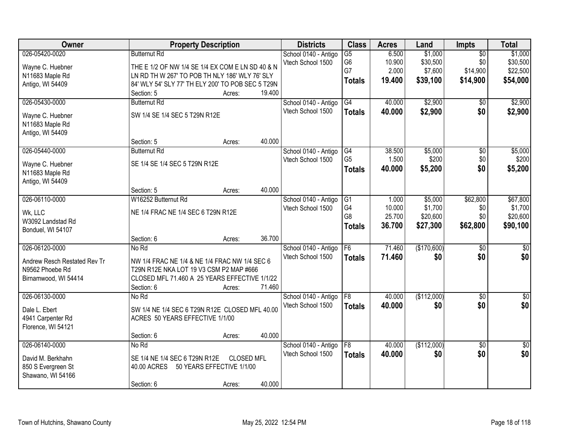| Owner                        |                                                   | <b>Property Description</b> |        | <b>Districts</b>     | <b>Class</b>    | <b>Acres</b> | Land        | <b>Impts</b>    | <b>Total</b>     |
|------------------------------|---------------------------------------------------|-----------------------------|--------|----------------------|-----------------|--------------|-------------|-----------------|------------------|
| 026-05420-0020               | <b>Butternut Rd</b>                               |                             |        | School 0140 - Antigo | $\overline{G5}$ | 6.500        | \$1,000     | $\overline{50}$ | \$1,000          |
| Wayne C. Huebner             | THE E 1/2 OF NW 1/4 SE 1/4 EX COM E LN SD 40 & N  |                             |        | Vtech School 1500    | G <sub>6</sub>  | 10.900       | \$30,500    | \$0             | \$30,500         |
| N11683 Maple Rd              | LN RD TH W 267' TO POB TH NLY 186' WLY 76' SLY    |                             |        |                      | G7              | 2.000        | \$7,600     | \$14,900        | \$22,500         |
| Antigo, WI 54409             | 84' WLY 54' SLY 77' TH ELY 200' TO POB SEC 5 T29N |                             |        |                      | <b>Totals</b>   | 19.400       | \$39,100    | \$14,900        | \$54,000         |
|                              | Section: 5                                        | Acres:                      | 19.400 |                      |                 |              |             |                 |                  |
| 026-05430-0000               | <b>Butternut Rd</b>                               |                             |        | School 0140 - Antigo | G4              | 40.000       | \$2,900     | $\overline{50}$ | \$2,900          |
| Wayne C. Huebner             | SW 1/4 SE 1/4 SEC 5 T29N R12E                     |                             |        | Vtech School 1500    | <b>Totals</b>   | 40.000       | \$2,900     | \$0             | \$2,900          |
| N11683 Maple Rd              |                                                   |                             |        |                      |                 |              |             |                 |                  |
| Antigo, WI 54409             |                                                   |                             |        |                      |                 |              |             |                 |                  |
|                              | Section: 5                                        | Acres:                      | 40.000 |                      |                 |              |             |                 |                  |
| 026-05440-0000               | <b>Butternut Rd</b>                               |                             |        | School 0140 - Antigo | G4              | 38.500       | \$5,000     | $\overline{50}$ | \$5,000          |
| Wayne C. Huebner             | SE 1/4 SE 1/4 SEC 5 T29N R12E                     |                             |        | Vtech School 1500    | G <sub>5</sub>  | 1.500        | \$200       | \$0             | \$200            |
| N11683 Maple Rd              |                                                   |                             |        |                      | <b>Totals</b>   | 40.000       | \$5,200     | \$0             | \$5,200          |
| Antigo, WI 54409             |                                                   |                             |        |                      |                 |              |             |                 |                  |
|                              | Section: 5                                        | Acres:                      | 40.000 |                      |                 |              |             |                 |                  |
| 026-06110-0000               | W16252 Butternut Rd                               |                             |        | School 0140 - Antigo | G1              | 1.000        | \$5,000     | \$62,800        | \$67,800         |
| Wk, LLC                      | NE 1/4 FRAC NE 1/4 SEC 6 T29N R12E                |                             |        | Vtech School 1500    | G4              | 10.000       | \$1,700     | \$0             | \$1,700          |
| W3092 Landstad Rd            |                                                   |                             |        |                      | G8              | 25.700       | \$20,600    | \$0             | \$20,600         |
| Bonduel, WI 54107            |                                                   |                             |        |                      | <b>Totals</b>   | 36.700       | \$27,300    | \$62,800        | \$90,100         |
|                              | Section: 6                                        | Acres:                      | 36.700 |                      |                 |              |             |                 |                  |
| 026-06120-0000               | No Rd                                             |                             |        | School 0140 - Antigo | F6              | 71.460       | (\$170,600) | $\overline{30}$ | $\overline{\$0}$ |
| Andrew Resch Restated Rev Tr | NW 1/4 FRAC NE 1/4 & NE 1/4 FRAC NW 1/4 SEC 6     |                             |        | Vtech School 1500    | <b>Totals</b>   | 71.460       | \$0         | \$0             | \$0              |
| N9562 Phoebe Rd              | T29N R12E NKA LOT 19 V3 CSM P2 MAP #666           |                             |        |                      |                 |              |             |                 |                  |
| Birnamwood, WI 54414         | CLOSED MFL 71.460 A 25 YEARS EFFECTIVE 1/1/22     |                             |        |                      |                 |              |             |                 |                  |
|                              | Section: 6                                        | Acres:                      | 71.460 |                      |                 |              |             |                 |                  |
| 026-06130-0000               | No Rd                                             |                             |        | School 0140 - Antigo | F <sub>8</sub>  | 40.000       | (\$112,000) | $\sqrt{6}$      | \$0              |
| Dale L. Ebert                | SW 1/4 NE 1/4 SEC 6 T29N R12E CLOSED MFL 40.00    |                             |        | Vtech School 1500    | <b>Totals</b>   | 40.000       | \$0         | \$0             | \$0              |
| 4941 Carpenter Rd            | ACRES 50 YEARS EFFECTIVE 1/1/00                   |                             |        |                      |                 |              |             |                 |                  |
| Florence, WI 54121           |                                                   |                             |        |                      |                 |              |             |                 |                  |
|                              | Section: 6                                        | Acres:                      | 40.000 |                      |                 |              |             |                 |                  |
| 026-06140-0000               | No Rd                                             |                             |        | School 0140 - Antigo | F8              | 40.000       | (\$112,000) | $\overline{50}$ | $\overline{50}$  |
| David M. Berkhahn            | SE 1/4 NE 1/4 SEC 6 T29N R12E                     | <b>CLOSED MFL</b>           |        | Vtech School 1500    | <b>Totals</b>   | 40.000       | \$0         | \$0             | \$0              |
| 850 S Evergreen St           | 40.00 ACRES                                       | 50 YEARS EFFECTIVE 1/1/00   |        |                      |                 |              |             |                 |                  |
| Shawano, WI 54166            |                                                   |                             |        |                      |                 |              |             |                 |                  |
|                              | Section: 6                                        | Acres:                      | 40.000 |                      |                 |              |             |                 |                  |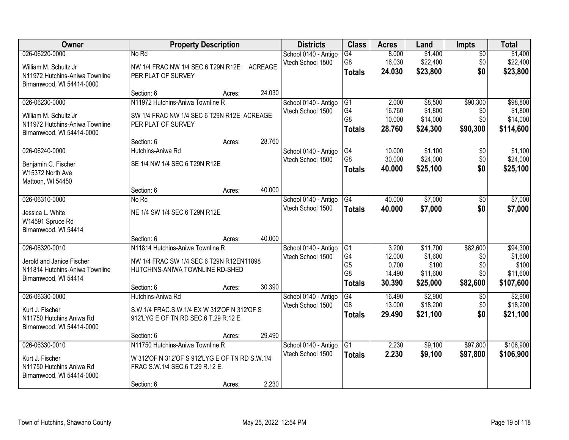| Owner                                                                                                  |                                                                                                                                                   | <b>Property Description</b> |                 | <b>Districts</b>                          | <b>Class</b>                                                  | <b>Acres</b>                                 | Land                                                 | Impts                                     | <b>Total</b>                                          |
|--------------------------------------------------------------------------------------------------------|---------------------------------------------------------------------------------------------------------------------------------------------------|-----------------------------|-----------------|-------------------------------------------|---------------------------------------------------------------|----------------------------------------------|------------------------------------------------------|-------------------------------------------|-------------------------------------------------------|
| 026-06220-0000<br>William M. Schultz Jr                                                                | No Rd<br>NW 1/4 FRAC NW 1/4 SEC 6 T29N R12E                                                                                                       |                             | <b>ACREAGE</b>  | School 0140 - Antigo<br>Vtech School 1500 | G4<br>G <sub>8</sub><br><b>Totals</b>                         | 8.000<br>16.030<br>24.030                    | \$1,400<br>\$22,400<br>\$23,800                      | $\overline{50}$<br>\$0<br>\$0             | \$1,400<br>\$22,400<br>\$23,800                       |
| N11972 Hutchins-Aniwa Townline<br>Birnamwood, WI 54414-0000                                            | PER PLAT OF SURVEY<br>Section: 6                                                                                                                  | Acres:                      | 24.030          |                                           |                                                               |                                              |                                                      |                                           |                                                       |
| 026-06230-0000<br>William M. Schultz Jr<br>N11972 Hutchins-Aniwa Townline<br>Birnamwood, WI 54414-0000 | N11972 Hutchins-Aniwa Townline R<br>SW 1/4 FRAC NW 1/4 SEC 6 T29N R12E ACREAGE<br>PER PLAT OF SURVEY                                              |                             |                 | School 0140 - Antigo<br>Vtech School 1500 | G1<br>G <sub>4</sub><br>G8<br><b>Totals</b>                   | 2.000<br>16.760<br>10.000<br>28.760          | \$8,500<br>\$1,800<br>\$14,000<br>\$24,300           | \$90,300<br>\$0<br>\$0<br>\$90,300        | \$98,800<br>\$1,800<br>\$14,000<br>\$114,600          |
| 026-06240-0000<br>Benjamin C. Fischer<br>W15372 North Ave                                              | Section: 6<br>Hutchins-Aniwa Rd<br>SE 1/4 NW 1/4 SEC 6 T29N R12E                                                                                  | Acres:                      | 28.760          | School 0140 - Antigo<br>Vtech School 1500 | G4<br>G8<br><b>Totals</b>                                     | 10.000<br>30.000<br>40.000                   | \$1,100<br>\$24,000<br>\$25,100                      | $\overline{50}$<br>\$0<br>\$0             | \$1,100<br>\$24,000<br>\$25,100                       |
| Mattoon, WI 54450<br>026-06310-0000                                                                    | Section: 6<br>No Rd                                                                                                                               | Acres:                      | 40.000          | School 0140 - Antigo                      | G4                                                            | 40.000                                       | \$7,000                                              | \$0                                       | \$7,000                                               |
| Jessica L. White<br>W14591 Spruce Rd<br>Birnamwood, WI 54414                                           | NE 1/4 SW 1/4 SEC 6 T29N R12E<br>Section: 6                                                                                                       |                             | 40.000          | Vtech School 1500                         | <b>Totals</b>                                                 | 40.000                                       | \$7,000                                              | \$0                                       | \$7,000                                               |
| 026-06320-0010<br>Jerold and Janice Fischer<br>N11814 Hutchins-Aniwa Townline<br>Birnamwood, WI 54414  | N11814 Hutchins-Aniwa Townline R<br>NW 1/4 FRAC SW 1/4 SEC 6 T29N R12EN11898<br>HUTCHINS-ANIWA TOWNLINE RD-SHED<br>Section: 6                     | Acres:<br>Acres:            | 30.390          | School 0140 - Antigo<br>Vtech School 1500 | G1<br>G4<br>G <sub>5</sub><br>G <sub>8</sub><br><b>Totals</b> | 3.200<br>12.000<br>0.700<br>14.490<br>30.390 | \$11,700<br>\$1,600<br>\$100<br>\$11,600<br>\$25,000 | \$82,600<br>\$0<br>\$0<br>\$0<br>\$82,600 | \$94,300<br>\$1,600<br>\$100<br>\$11,600<br>\$107,600 |
| 026-06330-0000<br>Kurt J. Fischer<br>N11750 Hutchins Aniwa Rd<br>Birnamwood, WI 54414-0000             | Hutchins-Aniwa Rd<br>S.W.1/4 FRAC.S.W.1/4 EX W 312'OF N 312'OF S<br>912'LYG E OF TN RD SEC.6 T.29 R.12 E                                          |                             |                 | School 0140 - Antigo<br>Vtech School 1500 | G4<br>G <sub>8</sub><br><b>Totals</b>                         | 16.490<br>13.000<br>29.490                   | \$2,900<br>\$18,200<br>\$21,100                      | \$0<br>\$0<br>\$0                         | \$2,900<br>\$18,200<br>\$21,100                       |
| 026-06330-0010<br>Kurt J. Fischer<br>N11750 Hutchins Aniwa Rd<br>Birnamwood, WI 54414-0000             | Section: 6<br>N11750 Hutchins-Aniwa Townline R<br>W 312'OF N 312'OF S 912'LYG E OF TN RD S.W.1/4<br>FRAC S.W.1/4 SEC.6 T.29 R.12 E.<br>Section: 6 | Acres:<br>Acres:            | 29.490<br>2.230 | School 0140 - Antigo<br>Vtech School 1500 | $\overline{G1}$<br><b>Totals</b>                              | 2.230<br>2.230                               | \$9,100<br>\$9,100                                   | \$97,800<br>\$97,800                      | \$106,900<br>\$106,900                                |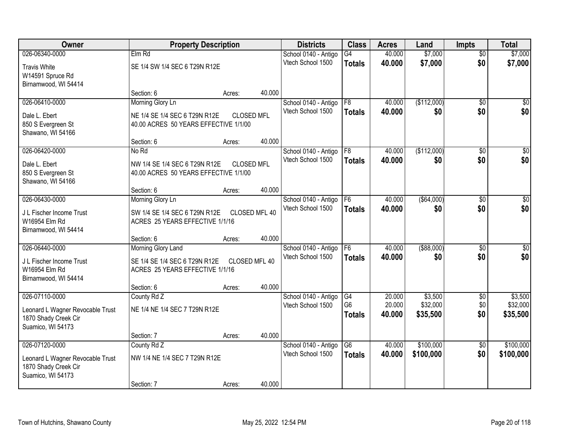| Owner                                                                         | <b>Property Description</b>                                            |                   |        | <b>Districts</b>     | <b>Class</b>                    | <b>Acres</b>     | Land                 | <b>Impts</b>    | <b>Total</b>         |
|-------------------------------------------------------------------------------|------------------------------------------------------------------------|-------------------|--------|----------------------|---------------------------------|------------------|----------------------|-----------------|----------------------|
| 026-06340-0000                                                                | Elm Rd                                                                 |                   |        | School 0140 - Antigo | $\overline{G4}$                 | 40.000           | \$7,000              | $\overline{50}$ | \$7,000              |
| <b>Travis White</b><br>W14591 Spruce Rd<br>Birnamwood, WI 54414               | SE 1/4 SW 1/4 SEC 6 T29N R12E                                          |                   |        | Vtech School 1500    | <b>Totals</b>                   | 40.000           | \$7,000              | \$0             | \$7,000              |
|                                                                               | Section: 6                                                             | Acres:            | 40.000 |                      |                                 |                  |                      |                 |                      |
| 026-06410-0000                                                                | Morning Glory Ln                                                       |                   |        | School 0140 - Antigo | F8                              | 40.000           | (\$112,000)          | $\overline{50}$ | \$0                  |
| Dale L. Ebert<br>850 S Evergreen St<br>Shawano, WI 54166                      | NE 1/4 SE 1/4 SEC 6 T29N R12E<br>40.00 ACRES 50 YEARS EFFECTIVE 1/1/00 | <b>CLOSED MFL</b> |        | Vtech School 1500    | <b>Totals</b>                   | 40.000           | \$0                  | \$0             | \$0                  |
|                                                                               | Section: 6                                                             | Acres:            | 40.000 |                      |                                 |                  |                      |                 |                      |
| 026-06420-0000                                                                | No Rd                                                                  |                   |        | School 0140 - Antigo | F8                              | 40.000           | (\$112,000)          | \$0             | $\overline{50}$      |
| Dale L. Ebert<br>850 S Evergreen St<br>Shawano, WI 54166                      | NW 1/4 SE 1/4 SEC 6 T29N R12E<br>40.00 ACRES 50 YEARS EFFECTIVE 1/1/00 | <b>CLOSED MFL</b> |        | Vtech School 1500    | <b>Totals</b>                   | 40.000           | \$0                  | \$0             | \$0                  |
|                                                                               | Section: 6                                                             | Acres:            | 40.000 |                      |                                 |                  |                      |                 |                      |
| 026-06430-0000                                                                | Morning Glory Ln                                                       |                   |        | School 0140 - Antigo | F <sub>6</sub>                  | 40.000           | ( \$64,000)          | $\sqrt[6]{3}$   | $\sqrt{50}$          |
| J L Fischer Income Trust<br>W16954 Elm Rd<br>Birnamwood, WI 54414             | SW 1/4 SE 1/4 SEC 6 T29N R12E<br>ACRES 25 YEARS EFFECTIVE 1/1/16       | CLOSED MFL 40     |        | Vtech School 1500    | <b>Totals</b>                   | 40,000           | \$0                  | \$0             | \$0                  |
|                                                                               | Section: 6                                                             | Acres:            | 40.000 |                      |                                 |                  |                      |                 |                      |
| 026-06440-0000                                                                | Morning Glory Land                                                     |                   |        | School 0140 - Antigo | F6                              | 40.000           | $($ \$88,000)        | $\overline{50}$ | $\overline{50}$      |
| J L Fischer Income Trust<br>W16954 Elm Rd<br>Birnamwood, WI 54414             | SE 1/4 SE 1/4 SEC 6 T29N R12E<br>ACRES 25 YEARS EFFECTIVE 1/1/16       | CLOSED MFL 40     |        | Vtech School 1500    | <b>Totals</b>                   | 40.000           | \$0                  | \$0             | \$0                  |
|                                                                               | Section: 6                                                             | Acres:            | 40.000 |                      |                                 |                  |                      |                 |                      |
| 026-07110-0000                                                                | County Rd Z                                                            |                   |        | School 0140 - Antigo | G4                              | 20.000           | \$3,500              | $\sqrt{$0}$     | \$3,500              |
| Leonard L Wagner Revocable Trust<br>1870 Shady Creek Cir<br>Suamico, WI 54173 | NE 1/4 NE 1/4 SEC 7 T29N R12E                                          |                   |        | Vtech School 1500    | G <sub>6</sub><br><b>Totals</b> | 20.000<br>40.000 | \$32,000<br>\$35,500 | \$0<br>\$0      | \$32,000<br>\$35,500 |
|                                                                               | Section: 7                                                             | Acres:            | 40.000 |                      |                                 |                  |                      |                 |                      |
| 026-07120-0000                                                                | County Rd Z                                                            |                   |        | School 0140 - Antigo | G6                              | 40.000           | \$100,000            | $\overline{50}$ | \$100,000            |
| Leonard L Wagner Revocable Trust<br>1870 Shady Creek Cir<br>Suamico, WI 54173 | NW 1/4 NE 1/4 SEC 7 T29N R12E                                          |                   |        | Vtech School 1500    | <b>Totals</b>                   | 40.000           | \$100,000            | \$0             | \$100,000            |
|                                                                               | Section: 7                                                             | Acres:            | 40.000 |                      |                                 |                  |                      |                 |                      |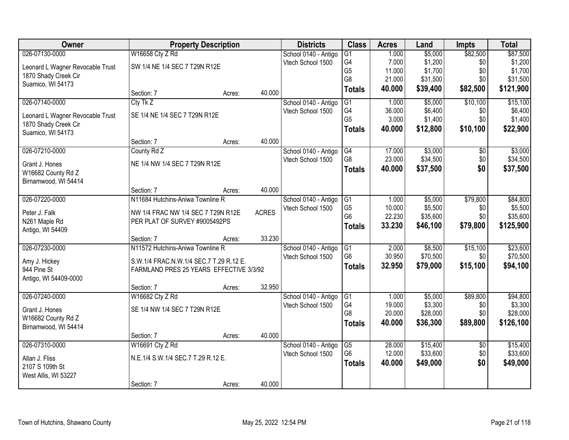| Owner                            |                                         | <b>Property Description</b> |              | <b>Districts</b>     | <b>Class</b>    | <b>Acres</b> | Land     | <b>Impts</b>    | <b>Total</b> |
|----------------------------------|-----------------------------------------|-----------------------------|--------------|----------------------|-----------------|--------------|----------|-----------------|--------------|
| 026-07130-0000                   | W16658 Cty Z Rd                         |                             |              | School 0140 - Antigo | G <sub>1</sub>  | 1.000        | \$5,000  | \$82,500        | \$87,500     |
| Leonard L Wagner Revocable Trust | SW 1/4 NE 1/4 SEC 7 T29N R12E           |                             |              | Vtech School 1500    | G4              | 7.000        | \$1,200  | \$0             | \$1,200      |
| 1870 Shady Creek Cir             |                                         |                             |              |                      | G <sub>5</sub>  | 11.000       | \$1,700  | \$0             | \$1,700      |
| Suamico, WI 54173                |                                         |                             |              |                      | G8              | 21.000       | \$31,500 | \$0             | \$31,500     |
|                                  | Section: 7                              | Acres:                      | 40.000       |                      | <b>Totals</b>   | 40.000       | \$39,400 | \$82,500        | \$121,900    |
| 026-07140-0000                   | Cty Tk Z                                |                             |              | School 0140 - Antigo | G1              | 1.000        | \$5,000  | \$10,100        | \$15,100     |
| Leonard L Wagner Revocable Trust | SE 1/4 NE 1/4 SEC 7 T29N R12E           |                             |              | Vtech School 1500    | G4              | 36.000       | \$6,400  | \$0             | \$6,400      |
| 1870 Shady Creek Cir             |                                         |                             |              |                      | G <sub>5</sub>  | 3.000        | \$1,400  | \$0             | \$1,400      |
| Suamico, WI 54173                |                                         |                             |              |                      | <b>Totals</b>   | 40.000       | \$12,800 | \$10,100        | \$22,900     |
|                                  | Section: 7                              | Acres:                      | 40.000       |                      |                 |              |          |                 |              |
| 026-07210-0000                   | County Rd Z                             |                             |              | School 0140 - Antigo | G4              | 17.000       | \$3,000  | $\overline{50}$ | \$3,000      |
| Grant J. Hones                   | NE 1/4 NW 1/4 SEC 7 T29N R12E           |                             |              | Vtech School 1500    | G8              | 23.000       | \$34,500 | \$0             | \$34,500     |
| W16682 County Rd Z               |                                         |                             |              |                      | <b>Totals</b>   | 40.000       | \$37,500 | \$0             | \$37,500     |
| Birnamwood, WI 54414             |                                         |                             |              |                      |                 |              |          |                 |              |
|                                  | Section: 7                              | Acres:                      | 40.000       |                      |                 |              |          |                 |              |
| 026-07220-0000                   | N11684 Hutchins-Aniwa Townline R        |                             |              | School 0140 - Antigo | G1              | 1.000        | \$5,000  | \$79,800        | \$84,800     |
| Peter J. Falk                    | NW 1/4 FRAC NW 1/4 SEC 7 T29N R12E      |                             | <b>ACRES</b> | Vtech School 1500    | G <sub>5</sub>  | 10.000       | \$5,500  | \$0             | \$5,500      |
| N261 Maple Rd                    | PER PLAT OF SURVEY #9005492PS           |                             |              |                      | G <sub>6</sub>  | 22.230       | \$35,600 | \$0             | \$35,600     |
| Antigo, WI 54409                 |                                         |                             |              |                      | <b>Totals</b>   | 33.230       | \$46,100 | \$79,800        | \$125,900    |
|                                  | Section: 7                              | Acres:                      | 33.230       |                      |                 |              |          |                 |              |
| 026-07230-0000                   | N11572 Hutchins-Aniwa Townline R        |                             |              | School 0140 - Antigo | $\overline{G1}$ | 2.000        | \$8,500  | \$15,100        | \$23,600     |
| Amy J. Hickey                    | S.W.1/4 FRAC.N.W.1/4 SEC.7 T.29 R.12 E. |                             |              | Vtech School 1500    | G <sub>6</sub>  | 30.950       | \$70,500 | \$0             | \$70,500     |
| 944 Pine St                      | FARMLAND PRES 25 YEARS EFFECTIVE 3/3/92 |                             |              |                      | <b>Totals</b>   | 32.950       | \$79,000 | \$15,100        | \$94,100     |
| Antigo, WI 54409-0000            |                                         |                             |              |                      |                 |              |          |                 |              |
|                                  | Section: 7                              | Acres:                      | 32.950       |                      |                 |              |          |                 |              |
| 026-07240-0000                   | W16682 Cty Z Rd                         |                             |              | School 0140 - Antigo | G1              | 1.000        | \$5,000  | \$89,800        | \$94,800     |
| Grant J. Hones                   | SE 1/4 NW 1/4 SEC 7 T29N R12E           |                             |              | Vtech School 1500    | G4              | 19.000       | \$3,300  | \$0             | \$3,300      |
| W16682 County Rd Z               |                                         |                             |              |                      | G8              | 20.000       | \$28,000 | \$0             | \$28,000     |
| Birnamwood, WI 54414             |                                         |                             |              |                      | <b>Totals</b>   | 40.000       | \$36,300 | \$89,800        | \$126,100    |
|                                  | Section: 7                              | Acres:                      | 40.000       |                      |                 |              |          |                 |              |
| 026-07310-0000                   | W16691 Cty Z Rd                         |                             |              | School 0140 - Antigo | $\overline{G5}$ | 28.000       | \$15,400 | $\overline{50}$ | \$15,400     |
| Allan J. Fliss                   | N.E.1/4 S.W.1/4 SEC.7 T.29 R.12 E.      |                             |              | Vtech School 1500    | G <sub>6</sub>  | 12.000       | \$33,600 | \$0             | \$33,600     |
| 2107 S 109th St                  |                                         |                             |              |                      | <b>Totals</b>   | 40.000       | \$49,000 | \$0             | \$49,000     |
| West Allis, WI 53227             |                                         |                             |              |                      |                 |              |          |                 |              |
|                                  | Section: 7                              | Acres:                      | 40.000       |                      |                 |              |          |                 |              |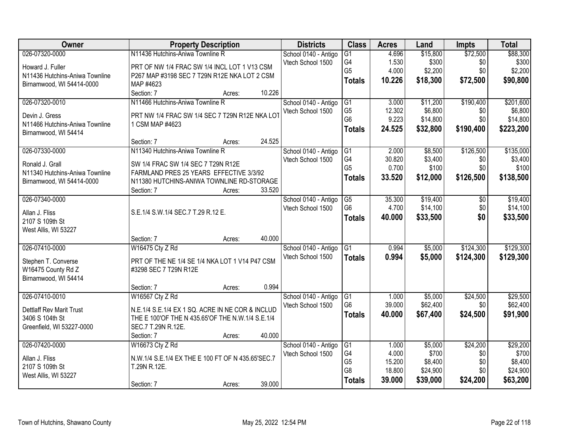| Owner                           | <b>Property Description</b>                       |        | <b>Districts</b>     | <b>Class</b>    | <b>Acres</b> | Land     | <b>Impts</b>  | <b>Total</b> |
|---------------------------------|---------------------------------------------------|--------|----------------------|-----------------|--------------|----------|---------------|--------------|
| 026-07320-0000                  | N11436 Hutchins-Aniwa Townline R                  |        | School 0140 - Antigo | $\overline{G1}$ | 4.696        | \$15,800 | \$72,500      | \$88,300     |
| Howard J. Fuller                | PRT OF NW 1/4 FRAC SW 1/4 INCL LOT 1 V13 CSM      |        | Vtech School 1500    | G4              | 1.530        | \$300    | \$0           | \$300        |
| N11436 Hutchins-Aniwa Townline  | P267 MAP #3198 SEC 7 T29N R12E NKA LOT 2 CSM      |        |                      | G <sub>5</sub>  | 4.000        | \$2,200  | \$0           | \$2,200      |
| Birnamwood, WI 54414-0000       | MAP #4623                                         |        |                      | <b>Totals</b>   | 10.226       | \$18,300 | \$72,500      | \$90,800     |
|                                 | Section: 7<br>Acres:                              | 10.226 |                      |                 |              |          |               |              |
| 026-07320-0010                  | N11466 Hutchins-Aniwa Townline R                  |        | School 0140 - Antigo | G1              | 3.000        | \$11,200 | \$190,400     | \$201,600    |
|                                 |                                                   |        | Vtech School 1500    | G <sub>5</sub>  | 12.302       | \$6,800  | \$0           | \$6,800      |
| Devin J. Gress                  | PRT NW 1/4 FRAC SW 1/4 SEC 7 T29N R12E NKA LOT    |        |                      | G <sub>6</sub>  | 9.223        | \$14,800 | \$0           | \$14,800     |
| N11466 Hutchins-Aniwa Townline  | 1 CSM MAP #4623                                   |        |                      | <b>Totals</b>   | 24.525       | \$32,800 | \$190,400     | \$223,200    |
| Birnamwood, WI 54414            | Section: 7<br>Acres:                              | 24.525 |                      |                 |              |          |               |              |
| 026-07330-0000                  | N11340 Hutchins-Aniwa Townline R                  |        | School 0140 - Antigo | G1              | 2.000        | \$8,500  | \$126,500     | \$135,000    |
|                                 |                                                   |        | Vtech School 1500    | G4              | 30.820       | \$3,400  | \$0           | \$3,400      |
| Ronald J. Grall                 | SW 1/4 FRAC SW 1/4 SEC 7 T29N R12E                |        |                      | G <sub>5</sub>  | 0.700        | \$100    | \$0           | \$100        |
| N11340 Hutchins-Aniwa Townline  | FARMLAND PRES 25 YEARS EFFECTIVE 3/3/92           |        |                      | <b>Totals</b>   | 33.520       | \$12,000 | \$126,500     | \$138,500    |
| Birnamwood, WI 54414-0000       | N11380 HUTCHINS-ANIWA TOWNLINE RD-STORAGE         |        |                      |                 |              |          |               |              |
|                                 | Section: 7<br>Acres:                              | 33.520 |                      |                 |              |          |               |              |
| 026-07340-0000                  |                                                   |        | School 0140 - Antigo | G5              | 35.300       | \$19,400 | $\sqrt[6]{3}$ | \$19,400     |
| Allan J. Fliss                  | S.E.1/4 S.W.1/4 SEC.7 T.29 R.12 E.                |        | Vtech School 1500    | G <sub>6</sub>  | 4.700        | \$14,100 | \$0           | \$14,100     |
| 2107 S 109th St                 |                                                   |        |                      | <b>Totals</b>   | 40.000       | \$33,500 | \$0           | \$33,500     |
| West Allis, WI 53227            |                                                   |        |                      |                 |              |          |               |              |
|                                 | Section: 7<br>Acres:                              | 40.000 |                      |                 |              |          |               |              |
| 026-07410-0000                  | W16475 Cty Z Rd                                   |        | School 0140 - Antigo | $\overline{G1}$ | 0.994        | \$5,000  | \$124,300     | \$129,300    |
| Stephen T. Converse             | PRT OF THE NE 1/4 SE 1/4 NKA LOT 1 V14 P47 CSM    |        | Vtech School 1500    | <b>Totals</b>   | 0.994        | \$5,000  | \$124,300     | \$129,300    |
| W16475 County Rd Z              | #3298 SEC 7 T29N R12E                             |        |                      |                 |              |          |               |              |
| Birnamwood, WI 54414            |                                                   |        |                      |                 |              |          |               |              |
|                                 | Section: 7<br>Acres:                              | 0.994  |                      |                 |              |          |               |              |
| 026-07410-0010                  | W16567 Cty Z Rd                                   |        | School 0140 - Antigo | G1              | 1.000        | \$5,000  | \$24,500      | \$29,500     |
| <b>Dettlaff Rev Marit Trust</b> | N.E.1/4 S.E.1/4 EX 1 SQ. ACRE IN NE COR & INCLUD  |        | Vtech School 1500    | G <sub>6</sub>  | 39.000       | \$62,400 | \$0           | \$62,400     |
| 3406 S 104th St                 | THE E 100'OF THE N 435.65'OF THE N.W.1/4 S.E.1/4  |        |                      | <b>Totals</b>   | 40.000       | \$67,400 | \$24,500      | \$91,900     |
| Greenfield, WI 53227-0000       | SEC.7 T.29N R.12E.                                |        |                      |                 |              |          |               |              |
|                                 | Section: 7<br>Acres:                              | 40.000 |                      |                 |              |          |               |              |
| 026-07420-0000                  | W16673 Cty Z Rd                                   |        | School 0140 - Antigo | G1              | 1.000        | \$5,000  | \$24,200      | \$29,200     |
|                                 |                                                   |        | Vtech School 1500    | G4              | 4.000        | \$700    | \$0           | \$700        |
| Allan J. Fliss                  | N.W.1/4 S.E.1/4 EX THE E 100 FT OF N 435.65'SEC.7 |        |                      | G <sub>5</sub>  | 15.200       | \$8,400  | \$0           | \$8,400      |
| 2107 S 109th St                 | T.29N R.12E.                                      |        |                      | G8              | 18.800       | \$24,900 | \$0           | \$24,900     |
| West Allis, WI 53227            |                                                   |        |                      | <b>Totals</b>   | 39.000       | \$39,000 | \$24,200      | \$63,200     |
|                                 | Section: 7<br>Acres:                              | 39.000 |                      |                 |              |          |               |              |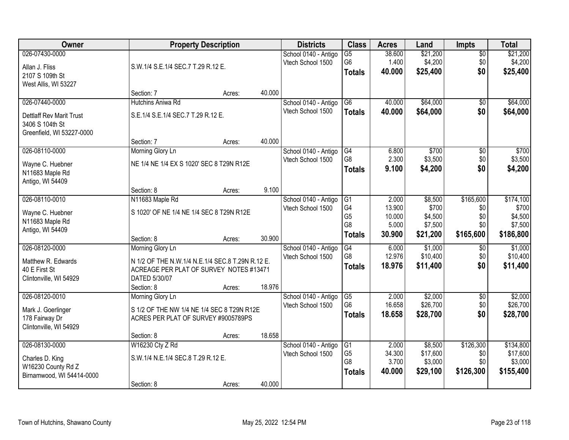| <b>Owner</b>                                                                         |                                                                                                                                                | <b>Property Description</b> |        | <b>Districts</b>                          | <b>Class</b>                                            | <b>Acres</b>                       | Land                                       | <b>Impts</b>                         | <b>Total</b>                                  |
|--------------------------------------------------------------------------------------|------------------------------------------------------------------------------------------------------------------------------------------------|-----------------------------|--------|-------------------------------------------|---------------------------------------------------------|------------------------------------|--------------------------------------------|--------------------------------------|-----------------------------------------------|
| 026-07430-0000<br>Allan J. Fliss<br>2107 S 109th St<br>West Allis, WI 53227          | S.W.1/4 S.E.1/4 SEC.7 T.29 R.12 E.                                                                                                             |                             |        | School 0140 - Antigo<br>Vtech School 1500 | $\overline{G5}$<br>G <sub>6</sub><br><b>Totals</b>      | 38.600<br>1.400<br>40.000          | \$21,200<br>\$4,200<br>\$25,400            | $\overline{50}$<br>\$0<br>\$0        | \$21,200<br>\$4,200<br>\$25,400               |
|                                                                                      | Section: 7                                                                                                                                     | Acres:                      | 40.000 |                                           |                                                         |                                    |                                            |                                      |                                               |
| 026-07440-0000                                                                       | Hutchins Aniwa Rd                                                                                                                              |                             |        | School 0140 - Antigo                      | $\overline{G6}$                                         | 40.000                             | \$64,000                                   | \$0                                  | \$64,000                                      |
| <b>Dettlaff Rev Marit Trust</b><br>3406 S 104th St<br>Greenfield, WI 53227-0000      | S.E.1/4 S.E.1/4 SEC.7 T.29 R.12 E.                                                                                                             |                             |        | Vtech School 1500                         | <b>Totals</b>                                           | 40.000                             | \$64,000                                   | \$0                                  | \$64,000                                      |
|                                                                                      | Section: 7                                                                                                                                     | Acres:                      | 40.000 |                                           |                                                         |                                    |                                            |                                      |                                               |
| 026-08110-0000<br>Wayne C. Huebner<br>N11683 Maple Rd<br>Antigo, WI 54409            | Morning Glory Ln<br>NE 1/4 NE 1/4 EX S 1020' SEC 8 T29N R12E                                                                                   |                             |        | School 0140 - Antigo<br>Vtech School 1500 | G4<br>G8<br><b>Totals</b>                               | 6.800<br>2.300<br>9.100            | \$700<br>\$3,500<br>\$4,200                | \$0<br>\$0<br>\$0                    | \$700<br>\$3,500<br>\$4,200                   |
|                                                                                      | Section: 8                                                                                                                                     | Acres:                      | 9.100  |                                           |                                                         |                                    |                                            |                                      |                                               |
| 026-08110-0010                                                                       | N11683 Maple Rd                                                                                                                                |                             |        | School 0140 - Antigo                      | G1                                                      | 2.000                              | \$8,500                                    | \$165,600                            | \$174,100                                     |
| Wayne C. Huebner<br>N11683 Maple Rd<br>Antigo, WI 54409                              | S 1020' OF NE 1/4 NE 1/4 SEC 8 T29N R12E                                                                                                       |                             |        | Vtech School 1500                         | G4<br>G <sub>5</sub><br>G8                              | 13.900<br>10.000<br>5.000          | \$700<br>\$4,500<br>\$7,500                | \$0<br>\$0<br>\$0                    | \$700<br>\$4,500<br>\$7,500                   |
|                                                                                      | Section: 8                                                                                                                                     | Acres:                      | 30.900 |                                           | <b>Totals</b>                                           | 30.900                             | \$21,200                                   | \$165,600                            | \$186,800                                     |
| 026-08120-0000<br>Matthew R. Edwards<br>40 E First St<br>Clintonville, WI 54929      | Morning Glory Ln<br>N 1/2 OF THE N.W.1/4 N.E.1/4 SEC.8 T.29N R.12 E.<br>ACREAGE PER PLAT OF SURVEY NOTES #13471<br>DATED 5/30/07<br>Section: 8 |                             | 18.976 | School 0140 - Antigo<br>Vtech School 1500 | $\overline{G4}$<br>G8<br><b>Totals</b>                  | 6.000<br>12.976<br>18.976          | \$1,000<br>\$10,400<br>\$11,400            | \$0<br>\$0<br>\$0                    | \$1,000<br>\$10,400<br>\$11,400               |
| 026-08120-0010                                                                       | Morning Glory Ln                                                                                                                               | Acres:                      |        | School 0140 - Antigo                      | $\overline{G5}$                                         | 2.000                              | \$2,000                                    | $\sqrt{6}$                           | \$2,000                                       |
| Mark J. Goerlinger<br>178 Fairway Dr<br>Clintonville, WI 54929                       | S 1/2 OF THE NW 1/4 NE 1/4 SEC 8 T29N R12E<br>ACRES PER PLAT OF SURVEY #9005789PS                                                              |                             |        | Vtech School 1500                         | G <sub>6</sub><br><b>Totals</b>                         | 16.658<br>18.658                   | \$26,700<br>\$28,700                       | \$0<br>\$0                           | \$26,700<br>\$28,700                          |
|                                                                                      | Section: 8                                                                                                                                     | Acres:                      | 18.658 |                                           |                                                         |                                    |                                            |                                      |                                               |
| 026-08130-0000<br>Charles D. King<br>W16230 County Rd Z<br>Birnamwood, WI 54414-0000 | W16230 Cty Z Rd<br>S.W.1/4 N.E.1/4 SEC.8 T.29 R.12 E.                                                                                          |                             |        | School 0140 - Antigo<br>Vtech School 1500 | G1<br>G <sub>5</sub><br>G <sub>8</sub><br><b>Totals</b> | 2.000<br>34.300<br>3.700<br>40.000 | \$8,500<br>\$17,600<br>\$3,000<br>\$29,100 | \$126,300<br>\$0<br>\$0<br>\$126,300 | \$134,800<br>\$17,600<br>\$3,000<br>\$155,400 |
|                                                                                      | Section: 8                                                                                                                                     | Acres:                      | 40.000 |                                           |                                                         |                                    |                                            |                                      |                                               |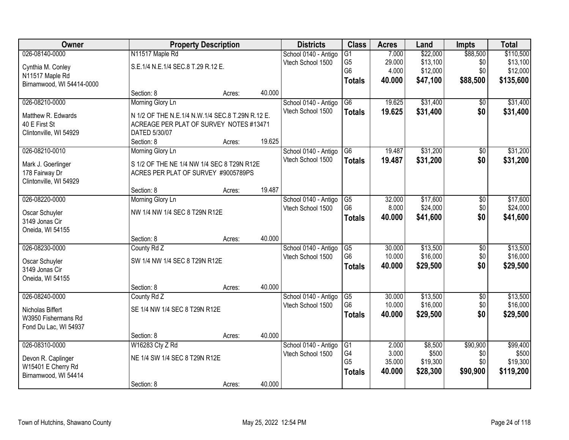| Owner                     |                                                  | <b>Property Description</b> |        | <b>Districts</b>     | <b>Class</b>    | <b>Acres</b> | Land     | <b>Impts</b>    | <b>Total</b> |
|---------------------------|--------------------------------------------------|-----------------------------|--------|----------------------|-----------------|--------------|----------|-----------------|--------------|
| 026-08140-0000            | N11517 Maple Rd                                  |                             |        | School 0140 - Antigo | $\overline{G1}$ | 7.000        | \$22,000 | \$88,500        | \$110,500    |
| Cynthia M. Conley         | S.E.1/4 N.E.1/4 SEC.8 T.29 R.12 E.               |                             |        | Vtech School 1500    | G <sub>5</sub>  | 29.000       | \$13,100 | \$0             | \$13,100     |
| N11517 Maple Rd           |                                                  |                             |        |                      | G <sub>6</sub>  | 4.000        | \$12,000 | \$0             | \$12,000     |
| Birnamwood, WI 54414-0000 |                                                  |                             |        |                      | <b>Totals</b>   | 40.000       | \$47,100 | \$88,500        | \$135,600    |
|                           | Section: 8                                       | Acres:                      | 40.000 |                      |                 |              |          |                 |              |
| 026-08210-0000            | Morning Glory Ln                                 |                             |        | School 0140 - Antigo | $\overline{G6}$ | 19.625       | \$31,400 | $\overline{50}$ | \$31,400     |
| Matthew R. Edwards        | N 1/2 OF THE N.E.1/4 N.W.1/4 SEC.8 T.29N R.12 E. |                             |        | Vtech School 1500    | <b>Totals</b>   | 19.625       | \$31,400 | \$0             | \$31,400     |
| 40 E First St             | ACREAGE PER PLAT OF SURVEY NOTES #13471          |                             |        |                      |                 |              |          |                 |              |
| Clintonville, WI 54929    | DATED 5/30/07                                    |                             |        |                      |                 |              |          |                 |              |
|                           | Section: 8                                       | Acres:                      | 19.625 |                      |                 |              |          |                 |              |
| 026-08210-0010            | Morning Glory Ln                                 |                             |        | School 0140 - Antigo | G <sub>6</sub>  | 19.487       | \$31,200 | \$0             | \$31,200     |
| Mark J. Goerlinger        | S 1/2 OF THE NE 1/4 NW 1/4 SEC 8 T29N R12E       |                             |        | Vtech School 1500    | <b>Totals</b>   | 19.487       | \$31,200 | \$0             | \$31,200     |
| 178 Fairway Dr            | ACRES PER PLAT OF SURVEY #9005789PS              |                             |        |                      |                 |              |          |                 |              |
| Clintonville, WI 54929    |                                                  |                             |        |                      |                 |              |          |                 |              |
|                           | Section: 8                                       | Acres:                      | 19.487 |                      |                 |              |          |                 |              |
| 026-08220-0000            | Morning Glory Ln                                 |                             |        | School 0140 - Antigo | G5              | 32.000       | \$17,600 | $\overline{50}$ | \$17,600     |
| Oscar Schuyler            | NW 1/4 NW 1/4 SEC 8 T29N R12E                    |                             |        | Vtech School 1500    | G <sub>6</sub>  | 8.000        | \$24,000 | \$0             | \$24,000     |
| 3149 Jonas Cir            |                                                  |                             |        |                      | <b>Totals</b>   | 40.000       | \$41,600 | \$0             | \$41,600     |
| Oneida, WI 54155          |                                                  |                             |        |                      |                 |              |          |                 |              |
|                           | Section: 8                                       | Acres:                      | 40.000 |                      |                 |              |          |                 |              |
| 026-08230-0000            | County Rd Z                                      |                             |        | School 0140 - Antigo | G5              | 30.000       | \$13,500 | \$0             | \$13,500     |
| Oscar Schuyler            | SW 1/4 NW 1/4 SEC 8 T29N R12E                    |                             |        | Vtech School 1500    | G <sub>6</sub>  | 10.000       | \$16,000 | \$0             | \$16,000     |
| 3149 Jonas Cir            |                                                  |                             |        |                      | <b>Totals</b>   | 40.000       | \$29,500 | \$0             | \$29,500     |
| Oneida, WI 54155          |                                                  |                             |        |                      |                 |              |          |                 |              |
|                           | Section: 8                                       | Acres:                      | 40.000 |                      |                 |              |          |                 |              |
| 026-08240-0000            | County Rd Z                                      |                             |        | School 0140 - Antigo | G5              | 30.000       | \$13,500 | $\overline{50}$ | \$13,500     |
| Nicholas Biffert          | SE 1/4 NW 1/4 SEC 8 T29N R12E                    |                             |        | Vtech School 1500    | G <sub>6</sub>  | 10.000       | \$16,000 | \$0             | \$16,000     |
| W3950 Fishermans Rd       |                                                  |                             |        |                      | <b>Totals</b>   | 40.000       | \$29,500 | \$0             | \$29,500     |
| Fond Du Lac, WI 54937     |                                                  |                             |        |                      |                 |              |          |                 |              |
|                           | Section: 8                                       | Acres:                      | 40.000 |                      |                 |              |          |                 |              |
| 026-08310-0000            | W16283 Cty Z Rd                                  |                             |        | School 0140 - Antigo | G1              | 2.000        | \$8,500  | \$90,900        | \$99,400     |
| Devon R. Caplinger        | NE 1/4 SW 1/4 SEC 8 T29N R12E                    |                             |        | Vtech School 1500    | G4              | 3.000        | \$500    | \$0             | \$500        |
| W15401 E Cherry Rd        |                                                  |                             |        |                      | G <sub>5</sub>  | 35.000       | \$19,300 | \$0             | \$19,300     |
| Birnamwood, WI 54414      |                                                  |                             |        |                      | <b>Totals</b>   | 40.000       | \$28,300 | \$90,900        | \$119,200    |
|                           | Section: 8                                       | Acres:                      | 40.000 |                      |                 |              |          |                 |              |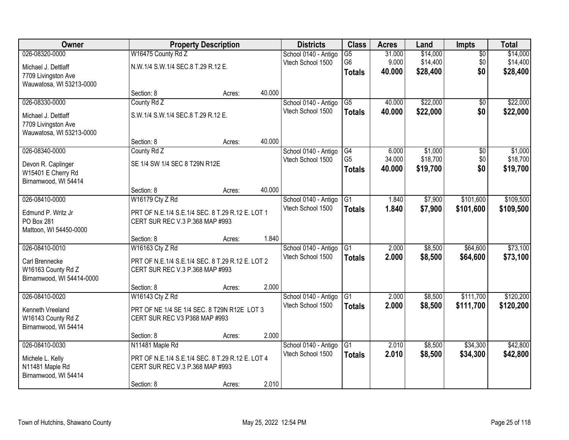| Owner                     |                                                  | <b>Property Description</b> |        | <b>Districts</b>     | <b>Class</b>    | <b>Acres</b> | Land     | Impts           | <b>Total</b> |
|---------------------------|--------------------------------------------------|-----------------------------|--------|----------------------|-----------------|--------------|----------|-----------------|--------------|
| 026-08320-0000            | W16475 County Rd Z                               |                             |        | School 0140 - Antigo | $\overline{G5}$ | 31.000       | \$14,000 | $\overline{50}$ | \$14,000     |
| Michael J. Dettlaff       | N.W.1/4 S.W.1/4 SEC.8 T.29 R.12 E.               |                             |        | Vtech School 1500    | G <sub>6</sub>  | 9.000        | \$14,400 | \$0             | \$14,400     |
| 7709 Livingston Ave       |                                                  |                             |        |                      | <b>Totals</b>   | 40.000       | \$28,400 | \$0             | \$28,400     |
| Wauwatosa, WI 53213-0000  |                                                  |                             |        |                      |                 |              |          |                 |              |
|                           | Section: 8                                       | Acres:                      | 40.000 |                      |                 |              |          |                 |              |
| 026-08330-0000            | County Rd Z                                      |                             |        | School 0140 - Antigo | $\overline{G5}$ | 40.000       | \$22,000 | $\overline{50}$ | \$22,000     |
| Michael J. Dettlaff       | S.W.1/4 S.W.1/4 SEC.8 T.29 R.12 E.               |                             |        | Vtech School 1500    | <b>Totals</b>   | 40.000       | \$22,000 | \$0             | \$22,000     |
| 7709 Livingston Ave       |                                                  |                             |        |                      |                 |              |          |                 |              |
| Wauwatosa, WI 53213-0000  |                                                  |                             |        |                      |                 |              |          |                 |              |
|                           | Section: 8                                       | Acres:                      | 40.000 |                      |                 |              |          |                 |              |
| 026-08340-0000            | County Rd Z                                      |                             |        | School 0140 - Antigo | G4              | 6.000        | \$1,000  | \$0             | \$1,000      |
| Devon R. Caplinger        | SE 1/4 SW 1/4 SEC 8 T29N R12E                    |                             |        | Vtech School 1500    | G <sub>5</sub>  | 34.000       | \$18,700 | \$0             | \$18,700     |
| W15401 E Cherry Rd        |                                                  |                             |        |                      | <b>Totals</b>   | 40.000       | \$19,700 | \$0             | \$19,700     |
| Birnamwood, WI 54414      |                                                  |                             |        |                      |                 |              |          |                 |              |
|                           | Section: 8                                       | Acres:                      | 40.000 |                      |                 |              |          |                 |              |
| 026-08410-0000            | W16179 Cty Z Rd                                  |                             |        | School 0140 - Antigo | G1              | 1.840        | \$7,900  | \$101,600       | \$109,500    |
| Edmund P. Writz Jr        | PRT OF N.E.1/4 S.E.1/4 SEC. 8 T.29 R.12 E. LOT 1 |                             |        | Vtech School 1500    | <b>Totals</b>   | 1.840        | \$7,900  | \$101,600       | \$109,500    |
| PO Box 281                | CERT SUR REC V.3 P.368 MAP #993                  |                             |        |                      |                 |              |          |                 |              |
| Mattoon, WI 54450-0000    |                                                  |                             |        |                      |                 |              |          |                 |              |
|                           | Section: 8                                       | Acres:                      | 1.840  |                      |                 |              |          |                 |              |
| 026-08410-0010            | W16163 Cty Z Rd                                  |                             |        | School 0140 - Antigo | $\overline{G1}$ | 2.000        | \$8,500  | \$64,600        | \$73,100     |
| Carl Brennecke            | PRT OF N.E.1/4 S.E.1/4 SEC. 8 T.29 R.12 E. LOT 2 |                             |        | Vtech School 1500    | <b>Totals</b>   | 2.000        | \$8,500  | \$64,600        | \$73,100     |
| W16163 County Rd Z        | CERT SUR REC V.3 P.368 MAP #993                  |                             |        |                      |                 |              |          |                 |              |
| Birnamwood, WI 54414-0000 |                                                  |                             |        |                      |                 |              |          |                 |              |
|                           | Section: 8                                       | Acres:                      | 2.000  |                      |                 |              |          |                 |              |
| 026-08410-0020            | W16143 Cty Z Rd                                  |                             |        | School 0140 - Antigo | G1              | 2.000        | \$8,500  | \$111,700       | \$120,200    |
| Kenneth Vreeland          | PRT OF NE 1/4 SE 1/4 SEC. 8 T29N R12E LOT 3      |                             |        | Vtech School 1500    | <b>Totals</b>   | 2.000        | \$8,500  | \$111,700       | \$120,200    |
| W16143 County Rd Z        | CERT SUR REC V3 P368 MAP #993                    |                             |        |                      |                 |              |          |                 |              |
| Birnamwood, WI 54414      |                                                  |                             |        |                      |                 |              |          |                 |              |
|                           | Section: 8                                       | Acres:                      | 2.000  |                      |                 |              |          |                 |              |
| 026-08410-0030            | N11481 Maple Rd                                  |                             |        | School 0140 - Antigo | G1              | 2.010        | \$8,500  | \$34,300        | \$42,800     |
| Michele L. Kelly          | PRT OF N.E.1/4 S.E.1/4 SEC. 8 T.29 R.12 E. LOT 4 |                             |        | Vtech School 1500    | <b>Totals</b>   | 2.010        | \$8,500  | \$34,300        | \$42,800     |
| N11481 Maple Rd           | CERT SUR REC V.3 P.368 MAP #993                  |                             |        |                      |                 |              |          |                 |              |
| Birnamwood, WI 54414      |                                                  |                             |        |                      |                 |              |          |                 |              |
|                           | Section: 8                                       | Acres:                      | 2.010  |                      |                 |              |          |                 |              |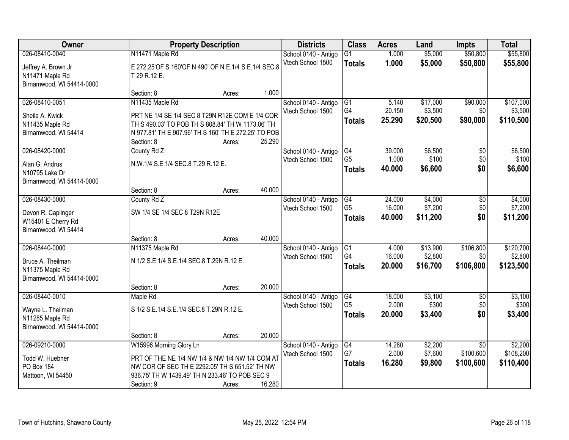| <b>Owner</b>              |                                                      | <b>Property Description</b> |        | <b>Districts</b>     | <b>Class</b>    | <b>Acres</b> | Land     | <b>Impts</b>    | <b>Total</b> |
|---------------------------|------------------------------------------------------|-----------------------------|--------|----------------------|-----------------|--------------|----------|-----------------|--------------|
| 026-08410-0040            | N11471 Maple Rd                                      |                             |        | School 0140 - Antigo | $\overline{G1}$ | 1.000        | \$5,000  | \$50,800        | \$55,800     |
| Jeffrey A. Brown Jr       | E 272.25'OF S 160'OF N 490' OF N.E.1/4 S.E.1/4 SEC.8 |                             |        | Vtech School 1500    | <b>Totals</b>   | 1.000        | \$5,000  | \$50,800        | \$55,800     |
| N11471 Maple Rd           | T 29 R.12 E.                                         |                             |        |                      |                 |              |          |                 |              |
| Birnamwood, WI 54414-0000 |                                                      |                             |        |                      |                 |              |          |                 |              |
|                           | Section: 8                                           | Acres:                      | 1.000  |                      |                 |              |          |                 |              |
| 026-08410-0051            | N11435 Maple Rd                                      |                             |        | School 0140 - Antigo | G1              | 5.140        | \$17,000 | \$90,000        | \$107,000    |
| Sheila A. Kwick           | PRT NE 1/4 SE 1/4 SEC 8 T29N R12E COM E 1/4 COR      |                             |        | Vtech School 1500    | G <sub>4</sub>  | 20.150       | \$3,500  | \$0             | \$3,500      |
| N11435 Maple Rd           | TH S 490.03' TO POB TH S 808.84' TH W 1173.06' TH    |                             |        |                      | <b>Totals</b>   | 25.290       | \$20,500 | \$90,000        | \$110,500    |
| Birnamwood, WI 54414      | N 977.81' TH E 907.96' TH S 160' TH E 272.25' TO POB |                             |        |                      |                 |              |          |                 |              |
|                           | Section: 8                                           | Acres:                      | 25.290 |                      |                 |              |          |                 |              |
| 026-08420-0000            | County Rd Z                                          |                             |        | School 0140 - Antigo | G4              | 39.000       | \$6,500  | \$0             | \$6,500      |
| Alan G. Andrus            | N.W.1/4 S.E.1/4 SEC.8 T.29 R.12 E.                   |                             |        | Vtech School 1500    | G <sub>5</sub>  | 1.000        | \$100    | \$0             | \$100        |
| N10795 Lake Dr            |                                                      |                             |        |                      | <b>Totals</b>   | 40.000       | \$6,600  | \$0             | \$6,600      |
| Birnamwood, WI 54414-0000 |                                                      |                             |        |                      |                 |              |          |                 |              |
|                           | Section: 8                                           | Acres:                      | 40.000 |                      |                 |              |          |                 |              |
| 026-08430-0000            | County Rd Z                                          |                             |        | School 0140 - Antigo | G4              | 24.000       | \$4,000  | \$0             | \$4,000      |
| Devon R. Caplinger        | SW 1/4 SE 1/4 SEC 8 T29N R12E                        |                             |        | Vtech School 1500    | G <sub>5</sub>  | 16.000       | \$7,200  | \$0             | \$7,200      |
| W15401 E Cherry Rd        |                                                      |                             |        |                      | <b>Totals</b>   | 40.000       | \$11,200 | \$0             | \$11,200     |
| Birnamwood, WI 54414      |                                                      |                             |        |                      |                 |              |          |                 |              |
|                           | Section: 8                                           | Acres:                      | 40.000 |                      |                 |              |          |                 |              |
| 026-08440-0000            | N11375 Maple Rd                                      |                             |        | School 0140 - Antigo | $\overline{G1}$ | 4.000        | \$13,900 | \$106,800       | \$120,700    |
| Bruce A. Theilman         | N 1/2 S.E.1/4 S.E.1/4 SEC.8 T.29N R.12 E.            |                             |        | Vtech School 1500    | G <sub>4</sub>  | 16.000       | \$2,800  | \$0             | \$2,800      |
| N11375 Maple Rd           |                                                      |                             |        |                      | <b>Totals</b>   | 20.000       | \$16,700 | \$106,800       | \$123,500    |
| Birnamwood, WI 54414-0000 |                                                      |                             |        |                      |                 |              |          |                 |              |
|                           | Section: 8                                           | Acres:                      | 20.000 |                      |                 |              |          |                 |              |
| 026-08440-0010            | Maple Rd                                             |                             |        | School 0140 - Antigo | G4              | 18.000       | \$3,100  | $\overline{50}$ | \$3,100      |
| Wayne L. Theilman         | S 1/2 S.E.1/4 S.E.1/4 SEC.8 T.29N R.12 E.            |                             |        | Vtech School 1500    | G <sub>5</sub>  | 2.000        | \$300    | \$0             | \$300        |
| N11285 Maple Rd           |                                                      |                             |        |                      | <b>Totals</b>   | 20.000       | \$3,400  | \$0             | \$3,400      |
| Birnamwood, WI 54414-0000 |                                                      |                             |        |                      |                 |              |          |                 |              |
|                           | Section: 8                                           | Acres:                      | 20.000 |                      |                 |              |          |                 |              |
| 026-09210-0000            | W15996 Morning Glory Ln                              |                             |        | School 0140 - Antigo | G4              | 14.280       | \$2,200  | $\overline{50}$ | \$2,200      |
| Todd W. Huebner           | PRT OF THE NE 1/4 NW 1/4 & NW 1/4 NW 1/4 COM AT      |                             |        | Vtech School 1500    | G7              | 2.000        | \$7,600  | \$100,600       | \$108,200    |
| PO Box 184                | NW COR OF SEC TH E 2292.05' TH S 651.52' TH NW       |                             |        |                      | <b>Totals</b>   | 16.280       | \$9,800  | \$100,600       | \$110,400    |
| Mattoon, WI 54450         | 936.75' TH W 1439.49' TH N 233.46' TO POB SEC 9      |                             |        |                      |                 |              |          |                 |              |
|                           | Section: 9                                           | Acres:                      | 16.280 |                      |                 |              |          |                 |              |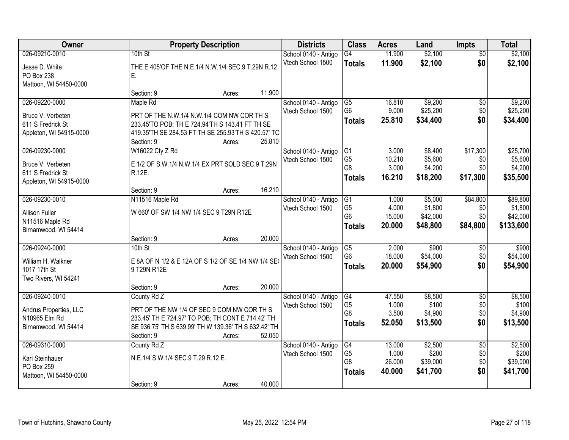| Owner                   |                                                      | <b>Property Description</b> |        | <b>Districts</b>     | <b>Class</b>    | <b>Acres</b> | Land     | <b>Impts</b>    | <b>Total</b> |
|-------------------------|------------------------------------------------------|-----------------------------|--------|----------------------|-----------------|--------------|----------|-----------------|--------------|
| 026-09210-0010          | 10th St                                              |                             |        | School 0140 - Antigo | $\overline{G4}$ | 11.900       | \$2,100  | $\overline{50}$ | \$2,100      |
| Jesse D. White          | THE E 405'OF THE N.E.1/4 N.W.1/4 SEC.9 T.29N R.12    |                             |        | Vtech School 1500    | <b>Totals</b>   | 11.900       | \$2,100  | \$0             | \$2,100      |
| PO Box 238              | Е.                                                   |                             |        |                      |                 |              |          |                 |              |
| Mattoon, WI 54450-0000  |                                                      |                             |        |                      |                 |              |          |                 |              |
|                         | Section: 9                                           | Acres:                      | 11.900 |                      |                 |              |          |                 |              |
| 026-09220-0000          | Maple Rd                                             |                             |        | School 0140 - Antigo | $\overline{G5}$ | 16.810       | \$9,200  | \$0             | \$9,200      |
| Bruce V. Verbeten       | PRT OF THE N.W.1/4 N.W.1/4 COM NW COR TH S           |                             |        | Vtech School 1500    | G <sub>6</sub>  | 9.000        | \$25,200 | \$0             | \$25,200     |
| 611 S Fredrick St       | 233.45'TO POB; TH E 724.94'TH S 143.41 FT TH SE      |                             |        |                      | <b>Totals</b>   | 25.810       | \$34,400 | \$0             | \$34,400     |
| Appleton, WI 54915-0000 | 419.35'TH SE 284.53 FT TH SE 255.93'TH S 420.57' TO  |                             |        |                      |                 |              |          |                 |              |
|                         | Section: 9                                           | Acres:                      | 25.810 |                      |                 |              |          |                 |              |
| 026-09230-0000          | W16022 Cty Z Rd                                      |                             |        | School 0140 - Antigo | G <sub>1</sub>  | 3.000        | \$8,400  | \$17,300        | \$25,700     |
| Bruce V. Verbeten       | E 1/2 OF S.W.1/4 N.W.1/4 EX PRT SOLD SEC.9 T.29N     |                             |        | Vtech School 1500    | G <sub>5</sub>  | 10.210       | \$5,600  | \$0             | \$5,600      |
| 611 S Fredrick St       | R.12E.                                               |                             |        |                      | G <sub>8</sub>  | 3.000        | \$4,200  | \$0             | \$4,200      |
| Appleton, WI 54915-0000 |                                                      |                             |        |                      | <b>Totals</b>   | 16.210       | \$18,200 | \$17,300        | \$35,500     |
|                         | Section: 9                                           | Acres:                      | 16.210 |                      |                 |              |          |                 |              |
| 026-09230-0010          | N11516 Maple Rd                                      |                             |        | School 0140 - Antigo | G1              | 1.000        | \$5,000  | \$84,800        | \$89,800     |
| <b>Allison Fuller</b>   | W 660' OF SW 1/4 NW 1/4 SEC 9 T29N R12E              |                             |        | Vtech School 1500    | G <sub>5</sub>  | 4.000        | \$1,800  | \$0             | \$1,800      |
| N11516 Maple Rd         |                                                      |                             |        |                      | G <sub>6</sub>  | 15.000       | \$42,000 | \$0             | \$42,000     |
| Birnamwood, WI 54414    |                                                      |                             |        |                      | <b>Totals</b>   | 20.000       | \$48,800 | \$84,800        | \$133,600    |
|                         | Section: 9                                           | Acres:                      | 20.000 |                      |                 |              |          |                 |              |
| 026-09240-0000          | $10th$ St                                            |                             |        | School 0140 - Antigo | $\overline{G5}$ | 2.000        | \$900    | \$0             | \$900        |
| William H. Walkner      | E 8A OF N 1/2 & E 12A OF S 1/2 OF SE 1/4 NW 1/4 SE   |                             |        | Vtech School 1500    | G <sub>6</sub>  | 18.000       | \$54,000 | \$0             | \$54,000     |
| 1017 17th St            | 9 T29N R12E                                          |                             |        |                      | <b>Totals</b>   | 20.000       | \$54,900 | \$0             | \$54,900     |
| Two Rivers, WI 54241    |                                                      |                             |        |                      |                 |              |          |                 |              |
|                         | Section: 9                                           | Acres:                      | 20.000 |                      |                 |              |          |                 |              |
| 026-09240-0010          | County Rd Z                                          |                             |        | School 0140 - Antigo | G4              | 47.550       | \$8,500  | $\overline{50}$ | \$8,500      |
| Andrus Properties, LLC  | PRT OF THE NW 1/4 OF SEC 9 COM NW COR TH S           |                             |        | Vtech School 1500    | G <sub>5</sub>  | 1.000        | \$100    | \$0             | \$100        |
| N10965 Elm Rd           | 233.45' TH E 724.97' TO POB; TH CONT E 714.42' TH    |                             |        |                      | G <sub>8</sub>  | 3.500        | \$4,900  | \$0             | \$4,900      |
| Birnamwood, WI 54414    | SE 936.75' TH S 639.99' TH W 139.36' TH S 632.42' TH |                             |        |                      | <b>Totals</b>   | 52.050       | \$13,500 | \$0             | \$13,500     |
|                         | Section: 9                                           | Acres:                      | 52.050 |                      |                 |              |          |                 |              |
| 026-09310-0000          | County Rd Z                                          |                             |        | School 0140 - Antigo | G4              | 13.000       | \$2,500  | $\overline{50}$ | \$2,500      |
| Karl Steinhauer         | N.E.1/4 S.W.1/4 SEC.9 T.29 R.12 E.                   |                             |        | Vtech School 1500    | G <sub>5</sub>  | 1.000        | \$200    | \$0             | \$200        |
| PO Box 259              |                                                      |                             |        |                      | G8              | 26.000       | \$39,000 | \$0             | \$39,000     |
| Mattoon, WI 54450-0000  |                                                      |                             |        |                      | <b>Totals</b>   | 40.000       | \$41,700 | \$0             | \$41,700     |
|                         | Section: 9                                           | Acres:                      | 40.000 |                      |                 |              |          |                 |              |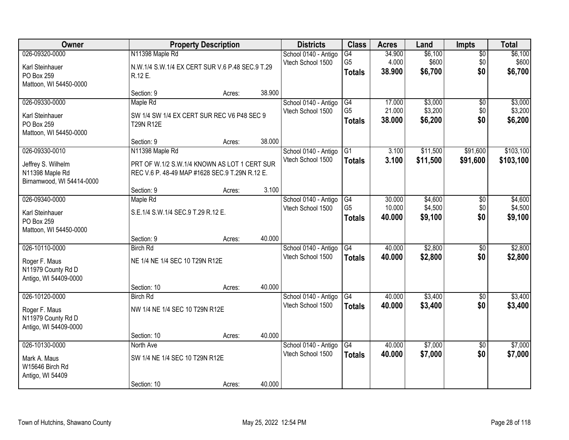| Owner                                                              |                                                                                                | <b>Property Description</b> |        | <b>Districts</b>                          | <b>Class</b>                    | <b>Acres</b>     | Land               | <b>Impts</b>           | <b>Total</b>       |
|--------------------------------------------------------------------|------------------------------------------------------------------------------------------------|-----------------------------|--------|-------------------------------------------|---------------------------------|------------------|--------------------|------------------------|--------------------|
| 026-09320-0000<br>Karl Steinhauer                                  | N11398 Maple Rd<br>N.W.1/4 S.W.1/4 EX CERT SUR V.6 P.48 SEC.9 T.29                             |                             |        | School 0140 - Antigo<br>Vtech School 1500 | G4<br>G <sub>5</sub>            | 34.900<br>4.000  | \$6,100<br>\$600   | $\overline{50}$<br>\$0 | \$6,100<br>\$600   |
| PO Box 259<br>Mattoon, WI 54450-0000                               | R.12 E.                                                                                        |                             |        |                                           | <b>Totals</b>                   | 38.900           | \$6,700            | \$0                    | \$6,700            |
|                                                                    | Section: 9                                                                                     | Acres:                      | 38.900 |                                           |                                 |                  |                    |                        |                    |
| 026-09330-0000                                                     | Maple Rd                                                                                       |                             |        | School 0140 - Antigo                      | G4                              | 17.000           | \$3,000            | \$0                    | \$3,000            |
| Karl Steinhauer<br>PO Box 259<br>Mattoon, WI 54450-0000            | SW 1/4 SW 1/4 EX CERT SUR REC V6 P48 SEC 9<br><b>T29N R12E</b>                                 |                             |        | Vtech School 1500                         | G <sub>5</sub><br><b>Totals</b> | 21.000<br>38.000 | \$3,200<br>\$6,200 | \$0<br>\$0             | \$3,200<br>\$6,200 |
|                                                                    | Section: 9                                                                                     | Acres:                      | 38.000 |                                           |                                 |                  |                    |                        |                    |
| 026-09330-0010                                                     | N11398 Maple Rd                                                                                |                             |        | School 0140 - Antigo                      | G1                              | 3.100            | \$11,500           | \$91,600               | \$103,100          |
| Jeffrey S. Wilhelm<br>N11398 Maple Rd<br>Birnamwood, WI 54414-0000 | PRT OF W.1/2 S.W.1/4 KNOWN AS LOT 1 CERT SUR<br>REC V.6 P. 48-49 MAP #1628 SEC.9 T.29N R.12 E. |                             |        | Vtech School 1500                         | <b>Totals</b>                   | 3.100            | \$11,500           | \$91,600               | \$103,100          |
|                                                                    | Section: 9                                                                                     | Acres:                      | 3.100  |                                           |                                 |                  |                    |                        |                    |
| 026-09340-0000                                                     | Maple Rd                                                                                       |                             |        | School 0140 - Antigo                      | G4                              | 30.000           | \$4,600            | \$0                    | \$4,600            |
| Karl Steinhauer<br>PO Box 259                                      | S.E.1/4 S.W.1/4 SEC.9 T.29 R.12 E.                                                             |                             |        | Vtech School 1500                         | G <sub>5</sub><br><b>Totals</b> | 10.000<br>40.000 | \$4,500<br>\$9,100 | \$0<br>\$0             | \$4,500<br>\$9,100 |
| Mattoon, WI 54450-0000                                             | Section: 9                                                                                     | Acres:                      | 40.000 |                                           |                                 |                  |                    |                        |                    |
| 026-10110-0000                                                     | <b>Birch Rd</b>                                                                                |                             |        | School 0140 - Antigo                      | G4                              | 40.000           | \$2,800            | \$0                    | \$2,800            |
|                                                                    |                                                                                                |                             |        | Vtech School 1500                         | <b>Totals</b>                   | 40.000           | \$2,800            | \$0                    | \$2,800            |
| Roger F. Maus<br>N11979 County Rd D<br>Antigo, WI 54409-0000       | NE 1/4 NE 1/4 SEC 10 T29N R12E                                                                 |                             |        |                                           |                                 |                  |                    |                        |                    |
|                                                                    | Section: 10                                                                                    | Acres:                      | 40.000 |                                           |                                 |                  |                    |                        |                    |
| 026-10120-0000                                                     | <b>Birch Rd</b>                                                                                |                             |        | School 0140 - Antigo                      | $\overline{\text{G4}}$          | 40.000           | \$3,400            | $\sqrt{6}$             | \$3,400            |
| Roger F. Maus<br>N11979 County Rd D<br>Antigo, WI 54409-0000       | NW 1/4 NE 1/4 SEC 10 T29N R12E                                                                 |                             |        | Vtech School 1500                         | <b>Totals</b>                   | 40.000           | \$3,400            | \$0                    | \$3,400            |
|                                                                    | Section: 10                                                                                    | Acres:                      | 40.000 |                                           |                                 |                  |                    |                        |                    |
| 026-10130-0000                                                     | North Ave                                                                                      |                             |        | School 0140 - Antigo                      | G4                              | 40.000           | \$7,000            | $\overline{50}$        | \$7,000            |
| Mark A. Maus<br>W15646 Birch Rd<br>Antigo, WI 54409                | SW 1/4 NE 1/4 SEC 10 T29N R12E                                                                 |                             |        | Vtech School 1500                         | <b>Totals</b>                   | 40.000           | \$7,000            | \$0                    | \$7,000            |
|                                                                    | Section: 10                                                                                    | Acres:                      | 40.000 |                                           |                                 |                  |                    |                        |                    |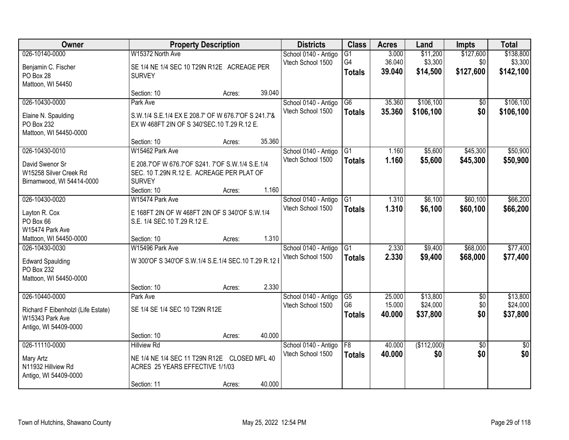| Owner                                    |                                                      | <b>Property Description</b> |        | <b>Districts</b>                          | <b>Class</b>    | <b>Acres</b> | Land        | <b>Impts</b>    | <b>Total</b>    |
|------------------------------------------|------------------------------------------------------|-----------------------------|--------|-------------------------------------------|-----------------|--------------|-------------|-----------------|-----------------|
| 026-10140-0000                           | W15372 North Ave                                     |                             |        | School 0140 - Antigo                      | $\overline{G1}$ | 3.000        | \$11,200    | \$127,600       | \$138,800       |
| Benjamin C. Fischer                      | SE 1/4 NE 1/4 SEC 10 T29N R12E ACREAGE PER           |                             |        | Vtech School 1500                         | G4              | 36.040       | \$3,300     | \$0             | \$3,300         |
| PO Box 28                                | <b>SURVEY</b>                                        |                             |        |                                           | <b>Totals</b>   | 39.040       | \$14,500    | \$127,600       | \$142,100       |
| Mattoon, WI 54450                        |                                                      |                             |        |                                           |                 |              |             |                 |                 |
|                                          | Section: 10                                          | Acres:                      | 39.040 |                                           |                 |              |             |                 |                 |
| 026-10430-0000                           | Park Ave                                             |                             |        | School 0140 - Antigo                      | $\overline{G6}$ | 35.360       | \$106,100   | \$0             | \$106,100       |
| Elaine N. Spaulding                      | S.W.1/4 S.E.1/4 EX E 208.7' OF W 676.7' OF S 241.7'& |                             |        | Vtech School 1500                         | <b>Totals</b>   | 35.360       | \$106,100   | \$0             | \$106,100       |
| PO Box 232                               | EX W 468FT 2IN OF S 340'SEC.10 T.29 R.12 E.          |                             |        |                                           |                 |              |             |                 |                 |
| Mattoon, WI 54450-0000                   |                                                      |                             |        |                                           |                 |              |             |                 |                 |
|                                          | Section: 10                                          | Acres:                      | 35.360 |                                           |                 |              |             |                 |                 |
| 026-10430-0010                           | W15462 Park Ave                                      |                             |        | School 0140 - Antigo<br>Vtech School 1500 | G1              | 1.160        | \$5,600     | \$45,300        | \$50,900        |
| David Swenor Sr                          | E 208.7'OF W 676.7'OF S241. 7'OF S.W.1/4 S.E.1/4     |                             |        |                                           | <b>Totals</b>   | 1.160        | \$5,600     | \$45,300        | \$50,900        |
| W15258 Silver Creek Rd                   | SEC. 10 T.29N R.12 E. ACREAGE PER PLAT OF            |                             |        |                                           |                 |              |             |                 |                 |
| Birnamwood, WI 54414-0000                | <b>SURVEY</b>                                        |                             |        |                                           |                 |              |             |                 |                 |
| 026-10430-0020                           | Section: 10<br>W15474 Park Ave                       | Acres:                      | 1.160  |                                           | $\overline{G1}$ | 1.310        | \$6,100     | \$60,100        | \$66,200        |
|                                          |                                                      |                             |        | School 0140 - Antigo<br>Vtech School 1500 |                 | 1.310        | \$6,100     | \$60,100        | \$66,200        |
| Layton R. Cox                            | E 168FT 2IN OF W 468FT 2IN OF S 340'OF S.W.1/4       |                             |        |                                           | <b>Totals</b>   |              |             |                 |                 |
| PO Box 66                                | S.E. 1/4 SEC.10 T.29 R.12 E.                         |                             |        |                                           |                 |              |             |                 |                 |
| W15474 Park Ave                          |                                                      |                             | 1.310  |                                           |                 |              |             |                 |                 |
| Mattoon, WI 54450-0000<br>026-10430-0030 | Section: 10<br>W15496 Park Ave                       | Acres:                      |        | School 0140 - Antigo                      | $\overline{G1}$ | 2.330        | \$9,400     | \$68,000        | \$77,400        |
|                                          |                                                      |                             |        | Vtech School 1500                         | <b>Totals</b>   | 2.330        | \$9,400     | \$68,000        | \$77,400        |
| <b>Edward Spaulding</b>                  | W 300'OF S 340'OF S.W.1/4 S.E.1/4 SEC.10 T.29 R.12   |                             |        |                                           |                 |              |             |                 |                 |
| PO Box 232                               |                                                      |                             |        |                                           |                 |              |             |                 |                 |
| Mattoon, WI 54450-0000                   | Section: 10                                          |                             | 2.330  |                                           |                 |              |             |                 |                 |
| 026-10440-0000                           | Park Ave                                             | Acres:                      |        | School 0140 - Antigo                      | G5              | 25.000       | \$13,800    | $\sqrt{6}$      | \$13,800        |
|                                          |                                                      |                             |        | Vtech School 1500                         | G <sub>6</sub>  | 15.000       | \$24,000    | \$0             | \$24,000        |
| Richard F Eibenholzl (Life Estate)       | SE 1/4 SE 1/4 SEC 10 T29N R12E                       |                             |        |                                           | <b>Totals</b>   | 40.000       | \$37,800    | \$0             | \$37,800        |
| W15343 Park Ave<br>Antigo, WI 54409-0000 |                                                      |                             |        |                                           |                 |              |             |                 |                 |
|                                          | Section: 10                                          | Acres:                      | 40.000 |                                           |                 |              |             |                 |                 |
| 026-11110-0000                           | <b>Hillview Rd</b>                                   |                             |        | School 0140 - Antigo                      | $\overline{F8}$ | 40.000       | (\$112,000) | $\overline{50}$ | $\overline{30}$ |
|                                          |                                                      |                             |        | Vtech School 1500                         | <b>Totals</b>   | 40.000       | \$0         | \$0             | \$0             |
| Mary Artz<br>N11932 Hillview Rd          | NE 1/4 NE 1/4 SEC 11 T29N R12E CLOSED MFL 40         |                             |        |                                           |                 |              |             |                 |                 |
| Antigo, WI 54409-0000                    | ACRES 25 YEARS EFFECTIVE 1/1/03                      |                             |        |                                           |                 |              |             |                 |                 |
|                                          | Section: 11                                          | Acres:                      | 40.000 |                                           |                 |              |             |                 |                 |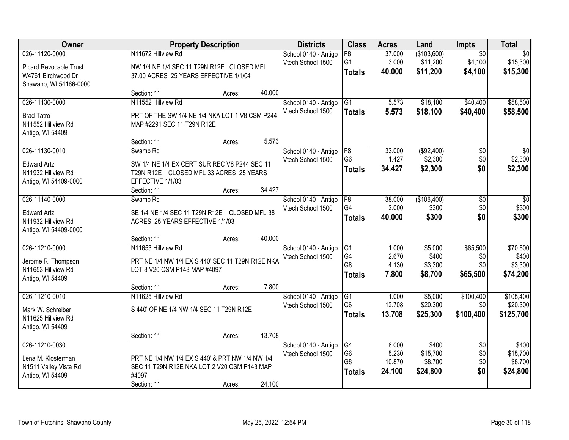| Owner                         | <b>Property Description</b>                      |        |        | <b>Districts</b>     | <b>Class</b>    | <b>Acres</b> | Land        | <b>Impts</b>    | <b>Total</b>    |
|-------------------------------|--------------------------------------------------|--------|--------|----------------------|-----------------|--------------|-------------|-----------------|-----------------|
| 026-11120-0000                | N11672 Hillview Rd                               |        |        | School 0140 - Antigo | $\overline{F8}$ | 37.000       | (\$103,600) | $\overline{50}$ | $\overline{50}$ |
| <b>Picard Revocable Trust</b> | NW 1/4 NE 1/4 SEC 11 T29N R12E CLOSED MFL        |        |        | Vtech School 1500    | G <sub>1</sub>  | 3.000        | \$11,200    | \$4,100         | \$15,300        |
| W4761 Birchwood Dr            | 37.00 ACRES 25 YEARS EFFECTIVE 1/1/04            |        |        |                      | <b>Totals</b>   | 40.000       | \$11,200    | \$4,100         | \$15,300        |
| Shawano, WI 54166-0000        |                                                  |        |        |                      |                 |              |             |                 |                 |
|                               | Section: 11                                      | Acres: | 40.000 |                      |                 |              |             |                 |                 |
| 026-11130-0000                | N11552 Hillview Rd                               |        |        | School 0140 - Antigo | G1              | 5.573        | \$18,100    | \$40,400        | \$58,500        |
| <b>Brad Tatro</b>             | PRT OF THE SW 1/4 NE 1/4 NKA LOT 1 V8 CSM P244   |        |        | Vtech School 1500    | <b>Totals</b>   | 5.573        | \$18,100    | \$40,400        | \$58,500        |
| N11552 Hillview Rd            | MAP #2291 SEC 11 T29N R12E                       |        |        |                      |                 |              |             |                 |                 |
| Antigo, WI 54409              |                                                  |        |        |                      |                 |              |             |                 |                 |
|                               | Section: 11                                      | Acres: | 5.573  |                      |                 |              |             |                 |                 |
| 026-11130-0010                | Swamp Rd                                         |        |        | School 0140 - Antigo | F8              | 33.000       | ( \$92,400) | $\overline{50}$ | $\overline{30}$ |
| <b>Edward Artz</b>            | SW 1/4 NE 1/4 EX CERT SUR REC V8 P244 SEC 11     |        |        | Vtech School 1500    | G <sub>6</sub>  | 1.427        | \$2,300     | \$0             | \$2,300         |
| N11932 Hillview Rd            | T29N R12E CLOSED MFL 33 ACRES 25 YEARS           |        |        |                      | <b>Totals</b>   | 34.427       | \$2,300     | \$0             | \$2,300         |
| Antigo, WI 54409-0000         | EFFECTIVE 1/1/03                                 |        |        |                      |                 |              |             |                 |                 |
|                               | Section: 11                                      | Acres: | 34.427 |                      |                 |              |             |                 |                 |
| 026-11140-0000                | Swamp <sub>Rd</sub>                              |        |        | School 0140 - Antigo | F8              | 38.000       | (\$106,400) | \$0             | \$0             |
| <b>Edward Artz</b>            | SE 1/4 NE 1/4 SEC 11 T29N R12E CLOSED MFL 38     |        |        | Vtech School 1500    | G4              | 2.000        | \$300       | \$0             | \$300           |
| N11932 Hillview Rd            | ACRES 25 YEARS EFFECTIVE 1/1/03                  |        |        |                      | <b>Totals</b>   | 40.000       | \$300       | \$0             | \$300           |
| Antigo, WI 54409-0000         |                                                  |        |        |                      |                 |              |             |                 |                 |
|                               | Section: 11                                      | Acres: | 40.000 |                      |                 |              |             |                 |                 |
| 026-11210-0000                | N11653 Hillview Rd                               |        |        | School 0140 - Antigo | G1              | 1.000        | \$5,000     | \$65,500        | \$70,500        |
| Jerome R. Thompson            | PRT NE 1/4 NW 1/4 EX S 440' SEC 11 T29N R12E NKA |        |        | Vtech School 1500    | G <sub>4</sub>  | 2.670        | \$400       | \$0             | \$400           |
| N11653 Hillview Rd            | LOT 3 V20 CSM P143 MAP #4097                     |        |        |                      | G8              | 4.130        | \$3,300     | \$0             | \$3,300         |
| Antigo, WI 54409              |                                                  |        |        |                      | <b>Totals</b>   | 7.800        | \$8,700     | \$65,500        | \$74,200        |
|                               | Section: 11                                      | Acres: | 7.800  |                      |                 |              |             |                 |                 |
| 026-11210-0010                | N11625 Hillview Rd                               |        |        | School 0140 - Antigo | G1              | 1.000        | \$5,000     | \$100,400       | \$105,400       |
| Mark W. Schreiber             | S 440' OF NE 1/4 NW 1/4 SEC 11 T29N R12E         |        |        | Vtech School 1500    | G <sub>6</sub>  | 12.708       | \$20,300    | \$0             | \$20,300        |
| N11625 Hillview Rd            |                                                  |        |        |                      | <b>Totals</b>   | 13.708       | \$25,300    | \$100,400       | \$125,700       |
| Antigo, WI 54409              |                                                  |        |        |                      |                 |              |             |                 |                 |
|                               | Section: 11                                      | Acres: | 13.708 |                      |                 |              |             |                 |                 |
| 026-11210-0030                |                                                  |        |        | School 0140 - Antigo | G4              | 8.000        | \$400       | $\overline{50}$ | \$400           |
| Lena M. Klosterman            | PRT NE 1/4 NW 1/4 EX S 440' & PRT NW 1/4 NW 1/4  |        |        | Vtech School 1500    | G6              | 5.230        | \$15,700    | \$0             | \$15,700        |
| N1511 Valley Vista Rd         | SEC 11 T29N R12E NKA LOT 2 V20 CSM P143 MAP      |        |        |                      | G8              | 10.870       | \$8,700     | \$0             | \$8,700         |
| Antigo, WI 54409              | #4097                                            |        |        |                      | <b>Totals</b>   | 24.100       | \$24,800    | \$0             | \$24,800        |
|                               | Section: 11                                      | Acres: | 24.100 |                      |                 |              |             |                 |                 |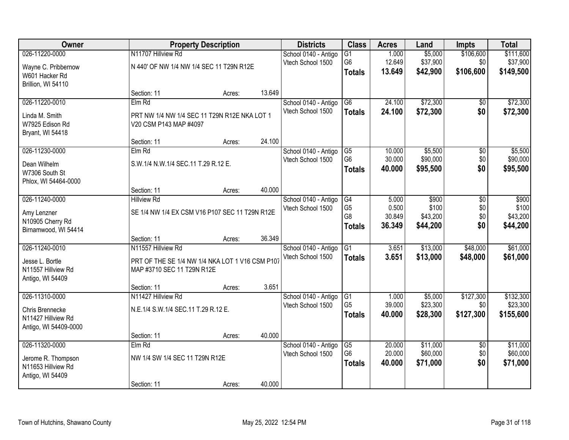| Owner                 |                                                 | <b>Property Description</b> |        | <b>Districts</b>                          | <b>Class</b>                      | <b>Acres</b>     | Land                 | Impts                  | <b>Total</b>         |
|-----------------------|-------------------------------------------------|-----------------------------|--------|-------------------------------------------|-----------------------------------|------------------|----------------------|------------------------|----------------------|
| 026-11220-0000        | N11707 Hillview Rd                              |                             |        | School 0140 - Antigo                      | $\overline{G1}$                   | 1.000            | \$5,000              | \$106,600              | \$111,600            |
| Wayne C. Pribbernow   | N 440' OF NW 1/4 NW 1/4 SEC 11 T29N R12E        |                             |        | Vtech School 1500                         | G <sub>6</sub>                    | 12.649           | \$37,900             | \$0                    | \$37,900             |
| W601 Hacker Rd        |                                                 |                             |        |                                           | <b>Totals</b>                     | 13.649           | \$42,900             | \$106,600              | \$149,500            |
| Brillion, WI 54110    |                                                 |                             |        |                                           |                                   |                  |                      |                        |                      |
|                       | Section: 11                                     | Acres:                      | 13.649 |                                           |                                   |                  |                      |                        |                      |
| 026-11220-0010        | Elm Rd                                          |                             |        | School 0140 - Antigo                      | $\overline{G6}$                   | 24.100           | \$72,300             | \$0                    | \$72,300             |
| Linda M. Smith        | PRT NW 1/4 NW 1/4 SEC 11 T29N R12E NKA LOT 1    |                             |        | Vtech School 1500                         | <b>Totals</b>                     | 24.100           | \$72,300             | \$0                    | \$72,300             |
| W7925 Edison Rd       | V20 CSM P143 MAP #4097                          |                             |        |                                           |                                   |                  |                      |                        |                      |
| Bryant, WI 54418      |                                                 |                             |        |                                           |                                   |                  |                      |                        |                      |
|                       | Section: 11                                     | Acres:                      | 24.100 |                                           |                                   |                  |                      |                        |                      |
| 026-11230-0000        | $Elm$ Rd                                        |                             |        | School 0140 - Antigo                      | G5                                | 10.000           | \$5,500              | \$0                    | \$5,500              |
| Dean Wilhelm          | S.W.1/4 N.W.1/4 SEC.11 T.29 R.12 E.             |                             |        | Vtech School 1500                         | G <sub>6</sub>                    | 30.000           | \$90,000             | \$0                    | \$90,000             |
| W7306 South St        |                                                 |                             |        |                                           | <b>Totals</b>                     | 40.000           | \$95,500             | \$0                    | \$95,500             |
| Phlox, WI 54464-0000  |                                                 |                             |        |                                           |                                   |                  |                      |                        |                      |
|                       | Section: 11                                     | Acres:                      | 40.000 |                                           |                                   |                  |                      |                        |                      |
| 026-11240-0000        | <b>Hillview Rd</b>                              |                             |        | School 0140 - Antigo                      | G4                                | 5.000            | \$900                | \$0                    | \$900                |
| Amy Lenzner           | SE 1/4 NW 1/4 EX CSM V16 P107 SEC 11 T29N R12E  |                             |        | Vtech School 1500                         | G <sub>5</sub>                    | 0.500            | \$100                | \$0                    | \$100                |
| N10905 Cherry Rd      |                                                 |                             |        |                                           | G8                                | 30.849           | \$43,200             | \$0<br>\$0             | \$43,200             |
| Birnamwood, WI 54414  |                                                 |                             |        |                                           | <b>Totals</b>                     | 36.349           | \$44,200             |                        | \$44,200             |
|                       | Section: 11                                     | Acres:                      | 36.349 |                                           |                                   |                  |                      |                        |                      |
| 026-11240-0010        | N11557 Hillview Rd                              |                             |        | School 0140 - Antigo                      | $\overline{G1}$                   | 3.651            | \$13,000             | \$48,000               | \$61,000             |
| Jesse L. Bortle       | PRT OF THE SE 1/4 NW 1/4 NKA LOT 1 V16 CSM P107 |                             |        | Vtech School 1500                         | <b>Totals</b>                     | 3.651            | \$13,000             | \$48,000               | \$61,000             |
| N11557 Hillview Rd    | MAP #3710 SEC 11 T29N R12E                      |                             |        |                                           |                                   |                  |                      |                        |                      |
| Antigo, WI 54409      |                                                 |                             |        |                                           |                                   |                  |                      |                        |                      |
|                       | Section: 11                                     | Acres:                      | 3.651  |                                           |                                   |                  |                      |                        |                      |
| 026-11310-0000        | N11427 Hillview Rd                              |                             |        | School 0140 - Antigo                      | G1                                | 1.000            | \$5,000              | \$127,300              | \$132,300            |
| Chris Brennecke       | N.E.1/4 S.W.1/4 SEC.11 T.29 R.12 E.             |                             |        | Vtech School 1500                         | G <sub>5</sub>                    | 39.000<br>40.000 | \$23,300             | \$0                    | \$23,300             |
| N11427 Hillview Rd    |                                                 |                             |        |                                           | <b>Totals</b>                     |                  | \$28,300             | \$127,300              | \$155,600            |
| Antigo, WI 54409-0000 |                                                 |                             |        |                                           |                                   |                  |                      |                        |                      |
|                       | Section: 11                                     | Acres:                      | 40.000 |                                           |                                   |                  |                      |                        |                      |
| 026-11320-0000        | $Elm$ Rd                                        |                             |        | School 0140 - Antigo<br>Vtech School 1500 | $\overline{G5}$<br>G <sub>6</sub> | 20.000<br>20.000 | \$11,000<br>\$60,000 | $\overline{50}$<br>\$0 | \$11,000<br>\$60,000 |
| Jerome R. Thompson    | NW 1/4 SW 1/4 SEC 11 T29N R12E                  |                             |        |                                           |                                   | 40.000           | \$71,000             | \$0                    | \$71,000             |
| N11653 Hillview Rd    |                                                 |                             |        |                                           | <b>Totals</b>                     |                  |                      |                        |                      |
| Antigo, WI 54409      |                                                 |                             |        |                                           |                                   |                  |                      |                        |                      |
|                       | Section: 11                                     | Acres:                      | 40.000 |                                           |                                   |                  |                      |                        |                      |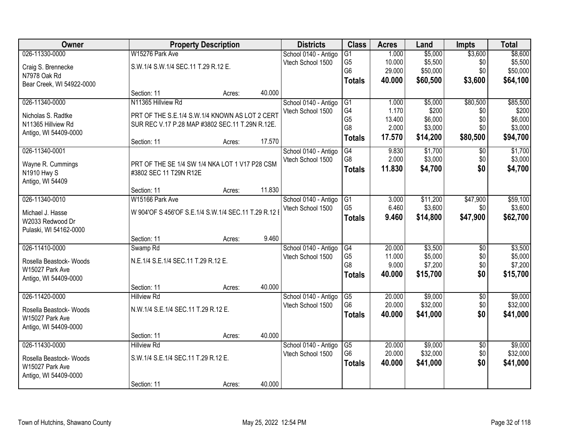| Owner                     |                                                      | <b>Property Description</b> |        | <b>Districts</b>     | <b>Class</b>    | <b>Acres</b> | Land     | <b>Impts</b>    | <b>Total</b> |
|---------------------------|------------------------------------------------------|-----------------------------|--------|----------------------|-----------------|--------------|----------|-----------------|--------------|
| 026-11330-0000            | W15276 Park Ave                                      |                             |        | School 0140 - Antigo | $\overline{G1}$ | 1.000        | \$5,000  | \$3,600         | \$8,600      |
| Craig S. Brennecke        | S.W.1/4 S.W.1/4 SEC.11 T.29 R.12 E.                  |                             |        | Vtech School 1500    | G <sub>5</sub>  | 10.000       | \$5,500  | \$0             | \$5,500      |
| N7978 Oak Rd              |                                                      |                             |        |                      | G <sub>6</sub>  | 29.000       | \$50,000 | \$0             | \$50,000     |
| Bear Creek, WI 54922-0000 |                                                      |                             |        |                      | <b>Totals</b>   | 40.000       | \$60,500 | \$3,600         | \$64,100     |
|                           | Section: 11                                          | Acres:                      | 40.000 |                      |                 |              |          |                 |              |
| 026-11340-0000            | N11365 Hillview Rd                                   |                             |        | School 0140 - Antigo | G1              | 1.000        | \$5,000  | \$80,500        | \$85,500     |
| Nicholas S. Radtke        | PRT OF THE S.E.1/4 S.W.1/4 KNOWN AS LOT 2 CERT       |                             |        | Vtech School 1500    | G4              | 1.170        | \$200    | \$0             | \$200        |
| N11365 Hillview Rd        | SUR REC V.17 P.28 MAP #3802 SEC.11 T.29N R.12E.      |                             |        |                      | G <sub>5</sub>  | 13.400       | \$6,000  | \$0             | \$6,000      |
| Antigo, WI 54409-0000     |                                                      |                             |        |                      | G8              | 2.000        | \$3,000  | \$0             | \$3,000      |
|                           | Section: 11                                          | Acres:                      | 17.570 |                      | <b>Totals</b>   | 17.570       | \$14,200 | \$80,500        | \$94,700     |
| 026-11340-0001            |                                                      |                             |        | School 0140 - Antigo | G4              | 9.830        | \$1,700  | \$0             | \$1,700      |
| Wayne R. Cummings         | PRT OF THE SE 1/4 SW 1/4 NKA LOT 1 V17 P28 CSM       |                             |        | Vtech School 1500    | G8              | 2.000        | \$3,000  | \$0             | \$3,000      |
| N1910 Hwy S               | #3802 SEC 11 T29N R12E                               |                             |        |                      | <b>Totals</b>   | 11.830       | \$4,700  | \$0             | \$4,700      |
| Antigo, WI 54409          |                                                      |                             |        |                      |                 |              |          |                 |              |
|                           | Section: 11                                          | Acres:                      | 11.830 |                      |                 |              |          |                 |              |
| 026-11340-0010            | W15166 Park Ave                                      |                             |        | School 0140 - Antigo | G1              | 3.000        | \$11,200 | \$47,900        | \$59,100     |
| Michael J. Hasse          | W 904'OF S 456'OF S.E.1/4 S.W.1/4 SEC.11 T.29 R.12 I |                             |        | Vtech School 1500    | G <sub>5</sub>  | 6.460        | \$3,600  | \$0             | \$3,600      |
| W2033 Redwood Dr          |                                                      |                             |        |                      | <b>Totals</b>   | 9.460        | \$14,800 | \$47,900        | \$62,700     |
| Pulaski, WI 54162-0000    |                                                      |                             |        |                      |                 |              |          |                 |              |
|                           | Section: 11                                          | Acres:                      | 9.460  |                      |                 |              |          |                 |              |
| 026-11410-0000            | Swamp <sub>Rd</sub>                                  |                             |        | School 0140 - Antigo | G4              | 20.000       | \$3,500  | $\overline{50}$ | \$3,500      |
| Rosella Beastock- Woods   | N.E.1/4 S.E.1/4 SEC.11 T.29 R.12 E.                  |                             |        | Vtech School 1500    | G <sub>5</sub>  | 11.000       | \$5,000  | \$0             | \$5,000      |
| W15027 Park Ave           |                                                      |                             |        |                      | G <sub>8</sub>  | 9.000        | \$7,200  | \$0             | \$7,200      |
| Antigo, WI 54409-0000     |                                                      |                             |        |                      | <b>Totals</b>   | 40.000       | \$15,700 | \$0             | \$15,700     |
|                           | Section: 11                                          | Acres:                      | 40.000 |                      |                 |              |          |                 |              |
| 026-11420-0000            | <b>Hillview Rd</b>                                   |                             |        | School 0140 - Antigo | G5              | 20.000       | \$9,000  | $\sqrt{6}$      | \$9,000      |
| Rosella Beastock- Woods   | N.W.1/4 S.E.1/4 SEC.11 T.29 R.12 E.                  |                             |        | Vtech School 1500    | G <sub>6</sub>  | 20.000       | \$32,000 | \$0             | \$32,000     |
| W15027 Park Ave           |                                                      |                             |        |                      | <b>Totals</b>   | 40.000       | \$41,000 | \$0             | \$41,000     |
| Antigo, WI 54409-0000     |                                                      |                             |        |                      |                 |              |          |                 |              |
|                           | Section: 11                                          | Acres:                      | 40.000 |                      |                 |              |          |                 |              |
| 026-11430-0000            | <b>Hillview Rd</b>                                   |                             |        | School 0140 - Antigo | $\overline{G5}$ | 20.000       | \$9,000  | $\overline{30}$ | \$9,000      |
| Rosella Beastock- Woods   | S.W.1/4 S.E.1/4 SEC.11 T.29 R.12 E.                  |                             |        | Vtech School 1500    | G <sub>6</sub>  | 20.000       | \$32,000 | \$0             | \$32,000     |
| W15027 Park Ave           |                                                      |                             |        |                      | <b>Totals</b>   | 40.000       | \$41,000 | \$0             | \$41,000     |
| Antigo, WI 54409-0000     |                                                      |                             |        |                      |                 |              |          |                 |              |
|                           | Section: 11                                          | Acres:                      | 40.000 |                      |                 |              |          |                 |              |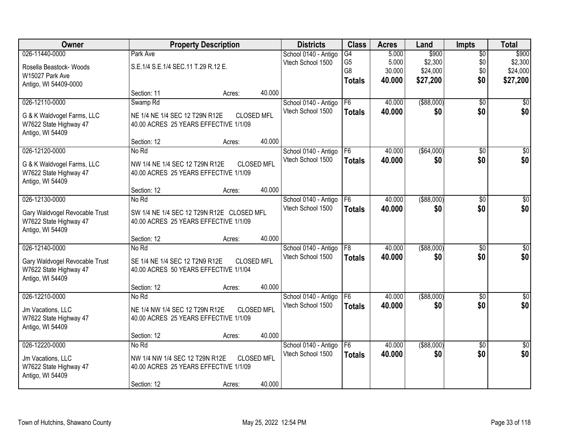| Owner                                       |                                           | <b>Property Description</b> |                   | <b>Districts</b>                          | <b>Class</b>    | <b>Acres</b> | Land          | <b>Impts</b>    | <b>Total</b>     |
|---------------------------------------------|-------------------------------------------|-----------------------------|-------------------|-------------------------------------------|-----------------|--------------|---------------|-----------------|------------------|
| 026-11440-0000                              | Park Ave                                  |                             |                   | School 0140 - Antigo                      | G4              | 5.000        | \$900         | $\overline{50}$ | \$900            |
| Rosella Beastock- Woods                     | S.E.1/4 S.E.1/4 SEC.11 T.29 R.12 E.       |                             |                   | Vtech School 1500                         | G <sub>5</sub>  | 5.000        | \$2,300       | \$0             | \$2,300          |
| W15027 Park Ave                             |                                           |                             |                   |                                           | G8              | 30.000       | \$24,000      | \$0             | \$24,000         |
| Antigo, WI 54409-0000                       |                                           |                             |                   |                                           | <b>Totals</b>   | 40.000       | \$27,200      | \$0             | \$27,200         |
|                                             | Section: 11                               | Acres:                      | 40.000            |                                           |                 |              |               |                 |                  |
| 026-12110-0000                              | Swamp <sub>Rd</sub>                       |                             |                   | School 0140 - Antigo                      | F6              | 40.000       | ( \$88,000)   | $\overline{30}$ | $\sqrt{50}$      |
| G & K Waldvogel Farms, LLC                  | NE 1/4 NE 1/4 SEC 12 T29N R12E            | <b>CLOSED MFL</b>           |                   | Vtech School 1500                         | <b>Totals</b>   | 40.000       | \$0           | \$0             | \$0              |
| W7622 State Highway 47                      | 40.00 ACRES 25 YEARS EFFECTIVE 1/1/09     |                             |                   |                                           |                 |              |               |                 |                  |
| Antigo, WI 54409                            |                                           |                             |                   |                                           |                 |              |               |                 |                  |
|                                             | Section: 12                               | Acres:                      | 40.000            |                                           |                 |              |               |                 |                  |
| 026-12120-0000                              | No Rd                                     |                             |                   | School 0140 - Antigo                      | F <sub>6</sub>  | 40.000       | ( \$64,000)   | \$0             | \$0              |
| G & K Waldvogel Farms, LLC                  | NW 1/4 NE 1/4 SEC 12 T29N R12E            |                             | <b>CLOSED MFL</b> | Vtech School 1500                         | <b>Totals</b>   | 40.000       | \$0           | \$0             | \$0              |
| W7622 State Highway 47                      | 40.00 ACRES 25 YEARS EFFECTIVE 1/1/09     |                             |                   |                                           |                 |              |               |                 |                  |
| Antigo, WI 54409                            |                                           |                             |                   |                                           |                 |              |               |                 |                  |
| 026-12130-0000                              | Section: 12<br>No Rd                      | Acres:                      | 40.000            |                                           | F <sub>6</sub>  | 40.000       | ( \$88,000)   | \$0             | \$0              |
|                                             |                                           |                             |                   | School 0140 - Antigo<br>Vtech School 1500 |                 | 40.000       | \$0           | \$0             | \$0              |
| Gary Waldvogel Revocable Trust              | SW 1/4 NE 1/4 SEC 12 T29N R12E CLOSED MFL |                             |                   |                                           | <b>Totals</b>   |              |               |                 |                  |
| W7622 State Highway 47                      | 40.00 ACRES 25 YEARS EFFECTIVE 1/1/09     |                             |                   |                                           |                 |              |               |                 |                  |
| Antigo, WI 54409                            | Section: 12                               | Acres:                      | 40.000            |                                           |                 |              |               |                 |                  |
| 026-12140-0000                              | No Rd                                     |                             |                   | School 0140 - Antigo                      | $\overline{F8}$ | 40.000       | $($ \$88,000) | $\overline{30}$ | $\overline{\$0}$ |
|                                             |                                           |                             |                   | Vtech School 1500                         | <b>Totals</b>   | 40.000       | \$0           | \$0             | \$0              |
| Gary Waldvogel Revocable Trust              | SE 1/4 NE 1/4 SEC 12 T2N9 R12E            | <b>CLOSED MFL</b>           |                   |                                           |                 |              |               |                 |                  |
| W7622 State Highway 47<br>Antigo, WI 54409  | 40.00 ACRES 50 YEARS EFFECTIVE 1/1/04     |                             |                   |                                           |                 |              |               |                 |                  |
|                                             | Section: 12                               | Acres:                      | 40.000            |                                           |                 |              |               |                 |                  |
| 026-12210-0000                              | No Rd                                     |                             |                   | School 0140 - Antigo                      | F6              | 40.000       | $($ \$88,000) | $\overline{50}$ | $\sqrt{50}$      |
|                                             | NE 1/4 NW 1/4 SEC 12 T29N R12E            |                             | <b>CLOSED MFL</b> | Vtech School 1500                         | <b>Totals</b>   | 40.000       | \$0           | \$0             | \$0              |
| Jm Vacations, LLC<br>W7622 State Highway 47 | 40.00 ACRES 25 YEARS EFFECTIVE 1/1/09     |                             |                   |                                           |                 |              |               |                 |                  |
| Antigo, WI 54409                            |                                           |                             |                   |                                           |                 |              |               |                 |                  |
|                                             | Section: 12                               | Acres:                      | 40.000            |                                           |                 |              |               |                 |                  |
| 026-12220-0000                              | No Rd                                     |                             |                   | School 0140 - Antigo                      | F6              | 40.000       | ( \$88,000)   | $\overline{30}$ | $\overline{50}$  |
| Jm Vacations, LLC                           | NW 1/4 NW 1/4 SEC 12 T29N R12E            |                             | <b>CLOSED MFL</b> | Vtech School 1500                         | <b>Totals</b>   | 40.000       | \$0           | \$0             | \$0              |
| W7622 State Highway 47                      | 40.00 ACRES 25 YEARS EFFECTIVE 1/1/09     |                             |                   |                                           |                 |              |               |                 |                  |
| Antigo, WI 54409                            |                                           |                             |                   |                                           |                 |              |               |                 |                  |
|                                             | Section: 12                               | Acres:                      | 40.000            |                                           |                 |              |               |                 |                  |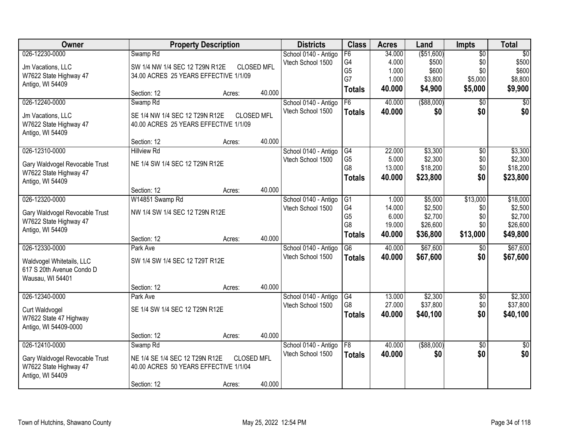| Owner                                                  |                                       | <b>Property Description</b> |                   | <b>Districts</b>     | <b>Class</b>    | <b>Acres</b> | Land        | <b>Impts</b>    | <b>Total</b>    |
|--------------------------------------------------------|---------------------------------------|-----------------------------|-------------------|----------------------|-----------------|--------------|-------------|-----------------|-----------------|
| 026-12230-0000                                         | Swamp <sub>Rd</sub>                   |                             |                   | School 0140 - Antigo | F6              | 34.000       | ( \$51,600) | $\overline{50}$ | $\overline{50}$ |
| Jm Vacations, LLC                                      | SW 1/4 NW 1/4 SEC 12 T29N R12E        |                             | <b>CLOSED MFL</b> | Vtech School 1500    | G4              | 4.000        | \$500       | \$0             | \$500           |
| W7622 State Highway 47                                 | 34.00 ACRES 25 YEARS EFFECTIVE 1/1/09 |                             |                   |                      | G <sub>5</sub>  | 1.000        | \$600       | \$0             | \$600           |
| Antigo, WI 54409                                       |                                       |                             |                   |                      | G7              | 1.000        | \$3,800     | \$5,000         | \$8,800         |
|                                                        | Section: 12                           | Acres:                      | 40.000            |                      | <b>Totals</b>   | 40.000       | \$4,900     | \$5,000         | \$9,900         |
| 026-12240-0000                                         | Swamp Rd                              |                             |                   | School 0140 - Antigo | F6              | 40.000       | ( \$88,000) | \$0             | $\overline{50}$ |
| Jm Vacations, LLC                                      | SE 1/4 NW 1/4 SEC 12 T29N R12E        |                             | <b>CLOSED MFL</b> | Vtech School 1500    | <b>Totals</b>   | 40.000       | \$0         | \$0             | \$0             |
| W7622 State Highway 47                                 | 40.00 ACRES 25 YEARS EFFECTIVE 1/1/09 |                             |                   |                      |                 |              |             |                 |                 |
| Antigo, WI 54409                                       |                                       |                             |                   |                      |                 |              |             |                 |                 |
|                                                        | Section: 12                           | Acres:                      | 40.000            |                      |                 |              |             |                 |                 |
| 026-12310-0000                                         | <b>Hillview Rd</b>                    |                             |                   | School 0140 - Antigo | G4              | 22.000       | \$3,300     | \$0             | \$3,300         |
| Gary Waldvogel Revocable Trust                         | NE 1/4 SW 1/4 SEC 12 T29N R12E        |                             |                   | Vtech School 1500    | G <sub>5</sub>  | 5.000        | \$2,300     | \$0             | \$2,300         |
| W7622 State Highway 47                                 |                                       |                             |                   |                      | G8              | 13.000       | \$18,200    | \$0             | \$18,200        |
| Antigo, WI 54409                                       |                                       |                             |                   |                      | <b>Totals</b>   | 40.000       | \$23,800    | \$0             | \$23,800        |
|                                                        | Section: 12                           | Acres:                      | 40.000            |                      |                 |              |             |                 |                 |
| 026-12320-0000                                         | W14851 Swamp Rd                       |                             |                   | School 0140 - Antigo | G1              | 1.000        | \$5,000     | \$13,000        | \$18,000        |
| Gary Waldvogel Revocable Trust                         | NW 1/4 SW 1/4 SEC 12 T29N R12E        |                             |                   | Vtech School 1500    | G4              | 14.000       | \$2,500     | \$0             | \$2,500         |
| W7622 State Highway 47                                 |                                       |                             |                   |                      | G <sub>5</sub>  | 6.000        | \$2,700     | \$0             | \$2,700         |
| Antigo, WI 54409                                       |                                       |                             |                   |                      | G <sub>8</sub>  | 19.000       | \$26,600    | \$0             | \$26,600        |
|                                                        | Section: 12                           | Acres:                      | 40.000            |                      | <b>Totals</b>   | 40.000       | \$36,800    | \$13,000        | \$49,800        |
| 026-12330-0000                                         | Park Ave                              |                             |                   | School 0140 - Antigo | $\overline{G6}$ | 40.000       | \$67,600    | $\overline{60}$ | \$67,600        |
|                                                        | SW 1/4 SW 1/4 SEC 12 T29T R12E        |                             |                   | Vtech School 1500    | <b>Totals</b>   | 40.000       | \$67,600    | \$0             | \$67,600        |
| Waldvogel Whitetails, LLC<br>617 S 20th Avenue Condo D |                                       |                             |                   |                      |                 |              |             |                 |                 |
| Wausau, WI 54401                                       |                                       |                             |                   |                      |                 |              |             |                 |                 |
|                                                        | Section: 12                           | Acres:                      | 40.000            |                      |                 |              |             |                 |                 |
| 026-12340-0000                                         | Park Ave                              |                             |                   | School 0140 - Antigo | G4              | 13.000       | \$2,300     | $\overline{50}$ | \$2,300         |
| Curt Waldvogel                                         | SE 1/4 SW 1/4 SEC 12 T29N R12E        |                             |                   | Vtech School 1500    | G8              | 27.000       | \$37,800    | \$0             | \$37,800        |
| W7622 State 47 Highway                                 |                                       |                             |                   |                      | <b>Totals</b>   | 40.000       | \$40,100    | \$0             | \$40,100        |
| Antigo, WI 54409-0000                                  |                                       |                             |                   |                      |                 |              |             |                 |                 |
|                                                        | Section: 12                           | Acres:                      | 40.000            |                      |                 |              |             |                 |                 |
| 026-12410-0000                                         | Swamp Rd                              |                             |                   | School 0140 - Antigo | F8              | 40.000       | ( \$88,000) | $\overline{50}$ | $\overline{50}$ |
| Gary Waldvogel Revocable Trust                         | NE 1/4 SE 1/4 SEC 12 T29N R12E        |                             | <b>CLOSED MFL</b> | Vtech School 1500    | <b>Totals</b>   | 40.000       | \$0         | \$0             | \$0             |
| W7622 State Highway 47                                 | 40.00 ACRES 50 YEARS EFFECTIVE 1/1/04 |                             |                   |                      |                 |              |             |                 |                 |
| Antigo, WI 54409                                       |                                       |                             |                   |                      |                 |              |             |                 |                 |
|                                                        | Section: 12                           | Acres:                      | 40.000            |                      |                 |              |             |                 |                 |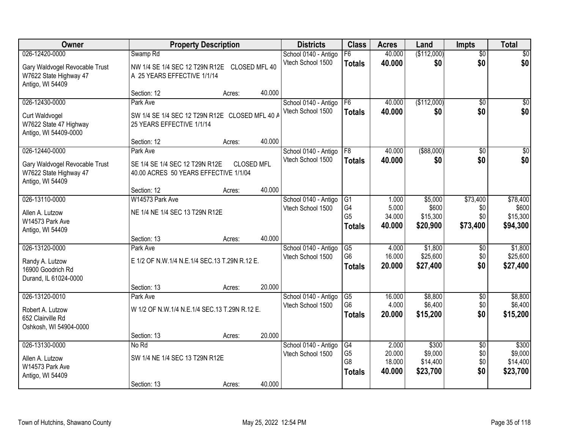| Owner                                                                        |                                                                             | <b>Property Description</b> |        | <b>Districts</b>                          | <b>Class</b>         | <b>Acres</b>     | Land                 | <b>Impts</b>           | <b>Total</b>         |
|------------------------------------------------------------------------------|-----------------------------------------------------------------------------|-----------------------------|--------|-------------------------------------------|----------------------|------------------|----------------------|------------------------|----------------------|
| 026-12420-0000                                                               | Swamp <sub>Rd</sub>                                                         |                             |        | School 0140 - Antigo                      | F6                   | 40.000           | (\$112,000)          | $\overline{50}$        | $\sqrt{30}$          |
| Gary Waldvogel Revocable Trust<br>W7622 State Highway 47<br>Antigo, WI 54409 | NW 1/4 SE 1/4 SEC 12 T29N R12E CLOSED MFL 40<br>A 25 YEARS EFFECTIVE 1/1/14 |                             |        | Vtech School 1500                         | <b>Totals</b>        | 40.000           | \$0                  | \$0                    | \$0                  |
|                                                                              | Section: 12                                                                 | Acres:                      | 40.000 |                                           |                      |                  |                      |                        |                      |
| 026-12430-0000                                                               | Park Ave                                                                    |                             |        | School 0140 - Antigo<br>Vtech School 1500 | F6<br><b>Totals</b>  | 40.000<br>40.000 | (\$112,000)<br>\$0   | $\overline{30}$<br>\$0 | $\sqrt{50}$<br>\$0   |
| Curt Waldvogel<br>W7622 State 47 Highway<br>Antigo, WI 54409-0000            | SW 1/4 SE 1/4 SEC 12 T29N R12E CLOSED MFL 40 A<br>25 YEARS EFFECTIVE 1/1/14 |                             |        |                                           |                      |                  |                      |                        |                      |
|                                                                              | Section: 12                                                                 | Acres:                      | 40.000 |                                           |                      |                  |                      |                        |                      |
| 026-12440-0000                                                               | Park Ave                                                                    |                             |        | School 0140 - Antigo                      | F8                   | 40.000           | ( \$88,000)          | \$0                    | \$0                  |
| Gary Waldvogel Revocable Trust<br>W7622 State Highway 47<br>Antigo, WI 54409 | SE 1/4 SE 1/4 SEC 12 T29N R12E<br>40.00 ACRES 50 YEARS EFFECTIVE 1/1/04     | <b>CLOSED MFL</b>           |        | Vtech School 1500                         | <b>Totals</b>        | 40.000           | \$0                  | \$0                    | \$0                  |
|                                                                              | Section: 12                                                                 | Acres:                      | 40.000 |                                           |                      |                  |                      |                        |                      |
| 026-13110-0000                                                               | W14573 Park Ave                                                             |                             |        | School 0140 - Antigo                      | G1                   | 1.000            | \$5,000              | \$73,400               | \$78,400             |
| Allen A. Lutzow                                                              | NE 1/4 NE 1/4 SEC 13 T29N R12E                                              |                             |        | Vtech School 1500                         | G4<br>G <sub>5</sub> | 5.000            | \$600                | \$0<br>\$0             | \$600                |
| W14573 Park Ave                                                              |                                                                             |                             |        |                                           | <b>Totals</b>        | 34.000<br>40.000 | \$15,300<br>\$20,900 | \$73,400               | \$15,300<br>\$94,300 |
| Antigo, WI 54409                                                             |                                                                             |                             |        |                                           |                      |                  |                      |                        |                      |
|                                                                              | Section: 13                                                                 | Acres:                      | 40.000 |                                           |                      |                  |                      |                        |                      |
| 026-13120-0000                                                               | Park Ave                                                                    |                             |        | School 0140 - Antigo                      | G5<br>G <sub>6</sub> | 4.000<br>16.000  | \$1,800<br>\$25,600  | $\overline{50}$<br>\$0 | \$1,800<br>\$25,600  |
| Randy A. Lutzow                                                              | E 1/2 OF N.W.1/4 N.E.1/4 SEC.13 T.29N R.12 E.                               |                             |        | Vtech School 1500                         | <b>Totals</b>        | 20.000           | \$27,400             | \$0                    | \$27,400             |
| 16900 Goodrich Rd                                                            |                                                                             |                             |        |                                           |                      |                  |                      |                        |                      |
| Durand, IL 61024-0000                                                        |                                                                             |                             |        |                                           |                      |                  |                      |                        |                      |
| 026-13120-0010                                                               | Section: 13                                                                 | Acres:                      | 20.000 |                                           | $\overline{G5}$      | 16.000           | \$8,800              | $\overline{50}$        | \$8,800              |
|                                                                              | Park Ave                                                                    |                             |        | School 0140 - Antigo<br>Vtech School 1500 | G <sub>6</sub>       | 4.000            | \$6,400              | \$0                    | \$6,400              |
| Robert A. Lutzow                                                             | W 1/2 OF N.W.1/4 N.E.1/4 SEC.13 T.29N R.12 E.                               |                             |        |                                           | <b>Totals</b>        | 20,000           | \$15,200             | \$0                    | \$15,200             |
| 652 Clairville Rd                                                            |                                                                             |                             |        |                                           |                      |                  |                      |                        |                      |
| Oshkosh, WI 54904-0000                                                       | Section: 13                                                                 | Acres:                      | 20.000 |                                           |                      |                  |                      |                        |                      |
| 026-13130-0000                                                               | No Rd                                                                       |                             |        | School 0140 - Antigo                      | G4                   | 2.000            | \$300                | $\overline{50}$        | \$300                |
|                                                                              |                                                                             |                             |        | Vtech School 1500                         | G <sub>5</sub>       | 20.000           | \$9,000              | \$0                    | \$9,000              |
| Allen A. Lutzow                                                              | SW 1/4 NE 1/4 SEC 13 T29N R12E                                              |                             |        |                                           | G8                   | 18.000           | \$14,400             | \$0                    | \$14,400             |
| W14573 Park Ave<br>Antigo, WI 54409                                          |                                                                             |                             |        |                                           | <b>Totals</b>        | 40.000           | \$23,700             | \$0                    | \$23,700             |
|                                                                              | Section: 13                                                                 | Acres:                      | 40.000 |                                           |                      |                  |                      |                        |                      |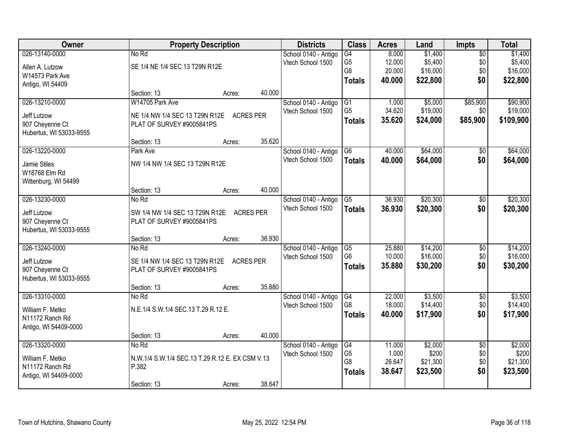| Owner                   |                                                 | <b>Property Description</b> |                  | <b>Districts</b>     | <b>Class</b>    | <b>Acres</b> | Land     | Impts           | <b>Total</b> |
|-------------------------|-------------------------------------------------|-----------------------------|------------------|----------------------|-----------------|--------------|----------|-----------------|--------------|
| 026-13140-0000          | No Rd                                           |                             |                  | School 0140 - Antigo | $\overline{G4}$ | 8.000        | \$1,400  | $\overline{50}$ | \$1,400      |
| Allen A. Lutzow         | SE 1/4 NE 1/4 SEC 13 T29N R12E                  |                             |                  | Vtech School 1500    | G <sub>5</sub>  | 12.000       | \$5,400  | \$0             | \$5,400      |
| W14573 Park Ave         |                                                 |                             |                  |                      | G8              | 20.000       | \$16,000 | \$0             | \$16,000     |
| Antigo, WI 54409        |                                                 |                             |                  |                      | <b>Totals</b>   | 40.000       | \$22,800 | \$0             | \$22,800     |
|                         | Section: 13                                     | Acres:                      | 40.000           |                      |                 |              |          |                 |              |
| 026-13210-0000          | W14705 Park Ave                                 |                             |                  | School 0140 - Antigo | G1              | 1.000        | \$5,000  | \$85,900        | \$90,900     |
| Jeff Lutzow             | NE 1/4 NW 1/4 SEC 13 T29N R12E                  | <b>ACRES PER</b>            |                  | Vtech School 1500    | G <sub>5</sub>  | 34.620       | \$19,000 | \$0             | \$19,000     |
| 907 Cheyenne Ct         | PLAT OF SURVEY #9005841PS                       |                             |                  |                      | <b>Totals</b>   | 35.620       | \$24,000 | \$85,900        | \$109,900    |
| Hubertus, WI 53033-9555 |                                                 |                             |                  |                      |                 |              |          |                 |              |
|                         | Section: 13                                     | Acres:                      | 35.620           |                      |                 |              |          |                 |              |
| 026-13220-0000          | Park Ave                                        |                             |                  | School 0140 - Antigo | G <sub>6</sub>  | 40.000       | \$64,000 | $\overline{50}$ | \$64,000     |
| Jamie Stiles            | NW 1/4 NW 1/4 SEC 13 T29N R12E                  |                             |                  | Vtech School 1500    | <b>Totals</b>   | 40.000       | \$64,000 | \$0             | \$64,000     |
| W18768 Elm Rd           |                                                 |                             |                  |                      |                 |              |          |                 |              |
| Wittenburg, WI 54499    |                                                 |                             |                  |                      |                 |              |          |                 |              |
|                         | Section: 13                                     | Acres:                      | 40.000           |                      |                 |              |          |                 |              |
| 026-13230-0000          | No Rd                                           |                             |                  | School 0140 - Antigo | G5              | 36.930       | \$20,300 | \$0             | \$20,300     |
| Jeff Lutzow             | SW 1/4 NW 1/4 SEC 13 T29N R12E                  |                             | <b>ACRES PER</b> | Vtech School 1500    | <b>Totals</b>   | 36.930       | \$20,300 | \$0             | \$20,300     |
| 907 Cheyenne Ct         | PLAT OF SURVEY #9005841PS                       |                             |                  |                      |                 |              |          |                 |              |
| Hubertus, WI 53033-9555 |                                                 |                             |                  |                      |                 |              |          |                 |              |
|                         | Section: 13                                     | Acres:                      | 36.930           |                      |                 |              |          |                 |              |
| 026-13240-0000          | No Rd                                           |                             |                  | School 0140 - Antigo | G5              | 25.880       | \$14,200 | $\overline{50}$ | \$14,200     |
| Jeff Lutzow             | SE 1/4 NW 1/4 SEC 13 T29N R12E                  | <b>ACRES PER</b>            |                  | Vtech School 1500    | G <sub>6</sub>  | 10.000       | \$16,000 | \$0             | \$16,000     |
| 907 Cheyenne Ct         | PLAT OF SURVEY #9005841PS                       |                             |                  |                      | <b>Totals</b>   | 35.880       | \$30,200 | \$0             | \$30,200     |
| Hubertus, WI 53033-9555 |                                                 |                             |                  |                      |                 |              |          |                 |              |
|                         | Section: 13                                     | Acres:                      | 35.880           |                      |                 |              |          |                 |              |
| 026-13310-0000          | No Rd                                           |                             |                  | School 0140 - Antigo | G4              | 22.000       | \$3,500  | $\overline{60}$ | \$3,500      |
| William F. Metko        | N.E.1/4 S.W.1/4 SEC.13 T.29 R.12 E.             |                             |                  | Vtech School 1500    | G <sub>8</sub>  | 18.000       | \$14,400 | \$0             | \$14,400     |
| N11172 Ranch Rd         |                                                 |                             |                  |                      | <b>Totals</b>   | 40.000       | \$17,900 | \$0             | \$17,900     |
| Antigo, WI 54409-0000   |                                                 |                             |                  |                      |                 |              |          |                 |              |
|                         | Section: 13                                     | Acres:                      | 40.000           |                      |                 |              |          |                 |              |
| 026-13320-0000          | No Rd                                           |                             |                  | School 0140 - Antigo | G4              | 11.000       | \$2,000  | $\overline{50}$ | \$2,000      |
| William F. Metko        | N.W.1/4 S.W.1/4 SEC.13 T.29 R.12 E. EX CSM V.13 |                             |                  | Vtech School 1500    | G <sub>5</sub>  | 1.000        | \$200    | \$0             | \$200        |
| N11172 Ranch Rd         | P.382                                           |                             |                  |                      | G8              | 26.647       | \$21,300 | \$0             | \$21,300     |
| Antigo, WI 54409-0000   |                                                 |                             |                  |                      | <b>Totals</b>   | 38.647       | \$23,500 | \$0             | \$23,500     |
|                         | Section: 13                                     | Acres:                      | 38.647           |                      |                 |              |          |                 |              |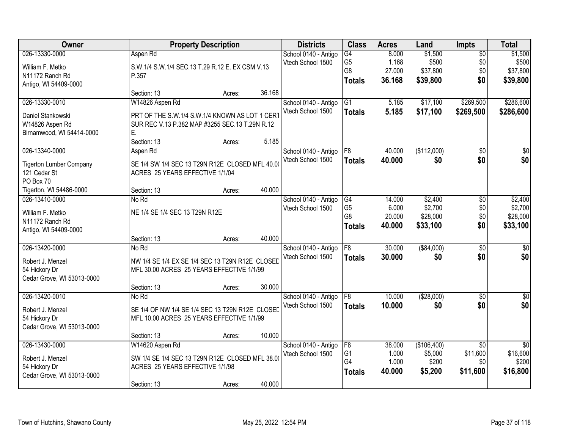| Owner                          |                                                 | <b>Property Description</b> |        | <b>Districts</b>                          | <b>Class</b>                     | <b>Acres</b>    | Land                   | <b>Impts</b>                | <b>Total</b>                |
|--------------------------------|-------------------------------------------------|-----------------------------|--------|-------------------------------------------|----------------------------------|-----------------|------------------------|-----------------------------|-----------------------------|
| 026-13330-0000                 | Aspen Rd                                        |                             |        | School 0140 - Antigo                      | $\overline{G4}$                  | 8.000           | \$1,500                | $\overline{50}$             | \$1,500                     |
| William F. Metko               | S.W.1/4 S.W.1/4 SEC.13 T.29 R.12 E. EX CSM V.13 |                             |        | Vtech School 1500                         | G <sub>5</sub>                   | 1.168           | \$500                  | \$0                         | \$500                       |
| N11172 Ranch Rd                | P.357                                           |                             |        |                                           | G8                               | 27.000          | \$37,800               | \$0                         | \$37,800                    |
| Antigo, WI 54409-0000          |                                                 |                             |        |                                           | <b>Totals</b>                    | 36.168          | \$39,800               | \$0                         | \$39,800                    |
|                                | Section: 13                                     | Acres:                      | 36.168 |                                           |                                  |                 |                        |                             |                             |
| 026-13330-0010                 | W14826 Aspen Rd                                 |                             |        | School 0140 - Antigo                      | $\overline{G1}$                  | 5.185           | \$17,100               | \$269,500                   | \$286,600                   |
| Daniel Stankowski              | PRT OF THE S.W.1/4 S.W.1/4 KNOWN AS LOT 1 CERT  |                             |        | Vtech School 1500                         | <b>Totals</b>                    | 5.185           | \$17,100               | \$269,500                   | \$286,600                   |
| W14826 Aspen Rd                | SUR REC V.13 P.382 MAP #3255 SEC.13 T.29N R.12  |                             |        |                                           |                                  |                 |                        |                             |                             |
| Birnamwood, WI 54414-0000      | Е.                                              |                             |        |                                           |                                  |                 |                        |                             |                             |
|                                | Section: 13                                     | Acres:                      | 5.185  |                                           |                                  |                 |                        |                             |                             |
| 026-13340-0000                 | Aspen Rd                                        |                             |        | School 0140 - Antigo                      | F8                               | 40.000          | (\$112,000)            | \$0                         | $\overline{30}$             |
| <b>Tigerton Lumber Company</b> | SE 1/4 SW 1/4 SEC 13 T29N R12E CLOSED MFL 40.00 |                             |        | Vtech School 1500                         | <b>Totals</b>                    | 40.000          | \$0                    | \$0                         | \$0                         |
| 121 Cedar St                   | ACRES 25 YEARS EFFECTIVE 1/1/04                 |                             |        |                                           |                                  |                 |                        |                             |                             |
| PO Box 70                      |                                                 |                             |        |                                           |                                  |                 |                        |                             |                             |
| Tigerton, WI 54486-0000        | Section: 13                                     | Acres:                      | 40.000 |                                           |                                  |                 |                        |                             |                             |
| 026-13410-0000                 | No Rd                                           |                             |        | School 0140 - Antigo                      | G4                               | 14.000          | \$2,400                | $\sqrt[6]{3}$               | \$2,400                     |
| William F. Metko               | NE 1/4 SE 1/4 SEC 13 T29N R12E                  |                             |        | Vtech School 1500                         | G <sub>5</sub><br>G <sub>8</sub> | 6.000<br>20.000 | \$2,700<br>\$28,000    | \$0<br>\$0                  | \$2,700<br>\$28,000         |
| N11172 Ranch Rd                |                                                 |                             |        |                                           | <b>Totals</b>                    | 40.000          | \$33,100               | \$0                         | \$33,100                    |
| Antigo, WI 54409-0000          |                                                 |                             |        |                                           |                                  |                 |                        |                             |                             |
|                                | Section: 13                                     | Acres:                      | 40.000 |                                           |                                  |                 |                        |                             |                             |
| 026-13420-0000                 | No Rd                                           |                             |        | School 0140 - Antigo                      | F8                               | 30.000          | ( \$84,000)            | $\overline{50}$             | $\overline{50}$             |
| Robert J. Menzel               | NW 1/4 SE 1/4 EX SE 1/4 SEC 13 T29N R12E CLOSED |                             |        | Vtech School 1500                         | <b>Totals</b>                    | 30,000          | \$0                    | \$0                         | \$0                         |
| 54 Hickory Dr                  | MFL 30.00 ACRES 25 YEARS EFFECTIVE 1/1/99       |                             |        |                                           |                                  |                 |                        |                             |                             |
| Cedar Grove, WI 53013-0000     |                                                 |                             |        |                                           |                                  |                 |                        |                             |                             |
|                                | Section: 13                                     | Acres:                      | 30.000 |                                           |                                  |                 |                        |                             |                             |
| 026-13420-0010                 | No Rd                                           |                             |        | School 0140 - Antigo<br>Vtech School 1500 | F <sub>8</sub>                   | 10.000          | (\$28,000)             | $\overline{30}$<br>\$0      | $\overline{\$0}$<br>\$0     |
| Robert J. Menzel               | SE 1/4 OF NW 1/4 SE 1/4 SEC 13 T29N R12E CLOSED |                             |        |                                           | <b>Totals</b>                    | 10.000          | \$0                    |                             |                             |
| 54 Hickory Dr                  | MFL 10.00 ACRES 25 YEARS EFFECTIVE 1/1/99       |                             |        |                                           |                                  |                 |                        |                             |                             |
| Cedar Grove, WI 53013-0000     |                                                 |                             |        |                                           |                                  |                 |                        |                             |                             |
|                                | Section: 13                                     | Acres:                      | 10.000 |                                           |                                  |                 |                        |                             |                             |
| 026-13430-0000                 | W14620 Aspen Rd                                 |                             |        | School 0140 - Antigo<br>Vtech School 1500 | F8<br>G <sub>1</sub>             | 38,000<br>1.000 | (\$106,400)<br>\$5,000 | $\overline{50}$<br>\$11,600 | $\overline{50}$<br>\$16,600 |
| Robert J. Menzel               | SW 1/4 SE 1/4 SEC 13 T29N R12E CLOSED MFL 38.00 |                             |        |                                           | G4                               | 1.000           | \$200                  | \$0                         | \$200                       |
| 54 Hickory Dr                  | ACRES 25 YEARS EFFECTIVE 1/1/98                 |                             |        |                                           | <b>Totals</b>                    | 40.000          | \$5,200                | \$11,600                    | \$16,800                    |
| Cedar Grove, WI 53013-0000     |                                                 |                             |        |                                           |                                  |                 |                        |                             |                             |
|                                | Section: 13                                     | Acres:                      | 40.000 |                                           |                                  |                 |                        |                             |                             |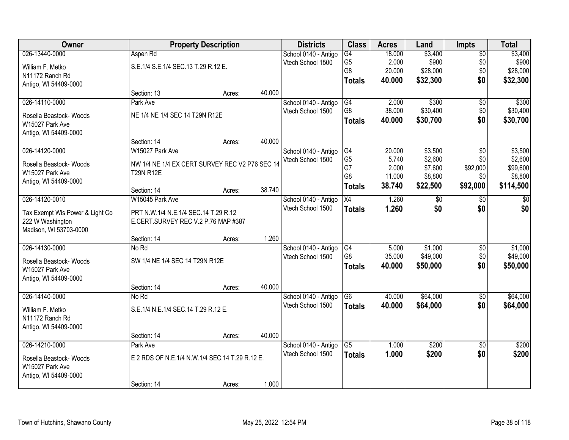| Owner                           |                                                | <b>Property Description</b> |        | <b>Districts</b>     | <b>Class</b>         | <b>Acres</b>    | Land               | <b>Impts</b>    | <b>Total</b>        |
|---------------------------------|------------------------------------------------|-----------------------------|--------|----------------------|----------------------|-----------------|--------------------|-----------------|---------------------|
| 026-13440-0000                  | Aspen Rd                                       |                             |        | School 0140 - Antigo | G4                   | 18.000          | \$3,400            | $\overline{50}$ | \$3,400             |
| William F. Metko                | S.E.1/4 S.E.1/4 SEC.13 T.29 R.12 E.            |                             |        | Vtech School 1500    | G <sub>5</sub>       | 2.000           | \$900              | \$0             | \$900               |
| N11172 Ranch Rd                 |                                                |                             |        |                      | G <sub>8</sub>       | 20.000          | \$28,000           | \$0             | \$28,000            |
| Antigo, WI 54409-0000           |                                                |                             |        |                      | <b>Totals</b>        | 40.000          | \$32,300           | \$0             | \$32,300            |
|                                 | Section: 13                                    | Acres:                      | 40.000 |                      |                      |                 |                    |                 |                     |
| 026-14110-0000                  | Park Ave                                       |                             |        | School 0140 - Antigo | G4                   | 2.000           | \$300              | \$0             | \$300               |
| Rosella Beastock- Woods         | NE 1/4 NE 1/4 SEC 14 T29N R12E                 |                             |        | Vtech School 1500    | G <sub>8</sub>       | 38.000          | \$30,400           | \$0             | \$30,400            |
| W15027 Park Ave                 |                                                |                             |        |                      | <b>Totals</b>        | 40.000          | \$30,700           | \$0             | \$30,700            |
| Antigo, WI 54409-0000           |                                                |                             |        |                      |                      |                 |                    |                 |                     |
|                                 | Section: 14                                    | Acres:                      | 40.000 |                      |                      |                 |                    |                 |                     |
| 026-14120-0000                  | W15027 Park Ave                                |                             |        | School 0140 - Antigo | G4                   | 20.000          | \$3,500            | $\overline{50}$ | \$3,500             |
| Rosella Beastock- Woods         | NW 1/4 NE 1/4 EX CERT SURVEY REC V2 P76 SEC 14 |                             |        | Vtech School 1500    | G <sub>5</sub>       | 5.740           | \$2,600            | \$0             | \$2,600             |
| W15027 Park Ave                 | <b>T29N R12E</b>                               |                             |        |                      | G7<br>G <sub>8</sub> | 2.000<br>11.000 | \$7,600<br>\$8,800 | \$92,000<br>\$0 | \$99,600<br>\$8,800 |
| Antigo, WI 54409-0000           |                                                |                             |        |                      | <b>Totals</b>        | 38.740          | \$22,500           | \$92,000        | \$114,500           |
|                                 | Section: 14                                    | Acres:                      | 38.740 |                      |                      |                 |                    |                 |                     |
| 026-14120-0010                  | W15045 Park Ave                                |                             |        | School 0140 - Antigo | X4                   | 1.260           | $\sqrt[6]{3}$      | \$0             | \$0                 |
| Tax Exempt Wis Power & Light Co | PRT N.W.1/4 N.E.1/4 SEC.14 T.29 R.12           |                             |        | Vtech School 1500    | <b>Totals</b>        | 1.260           | \$0                | \$0             | \$0                 |
| 222 W Washington                | E.CERT.SURVEY REC V.2 P.76 MAP #387            |                             |        |                      |                      |                 |                    |                 |                     |
| Madison, WI 53703-0000          |                                                |                             |        |                      |                      |                 |                    |                 |                     |
|                                 | Section: 14                                    | Acres:                      | 1.260  |                      |                      |                 |                    |                 |                     |
| 026-14130-0000                  | No Rd                                          |                             |        | School 0140 - Antigo | G4                   | 5.000           | \$1,000            | $\overline{50}$ | \$1,000             |
| Rosella Beastock- Woods         | SW 1/4 NE 1/4 SEC 14 T29N R12E                 |                             |        | Vtech School 1500    | G <sub>8</sub>       | 35.000          | \$49,000           | \$0             | \$49,000            |
| W15027 Park Ave                 |                                                |                             |        |                      | <b>Totals</b>        | 40.000          | \$50,000           | \$0             | \$50,000            |
| Antigo, WI 54409-0000           |                                                |                             |        |                      |                      |                 |                    |                 |                     |
|                                 | Section: 14                                    | Acres:                      | 40.000 |                      |                      |                 |                    |                 |                     |
| 026-14140-0000                  | No Rd                                          |                             |        | School 0140 - Antigo | G <sub>6</sub>       | 40.000          | \$64,000           | $\overline{60}$ | \$64,000            |
| William F. Metko                | S.E.1/4 N.E.1/4 SEC.14 T.29 R.12 E.            |                             |        | Vtech School 1500    | <b>Totals</b>        | 40.000          | \$64,000           | \$0             | \$64,000            |
| N11172 Ranch Rd                 |                                                |                             |        |                      |                      |                 |                    |                 |                     |
| Antigo, WI 54409-0000           |                                                |                             |        |                      |                      |                 |                    |                 |                     |
|                                 | Section: 14                                    | Acres:                      | 40.000 |                      |                      |                 |                    |                 |                     |
| 026-14210-0000                  | Park Ave                                       |                             |        | School 0140 - Antigo | G5                   | 1.000           | \$200              | $\overline{30}$ | \$200               |
| Rosella Beastock- Woods         | E 2 RDS OF N.E.1/4 N.W.1/4 SEC.14 T.29 R.12 E. |                             |        | Vtech School 1500    | <b>Totals</b>        | 1.000           | \$200              | \$0             | \$200               |
| W15027 Park Ave                 |                                                |                             |        |                      |                      |                 |                    |                 |                     |
| Antigo, WI 54409-0000           |                                                |                             |        |                      |                      |                 |                    |                 |                     |
|                                 | Section: 14                                    | Acres:                      | 1.000  |                      |                      |                 |                    |                 |                     |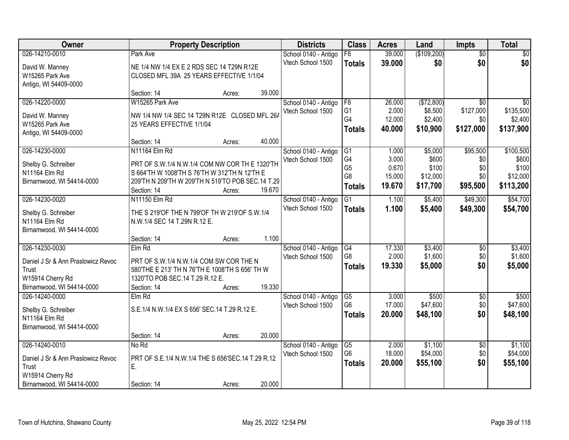| <b>Owner</b>                       | <b>Property Description</b>                       |        |        | <b>Districts</b>     | <b>Class</b>                      | <b>Acres</b>     | Land                | <b>Impts</b>           | <b>Total</b>        |
|------------------------------------|---------------------------------------------------|--------|--------|----------------------|-----------------------------------|------------------|---------------------|------------------------|---------------------|
| 026-14210-0010                     | Park Ave                                          |        |        | School 0140 - Antigo | F8                                | 39.000           | (\$109,200)         | $\overline{50}$        | $\sqrt{30}$         |
| David W. Manney                    | NE 1/4 NW 1/4 EX E 2 RDS SEC 14 T29N R12E         |        |        | Vtech School 1500    | <b>Totals</b>                     | 39.000           | \$0                 | \$0                    | \$0                 |
| W15265 Park Ave                    | CLOSED MFL 39A 25 YEARS EFFECTIVE 1/1/04          |        |        |                      |                                   |                  |                     |                        |                     |
| Antigo, WI 54409-0000              |                                                   |        |        |                      |                                   |                  |                     |                        |                     |
|                                    | Section: 14                                       | Acres: | 39.000 |                      |                                   |                  |                     |                        |                     |
| 026-14220-0000                     | W15265 Park Ave                                   |        |        | School 0140 - Antigo | F8                                | 26.000           | (\$72,800)          | $\overline{30}$        | \$0                 |
| David W. Manney                    | NW 1/4 NW 1/4 SEC 14 T29N R12E CLOSED MFL 26/     |        |        | Vtech School 1500    | G <sub>1</sub>                    | 2.000            | \$8,500             | \$127,000              | \$135,500           |
| W15265 Park Ave                    | 25 YEARS EFFECTIVE 1/1/04                         |        |        |                      | G4                                | 12.000           | \$2,400             | \$0                    | \$2,400             |
| Antigo, WI 54409-0000              |                                                   |        |        |                      | <b>Totals</b>                     | 40.000           | \$10,900            | \$127,000              | \$137,900           |
|                                    | Section: 14                                       | Acres: | 40.000 |                      |                                   |                  |                     |                        |                     |
| 026-14230-0000                     | N11164 Elm Rd                                     |        |        | School 0140 - Antigo | G1                                | 1.000            | \$5,000             | \$95,500               | \$100,500           |
| Shelby G. Schreiber                | PRT OF S.W.1/4 N.W.1/4 COM NW COR TH E 1320'TH    |        |        | Vtech School 1500    | G4                                | 3.000            | \$600               | \$0                    | \$600               |
| N11164 Elm Rd                      | S 664'TH W 1008'TH S 76'TH W 312'TH N 12'TH E     |        |        |                      | G <sub>5</sub><br>G8              | 0.670<br>15.000  | \$100<br>\$12,000   | \$0<br>\$0             | \$100<br>\$12,000   |
| Birnamwood, WI 54414-0000          | 209'TH N 209'TH W 209'TH N 519'TO POB SEC.14 T.29 |        |        |                      | <b>Totals</b>                     | 19.670           | \$17,700            | \$95,500               | \$113,200           |
|                                    | Section: 14                                       | Acres: | 19.670 |                      |                                   |                  |                     |                        |                     |
| 026-14230-0020                     | N11150 Elm Rd                                     |        |        | School 0140 - Antigo | G1                                | 1.100            | \$5,400             | \$49,300               | \$54,700            |
| Shelby G. Schreiber                | THE S 219'OF THE N 799'OF TH W 219'OF S.W.1/4     |        |        | Vtech School 1500    | <b>Totals</b>                     | 1.100            | \$5,400             | \$49,300               | \$54,700            |
| N11164 Elm Rd                      | N.W.1/4 SEC 14 T.29N R.12 E.                      |        |        |                      |                                   |                  |                     |                        |                     |
| Birnamwood, WI 54414-0000          |                                                   |        |        |                      |                                   |                  |                     |                        |                     |
|                                    | Section: 14                                       | Acres: | 1.100  |                      |                                   |                  |                     |                        |                     |
| 026-14230-0030                     | Elm Rd                                            |        |        | School 0140 - Antigo | G4                                | 17.330           | \$3,400             | $\overline{50}$        | \$3,400             |
| Daniel J Sr & Ann Praslowicz Revoc | PRT OF S.W.1/4 N.W.1/4 COM SW COR THE N           |        |        | Vtech School 1500    | G <sub>8</sub>                    | 2.000            | \$1,600             | \$0                    | \$1,600             |
| Trust                              | 580'THE E 213' TH N 76'TH E 1008'TH S 656' TH W   |        |        |                      | <b>Totals</b>                     | 19.330           | \$5,000             | \$0                    | \$5,000             |
| W15914 Cherry Rd                   | 1320'TO POB SEC.14 T.29 R.12 E.                   |        |        |                      |                                   |                  |                     |                        |                     |
| Birnamwood, WI 54414-0000          | Section: 14                                       | Acres: | 19.330 |                      |                                   |                  |                     |                        |                     |
| 026-14240-0000                     | Elm Rd                                            |        |        | School 0140 - Antigo | $\overline{G5}$<br>G <sub>6</sub> | 3.000            | \$500               | $\sqrt{$0}$            | \$500               |
| Shelby G. Schreiber                | S.E.1/4 N.W.1/4 EX S 656' SEC.14 T.29 R.12 E.     |        |        | Vtech School 1500    |                                   | 17.000<br>20.000 | \$47,600            | \$0<br>\$0             | \$47,600            |
| N11164 Elm Rd                      |                                                   |        |        |                      | <b>Totals</b>                     |                  | \$48,100            |                        | \$48,100            |
| Birnamwood, WI 54414-0000          |                                                   |        |        |                      |                                   |                  |                     |                        |                     |
|                                    | Section: 14                                       | Acres: | 20.000 |                      |                                   |                  |                     |                        |                     |
| 026-14240-0010                     | No Rd                                             |        |        | School 0140 - Antigo | $\overline{G5}$<br>G <sub>6</sub> | 2.000<br>18.000  | \$1,100<br>\$54,000 | $\overline{50}$<br>\$0 | \$1,100<br>\$54,000 |
| Daniel J Sr & Ann Praslowicz Revoc | PRT OF S.E.1/4 N.W.1/4 THE S 656'SEC.14 T.29 R.12 |        |        | Vtech School 1500    |                                   |                  |                     | \$0                    |                     |
| Trust                              | E.                                                |        |        |                      | <b>Totals</b>                     | 20.000           | \$55,100            |                        | \$55,100            |
| W15914 Cherry Rd                   |                                                   |        |        |                      |                                   |                  |                     |                        |                     |
| Birnamwood, WI 54414-0000          | Section: 14                                       | Acres: | 20.000 |                      |                                   |                  |                     |                        |                     |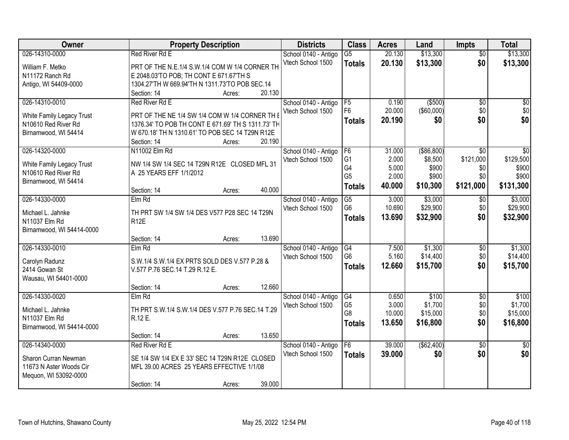| Owner                              | <b>Property Description</b>                                       |        |        | <b>Districts</b>     | <b>Class</b>         | <b>Acres</b>   | Land              | <b>Impts</b>    | <b>Total</b>     |
|------------------------------------|-------------------------------------------------------------------|--------|--------|----------------------|----------------------|----------------|-------------------|-----------------|------------------|
| 026-14310-0000                     | Red River Rd E                                                    |        |        | School 0140 - Antigo | $\overline{G5}$      | 20.130         | \$13,300          | $\overline{50}$ | \$13,300         |
| William F. Metko                   | PRT OF THE N.E.1/4 S.W.1/4 COM W 1/4 CORNER TH                    |        |        | Vtech School 1500    | <b>Totals</b>        | 20.130         | \$13,300          | \$0             | \$13,300         |
| N11172 Ranch Rd                    | E 2048.03'TO POB; TH CONT E 671.67'TH S                           |        |        |                      |                      |                |                   |                 |                  |
| Antigo, WI 54409-0000              | 1304.27'TH W 669.94'TH N 1311.73'TO POB SEC.14                    |        |        |                      |                      |                |                   |                 |                  |
|                                    | Section: 14                                                       | Acres: | 20.130 |                      |                      |                |                   |                 |                  |
| 026-14310-0010                     | <b>Red River Rd E</b>                                             |        |        | School 0140 - Antigo | F5                   | 0.190          | ( \$500)          | $\overline{50}$ | \$0              |
| White Family Legacy Trust          | PRT OF THE NE 1/4 SW 1/4 COM W 1/4 CORNER TH I                    |        |        | Vtech School 1500    | F <sub>6</sub>       | 20.000         | $($ \$60,000) $ $ | \$0             | \$0              |
| N10610 Red River Rd                | 1376.34' TO POB TH CONT E 671.69' TH S 1311.73' TH                |        |        |                      | <b>Totals</b>        | 20.190         | \$0               | \$0             | \$0              |
| Birnamwood, WI 54414               | W 670.18' TH N 1310.61' TO POB SEC 14 T29N R12E                   |        |        |                      |                      |                |                   |                 |                  |
|                                    | Section: 14                                                       | Acres: | 20.190 |                      |                      |                |                   |                 |                  |
| 026-14320-0000                     | N11002 Elm Rd                                                     |        |        | School 0140 - Antigo | F <sub>6</sub>       | 31.000         | ( \$86, 800)      | $\overline{50}$ | $\overline{30}$  |
| White Family Legacy Trust          | NW 1/4 SW 1/4 SEC 14 T29N R12E CLOSED MFL 31                      |        |        | Vtech School 1500    | G <sub>1</sub>       | 2.000          | \$8,500           | \$121,000       | \$129,500        |
| N10610 Red River Rd                | A 25 YEARS EFF 1/1/2012                                           |        |        |                      | G4                   | 5.000          | \$900             | \$0             | \$900            |
| Birnamwood, WI 54414               |                                                                   |        |        |                      | G <sub>5</sub>       | 2.000          | \$900             | \$0             | \$900            |
|                                    | Section: 14                                                       | Acres: | 40.000 |                      | <b>Totals</b>        | 40.000         | \$10,300          | \$121,000       | \$131,300        |
| 026-14330-0000                     | $Elm$ Rd                                                          |        |        | School 0140 - Antigo | G5                   | 3.000          | \$3,000           | $\sqrt[6]{3}$   | \$3,000          |
|                                    |                                                                   |        |        | Vtech School 1500    | G <sub>6</sub>       | 10.690         | \$29,900          | \$0             | \$29,900         |
| Michael L. Jahnke<br>N11037 Elm Rd | TH PRT SW 1/4 SW 1/4 DES V577 P28 SEC 14 T29N<br>R <sub>12E</sub> |        |        |                      | <b>Totals</b>        | 13.690         | \$32,900          | \$0             | \$32,900         |
| Birnamwood, WI 54414-0000          |                                                                   |        |        |                      |                      |                |                   |                 |                  |
|                                    | Section: 14                                                       | Acres: | 13.690 |                      |                      |                |                   |                 |                  |
| 026-14330-0010                     | Elm Rd                                                            |        |        | School 0140 - Antigo | G4                   | 7.500          | \$1,300           | \$0             | \$1,300          |
|                                    |                                                                   |        |        | Vtech School 1500    | G <sub>6</sub>       | 5.160          | \$14,400          | \$0             | \$14,400         |
| Carolyn Radunz                     | S.W.1/4 S.W.1/4 EX PRTS SOLD DES V.577 P.28 &                     |        |        |                      | <b>Totals</b>        | 12.660         | \$15,700          | \$0             | \$15,700         |
| 2414 Gowan St                      | V.577 P.76 SEC.14 T.29 R.12 E.                                    |        |        |                      |                      |                |                   |                 |                  |
| Wausau, WI 54401-0000              |                                                                   |        |        |                      |                      |                |                   |                 |                  |
|                                    | Section: 14                                                       | Acres: | 12.660 |                      |                      |                |                   |                 |                  |
| 026-14330-0020                     | Elm Rd                                                            |        |        | School 0140 - Antigo | G4<br>G <sub>5</sub> | 0.650<br>3.000 | \$100<br>\$1,700  | $\sqrt{6}$      | \$100<br>\$1,700 |
| Michael L. Jahnke                  | TH PRT S.W.1/4 S.W.1/4 DES V.577 P.76 SEC.14 T.29                 |        |        | Vtech School 1500    | G8                   | 10.000         | \$15,000          | \$0<br>\$0      | \$15,000         |
| N11037 Elm Rd                      | R.12 E.                                                           |        |        |                      |                      |                |                   |                 |                  |
| Birnamwood, WI 54414-0000          |                                                                   |        |        |                      | <b>Totals</b>        | 13.650         | \$16,800          | \$0             | \$16,800         |
|                                    | Section: 14                                                       | Acres: | 13.650 |                      |                      |                |                   |                 |                  |
| 026-14340-0000                     | Red River Rd E                                                    |        |        | School 0140 - Antigo | F6                   | 39.000         | (\$62,400)        | $\overline{30}$ | \$0              |
| Sharon Curran Newman               | SE 1/4 SW 1/4 EX E 33' SEC 14 T29N R12E CLOSED                    |        |        | Vtech School 1500    | <b>Totals</b>        | 39.000         | \$0               | \$0             | \$0              |
| 11673 N Aster Woods Cir            | MFL 39.00 ACRES 25 YEARS EFFECTIVE 1/1/08                         |        |        |                      |                      |                |                   |                 |                  |
| Mequon, WI 53092-0000              |                                                                   |        |        |                      |                      |                |                   |                 |                  |
|                                    | Section: 14                                                       | Acres: | 39.000 |                      |                      |                |                   |                 |                  |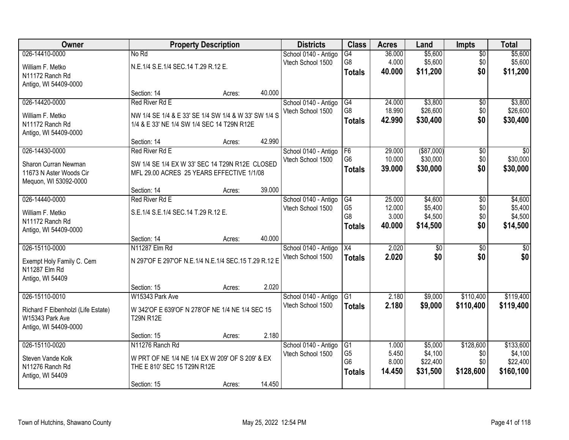| Owner                              |                                                      | <b>Property Description</b> |        | <b>Districts</b>                          | <b>Class</b>         | <b>Acres</b>    | Land               | <b>Impts</b>     | <b>Total</b>         |
|------------------------------------|------------------------------------------------------|-----------------------------|--------|-------------------------------------------|----------------------|-----------------|--------------------|------------------|----------------------|
| 026-14410-0000                     | No Rd                                                |                             |        | School 0140 - Antigo                      | $\overline{G4}$      | 36.000          | \$5,600            | $\overline{30}$  | \$5,600              |
| William F. Metko                   | N.E.1/4 S.E.1/4 SEC.14 T.29 R.12 E.                  |                             |        | Vtech School 1500                         | G8                   | 4.000           | \$5,600            | \$0              | \$5,600              |
| N11172 Ranch Rd                    |                                                      |                             |        |                                           | <b>Totals</b>        | 40.000          | \$11,200           | \$0              | \$11,200             |
| Antigo, WI 54409-0000              |                                                      |                             |        |                                           |                      |                 |                    |                  |                      |
|                                    | Section: 14                                          | Acres:                      | 40.000 |                                           |                      |                 |                    |                  |                      |
| 026-14420-0000                     | <b>Red River Rd E</b>                                |                             |        | School 0140 - Antigo                      | G4                   | 24.000          | \$3,800            | \$0              | \$3,800              |
| William F. Metko                   | NW 1/4 SE 1/4 & E 33' SE 1/4 SW 1/4 & W 33' SW 1/4 S |                             |        | Vtech School 1500                         | G8                   | 18.990          | \$26,600           | \$0              | \$26,600             |
| N11172 Ranch Rd                    | 1/4 & E 33' NE 1/4 SW 1/4 SEC 14 T29N R12E           |                             |        |                                           | <b>Totals</b>        | 42.990          | \$30,400           | \$0              | \$30,400             |
| Antigo, WI 54409-0000              |                                                      |                             |        |                                           |                      |                 |                    |                  |                      |
|                                    | Section: 14                                          | Acres:                      | 42.990 |                                           |                      |                 |                    |                  |                      |
| 026-14430-0000                     | Red River Rd E                                       |                             |        | School 0140 - Antigo                      | F6                   | 29.000          | $($ \$87,000)      | $\overline{50}$  | \$0                  |
| Sharon Curran Newman               | SW 1/4 SE 1/4 EX W 33' SEC 14 T29N R12E CLOSED       |                             |        | Vtech School 1500                         | G <sub>6</sub>       | 10.000          | \$30,000           | \$0              | \$30,000             |
| 11673 N Aster Woods Cir            | MFL 29.00 ACRES 25 YEARS EFFECTIVE 1/1/08            |                             |        |                                           | <b>Totals</b>        | 39.000          | \$30,000           | \$0              | \$30,000             |
| Mequon, WI 53092-0000              |                                                      |                             |        |                                           |                      |                 |                    |                  |                      |
|                                    | Section: 14                                          | Acres:                      | 39.000 |                                           |                      |                 |                    |                  |                      |
| 026-14440-0000                     | Red River Rd E                                       |                             |        | School 0140 - Antigo                      | G4                   | 25.000          | \$4,600            | \$0              | \$4,600              |
| William F. Metko                   | S.E.1/4 S.E.1/4 SEC.14 T.29 R.12 E.                  |                             |        | Vtech School 1500                         | G <sub>5</sub><br>G8 | 12.000<br>3.000 | \$5,400<br>\$4,500 | \$0<br>\$0       | \$5,400<br>\$4,500   |
| N11172 Ranch Rd                    |                                                      |                             |        |                                           | <b>Totals</b>        | 40.000          | \$14,500           | \$0              | \$14,500             |
| Antigo, WI 54409-0000              |                                                      |                             |        |                                           |                      |                 |                    |                  |                      |
|                                    | Section: 14                                          | Acres:                      | 40.000 |                                           |                      |                 |                    |                  |                      |
| 026-15110-0000                     | N11287 Elm Rd                                        |                             |        | School 0140 - Antigo                      | $\overline{X4}$      | 2.020           | $\overline{50}$    | $\overline{30}$  | $\overline{30}$      |
| Exempt Holy Family C. Cem          | N 297'OF E 297'OF N.E.1/4 N.E.1/4 SEC.15 T.29 R.12 E |                             |        | Vtech School 1500                         | <b>Totals</b>        | 2.020           | \$0                | \$0              | \$0                  |
| N11287 Elm Rd                      |                                                      |                             |        |                                           |                      |                 |                    |                  |                      |
| Antigo, WI 54409                   |                                                      |                             |        |                                           |                      |                 |                    |                  |                      |
|                                    | Section: 15                                          | Acres:                      | 2.020  |                                           |                      |                 |                    |                  |                      |
| 026-15110-0010                     | W15343 Park Ave                                      |                             |        | School 0140 - Antigo                      | $\overline{G1}$      | 2.180           | \$9,000            | \$110,400        | \$119,400            |
| Richard F Eibenholzl (Life Estate) | W 342'OF E 639'OF N 278'OF NE 1/4 NE 1/4 SEC 15      |                             |        | Vtech School 1500                         | <b>Totals</b>        | 2.180           | \$9,000            | \$110,400        | \$119,400            |
| W15343 Park Ave                    | <b>T29N R12E</b>                                     |                             |        |                                           |                      |                 |                    |                  |                      |
| Antigo, WI 54409-0000              |                                                      |                             |        |                                           |                      |                 |                    |                  |                      |
|                                    | Section: 15                                          | Acres:                      | 2.180  |                                           |                      |                 |                    |                  |                      |
| 026-15110-0020                     | N11276 Ranch Rd                                      |                             |        | School 0140 - Antigo<br>Vtech School 1500 | G1<br>G <sub>5</sub> | 1.000<br>5.450  | \$5,000<br>\$4,100 | \$128,600<br>\$0 | \$133,600<br>\$4,100 |
| Steven Vande Kolk                  | W PRT OF NE 1/4 NE 1/4 EX W 209' OF S 209' & EX      |                             |        |                                           | G <sub>6</sub>       | 8.000           | \$22,400           | \$0              | \$22,400             |
| N11276 Ranch Rd                    | THE E 810' SEC 15 T29N R12E                          |                             |        |                                           | <b>Totals</b>        | 14.450          | \$31,500           | \$128,600        | \$160,100            |
| Antigo, WI 54409                   |                                                      |                             |        |                                           |                      |                 |                    |                  |                      |
|                                    | Section: 15                                          | Acres:                      | 14.450 |                                           |                      |                 |                    |                  |                      |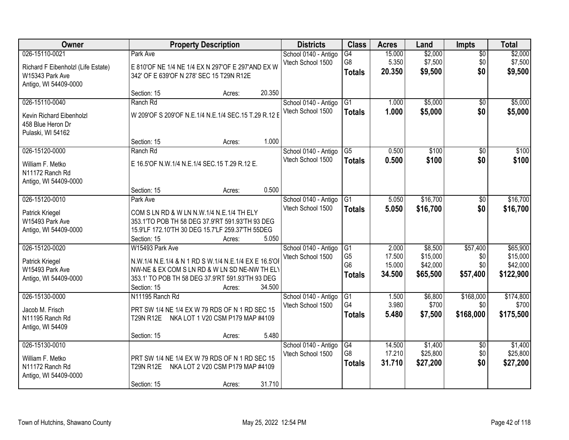| Owner                              |                  | <b>Property Description</b>                          |        | <b>Districts</b>     | <b>Class</b>           | <b>Acres</b> | Land     | <b>Impts</b>    | <b>Total</b> |
|------------------------------------|------------------|------------------------------------------------------|--------|----------------------|------------------------|--------------|----------|-----------------|--------------|
| 026-15110-0021                     | Park Ave         |                                                      |        | School 0140 - Antigo | $\overline{G4}$        | 15.000       | \$2,000  | $\overline{50}$ | \$2,000      |
| Richard F Eibenholzl (Life Estate) |                  | E 810'OF NE 1/4 NE 1/4 EX N 297'OF E 297'AND EX W    |        | Vtech School 1500    | G8                     | 5.350        | \$7,500  | \$0             | \$7,500      |
| W15343 Park Ave                    |                  | 342' OF E 639'OF N 278' SEC 15 T29N R12E             |        |                      | <b>Totals</b>          | 20.350       | \$9,500  | \$0             | \$9,500      |
| Antigo, WI 54409-0000              |                  |                                                      |        |                      |                        |              |          |                 |              |
|                                    | Section: 15      | Acres:                                               | 20.350 |                      |                        |              |          |                 |              |
| 026-15110-0040                     | Ranch Rd         |                                                      |        | School 0140 - Antigo | $\overline{G1}$        | 1.000        | \$5,000  | $\overline{50}$ | \$5,000      |
| Kevin Richard Eibenholzl           |                  | W 209'OF S 209'OF N.E.1/4 N.E.1/4 SEC.15 T.29 R.12 E |        | Vtech School 1500    | <b>Totals</b>          | 1.000        | \$5,000  | \$0             | \$5,000      |
| 458 Blue Heron Dr                  |                  |                                                      |        |                      |                        |              |          |                 |              |
| Pulaski, WI 54162                  |                  |                                                      |        |                      |                        |              |          |                 |              |
|                                    | Section: 15      | Acres:                                               | 1.000  |                      |                        |              |          |                 |              |
| 026-15120-0000                     | Ranch Rd         |                                                      |        | School 0140 - Antigo | $\overline{\text{G5}}$ | 0.500        | \$100    | $\overline{50}$ | \$100        |
| William F. Metko                   |                  | E 16.5'OF N.W.1/4 N.E.1/4 SEC.15 T.29 R.12 E.        |        | Vtech School 1500    | <b>Totals</b>          | 0.500        | \$100    | \$0             | \$100        |
| N11172 Ranch Rd                    |                  |                                                      |        |                      |                        |              |          |                 |              |
| Antigo, WI 54409-0000              |                  |                                                      |        |                      |                        |              |          |                 |              |
|                                    | Section: 15      | Acres:                                               | 0.500  |                      |                        |              |          |                 |              |
| 026-15120-0010                     | Park Ave         |                                                      |        | School 0140 - Antigo | G1                     | 5.050        | \$16,700 | \$0             | \$16,700     |
| Patrick Kriegel                    |                  | COM S LN RD & W LN N.W.1/4 N.E.1/4 TH ELY            |        | Vtech School 1500    | <b>Totals</b>          | 5.050        | \$16,700 | \$0             | \$16,700     |
| W15493 Park Ave                    |                  | 353.1'TO POB TH 58 DEG 37.9'RT 591.93'TH 93 DEG      |        |                      |                        |              |          |                 |              |
| Antigo, WI 54409-0000              |                  | 15.9'LF 172.10'TH 30 DEG 15.7'LF 259.37'TH 55DEG     |        |                      |                        |              |          |                 |              |
|                                    | Section: 15      | Acres:                                               | 5.050  |                      |                        |              |          |                 |              |
| 026-15120-0020                     | W15493 Park Ave  |                                                      |        | School 0140 - Antigo | G1                     | 2.000        | \$8,500  | \$57,400        | \$65,900     |
| Patrick Kriegel                    |                  | N.W.1/4 N.E.1/4 & N 1 RD S W.1/4 N.E.1/4 EX E 16.5'O |        | Vtech School 1500    | G <sub>5</sub>         | 17.500       | \$15,000 | \$0             | \$15,000     |
| W15493 Park Ave                    |                  | NW-NE & EX COM S LN RD & W LN SD NE-NW TH ELY        |        |                      | G <sub>6</sub>         | 15.000       | \$42,000 | \$0             | \$42,000     |
| Antigo, WI 54409-0000              |                  | 353.1' TO POB TH 58 DEG 37.9'RT 591.93'TH 93 DEG     |        |                      | <b>Totals</b>          | 34.500       | \$65,500 | \$57,400        | \$122,900    |
|                                    | Section: 15      | Acres:                                               | 34.500 |                      |                        |              |          |                 |              |
| 026-15130-0000                     | N11195 Ranch Rd  |                                                      |        | School 0140 - Antigo | $\overline{G1}$        | 1.500        | \$6,800  | \$168,000       | \$174,800    |
| Jacob M. Frisch                    |                  | PRT SW 1/4 NE 1/4 EX W 79 RDS OF N 1 RD SEC 15       |        | Vtech School 1500    | G4                     | 3.980        | \$700    | \$0             | \$700        |
| N11195 Ranch Rd                    | <b>T29N R12E</b> | NKA LOT 1 V20 CSM P179 MAP #4109                     |        |                      | <b>Totals</b>          | 5.480        | \$7,500  | \$168,000       | \$175,500    |
| Antigo, WI 54409                   |                  |                                                      |        |                      |                        |              |          |                 |              |
|                                    | Section: 15      | Acres:                                               | 5.480  |                      |                        |              |          |                 |              |
| 026-15130-0010                     |                  |                                                      |        | School 0140 - Antigo | G4                     | 14.500       | \$1,400  | $\overline{30}$ | \$1,400      |
| William F. Metko                   |                  | PRT SW 1/4 NE 1/4 EX W 79 RDS OF N 1 RD SEC 15       |        | Vtech School 1500    | G <sub>8</sub>         | 17.210       | \$25,800 | \$0             | \$25,800     |
| N11172 Ranch Rd                    |                  | T29N R12E NKA LOT 2 V20 CSM P179 MAP #4109           |        |                      | <b>Totals</b>          | 31.710       | \$27,200 | \$0             | \$27,200     |
| Antigo, WI 54409-0000              |                  |                                                      |        |                      |                        |              |          |                 |              |
|                                    | Section: 15      | Acres:                                               | 31.710 |                      |                        |              |          |                 |              |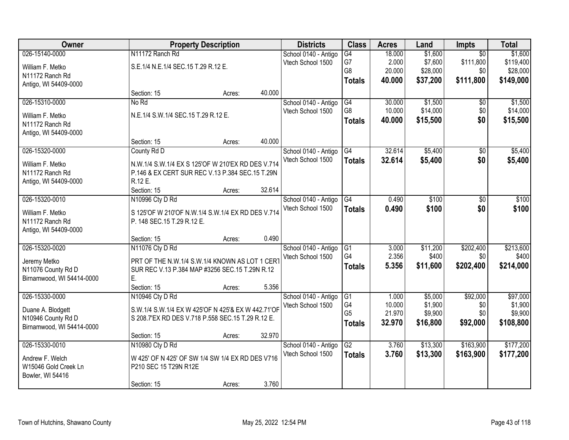| <b>Owner</b>                       |                                                    | <b>Property Description</b> |        | <b>Districts</b>     | <b>Class</b>    | <b>Acres</b> | Land     | Impts           | <b>Total</b> |
|------------------------------------|----------------------------------------------------|-----------------------------|--------|----------------------|-----------------|--------------|----------|-----------------|--------------|
| 026-15140-0000                     | N11172 Ranch Rd                                    |                             |        | School 0140 - Antigo | $\overline{G4}$ | 18.000       | \$1,600  | $\overline{50}$ | \$1,600      |
| William F. Metko                   | S.E.1/4 N.E.1/4 SEC.15 T.29 R.12 E.                |                             |        | Vtech School 1500    | G7              | 2.000        | \$7,600  | \$111,800       | \$119,400    |
| N11172 Ranch Rd                    |                                                    |                             |        |                      | G8              | 20.000       | \$28,000 | \$0             | \$28,000     |
| Antigo, WI 54409-0000              |                                                    |                             |        |                      | <b>Totals</b>   | 40.000       | \$37,200 | \$111,800       | \$149,000    |
|                                    | Section: 15                                        | Acres:                      | 40.000 |                      |                 |              |          |                 |              |
| 026-15310-0000                     | No Rd                                              |                             |        | School 0140 - Antigo | G4              | 30.000       | \$1,500  | \$0             | \$1,500      |
| William F. Metko                   | N.E.1/4 S.W.1/4 SEC.15 T.29 R.12 E.                |                             |        | Vtech School 1500    | G8              | 10.000       | \$14,000 | \$0             | \$14,000     |
| N11172 Ranch Rd                    |                                                    |                             |        |                      | <b>Totals</b>   | 40.000       | \$15,500 | \$0             | \$15,500     |
| Antigo, WI 54409-0000              |                                                    |                             |        |                      |                 |              |          |                 |              |
|                                    | Section: 15                                        | Acres:                      | 40.000 |                      |                 |              |          |                 |              |
| 026-15320-0000                     | County Rd D                                        |                             |        | School 0140 - Antigo | G4              | 32.614       | \$5,400  | \$0             | \$5,400      |
| William F. Metko                   | N.W.1/4 S.W.1/4 EX S 125'OF W 210'EX RD DES V.714  |                             |        | Vtech School 1500    | <b>Totals</b>   | 32.614       | \$5,400  | \$0             | \$5,400      |
| N11172 Ranch Rd                    | P.146 & EX CERT SUR REC V.13 P.384 SEC.15 T.29N    |                             |        |                      |                 |              |          |                 |              |
| Antigo, WI 54409-0000              | R.12 E.                                            |                             |        |                      |                 |              |          |                 |              |
|                                    | Section: 15                                        | Acres:                      | 32.614 |                      |                 |              |          |                 |              |
| 026-15320-0010                     | N10996 Cty D Rd                                    |                             |        | School 0140 - Antigo | G4              | 0.490        | \$100    | \$0             | \$100        |
| William F. Metko                   | S 125'OF W 210'OF N.W.1/4 S.W.1/4 EX RD DES V.714  |                             |        | Vtech School 1500    | <b>Totals</b>   | 0.490        | \$100    | \$0             | \$100        |
| N11172 Ranch Rd                    | P. 148 SEC.15 T.29 R.12 E.                         |                             |        |                      |                 |              |          |                 |              |
| Antigo, WI 54409-0000              |                                                    |                             |        |                      |                 |              |          |                 |              |
|                                    | Section: 15                                        | Acres:                      | 0.490  |                      |                 |              |          |                 |              |
| 026-15320-0020                     | N11076 Cty D Rd                                    |                             |        | School 0140 - Antigo | G1              | 3.000        | \$11,200 | \$202,400       | \$213,600    |
|                                    | PRT OF THE N.W.1/4 S.W.1/4 KNOWN AS LOT 1 CERT     |                             |        | Vtech School 1500    | G <sub>4</sub>  | 2.356        | \$400    | \$0             | \$400        |
| Jeremy Metko<br>N11076 County Rd D | SUR REC V.13 P.384 MAP #3256 SEC.15 T.29N R.12     |                             |        |                      | <b>Totals</b>   | 5.356        | \$11,600 | \$202,400       | \$214,000    |
| Birnamwood, WI 54414-0000          | Е.                                                 |                             |        |                      |                 |              |          |                 |              |
|                                    | Section: 15                                        | Acres:                      | 5.356  |                      |                 |              |          |                 |              |
| 026-15330-0000                     | N10946 Cty D Rd                                    |                             |        | School 0140 - Antigo | G1              | 1.000        | \$5,000  | \$92,000        | \$97,000     |
| Duane A. Blodgett                  | S.W.1/4 S.W.1/4 EX W 425'OF N 425'& EX W 442.71'OF |                             |        | Vtech School 1500    | G4              | 10.000       | \$1,900  | \$0             | \$1,900      |
| N10946 County Rd D                 | S 208.7'EX RD DES V.718 P.558 SEC.15 T.29 R.12 E.  |                             |        |                      | G <sub>5</sub>  | 21.970       | \$9,900  | \$0             | \$9,900      |
| Birnamwood, WI 54414-0000          |                                                    |                             |        |                      | <b>Totals</b>   | 32.970       | \$16,800 | \$92,000        | \$108,800    |
|                                    | Section: 15                                        | Acres:                      | 32.970 |                      |                 |              |          |                 |              |
| 026-15330-0010                     | N10980 Cty D Rd                                    |                             |        | School 0140 - Antigo | $\overline{G2}$ | 3.760        | \$13,300 | \$163,900       | \$177,200    |
| Andrew F. Welch                    | W 425' OF N 425' OF SW 1/4 SW 1/4 EX RD DES V716   |                             |        | Vtech School 1500    | <b>Totals</b>   | 3.760        | \$13,300 | \$163,900       | \$177,200    |
| W15046 Gold Creek Ln               | P210 SEC 15 T29N R12E                              |                             |        |                      |                 |              |          |                 |              |
| Bowler, WI 54416                   |                                                    |                             |        |                      |                 |              |          |                 |              |
|                                    | Section: 15                                        | Acres:                      | 3.760  |                      |                 |              |          |                 |              |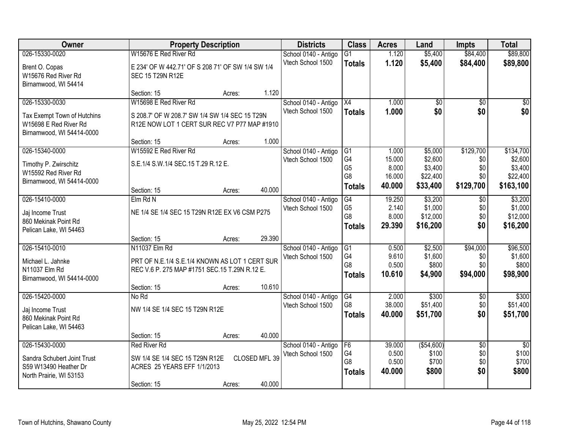| Owner                       | <b>Property Description</b>                       |        |               | <b>Districts</b>                          | <b>Class</b>                     | <b>Acres</b>    | Land                 | <b>Impts</b>           | <b>Total</b>             |
|-----------------------------|---------------------------------------------------|--------|---------------|-------------------------------------------|----------------------------------|-----------------|----------------------|------------------------|--------------------------|
| 026-15330-0020              | W15676 E Red River Rd                             |        |               | School 0140 - Antigo                      | G1                               | 1.120           | \$5,400              | \$84,400               | \$89,800                 |
| Brent O. Copas              | E 234' OF W 442.71' OF S 208 71' OF SW 1/4 SW 1/4 |        |               | Vtech School 1500                         | <b>Totals</b>                    | 1.120           | \$5,400              | \$84,400               | \$89,800                 |
| W15676 Red River Rd         | SEC 15 T29N R12E                                  |        |               |                                           |                                  |                 |                      |                        |                          |
| Birnamwood, WI 54414        |                                                   |        |               |                                           |                                  |                 |                      |                        |                          |
|                             | Section: 15                                       | Acres: | 1.120         |                                           |                                  |                 |                      |                        |                          |
| 026-15330-0030              | W15698 E Red River Rd                             |        |               | School 0140 - Antigo                      | X4                               | 1.000           | \$0                  | \$0                    | \$0                      |
| Tax Exempt Town of Hutchins | S 208.7' OF W 208.7' SW 1/4 SW 1/4 SEC 15 T29N    |        |               | Vtech School 1500                         | <b>Totals</b>                    | 1.000           | \$0                  | \$0                    | \$0                      |
| W15698 E Red River Rd       | R12E NOW LOT 1 CERT SUR REC V7 P77 MAP #1910      |        |               |                                           |                                  |                 |                      |                        |                          |
| Birnamwood, WI 54414-0000   |                                                   |        |               |                                           |                                  |                 |                      |                        |                          |
|                             | Section: 15                                       | Acres: | 1.000         |                                           |                                  |                 |                      |                        |                          |
| 026-15340-0000              | W15592 E Red River Rd                             |        |               | School 0140 - Antigo                      | IG1                              | 1.000           | \$5,000              | \$129,700              | \$134,700                |
| Timothy P. Zwirschitz       | S.E.1/4 S.W.1/4 SEC.15 T.29 R.12 E.               |        |               | Vtech School 1500                         | G4<br>G <sub>5</sub>             | 15.000<br>8.000 | \$2,600              | \$0<br>\$0             | \$2,600                  |
| W15592 Red River Rd         |                                                   |        |               |                                           | G <sub>8</sub>                   | 16.000          | \$3,400<br>\$22,400  | \$0                    | \$3,400<br>\$22,400      |
| Birnamwood, WI 54414-0000   |                                                   |        |               |                                           | <b>Totals</b>                    | 40.000          | \$33,400             | \$129,700              | \$163,100                |
|                             | Section: 15                                       | Acres: | 40.000        |                                           |                                  |                 |                      |                        |                          |
| 026-15410-0000              | Elm Rd N                                          |        |               | School 0140 - Antigo                      | G4                               | 19.250          | \$3,200              | \$0                    | \$3,200                  |
| Jaj Income Trust            | NE 1/4 SE 1/4 SEC 15 T29N R12E EX V6 CSM P275     |        |               | Vtech School 1500                         | G <sub>5</sub><br>G <sub>8</sub> | 2.140<br>8.000  | \$1,000<br>\$12,000  | \$0<br>\$0             | \$1,000<br>\$12,000      |
| 860 Mekinak Point Rd        |                                                   |        |               |                                           | <b>Totals</b>                    | 29.390          | \$16,200             | \$0                    | \$16,200                 |
| Pelican Lake, WI 54463      |                                                   |        |               |                                           |                                  |                 |                      |                        |                          |
|                             | Section: 15                                       | Acres: | 29.390        |                                           |                                  |                 |                      |                        |                          |
| 026-15410-0010              | N11037 Elm Rd                                     |        |               | School 0140 - Antigo                      | G1<br>G <sub>4</sub>             | 0.500<br>9.610  | \$2,500              | \$94,000               | \$96,500                 |
| Michael L. Jahnke           | PRT OF N.E.1/4 S.E.1/4 KNOWN AS LOT 1 CERT SUR    |        |               | Vtech School 1500                         | G8                               | 0.500           | \$1,600<br>\$800     | \$0<br>\$0             | \$1,600<br>\$800         |
| N11037 Elm Rd               | REC V.6 P. 275 MAP #1751 SEC.15 T.29N R.12 E.     |        |               |                                           | <b>Totals</b>                    | 10.610          | \$4,900              | \$94,000               | \$98,900                 |
| Birnamwood, WI 54414-0000   |                                                   |        |               |                                           |                                  |                 |                      |                        |                          |
|                             | Section: 15                                       | Acres: | 10.610        |                                           |                                  |                 |                      |                        |                          |
| 026-15420-0000              | No Rd                                             |        |               | School 0140 - Antigo<br>Vtech School 1500 | G4<br>G8                         | 2.000<br>38.000 | \$300<br>\$51,400    | $\overline{50}$<br>\$0 | \$300<br>\$51,400        |
| Jaj Income Trust            | NW 1/4 SE 1/4 SEC 15 T29N R12E                    |        |               |                                           | <b>Totals</b>                    | 40.000          | \$51,700             | \$0                    | \$51,700                 |
| 860 Mekinak Point Rd        |                                                   |        |               |                                           |                                  |                 |                      |                        |                          |
| Pelican Lake, WI 54463      |                                                   |        |               |                                           |                                  |                 |                      |                        |                          |
|                             | Section: 15                                       | Acres: | 40.000        |                                           |                                  |                 |                      |                        |                          |
| 026-15430-0000              | <b>Red River Rd</b>                               |        |               | School 0140 - Antigo<br>Vtech School 1500 | F6<br>G4                         | 39.000<br>0.500 | ( \$54,600)<br>\$100 | $\overline{50}$<br>\$0 | $\overline{30}$<br>\$100 |
| Sandra Schubert Joint Trust | SW 1/4 SE 1/4 SEC 15 T29N R12E                    |        | CLOSED MFL 39 |                                           | G8                               | 0.500           | \$700                | \$0                    | \$700                    |
| S59 W13490 Heather Dr       | ACRES 25 YEARS EFF 1/1/2013                       |        |               |                                           | <b>Totals</b>                    | 40.000          | \$800                | \$0                    | \$800                    |
| North Prairie, WI 53153     |                                                   |        | 40.000        |                                           |                                  |                 |                      |                        |                          |
|                             | Section: 15                                       | Acres: |               |                                           |                                  |                 |                      |                        |                          |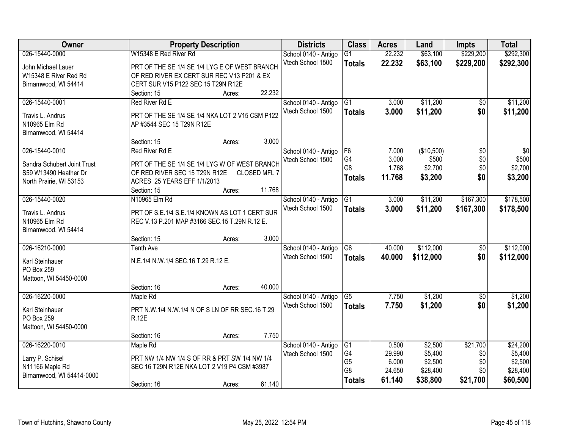| Owner                             | <b>Property Description</b>                                                                     | <b>Districts</b>                          | <b>Class</b>         | <b>Acres</b>    | Land               | <b>Impts</b>       | <b>Total</b>       |
|-----------------------------------|-------------------------------------------------------------------------------------------------|-------------------------------------------|----------------------|-----------------|--------------------|--------------------|--------------------|
| 026-15440-0000                    | W15348 E Red River Rd                                                                           | School 0140 - Antigo                      | $\overline{G1}$      | 22.232          | \$63,100           | \$229,200          | \$292,300          |
| John Michael Lauer                | PRT OF THE SE 1/4 SE 1/4 LYG E OF WEST BRANCH                                                   | Vtech School 1500                         | <b>Totals</b>        | 22.232          | \$63,100           | \$229,200          | \$292,300          |
| W15348 E River Red Rd             | OF RED RIVER EX CERT SUR REC V13 P201 & EX                                                      |                                           |                      |                 |                    |                    |                    |
| Birnamwood, WI 54414              | CERT SUR V15 P122 SEC 15 T29N R12E                                                              |                                           |                      |                 |                    |                    |                    |
|                                   | 22.232<br>Section: 15<br>Acres:                                                                 |                                           |                      |                 |                    |                    |                    |
| 026-15440-0001                    | Red River Rd E                                                                                  | School 0140 - Antigo                      | G1                   | 3.000           | \$11,200           | $\overline{50}$    | \$11,200           |
| Travis L. Andrus                  | PRT OF THE SE 1/4 SE 1/4 NKA LOT 2 V15 CSM P122                                                 | Vtech School 1500                         | <b>Totals</b>        | 3.000           | \$11,200           | \$0                | \$11,200           |
| N10965 Elm Rd                     | AP #3544 SEC 15 T29N R12E                                                                       |                                           |                      |                 |                    |                    |                    |
| Birnamwood, WI 54414              |                                                                                                 |                                           |                      |                 |                    |                    |                    |
|                                   | 3.000<br>Section: 15<br>Acres:                                                                  |                                           |                      |                 |                    |                    |                    |
| 026-15440-0010                    | Red River Rd E                                                                                  | School 0140 - Antigo                      | F6                   | 7.000           | (\$10,500)         | $\overline{50}$    | $\overline{30}$    |
| Sandra Schubert Joint Trust       | PRT OF THE SE 1/4 SE 1/4 LYG W OF WEST BRANCH                                                   | Vtech School 1500                         | G4                   | 3.000           | \$500              | \$0                | \$500              |
| S59 W13490 Heather Dr             | OF RED RIVER SEC 15 T29N R12E<br>CLOSED MFL 7                                                   |                                           | G <sub>8</sub>       | 1.768           | \$2,700            | \$0                | \$2,700            |
| North Prairie, WI 53153           | ACRES 25 YEARS EFF 1/1/2013                                                                     |                                           | <b>Totals</b>        | 11.768          | \$3,200            | \$0                | \$3,200            |
|                                   | 11.768<br>Section: 15<br>Acres:                                                                 |                                           |                      |                 |                    |                    |                    |
| 026-15440-0020                    | N10965 Elm Rd                                                                                   | School 0140 - Antigo                      | G1                   | 3.000           | \$11,200           | \$167,300          | \$178,500          |
|                                   |                                                                                                 | Vtech School 1500                         | <b>Totals</b>        | 3.000           | \$11,200           | \$167,300          | \$178,500          |
| Travis L. Andrus<br>N10965 Elm Rd | PRT OF S.E.1/4 S.E.1/4 KNOWN AS LOT 1 CERT SUR<br>REC V.13 P.201 MAP #3166 SEC.15 T.29N R.12 E. |                                           |                      |                 |                    |                    |                    |
| Birnamwood, WI 54414              |                                                                                                 |                                           |                      |                 |                    |                    |                    |
|                                   | 3.000<br>Section: 15<br>Acres:                                                                  |                                           |                      |                 |                    |                    |                    |
| 026-16210-0000                    | <b>Tenth Ave</b>                                                                                | School 0140 - Antigo                      | $\overline{G6}$      | 40.000          | \$112,000          | $\overline{50}$    | \$112,000          |
|                                   |                                                                                                 | Vtech School 1500                         | <b>Totals</b>        | 40.000          | \$112,000          | \$0                | \$112,000          |
| Karl Steinhauer                   | N.E.1/4 N.W.1/4 SEC.16 T.29 R.12 E.                                                             |                                           |                      |                 |                    |                    |                    |
| PO Box 259                        |                                                                                                 |                                           |                      |                 |                    |                    |                    |
| Mattoon, WI 54450-0000            | 40.000                                                                                          |                                           |                      |                 |                    |                    |                    |
| 026-16220-0000                    | Section: 16<br>Acres:                                                                           |                                           | G5                   | 7.750           | \$1,200            |                    | \$1,200            |
|                                   | Maple Rd                                                                                        | School 0140 - Antigo<br>Vtech School 1500 |                      | 7.750           |                    | $\sqrt{$0}$<br>\$0 |                    |
| Karl Steinhauer                   | PRT N.W.1/4 N.W.1/4 N OF S LN OF RR SEC.16 T.29                                                 |                                           | <b>Totals</b>        |                 | \$1,200            |                    | \$1,200            |
| PO Box 259                        | <b>R.12E</b>                                                                                    |                                           |                      |                 |                    |                    |                    |
| Mattoon, WI 54450-0000            |                                                                                                 |                                           |                      |                 |                    |                    |                    |
|                                   | 7.750<br>Section: 16<br>Acres:                                                                  |                                           |                      |                 |                    |                    |                    |
| 026-16220-0010                    | Maple Rd                                                                                        | School 0140 - Antigo                      | G1                   | 0.500           | \$2,500            | \$21,700           | \$24,200           |
| Larry P. Schisel                  | PRT NW 1/4 NW 1/4 S OF RR & PRT SW 1/4 NW 1/4                                                   | Vtech School 1500                         | G4<br>G <sub>5</sub> | 29.990<br>6.000 | \$5,400<br>\$2,500 | \$0<br>\$0         | \$5,400<br>\$2,500 |
| N11166 Maple Rd                   | SEC 16 T29N R12E NKA LOT 2 V19 P4 CSM #3987                                                     |                                           | G8                   | 24.650          | \$28,400           | \$0                | \$28,400           |
| Birnamwood, WI 54414-0000         |                                                                                                 |                                           | <b>Totals</b>        | 61.140          | \$38,800           | \$21,700           | \$60,500           |
|                                   | 61.140<br>Section: 16<br>Acres:                                                                 |                                           |                      |                 |                    |                    |                    |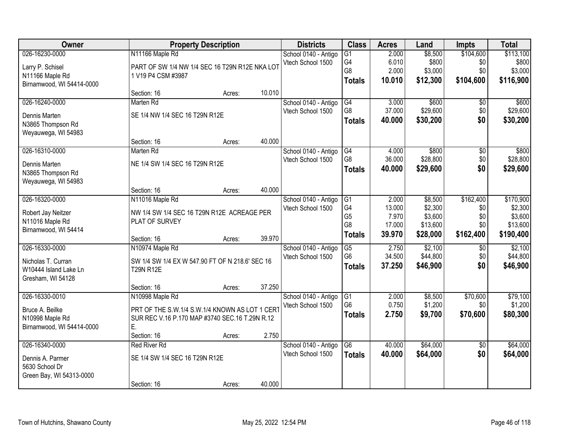| Owner                              |                                                 | <b>Property Description</b> |        | <b>Districts</b>                          | <b>Class</b>         | <b>Acres</b>     | Land               | <b>Impts</b>     | <b>Total</b>        |
|------------------------------------|-------------------------------------------------|-----------------------------|--------|-------------------------------------------|----------------------|------------------|--------------------|------------------|---------------------|
| 026-16230-0000                     | N11166 Maple Rd                                 |                             |        | School 0140 - Antigo                      | $\overline{G1}$      | 2.000            | \$8,500            | \$104,600        | \$113,100           |
| Larry P. Schisel                   | PART OF SW 1/4 NW 1/4 SEC 16 T29N R12E NKA LOT  |                             |        | Vtech School 1500                         | G4<br>G8             | 6.010<br>2.000   | \$800<br>\$3,000   | \$0<br>\$0       | \$800<br>\$3,000    |
| N11166 Maple Rd                    | 1 V19 P4 CSM #3987                              |                             |        |                                           | <b>Totals</b>        | 10.010           | \$12,300           | \$104,600        | \$116,900           |
| Birnamwood, WI 54414-0000          |                                                 |                             |        |                                           |                      |                  |                    |                  |                     |
| 026-16240-0000                     | Section: 16<br>Marten Rd                        | Acres:                      | 10.010 |                                           |                      | 3.000            | \$600              |                  |                     |
|                                    |                                                 |                             |        | School 0140 - Antigo<br>Vtech School 1500 | G4<br>G <sub>8</sub> | 37.000           | \$29,600           | \$0<br>\$0       | \$600<br>\$29,600   |
| Dennis Marten                      | SE 1/4 NW 1/4 SEC 16 T29N R12E                  |                             |        |                                           | <b>Totals</b>        | 40.000           | \$30,200           | \$0              | \$30,200            |
| N3865 Thompson Rd                  |                                                 |                             |        |                                           |                      |                  |                    |                  |                     |
| Weyauwega, WI 54983                | Section: 16                                     | Acres:                      | 40.000 |                                           |                      |                  |                    |                  |                     |
| 026-16310-0000                     | Marten Rd                                       |                             |        | School 0140 - Antigo                      | G4                   | 4.000            | \$800              | $\overline{50}$  | \$800               |
|                                    |                                                 |                             |        | Vtech School 1500                         | G8                   | 36.000           | \$28,800           | \$0              | \$28,800            |
| Dennis Marten<br>N3865 Thompson Rd | NE 1/4 SW 1/4 SEC 16 T29N R12E                  |                             |        |                                           | <b>Totals</b>        | 40.000           | \$29,600           | \$0              | \$29,600            |
| Weyauwega, WI 54983                |                                                 |                             |        |                                           |                      |                  |                    |                  |                     |
|                                    | Section: 16                                     | Acres:                      | 40.000 |                                           |                      |                  |                    |                  |                     |
| 026-16320-0000                     | N11016 Maple Rd                                 |                             |        | School 0140 - Antigo                      | G1                   | 2.000            | \$8,500            | \$162,400        | \$170,900           |
| Robert Jay Neitzer                 | NW 1/4 SW 1/4 SEC 16 T29N R12E ACREAGE PER      |                             |        | Vtech School 1500                         | G <sub>4</sub>       | 13.000           | \$2,300            | \$0              | \$2,300             |
| N11016 Maple Rd                    | PLAT OF SURVEY                                  |                             |        |                                           | G <sub>5</sub>       | 7.970            | \$3,600            | \$0              | \$3,600             |
| Birnamwood, WI 54414               |                                                 |                             |        |                                           | G8                   | 17.000<br>39.970 | \$13,600           | \$0<br>\$162,400 | \$13,600            |
|                                    | Section: 16                                     | Acres:                      | 39.970 |                                           | <b>Totals</b>        |                  | \$28,000           |                  | \$190,400           |
| 026-16330-0000                     | N10974 Maple Rd                                 |                             |        | School 0140 - Antigo                      | G5                   | 2.750            | \$2,100            | $\overline{60}$  | \$2,100             |
| Nicholas T. Curran                 | SW 1/4 SW 1/4 EX W 547.90 FT OF N 218.6' SEC 16 |                             |        | Vtech School 1500                         | G <sub>6</sub>       | 34.500           | \$44,800           | \$0              | \$44,800            |
| W10444 Island Lake Ln              | <b>T29N R12E</b>                                |                             |        |                                           | <b>Totals</b>        | 37.250           | \$46,900           | \$0              | \$46,900            |
| Gresham, WI 54128                  |                                                 |                             |        |                                           |                      |                  |                    |                  |                     |
|                                    | Section: 16                                     | Acres:                      | 37.250 |                                           |                      |                  |                    |                  |                     |
| 026-16330-0010                     | N10998 Maple Rd                                 |                             |        | School 0140 - Antigo<br>Vtech School 1500 | G1<br>G <sub>6</sub> | 2.000<br>0.750   | \$8,500<br>\$1,200 | \$70,600<br>\$0  | \$79,100<br>\$1,200 |
| Bruce A. Beilke                    | PRT OF THE S.W.1/4 S.W.1/4 KNOWN AS LOT 1 CERT  |                             |        |                                           | <b>Totals</b>        | 2.750            | \$9,700            | \$70,600         | \$80,300            |
| N10998 Maple Rd                    | SUR REC V.16 P.170 MAP #3740 SEC.16 T.29N R.12  |                             |        |                                           |                      |                  |                    |                  |                     |
| Birnamwood, WI 54414-0000          | Ε.<br>Section: 16                               | Acres:                      | 2.750  |                                           |                      |                  |                    |                  |                     |
| 026-16340-0000                     | <b>Red River Rd</b>                             |                             |        | School 0140 - Antigo                      | G6                   | 40.000           | \$64,000           | $\overline{50}$  | \$64,000            |
|                                    |                                                 |                             |        | Vtech School 1500                         | <b>Totals</b>        | 40.000           | \$64,000           | \$0              | \$64,000            |
| Dennis A. Parmer<br>5630 School Dr | SE 1/4 SW 1/4 SEC 16 T29N R12E                  |                             |        |                                           |                      |                  |                    |                  |                     |
| Green Bay, WI 54313-0000           |                                                 |                             |        |                                           |                      |                  |                    |                  |                     |
|                                    | Section: 16                                     | Acres:                      | 40.000 |                                           |                      |                  |                    |                  |                     |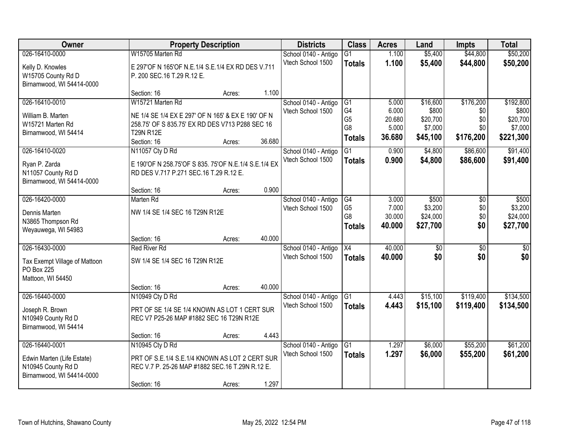| Owner                         |                                                      | <b>Property Description</b> |        | <b>Districts</b>     | <b>Class</b>         | <b>Acres</b>    | Land              | <b>Impts</b>    | <b>Total</b>      |
|-------------------------------|------------------------------------------------------|-----------------------------|--------|----------------------|----------------------|-----------------|-------------------|-----------------|-------------------|
| 026-16410-0000                | W15705 Marten Rd                                     |                             |        | School 0140 - Antigo | $\overline{G1}$      | 1.100           | \$5,400           | \$44,800        | \$50,200          |
| Kelly D. Knowles              | E 297'OF N 165'OF N.E.1/4 S.E.1/4 EX RD DES V.711    |                             |        | Vtech School 1500    | <b>Totals</b>        | 1.100           | \$5,400           | \$44,800        | \$50,200          |
| W15705 County Rd D            | P. 200 SEC.16 T.29 R.12 E.                           |                             |        |                      |                      |                 |                   |                 |                   |
| Birnamwood, WI 54414-0000     |                                                      |                             |        |                      |                      |                 |                   |                 |                   |
|                               | Section: 16                                          | Acres:                      | 1.100  |                      |                      |                 |                   |                 |                   |
| 026-16410-0010                | W15721 Marten Rd                                     |                             |        | School 0140 - Antigo | $\overline{G1}$      | 5.000           | \$16,600          | \$176,200       | \$192,800         |
| William B. Marten             | NE 1/4 SE 1/4 EX E 297' OF N 165' & EX E 190' OF N   |                             |        | Vtech School 1500    | G4<br>G <sub>5</sub> | 6.000<br>20.680 | \$800<br>\$20,700 | \$0<br>\$0      | \$800<br>\$20,700 |
| W15721 Marten Rd              | 258.75' OF S 835.75' EX RD DES V713 P288 SEC 16      |                             |        |                      | G8                   | 5.000           | \$7,000           | \$0             | \$7,000           |
| Birnamwood, WI 54414          | <b>T29N R12E</b>                                     |                             |        |                      | <b>Totals</b>        | 36.680          | \$45,100          | \$176,200       | \$221,300         |
|                               | Section: 16                                          | Acres:                      | 36.680 |                      |                      |                 |                   |                 |                   |
| 026-16410-0020                | N11057 Cty D Rd                                      |                             |        | School 0140 - Antigo | G1                   | 0.900           | \$4,800           | \$86,600        | \$91,400          |
| Ryan P. Zarda                 | E 190'OF N 258.75'OF S 835. 75'OF N.E.1/4 S.E.1/4 EX |                             |        | Vtech School 1500    | <b>Totals</b>        | 0.900           | \$4,800           | \$86,600        | \$91,400          |
| N11057 County Rd D            | RD DES V.717 P.271 SEC.16 T.29 R.12 E.               |                             |        |                      |                      |                 |                   |                 |                   |
| Birnamwood, WI 54414-0000     |                                                      |                             |        |                      |                      |                 |                   |                 |                   |
|                               | Section: 16                                          | Acres:                      | 0.900  |                      |                      |                 |                   |                 |                   |
| 026-16420-0000                | Marten Rd                                            |                             |        | School 0140 - Antigo | G4                   | 3.000           | \$500             | \$0             | \$500             |
| Dennis Marten                 | NW 1/4 SE 1/4 SEC 16 T29N R12E                       |                             |        | Vtech School 1500    | G <sub>5</sub>       | 7.000           | \$3,200           | \$0             | \$3,200           |
| N3865 Thompson Rd             |                                                      |                             |        |                      | G8                   | 30.000          | \$24,000          | \$0             | \$24,000          |
| Weyauwega, WI 54983           |                                                      |                             |        |                      | <b>Totals</b>        | 40.000          | \$27,700          | \$0             | \$27,700          |
|                               | Section: 16                                          | Acres:                      | 40.000 |                      |                      |                 |                   |                 |                   |
| 026-16430-0000                | <b>Red River Rd</b>                                  |                             |        | School 0140 - Antigo | $\overline{X4}$      | 40.000          | $\overline{30}$   | $\overline{30}$ | $\overline{30}$   |
| Tax Exempt Village of Mattoon | SW 1/4 SE 1/4 SEC 16 T29N R12E                       |                             |        | Vtech School 1500    | <b>Totals</b>        | 40.000          | \$0               | \$0             | \$0               |
| PO Box 225                    |                                                      |                             |        |                      |                      |                 |                   |                 |                   |
| Mattoon, WI 54450             |                                                      |                             |        |                      |                      |                 |                   |                 |                   |
|                               | Section: 16                                          | Acres:                      | 40.000 |                      |                      |                 |                   |                 |                   |
| 026-16440-0000                | N10949 Cty D Rd                                      |                             |        | School 0140 - Antigo | $\overline{G1}$      | 4.443           | \$15,100          | \$119,400       | \$134,500         |
| Joseph R. Brown               | PRT OF SE 1/4 SE 1/4 KNOWN AS LOT 1 CERT SUR         |                             |        | Vtech School 1500    | <b>Totals</b>        | 4.443           | \$15,100          | \$119,400       | \$134,500         |
| N10949 County Rd D            | REC V7 P25-26 MAP #1882 SEC 16 T29N R12E             |                             |        |                      |                      |                 |                   |                 |                   |
| Birnamwood, WI 54414          |                                                      |                             |        |                      |                      |                 |                   |                 |                   |
|                               | Section: 16                                          | Acres:                      | 4.443  |                      |                      |                 |                   |                 |                   |
| 026-16440-0001                | N10945 Cty D Rd                                      |                             |        | School 0140 - Antigo | G1                   | 1.297           | \$6,000           | \$55,200        | \$61,200          |
| Edwin Marten (Life Estate)    | PRT OF S.E.1/4 S.E.1/4 KNOWN AS LOT 2 CERT SUR       |                             |        | Vtech School 1500    | <b>Totals</b>        | 1.297           | \$6,000           | \$55,200        | \$61,200          |
| N10945 County Rd D            | REC V.7 P. 25-26 MAP #1882 SEC.16 T.29N R.12 E.      |                             |        |                      |                      |                 |                   |                 |                   |
| Birnamwood, WI 54414-0000     |                                                      |                             |        |                      |                      |                 |                   |                 |                   |
|                               | Section: 16                                          | Acres:                      | 1.297  |                      |                      |                 |                   |                 |                   |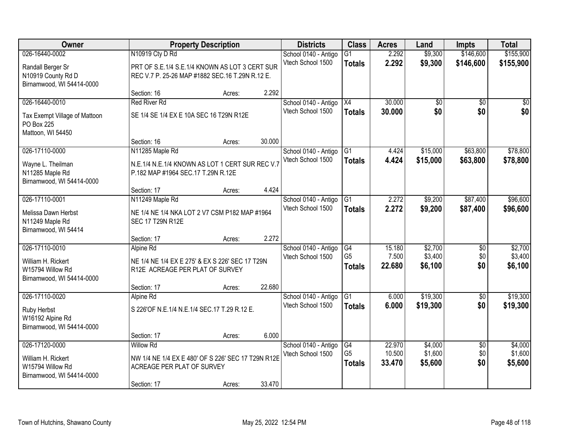| Owner                                   |                                                    | <b>Property Description</b> |        | <b>Districts</b>                          | <b>Class</b>   | <b>Acres</b>   | Land                 | <b>Impts</b>    | <b>Total</b> |
|-----------------------------------------|----------------------------------------------------|-----------------------------|--------|-------------------------------------------|----------------|----------------|----------------------|-----------------|--------------|
| 026-16440-0002                          | N10919 Cty D Rd                                    |                             |        | School 0140 - Antigo                      | G1             | 2.292          | \$9,300              | \$146,600       | \$155,900    |
| Randall Berger Sr                       | PRT OF S.E.1/4 S.E.1/4 KNOWN AS LOT 3 CERT SUR     |                             |        | Vtech School 1500                         | <b>Totals</b>  | 2.292          | \$9,300              | \$146,600       | \$155,900    |
| N10919 County Rd D                      | REC V.7 P. 25-26 MAP #1882 SEC.16 T.29N R.12 E.    |                             |        |                                           |                |                |                      |                 |              |
| Birnamwood, WI 54414-0000               |                                                    |                             |        |                                           |                |                |                      |                 |              |
|                                         | Section: 16                                        | Acres:                      | 2.292  |                                           |                |                |                      |                 |              |
| 026-16440-0010                          | <b>Red River Rd</b>                                |                             |        | School 0140 - Antigo                      | X4             | 30.000         | \$0                  | \$0             | \$0          |
| Tax Exempt Village of Mattoon           | SE 1/4 SE 1/4 EX E 10A SEC 16 T29N R12E            |                             |        | Vtech School 1500                         | <b>Totals</b>  | 30,000         | \$0                  | \$0             | \$0          |
| PO Box 225                              |                                                    |                             |        |                                           |                |                |                      |                 |              |
| Mattoon, WI 54450                       |                                                    |                             |        |                                           |                |                |                      |                 |              |
|                                         | Section: 16                                        | Acres:                      | 30.000 |                                           |                |                |                      |                 |              |
| 026-17110-0000                          | N11285 Maple Rd                                    |                             |        | School 0140 - Antigo<br>Vtech School 1500 | G1             | 4.424<br>4.424 | \$15,000<br>\$15,000 | \$63,800        | \$78,800     |
| Wayne L. Theilman                       | N.E.1/4 N.E.1/4 KNOWN AS LOT 1 CERT SUR REC V.7    |                             |        |                                           | <b>Totals</b>  |                |                      | \$63,800        | \$78,800     |
| N11285 Maple Rd                         | P.182 MAP #1964 SEC.17 T.29N R.12E                 |                             |        |                                           |                |                |                      |                 |              |
| Birnamwood, WI 54414-0000               | Section: 17                                        | Acres:                      | 4.424  |                                           |                |                |                      |                 |              |
| 026-17110-0001                          | N11249 Maple Rd                                    |                             |        | School 0140 - Antigo                      | G <sub>1</sub> | 2.272          | \$9,200              | \$87,400        | \$96,600     |
|                                         |                                                    |                             |        | Vtech School 1500                         | <b>Totals</b>  | 2.272          | \$9,200              | \$87,400        | \$96,600     |
| Melissa Dawn Herbst                     | NE 1/4 NE 1/4 NKA LOT 2 V7 CSM P182 MAP #1964      |                             |        |                                           |                |                |                      |                 |              |
| N11249 Maple Rd<br>Birnamwood, WI 54414 | <b>SEC 17 T29N R12E</b>                            |                             |        |                                           |                |                |                      |                 |              |
|                                         | Section: 17                                        | Acres:                      | 2.272  |                                           |                |                |                      |                 |              |
| 026-17110-0010                          | Alpine Rd                                          |                             |        | School 0140 - Antigo                      | G4             | 15.180         | \$2,700              | $\overline{50}$ | \$2,700      |
| William H. Rickert                      | NE 1/4 NE 1/4 EX E 275' & EX S 226' SEC 17 T29N    |                             |        | Vtech School 1500                         | G <sub>5</sub> | 7.500          | \$3,400              | \$0             | \$3,400      |
| W15794 Willow Rd                        | R12E ACREAGE PER PLAT OF SURVEY                    |                             |        |                                           | <b>Totals</b>  | 22.680         | \$6,100              | \$0             | \$6,100      |
| Birnamwood, WI 54414-0000               |                                                    |                             |        |                                           |                |                |                      |                 |              |
|                                         | Section: 17                                        | Acres:                      | 22.680 |                                           |                |                |                      |                 |              |
| 026-17110-0020                          | Alpine Rd                                          |                             |        | School 0140 - Antigo                      | G1             | 6.000          | \$19,300             | $\overline{50}$ | \$19,300     |
| Ruby Herbst                             | S 226'OF N.E.1/4 N.E.1/4 SEC.17 T.29 R.12 E.       |                             |        | Vtech School 1500                         | <b>Totals</b>  | 6.000          | \$19,300             | \$0             | \$19,300     |
| W16192 Alpine Rd                        |                                                    |                             |        |                                           |                |                |                      |                 |              |
| Birnamwood, WI 54414-0000               |                                                    |                             |        |                                           |                |                |                      |                 |              |
|                                         | Section: 17                                        | Acres:                      | 6.000  |                                           |                |                |                      |                 |              |
| 026-17120-0000                          | <b>Willow Rd</b>                                   |                             |        | School 0140 - Antigo                      | G4             | 22.970         | \$4,000              | $\overline{50}$ | \$4,000      |
| William H. Rickert                      | NW 1/4 NE 1/4 EX E 480' OF S 226' SEC 17 T29N R12E |                             |        | Vtech School 1500                         | G <sub>5</sub> | 10.500         | \$1,600              | \$0             | \$1,600      |
| W15794 Willow Rd                        | ACREAGE PER PLAT OF SURVEY                         |                             |        |                                           | <b>Totals</b>  | 33.470         | \$5,600              | \$0             | \$5,600      |
| Birnamwood, WI 54414-0000               |                                                    |                             |        |                                           |                |                |                      |                 |              |
|                                         | Section: 17                                        | Acres:                      | 33.470 |                                           |                |                |                      |                 |              |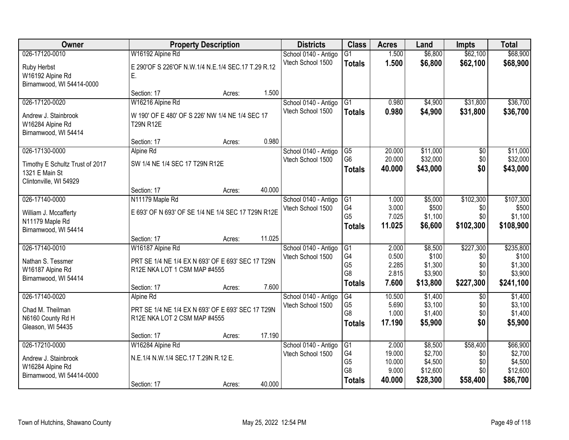| Owner                                   |                                                    | <b>Property Description</b> |        |                                           | <b>Class</b>                     | <b>Acres</b>     | Land                 | <b>Impts</b>    | <b>Total</b>         |
|-----------------------------------------|----------------------------------------------------|-----------------------------|--------|-------------------------------------------|----------------------------------|------------------|----------------------|-----------------|----------------------|
| 026-17120-0010                          | W16192 Alpine Rd                                   |                             |        | School 0140 - Antigo                      | $\overline{G1}$                  | 1.500            | \$6,800              | \$62,100        | \$68,900             |
| Ruby Herbst                             | E 290'OF S 226'OF N.W.1/4 N.E.1/4 SEC.17 T.29 R.12 |                             |        | Vtech School 1500                         | <b>Totals</b>                    | 1.500            | \$6,800              | \$62,100        | \$68,900             |
| W16192 Alpine Rd                        | Е.                                                 |                             |        |                                           |                                  |                  |                      |                 |                      |
| Birnamwood, WI 54414-0000               |                                                    |                             |        |                                           |                                  |                  |                      |                 |                      |
|                                         | Section: 17                                        | Acres:                      | 1.500  |                                           |                                  |                  |                      |                 |                      |
| 026-17120-0020                          | W16216 Alpine Rd                                   |                             |        | School 0140 - Antigo                      | $\overline{G1}$                  | 0.980            | \$4,900              | \$31,800        | \$36,700             |
| Andrew J. Stainbrook                    | W 190' OF E 480' OF S 226' NW 1/4 NE 1/4 SEC 17    |                             |        | Vtech School 1500                         | <b>Totals</b>                    | 0.980            | \$4,900              | \$31,800        | \$36,700             |
| W16284 Alpine Rd                        | <b>T29N R12E</b>                                   |                             |        |                                           |                                  |                  |                      |                 |                      |
| Birnamwood, WI 54414                    |                                                    |                             |        |                                           |                                  |                  |                      |                 |                      |
|                                         | Section: 17                                        | Acres:                      | 0.980  |                                           |                                  |                  |                      |                 |                      |
| 026-17130-0000                          | Alpine Rd                                          |                             |        | School 0140 - Antigo<br>Vtech School 1500 | G <sub>5</sub><br>G <sub>6</sub> | 20.000<br>20.000 | \$11,000<br>\$32,000 | \$0<br>\$0      | \$11,000<br>\$32,000 |
| Timothy E Schultz Trust of 2017         | SW 1/4 NE 1/4 SEC 17 T29N R12E                     |                             |        |                                           | <b>Totals</b>                    | 40.000           | \$43,000             | \$0             | \$43,000             |
| 1321 E Main St                          |                                                    |                             |        |                                           |                                  |                  |                      |                 |                      |
| Clintonville, WI 54929                  | Section: 17                                        | Acres:                      | 40.000 |                                           |                                  |                  |                      |                 |                      |
| 026-17140-0000                          | N11179 Maple Rd                                    |                             |        | School 0140 - Antigo                      | G1                               | 1.000            | \$5,000              | \$102,300       | \$107,300            |
|                                         |                                                    |                             |        | Vtech School 1500                         | G4                               | 3.000            | \$500                | \$0             | \$500                |
| William J. Mccafferty                   | E 693' OF N 693' OF SE 1/4 NE 1/4 SEC 17 T29N R12E |                             |        |                                           | G <sub>5</sub>                   | 7.025            | \$1,100              | \$0             | \$1,100              |
| N11179 Maple Rd<br>Birnamwood, WI 54414 |                                                    |                             |        |                                           | <b>Totals</b>                    | 11.025           | \$6,600              | \$102,300       | \$108,900            |
|                                         | Section: 17                                        | Acres:                      | 11.025 |                                           |                                  |                  |                      |                 |                      |
| 026-17140-0010                          | W16187 Alpine Rd                                   |                             |        | School 0140 - Antigo                      | G1                               | 2.000            | \$8,500              | \$227,300       | \$235,800            |
| Nathan S. Tessmer                       | PRT SE 1/4 NE 1/4 EX N 693' OF E 693' SEC 17 T29N  |                             |        | Vtech School 1500                         | G <sub>4</sub>                   | 0.500            | \$100                | \$0             | \$100                |
| W16187 Alpine Rd                        | R12E NKA LOT 1 CSM MAP #4555                       |                             |        |                                           | G <sub>5</sub>                   | 2.285            | \$1,300              | \$0             | \$1,300              |
| Birnamwood, WI 54414                    |                                                    |                             |        |                                           | G <sub>8</sub>                   | 2.815            | \$3,900              | \$0             | \$3,900              |
|                                         | Section: 17                                        | Acres:                      | 7.600  |                                           | <b>Totals</b>                    | 7.600            | \$13,800             | \$227,300       | \$241,100            |
| 026-17140-0020                          | Alpine Rd                                          |                             |        | School 0140 - Antigo                      | G4                               | 10.500           | \$1,400              | $\overline{50}$ | \$1,400              |
| Chad M. Theilman                        | PRT SE 1/4 NE 1/4 EX N 693' OF E 693' SEC 17 T29N  |                             |        | Vtech School 1500                         | G <sub>5</sub>                   | 5.690            | \$3,100              | \$0             | \$3,100              |
| N6160 County Rd H                       | R12E NKA LOT 2 CSM MAP #4555                       |                             |        |                                           | G <sub>8</sub>                   | 1.000            | \$1,400              | \$0             | \$1,400              |
| Gleason, WI 54435                       |                                                    |                             |        |                                           | <b>Totals</b>                    | 17.190           | \$5,900              | \$0             | \$5,900              |
|                                         | Section: 17                                        | Acres:                      | 17.190 |                                           |                                  |                  |                      |                 |                      |
| 026-17210-0000                          | W16284 Alpine Rd                                   |                             |        | School 0140 - Antigo                      | G1                               | 2.000            | \$8,500              | \$58,400        | \$66,900             |
| Andrew J. Stainbrook                    | N.E.1/4 N.W.1/4 SEC.17 T.29N R.12 E.               |                             |        | Vtech School 1500                         | G4<br>G <sub>5</sub>             | 19.000<br>10.000 | \$2,700<br>\$4,500   | \$0<br>\$0      | \$2,700<br>\$4,500   |
| W16284 Alpine Rd                        |                                                    |                             |        |                                           | G <sub>8</sub>                   | 9.000            | \$12,600             | \$0             | \$12,600             |
| Birnamwood, WI 54414-0000               |                                                    |                             |        |                                           | <b>Totals</b>                    | 40.000           | \$28,300             | \$58,400        | \$86,700             |
|                                         | Section: 17                                        | Acres:                      | 40.000 |                                           |                                  |                  |                      |                 |                      |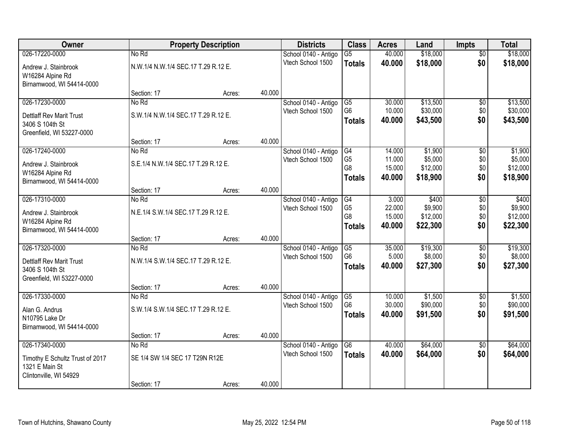| <b>Class</b><br>Owner<br><b>Property Description</b><br><b>Districts</b><br><b>Acres</b><br>Land                                         | <b>Impts</b>                   | <b>Total</b>        |
|------------------------------------------------------------------------------------------------------------------------------------------|--------------------------------|---------------------|
| \$18,000<br>026-17220-0000<br>No Rd<br>$\overline{G5}$<br>40.000<br>School 0140 - Antigo                                                 | $\overline{50}$                | \$18,000            |
| Vtech School 1500<br>\$18,000<br>40.000<br><b>Totals</b><br>N.W.1/4 N.W.1/4 SEC.17 T.29 R.12 E.<br>Andrew J. Stainbrook                  | \$0                            | \$18,000            |
| W16284 Alpine Rd                                                                                                                         |                                |                     |
| Birnamwood, WI 54414-0000                                                                                                                |                                |                     |
| 40.000<br>Section: 17<br>Acres:                                                                                                          |                                |                     |
| \$13,500<br>026-17230-0000<br>No Rd<br>School 0140 - Antigo<br>$\overline{G5}$<br>30.000                                                 | \$0                            | \$13,500            |
| G <sub>6</sub><br>10.000<br>\$30,000<br>Vtech School 1500<br>S.W.1/4 N.W.1/4 SEC.17 T.29 R.12 E.<br><b>Dettlaff Rev Marit Trust</b>      | \$0                            | \$30,000            |
| \$43,500<br>40.000<br><b>Totals</b><br>3406 S 104th St                                                                                   | \$0                            | \$43,500            |
| Greenfield, WI 53227-0000                                                                                                                |                                |                     |
| 40.000<br>Section: 17<br>Acres:                                                                                                          |                                |                     |
| 026-17240-0000<br>G4<br>No Rd<br>School 0140 - Antigo<br>14.000                                                                          | \$1,900<br>\$0                 | \$1,900             |
| G <sub>5</sub><br>11.000<br>Vtech School 1500<br>S.E.1/4 N.W.1/4 SEC.17 T.29 R.12 E.<br>Andrew J. Stainbrook<br>G8<br>15.000<br>\$12,000 | \$5,000<br>\$0<br>\$0          | \$5,000<br>\$12,000 |
| W16284 Alpine Rd<br>\$18,900<br>40.000<br><b>Totals</b>                                                                                  | \$0                            | \$18,900            |
| Birnamwood, WI 54414-0000                                                                                                                |                                |                     |
| 40.000<br>Section: 17<br>Acres:                                                                                                          |                                |                     |
| 026-17310-0000<br>3.000<br>No Rd<br>School 0140 - Antigo<br>G4<br>G <sub>5</sub><br>22.000<br>Vtech School 1500                          | \$400<br>\$0<br>\$9,900<br>\$0 | \$400<br>\$9,900    |
| N.E.1/4 S.W.1/4 SEC.17 T.29 R.12 E.<br>Andrew J. Stainbrook<br>G8<br>15.000<br>\$12,000                                                  | \$0                            | \$12,000            |
| W16284 Alpine Rd<br>\$22,300<br>40.000<br><b>Totals</b>                                                                                  | \$0                            | \$22,300            |
| Birnamwood, WI 54414-0000                                                                                                                |                                |                     |
| 40.000<br>Section: 17<br>Acres:                                                                                                          |                                |                     |
| 026-17320-0000<br>35.000<br>\$19,300<br>No Rd<br>School 0140 - Antigo<br>G5<br>G <sub>6</sub><br>5.000<br>Vtech School 1500              | \$0<br>\$8,000<br>\$0          | \$19,300<br>\$8,000 |
| N.W.1/4 S.W.1/4 SEC.17 T.29 R.12 E.<br><b>Dettlaff Rev Marit Trust</b><br>40.000<br>\$27,300<br><b>Totals</b>                            | \$0                            | \$27,300            |
| 3406 S 104th St                                                                                                                          |                                |                     |
| Greenfield, WI 53227-0000                                                                                                                |                                |                     |
| 40.000<br>Section: 17<br>Acres:<br>026-17330-0000<br>$\overline{G5}$<br>10.000<br>No Rd                                                  | \$1,500                        | \$1,500             |
| School 0140 - Antigo<br>G <sub>6</sub><br>\$90,000<br>Vtech School 1500<br>30.000                                                        | \$0<br>\$0                     | \$90,000            |
| S.W.1/4 S.W.1/4 SEC.17 T.29 R.12 E.<br>Alan G. Andrus<br>\$91,500<br>40.000<br><b>Totals</b>                                             | \$0                            | \$91,500            |
| N10795 Lake Dr                                                                                                                           |                                |                     |
| Birnamwood, WI 54414-0000<br>40.000<br>Section: 17                                                                                       |                                |                     |
| Acres:<br>026-17340-0000<br>\$64,000<br>No Rd<br>School 0140 - Antigo<br>$\overline{G6}$<br>40.000                                       | $\overline{30}$                | \$64,000            |
| Vtech School 1500<br>\$64,000<br>40.000<br><b>Totals</b>                                                                                 | \$0                            | \$64,000            |
| SE 1/4 SW 1/4 SEC 17 T29N R12E<br>Timothy E Schultz Trust of 2017                                                                        |                                |                     |
| 1321 E Main St<br>Clintonville, WI 54929                                                                                                 |                                |                     |
| 40.000<br>Section: 17<br>Acres:                                                                                                          |                                |                     |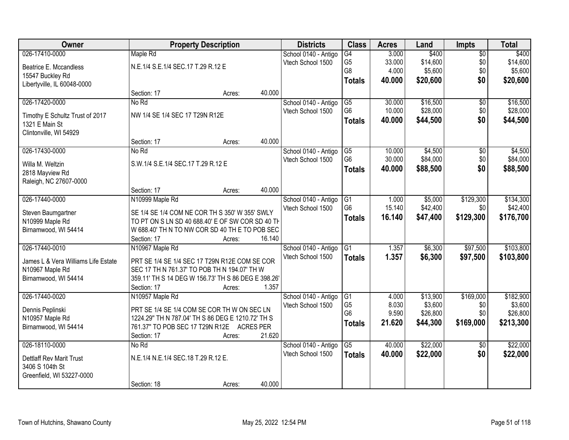| Owner                               |                                                     | <b>Property Description</b> |        | <b>Districts</b>                          | <b>Class</b>                     | <b>Acres</b>     | Land                | <b>Impts</b>    | <b>Total</b>        |
|-------------------------------------|-----------------------------------------------------|-----------------------------|--------|-------------------------------------------|----------------------------------|------------------|---------------------|-----------------|---------------------|
| 026-17410-0000                      | Maple Rd                                            |                             |        | School 0140 - Antigo                      | G4                               | 3.000            | \$400               | $\overline{50}$ | \$400               |
| Beatrice E. Mccandless              | N.E.1/4 S.E.1/4 SEC.17 T.29 R.12 E                  |                             |        | Vtech School 1500                         | G <sub>5</sub>                   | 33.000           | \$14,600            | \$0             | \$14,600            |
| 15547 Buckley Rd                    |                                                     |                             |        |                                           | G8                               | 4.000            | \$5,600             | \$0             | \$5,600             |
| Libertyville, IL 60048-0000         |                                                     |                             |        |                                           | <b>Totals</b>                    | 40.000           | \$20,600            | \$0             | \$20,600            |
|                                     | Section: 17                                         | Acres:                      | 40.000 |                                           |                                  |                  |                     |                 |                     |
| 026-17420-0000                      | No Rd                                               |                             |        | School 0140 - Antigo                      | $\overline{G5}$                  | 30.000           | \$16,500            | $\overline{50}$ | \$16,500            |
|                                     |                                                     |                             |        | Vtech School 1500                         | G <sub>6</sub>                   | 10.000           | \$28,000            | \$0             | \$28,000            |
| Timothy E Schultz Trust of 2017     | NW 1/4 SE 1/4 SEC 17 T29N R12E                      |                             |        |                                           | <b>Totals</b>                    | 40.000           | \$44,500            | \$0             | \$44,500            |
| 1321 E Main St                      |                                                     |                             |        |                                           |                                  |                  |                     |                 |                     |
| Clintonville, WI 54929              | Section: 17                                         |                             | 40.000 |                                           |                                  |                  |                     |                 |                     |
| 026-17430-0000                      | No Rd                                               | Acres:                      |        |                                           |                                  |                  |                     |                 |                     |
|                                     |                                                     |                             |        | School 0140 - Antigo<br>Vtech School 1500 | G5<br>G <sub>6</sub>             | 10.000<br>30.000 | \$4,500<br>\$84,000 | \$0<br>\$0      | \$4,500<br>\$84,000 |
| Willa M. Weltzin                    | S.W.1/4 S.E.1/4 SEC.17 T.29 R.12 E                  |                             |        |                                           |                                  |                  |                     |                 |                     |
| 2818 Mayview Rd                     |                                                     |                             |        |                                           | <b>Totals</b>                    | 40.000           | \$88,500            | \$0             | \$88,500            |
| Raleigh, NC 27607-0000              |                                                     |                             |        |                                           |                                  |                  |                     |                 |                     |
|                                     | Section: 17                                         | Acres:                      | 40.000 |                                           |                                  |                  |                     |                 |                     |
| 026-17440-0000                      | N10999 Maple Rd                                     |                             |        | School 0140 - Antigo                      | G1                               | 1.000            | \$5,000             | \$129,300       | \$134,300           |
| Steven Baumgartner                  | SE 1/4 SE 1/4 COM NE COR TH S 350' W 355' SWLY      |                             |        | Vtech School 1500                         | G <sub>6</sub>                   | 15.140           | \$42,400            | \$0             | \$42,400            |
| N10999 Maple Rd                     | TO PT ON S LN SD 40 688.40' E OF SW COR SD 40 TH    |                             |        |                                           | <b>Totals</b>                    | 16.140           | \$47,400            | \$129,300       | \$176,700           |
| Birnamwood, WI 54414                | W 688.40' TH N TO NW COR SD 40 TH E TO POB SEC      |                             |        |                                           |                                  |                  |                     |                 |                     |
|                                     | Section: 17                                         | Acres:                      | 16.140 |                                           |                                  |                  |                     |                 |                     |
| 026-17440-0010                      | N10967 Maple Rd                                     |                             |        | School 0140 - Antigo                      | $\overline{G1}$                  | 1.357            | \$6,300             | \$97,500        | \$103,800           |
|                                     |                                                     |                             |        | Vtech School 1500                         | <b>Totals</b>                    | 1.357            | \$6,300             | \$97,500        | \$103,800           |
| James L & Vera Williams Life Estate | PRT SE 1/4 SE 1/4 SEC 17 T29N R12E COM SE COR       |                             |        |                                           |                                  |                  |                     |                 |                     |
| N10967 Maple Rd                     | SEC 17 TH N 761.37' TO POB TH N 194.07' TH W        |                             |        |                                           |                                  |                  |                     |                 |                     |
| Birnamwood, WI 54414                | 359.11' TH S 14 DEG W 156.73' TH S 86 DEG E 398.26' |                             |        |                                           |                                  |                  |                     |                 |                     |
|                                     | Section: 17                                         | Acres:                      | 1.357  |                                           |                                  |                  |                     |                 |                     |
| 026-17440-0020                      | N10957 Maple Rd                                     |                             |        | School 0140 - Antigo                      | G1                               | 4.000            | \$13,900            | \$169,000       | \$182,900           |
| Dennis Peplinski                    | PRT SE 1/4 SE 1/4 COM SE COR TH W ON SEC LN         |                             |        | Vtech School 1500                         | G <sub>5</sub><br>G <sub>6</sub> | 8.030            | \$3,600             | \$0             | \$3,600             |
| N10957 Maple Rd                     | 1224.29" TH N 787.04' TH S 86 DEG E 1210.72' TH S   |                             |        |                                           |                                  | 9.590            | \$26,800            | \$0             | \$26,800            |
| Birnamwood, WI 54414                | 761.37" TO POB SEC 17 T29N R12E ACRES PER           |                             |        |                                           | <b>Totals</b>                    | 21.620           | \$44,300            | \$169,000       | \$213,300           |
|                                     | Section: 17                                         | Acres:                      | 21.620 |                                           |                                  |                  |                     |                 |                     |
| 026-18110-0000                      | No Rd                                               |                             |        | School 0140 - Antigo                      | $\overline{G5}$                  | 40.000           | \$22,000            | $\overline{50}$ | \$22,000            |
| <b>Dettlaff Rev Marit Trust</b>     | N.E.1/4 N.E.1/4 SEC.18 T.29 R.12 E.                 |                             |        | Vtech School 1500                         | <b>Totals</b>                    | 40.000           | \$22,000            | \$0             | \$22,000            |
| 3406 S 104th St                     |                                                     |                             |        |                                           |                                  |                  |                     |                 |                     |
| Greenfield, WI 53227-0000           |                                                     |                             |        |                                           |                                  |                  |                     |                 |                     |
|                                     | Section: 18                                         | Acres:                      | 40.000 |                                           |                                  |                  |                     |                 |                     |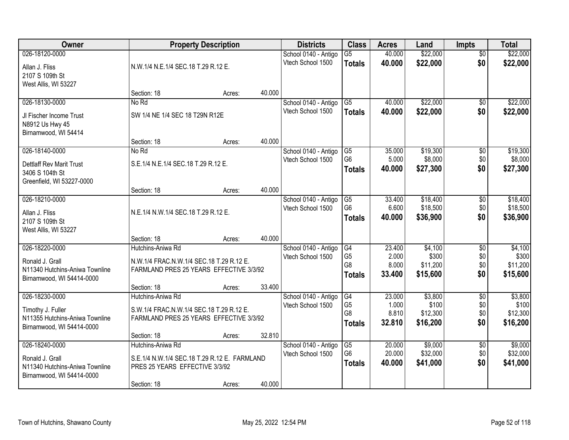| Owner                                                                                              |                                                                                                                         | <b>Property Description</b>         |        | <b>Districts</b>                          | <b>Class</b>                                       | <b>Acres</b>                       | Land                                     | <b>Impts</b>                         | <b>Total</b>                             |
|----------------------------------------------------------------------------------------------------|-------------------------------------------------------------------------------------------------------------------------|-------------------------------------|--------|-------------------------------------------|----------------------------------------------------|------------------------------------|------------------------------------------|--------------------------------------|------------------------------------------|
| 026-18120-0000<br>Allan J. Fliss<br>2107 S 109th St<br>West Allis, WI 53227                        |                                                                                                                         | N.W.1/4 N.E.1/4 SEC.18 T.29 R.12 E. |        | School 0140 - Antigo<br>Vtech School 1500 | $\overline{G5}$<br><b>Totals</b>                   | 40.000<br>40.000                   | \$22,000<br>\$22,000                     | $\overline{50}$<br>\$0               | \$22,000<br>\$22,000                     |
|                                                                                                    | Section: 18                                                                                                             | Acres:                              | 40.000 |                                           |                                                    |                                    |                                          |                                      |                                          |
| 026-18130-0000<br>JI Fischer Income Trust<br>N8912 Us Hwy 45<br>Birnamwood, WI 54414               | No Rd<br>SW 1/4 NE 1/4 SEC 18 T29N R12E                                                                                 |                                     |        | School 0140 - Antigo<br>Vtech School 1500 | G5<br><b>Totals</b>                                | 40.000<br>40.000                   | \$22,000<br>\$22,000                     | $\overline{50}$<br>\$0               | \$22,000<br>\$22,000                     |
| 026-18140-0000                                                                                     | Section: 18                                                                                                             | Acres:                              | 40.000 |                                           |                                                    |                                    |                                          |                                      |                                          |
| <b>Dettlaff Rev Marit Trust</b><br>3406 S 104th St<br>Greenfield, WI 53227-0000                    | No Rd<br>S.E.1/4 N.E.1/4 SEC.18 T.29 R.12 E.                                                                            |                                     |        | School 0140 - Antigo<br>Vtech School 1500 | G5<br>G <sub>6</sub><br><b>Totals</b>              | 35.000<br>5.000<br>40,000          | \$19,300<br>\$8,000<br>\$27,300          | \$0<br>\$0<br>\$0                    | \$19,300<br>\$8,000<br>\$27,300          |
|                                                                                                    | Section: 18                                                                                                             | Acres:                              | 40.000 |                                           |                                                    |                                    |                                          |                                      |                                          |
| 026-18210-0000<br>Allan J. Fliss<br>2107 S 109th St<br>West Allis, WI 53227                        | N.E.1/4 N.W.1/4 SEC.18 T.29 R.12 E.                                                                                     |                                     |        | School 0140 - Antigo<br>Vtech School 1500 | G5<br>G <sub>6</sub><br><b>Totals</b>              | 33.400<br>6.600<br>40.000          | \$18,400<br>\$18,500<br>\$36,900         | \$0<br>\$0<br>\$0                    | \$18,400<br>\$18,500<br>\$36,900         |
|                                                                                                    | Section: 18                                                                                                             | Acres:                              | 40.000 |                                           |                                                    |                                    |                                          |                                      |                                          |
| 026-18220-0000<br>Ronald J. Grall<br>N11340 Hutchins-Aniwa Townline<br>Birnamwood, WI 54414-0000   | Hutchins-Aniwa Rd<br>N.W.1/4 FRAC.N.W.1/4 SEC.18 T.29 R.12 E.<br>FARMLAND PRES 25 YEARS EFFECTIVE 3/3/92<br>Section: 18 | Acres:                              | 33.400 | School 0140 - Antigo<br>Vtech School 1500 | G4<br>G <sub>5</sub><br>G8<br><b>Totals</b>        | 23.400<br>2.000<br>8.000<br>33.400 | \$4,100<br>\$300<br>\$11,200<br>\$15,600 | $\overline{30}$<br>\$0<br>\$0<br>\$0 | \$4,100<br>\$300<br>\$11,200<br>\$15,600 |
| 026-18230-0000<br>Timothy J. Fuller<br>N11355 Hutchins-Aniwa Townline<br>Birnamwood, WI 54414-0000 | Hutchins-Aniwa Rd<br>S.W.1/4 FRAC.N.W.1/4 SEC.18 T.29 R.12 E.<br>FARMLAND PRES 25 YEARS EFFECTIVE 3/3/92<br>Section: 18 | Acres:                              | 32.810 | School 0140 - Antigo<br>Vtech School 1500 | G4<br>G <sub>5</sub><br>G8<br><b>Totals</b>        | 23.000<br>1.000<br>8.810<br>32.810 | \$3,800<br>\$100<br>\$12,300<br>\$16,200 | $\overline{60}$<br>\$0<br>\$0<br>\$0 | \$3,800<br>\$100<br>\$12,300<br>\$16,200 |
| 026-18240-0000<br>Ronald J. Grall<br>N11340 Hutchins-Aniwa Townline<br>Birnamwood, WI 54414-0000   | Hutchins-Aniwa Rd<br>S.E.1/4 N.W.1/4 SEC.18 T.29 R.12 E. FARMLAND<br>PRES 25 YEARS EFFECTIVE 3/3/92<br>Section: 18      | Acres:                              | 40.000 | School 0140 - Antigo<br>Vtech School 1500 | $\overline{G5}$<br>G <sub>6</sub><br><b>Totals</b> | 20.000<br>20.000<br>40.000         | \$9,000<br>\$32,000<br>\$41,000          | $\overline{50}$<br>\$0<br>\$0        | \$9,000<br>\$32,000<br>\$41,000          |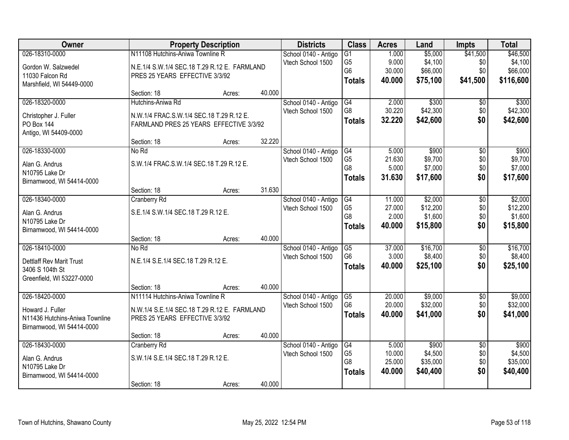| Owner                           |                                              | <b>Property Description</b> |        |                      | <b>Class</b>    | <b>Acres</b> | Land     | <b>Impts</b>    | <b>Total</b> |
|---------------------------------|----------------------------------------------|-----------------------------|--------|----------------------|-----------------|--------------|----------|-----------------|--------------|
| 026-18310-0000                  | N11108 Hutchins-Aniwa Townline R             |                             |        | School 0140 - Antigo | $\overline{G1}$ | 1.000        | \$5,000  | \$41,500        | \$46,500     |
| Gordon W. Salzwedel             | N.E.1/4 S.W.1/4 SEC.18 T.29 R.12 E. FARMLAND |                             |        | Vtech School 1500    | G <sub>5</sub>  | 9.000        | \$4,100  | \$0             | \$4,100      |
| 11030 Falcon Rd                 | PRES 25 YEARS EFFECTIVE 3/3/92               |                             |        |                      | G <sub>6</sub>  | 30.000       | \$66,000 | \$0             | \$66,000     |
| Marshfield, WI 54449-0000       |                                              |                             |        |                      | <b>Totals</b>   | 40.000       | \$75,100 | \$41,500        | \$116,600    |
|                                 | Section: 18                                  | Acres:                      | 40.000 |                      |                 |              |          |                 |              |
| 026-18320-0000                  | Hutchins-Aniwa Rd                            |                             |        | School 0140 - Antigo | G4              | 2.000        | \$300    | $\overline{50}$ | \$300        |
| Christopher J. Fuller           | N.W.1/4 FRAC.S.W.1/4 SEC.18 T.29 R.12 E.     |                             |        | Vtech School 1500    | G8              | 30.220       | \$42,300 | \$0             | \$42,300     |
| PO Box 144                      | FARMLAND PRES 25 YEARS EFFECTIVE 3/3/92      |                             |        |                      | <b>Totals</b>   | 32.220       | \$42,600 | \$0             | \$42,600     |
| Antigo, WI 54409-0000           |                                              |                             |        |                      |                 |              |          |                 |              |
|                                 | Section: 18                                  | Acres:                      | 32.220 |                      |                 |              |          |                 |              |
| 026-18330-0000                  | No Rd                                        |                             |        | School 0140 - Antigo | G4              | 5.000        | \$900    | \$0             | \$900        |
| Alan G. Andrus                  | S.W.1/4 FRAC.S.W.1/4 SEC.18 T.29 R.12 E.     |                             |        | Vtech School 1500    | G <sub>5</sub>  | 21.630       | \$9,700  | \$0             | \$9,700      |
| N10795 Lake Dr                  |                                              |                             |        |                      | G <sub>8</sub>  | 5.000        | \$7,000  | \$0             | \$7,000      |
| Birnamwood, WI 54414-0000       |                                              |                             |        |                      | <b>Totals</b>   | 31.630       | \$17,600 | \$0             | \$17,600     |
|                                 | Section: 18                                  | Acres:                      | 31.630 |                      |                 |              |          |                 |              |
| 026-18340-0000                  | Cranberry Rd                                 |                             |        | School 0140 - Antigo | G4              | 11.000       | \$2,000  | \$0             | \$2,000      |
| Alan G. Andrus                  | S.E.1/4 S.W.1/4 SEC.18 T.29 R.12 E.          |                             |        | Vtech School 1500    | G <sub>5</sub>  | 27.000       | \$12,200 | \$0             | \$12,200     |
| N10795 Lake Dr                  |                                              |                             |        |                      | G8              | 2.000        | \$1,600  | \$0             | \$1,600      |
| Birnamwood, WI 54414-0000       |                                              |                             |        |                      | <b>Totals</b>   | 40.000       | \$15,800 | \$0             | \$15,800     |
|                                 | Section: 18                                  | Acres:                      | 40.000 |                      |                 |              |          |                 |              |
| 026-18410-0000                  | No Rd                                        |                             |        | School 0140 - Antigo | G5              | 37.000       | \$16,700 | $\overline{30}$ | \$16,700     |
| <b>Dettlaff Rev Marit Trust</b> | N.E.1/4 S.E.1/4 SEC.18 T.29 R.12 E.          |                             |        | Vtech School 1500    | G <sub>6</sub>  | 3.000        | \$8,400  | \$0             | \$8,400      |
| 3406 S 104th St                 |                                              |                             |        |                      | <b>Totals</b>   | 40.000       | \$25,100 | \$0             | \$25,100     |
| Greenfield, WI 53227-0000       |                                              |                             |        |                      |                 |              |          |                 |              |
|                                 | Section: 18                                  | Acres:                      | 40.000 |                      |                 |              |          |                 |              |
| 026-18420-0000                  | N11114 Hutchins-Aniwa Townline R             |                             |        | School 0140 - Antigo | $\overline{G5}$ | 20.000       | \$9,000  | $\overline{60}$ | \$9,000      |
| Howard J. Fuller                | N.W.1/4 S.E.1/4 SEC.18 T.29 R.12 E. FARMLAND |                             |        | Vtech School 1500    | G <sub>6</sub>  | 20.000       | \$32,000 | \$0             | \$32,000     |
| N11436 Hutchins-Aniwa Townline  | PRES 25 YEARS EFFECTIVE 3/3/92               |                             |        |                      | <b>Totals</b>   | 40.000       | \$41,000 | \$0             | \$41,000     |
| Birnamwood, WI 54414-0000       |                                              |                             |        |                      |                 |              |          |                 |              |
|                                 | Section: 18                                  | Acres:                      | 40.000 |                      |                 |              |          |                 |              |
| 026-18430-0000                  | Cranberry Rd                                 |                             |        | School 0140 - Antigo | $\overline{G4}$ | 5.000        | \$900    | $\overline{50}$ | \$900        |
| Alan G. Andrus                  | S.W.1/4 S.E.1/4 SEC.18 T.29 R.12 E.          |                             |        | Vtech School 1500    | G <sub>5</sub>  | 10.000       | \$4,500  | \$0             | \$4,500      |
| N10795 Lake Dr                  |                                              |                             |        |                      | G8              | 25.000       | \$35,000 | \$0             | \$35,000     |
| Birnamwood, WI 54414-0000       |                                              |                             |        |                      | <b>Totals</b>   | 40.000       | \$40,400 | \$0             | \$40,400     |
|                                 | Section: 18                                  | Acres:                      | 40.000 |                      |                 |              |          |                 |              |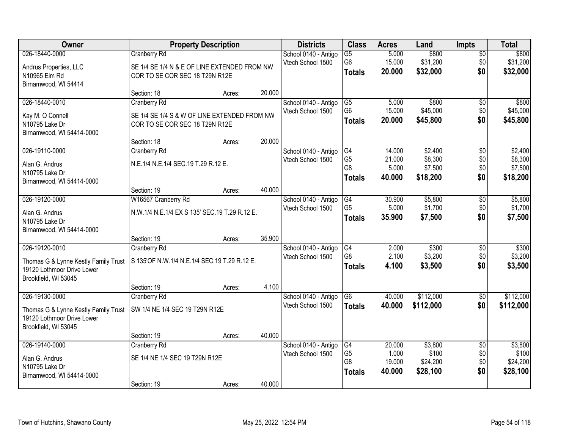| <b>Owner</b>                                                       |                                                                                | <b>Property Description</b> |        |                                           | <b>Class</b>         | <b>Acres</b>     | Land               | <b>Impts</b>           | <b>Total</b>       |
|--------------------------------------------------------------------|--------------------------------------------------------------------------------|-----------------------------|--------|-------------------------------------------|----------------------|------------------|--------------------|------------------------|--------------------|
| 026-18440-0000                                                     | <b>Cranberry Rd</b>                                                            |                             |        | School 0140 - Antigo                      | $\overline{G5}$      | 5.000            | \$800              | $\overline{50}$        | \$800              |
| Andrus Properties, LLC                                             | SE 1/4 SE 1/4 N & E OF LINE EXTENDED FROM NW                                   |                             |        | Vtech School 1500                         | G <sub>6</sub>       | 15.000<br>20.000 | \$31,200           | \$0<br>\$0             | \$31,200           |
| N10965 Elm Rd                                                      | COR TO SE COR SEC 18 T29N R12E                                                 |                             |        |                                           | <b>Totals</b>        |                  | \$32,000           |                        | \$32,000           |
| Birnamwood, WI 54414                                               | Section: 18                                                                    | Acres:                      | 20.000 |                                           |                      |                  |                    |                        |                    |
| 026-18440-0010                                                     | <b>Cranberry Rd</b>                                                            |                             |        | School 0140 - Antigo                      | G5                   | 5.000            | \$800              | \$0                    | \$800              |
|                                                                    |                                                                                |                             |        | Vtech School 1500                         | G <sub>6</sub>       | 15.000           | \$45,000           | \$0                    | \$45,000           |
| Kay M. O Connell<br>N10795 Lake Dr                                 | SE 1/4 SE 1/4 S & W OF LINE EXTENDED FROM NW<br>COR TO SE COR SEC 18 T29N R12E |                             |        |                                           | <b>Totals</b>        | 20.000           | \$45,800           | \$0                    | \$45,800           |
| Birnamwood, WI 54414-0000                                          |                                                                                |                             |        |                                           |                      |                  |                    |                        |                    |
|                                                                    | Section: 18                                                                    | Acres:                      | 20.000 |                                           |                      |                  |                    |                        |                    |
| 026-19110-0000                                                     | Cranberry Rd                                                                   |                             |        | School 0140 - Antigo                      | G4                   | 14.000           | \$2,400            | $\overline{50}$        | \$2,400            |
| Alan G. Andrus                                                     | N.E.1/4 N.E.1/4 SEC.19 T.29 R.12 E.                                            |                             |        | Vtech School 1500                         | G <sub>5</sub>       | 21.000           | \$8,300            | \$0                    | \$8,300            |
| N10795 Lake Dr                                                     |                                                                                |                             |        |                                           | G <sub>8</sub>       | 5.000            | \$7,500            | \$0                    | \$7,500            |
| Birnamwood, WI 54414-0000                                          |                                                                                |                             |        |                                           | <b>Totals</b>        | 40.000           | \$18,200           | \$0                    | \$18,200           |
|                                                                    | Section: 19                                                                    | Acres:                      | 40.000 |                                           |                      |                  |                    |                        |                    |
| 026-19120-0000                                                     | W16567 Cranberry Rd                                                            |                             |        | School 0140 - Antigo<br>Vtech School 1500 | G4<br>G <sub>5</sub> | 30.900<br>5.000  | \$5,800<br>\$1,700 | \$0<br>\$0             | \$5,800<br>\$1,700 |
| Alan G. Andrus                                                     | N.W.1/4 N.E.1/4 EX S 135' SEC.19 T.29 R.12 E.                                  |                             |        |                                           | <b>Totals</b>        | 35.900           | \$7,500            | \$0                    | \$7,500            |
| N10795 Lake Dr                                                     |                                                                                |                             |        |                                           |                      |                  |                    |                        |                    |
| Birnamwood, WI 54414-0000                                          | Section: 19                                                                    | Acres:                      | 35.900 |                                           |                      |                  |                    |                        |                    |
| 026-19120-0010                                                     | Cranberry Rd                                                                   |                             |        | School 0140 - Antigo                      | G4                   | 2.000            | \$300              | $\overline{50}$        | \$300              |
|                                                                    |                                                                                |                             |        | Vtech School 1500                         | G <sub>8</sub>       | 2.100            | \$3,200            | \$0                    | \$3,200            |
| Thomas G & Lynne Kestly Family Trust<br>19120 Lothmoor Drive Lower | S 135'OF N.W.1/4 N.E.1/4 SEC.19 T.29 R.12 E.                                   |                             |        |                                           | <b>Totals</b>        | 4.100            | \$3,500            | \$0                    | \$3,500            |
| Brookfield, WI 53045                                               |                                                                                |                             |        |                                           |                      |                  |                    |                        |                    |
|                                                                    | Section: 19                                                                    | Acres:                      | 4.100  |                                           |                      |                  |                    |                        |                    |
| 026-19130-0000                                                     | Cranberry Rd                                                                   |                             |        | School 0140 - Antigo                      | G6                   | 40.000           | \$112,000          | $\sqrt{$0}$            | \$112,000          |
| Thomas G & Lynne Kestly Family Trust                               | SW 1/4 NE 1/4 SEC 19 T29N R12E                                                 |                             |        | Vtech School 1500                         | <b>Totals</b>        | 40.000           | \$112,000          | \$0                    | \$112,000          |
| 19120 Lothmoor Drive Lower                                         |                                                                                |                             |        |                                           |                      |                  |                    |                        |                    |
| Brookfield, WI 53045                                               |                                                                                |                             |        |                                           |                      |                  |                    |                        |                    |
|                                                                    | Section: 19                                                                    | Acres:                      | 40.000 |                                           |                      |                  |                    |                        |                    |
| 026-19140-0000                                                     | Cranberry Rd                                                                   |                             |        | School 0140 - Antigo<br>Vtech School 1500 | G4<br>G <sub>5</sub> | 20.000<br>1.000  | \$3,800<br>\$100   | $\overline{50}$<br>\$0 | \$3,800<br>\$100   |
| Alan G. Andrus                                                     | SE 1/4 NE 1/4 SEC 19 T29N R12E                                                 |                             |        |                                           | G <sub>8</sub>       | 19.000           | \$24,200           | \$0                    | \$24,200           |
| N10795 Lake Dr<br>Birnamwood, WI 54414-0000                        |                                                                                |                             |        |                                           | <b>Totals</b>        | 40.000           | \$28,100           | \$0                    | \$28,100           |
|                                                                    | Section: 19                                                                    | Acres:                      | 40.000 |                                           |                      |                  |                    |                        |                    |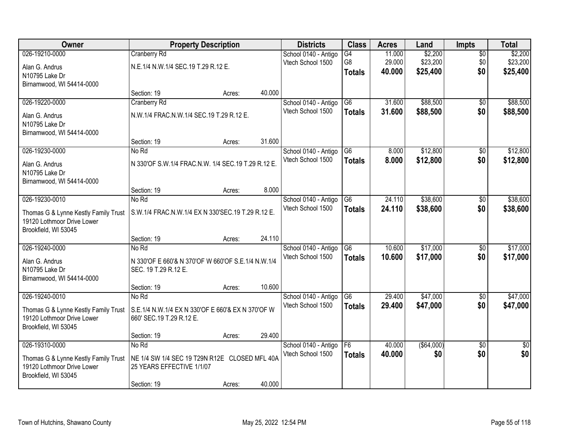| Owner                                | <b>Property Description</b>                        |                  | <b>Districts</b>                          | <b>Class</b>    | <b>Acres</b>     | Land               | Impts                  | <b>Total</b>           |
|--------------------------------------|----------------------------------------------------|------------------|-------------------------------------------|-----------------|------------------|--------------------|------------------------|------------------------|
| 026-19210-0000                       | <b>Cranberry Rd</b>                                |                  | School 0140 - Antigo                      | G4              | 11.000           | \$2,200            | $\overline{50}$        | \$2,200                |
| Alan G. Andrus                       | N.E.1/4 N.W.1/4 SEC.19 T.29 R.12 E.                |                  | Vtech School 1500                         | G <sub>8</sub>  | 29.000           | \$23,200           | \$0                    | \$23,200               |
| N10795 Lake Dr                       |                                                    |                  |                                           | <b>Totals</b>   | 40.000           | \$25,400           | \$0                    | \$25,400               |
| Birnamwood, WI 54414-0000            |                                                    |                  |                                           |                 |                  |                    |                        |                        |
|                                      | Section: 19                                        | 40.000<br>Acres: |                                           |                 |                  |                    |                        |                        |
| 026-19220-0000                       | Cranberry Rd                                       |                  | School 0140 - Antigo                      | G6              | 31.600           | \$88,500           | $\overline{50}$        | \$88,500               |
| Alan G. Andrus                       | N.W.1/4 FRAC.N.W.1/4 SEC.19 T.29 R.12 E.           |                  | Vtech School 1500                         | <b>Totals</b>   | 31.600           | \$88,500           | \$0                    | \$88,500               |
| N10795 Lake Dr                       |                                                    |                  |                                           |                 |                  |                    |                        |                        |
| Birnamwood, WI 54414-0000            |                                                    |                  |                                           |                 |                  |                    |                        |                        |
|                                      | Section: 19                                        | 31.600<br>Acres: |                                           |                 |                  |                    |                        |                        |
| 026-19230-0000                       | No Rd                                              |                  | School 0140 - Antigo                      | G <sub>6</sub>  | 8.000            | \$12,800           | \$0                    | \$12,800               |
| Alan G. Andrus                       | N 330'OF S.W.1/4 FRAC.N.W. 1/4 SEC.19 T.29 R.12 E. |                  | Vtech School 1500                         | <b>Totals</b>   | 8.000            | \$12,800           | \$0                    | \$12,800               |
| N10795 Lake Dr                       |                                                    |                  |                                           |                 |                  |                    |                        |                        |
| Birnamwood, WI 54414-0000            |                                                    |                  |                                           |                 |                  |                    |                        |                        |
|                                      | Section: 19                                        | 8.000<br>Acres:  |                                           |                 |                  |                    |                        |                        |
| 026-19230-0010                       | No Rd                                              |                  | School 0140 - Antigo                      | G <sub>6</sub>  | 24.110           | \$38,600           | \$0                    | \$38,600               |
| Thomas G & Lynne Kestly Family Trust | S.W.1/4 FRAC.N.W.1/4 EX N 330'SEC.19 T.29 R.12 E.  |                  | Vtech School 1500                         | <b>Totals</b>   | 24.110           | \$38,600           | \$0                    | \$38,600               |
| 19120 Lothmoor Drive Lower           |                                                    |                  |                                           |                 |                  |                    |                        |                        |
| Brookfield, WI 53045                 |                                                    |                  |                                           |                 |                  |                    |                        |                        |
|                                      | Section: 19                                        | 24.110<br>Acres: |                                           |                 |                  |                    |                        |                        |
| 026-19240-0000                       | No Rd                                              |                  | School 0140 - Antigo                      | $\overline{G6}$ | 10.600           | \$17,000           | $\overline{50}$        | \$17,000               |
| Alan G. Andrus                       | N 330'OF E 660'& N 370'OF W 660'OF S.E.1/4 N.W.1/4 |                  | Vtech School 1500                         | <b>Totals</b>   | 10.600           | \$17,000           | \$0                    | \$17,000               |
| N10795 Lake Dr                       | SEC. 19 T.29 R.12 E.                               |                  |                                           |                 |                  |                    |                        |                        |
| Birnamwood, WI 54414-0000            |                                                    |                  |                                           |                 |                  |                    |                        |                        |
|                                      | Section: 19                                        | 10.600<br>Acres: |                                           |                 |                  |                    |                        |                        |
| 026-19240-0010                       | No Rd                                              |                  | School 0140 - Antigo<br>Vtech School 1500 | G <sub>6</sub>  | 29.400           | \$47,000           | $\overline{50}$        | \$47,000               |
| Thomas G & Lynne Kestly Family Trust | S.E.1/4 N.W.1/4 EX N 330'OF E 660'& EX N 370'OF W  |                  |                                           | <b>Totals</b>   | 29.400           | \$47,000           | \$0                    | \$47,000               |
| 19120 Lothmoor Drive Lower           | 660' SEC.19 T.29 R.12 E.                           |                  |                                           |                 |                  |                    |                        |                        |
| Brookfield, WI 53045                 |                                                    |                  |                                           |                 |                  |                    |                        |                        |
|                                      | Section: 19                                        | 29.400<br>Acres: |                                           |                 |                  |                    |                        |                        |
| 026-19310-0000                       | No Rd                                              |                  | School 0140 - Antigo<br>Vtech School 1500 | F6              | 40.000<br>40.000 | ( \$64,000)<br>\$0 | $\overline{50}$<br>\$0 | $\overline{50}$<br>\$0 |
| Thomas G & Lynne Kestly Family Trust | NE 1/4 SW 1/4 SEC 19 T29N R12E CLOSED MFL 40A      |                  |                                           | <b>Totals</b>   |                  |                    |                        |                        |
| 19120 Lothmoor Drive Lower           | 25 YEARS EFFECTIVE 1/1/07                          |                  |                                           |                 |                  |                    |                        |                        |
| Brookfield, WI 53045                 |                                                    |                  |                                           |                 |                  |                    |                        |                        |
|                                      | Section: 19                                        | 40.000<br>Acres: |                                           |                 |                  |                    |                        |                        |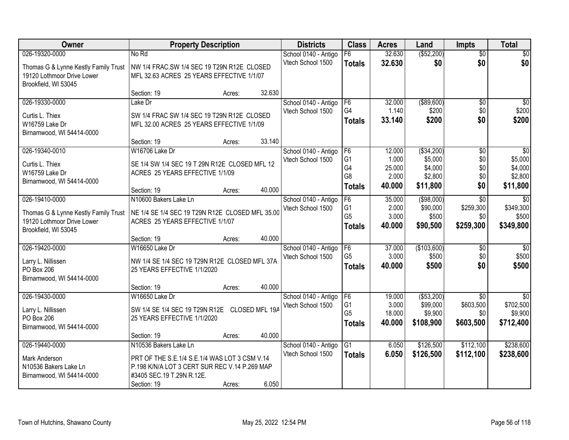| Owner                                | <b>Property Description</b>                     |        |                | <b>Districts</b>                          | <b>Class</b>                     | <b>Acres</b>    | Land                    | <b>Impts</b>                 | <b>Total</b>                 |
|--------------------------------------|-------------------------------------------------|--------|----------------|-------------------------------------------|----------------------------------|-----------------|-------------------------|------------------------------|------------------------------|
| 026-19320-0000                       | No Rd                                           |        |                | School 0140 - Antigo                      | F6                               | 32.630          | ( \$52, 200)            | $\overline{50}$              | \$0                          |
| Thomas G & Lynne Kestly Family Trust | NW 1/4 FRAC.SW 1/4 SEC 19 T29N R12E CLOSED      |        |                | Vtech School 1500                         | <b>Totals</b>                    | 32.630          | \$0                     | \$0                          | \$0                          |
| 19120 Lothmoor Drive Lower           | MFL 32.63 ACRES 25 YEARS EFFECTIVE 1/1/07       |        |                |                                           |                                  |                 |                         |                              |                              |
| Brookfield, WI 53045                 |                                                 |        |                |                                           |                                  |                 |                         |                              |                              |
|                                      | Section: 19                                     | Acres: | 32.630         |                                           |                                  |                 |                         |                              |                              |
| 026-19330-0000                       | Lake Dr                                         |        |                | School 0140 - Antigo                      | F6                               | 32.000          | ( \$89,600)             | \$0                          | \$0                          |
| Curtis L. Thiex                      | SW 1/4 FRAC SW 1/4 SEC 19 T29N R12E CLOSED      |        |                | Vtech School 1500                         | G <sub>4</sub>                   | 1.140           | \$200                   | \$0                          | \$200                        |
| W16759 Lake Dr                       | MFL 32.00 ACRES 25 YEARS EFFECTIVE 1/1/09       |        |                |                                           | <b>Totals</b>                    | 33.140          | \$200                   | \$0                          | \$200                        |
| Birnamwood, WI 54414-0000            |                                                 |        |                |                                           |                                  |                 |                         |                              |                              |
|                                      | Section: 19                                     | Acres: | 33.140         |                                           |                                  |                 |                         |                              |                              |
| 026-19340-0010                       | W16706 Lake Dr                                  |        |                | School 0140 - Antigo                      | F <sub>6</sub>                   | 12.000          | ( \$34,200)             | \$0                          | $\overline{50}$              |
| Curtis L. Thiex                      | SE 1/4 SW 1/4 SEC 19 T 29N R12E CLOSED MFL 12   |        |                | Vtech School 1500                         | G <sub>1</sub><br>G4             | 1.000<br>25.000 | \$5,000<br>\$4,000      | \$0<br>\$0                   | \$5,000<br>\$4,000           |
| W16759 Lake Dr                       | ACRES 25 YEARS EFFECTIVE 1/1/09                 |        |                |                                           | G <sub>8</sub>                   | 2.000           | \$2,800                 | \$0                          | \$2,800                      |
| Birnamwood, WI 54414-0000            |                                                 |        |                |                                           | <b>Totals</b>                    | 40.000          | \$11,800                | \$0                          | \$11,800                     |
|                                      | Section: 19                                     | Acres: | 40.000         |                                           |                                  |                 |                         |                              |                              |
| 026-19410-0000                       | N10600 Bakers Lake Ln                           |        |                | School 0140 - Antigo                      | F6<br>G <sub>1</sub>             | 35.000          | (\$98,000)              | \$0                          | $\overline{50}$<br>\$349,300 |
| Thomas G & Lynne Kestly Family Trust | NE 1/4 SE 1/4 SEC 19 T29N R12E CLOSED MFL 35.00 |        |                | Vtech School 1500                         | G <sub>5</sub>                   | 2.000<br>3.000  | \$90,000<br>\$500       | \$259,300<br>\$0             | \$500                        |
| 19120 Lothmoor Drive Lower           | ACRES 25 YEARS EFFECTIVE 1/1/07                 |        |                |                                           | <b>Totals</b>                    | 40,000          | \$90,500                | \$259,300                    | \$349,800                    |
| Brookfield, WI 53045                 |                                                 |        |                |                                           |                                  |                 |                         |                              |                              |
|                                      | Section: 19                                     | Acres: | 40.000         |                                           |                                  |                 |                         |                              |                              |
| 026-19420-0000                       | W16650 Lake Dr                                  |        |                | School 0140 - Antigo                      | F6<br>G <sub>5</sub>             | 37.000<br>3.000 | (\$103,600)<br>\$500    | \$0<br>\$0                   | $\overline{50}$<br>\$500     |
| Larry L. Nillissen                   | NW 1/4 SE 1/4 SEC 19 T29N R12E CLOSED MFL 37A   |        |                | Vtech School 1500                         |                                  | 40,000          | \$500                   | \$0                          | \$500                        |
| <b>PO Box 206</b>                    | 25 YEARS EFFECTIVE 1/1/2020                     |        |                |                                           | <b>Totals</b>                    |                 |                         |                              |                              |
| Birnamwood, WI 54414-0000            |                                                 |        |                |                                           |                                  |                 |                         |                              |                              |
|                                      | Section: 19                                     | Acres: | 40.000         |                                           |                                  |                 |                         |                              |                              |
| 026-19430-0000                       | W16650 Lake Dr                                  |        |                | School 0140 - Antigo<br>Vtech School 1500 | F <sub>6</sub><br>G <sub>1</sub> | 19.000<br>3.000 | ( \$53,200)<br>\$99,000 | $\overline{50}$<br>\$603,500 | $\overline{30}$<br>\$702,500 |
| Larry L. Nillissen                   | SW 1/4 SE 1/4 SEC 19 T29N R12E                  |        | CLOSED MFL 19A |                                           | G <sub>5</sub>                   | 18.000          | \$9,900                 | \$0                          | \$9,900                      |
| PO Box 206                           | 25 YEARS EFFECTIVE 1/1/2020                     |        |                |                                           | <b>Totals</b>                    | 40.000          | \$108,900               | \$603,500                    | \$712,400                    |
| Birnamwood, WI 54414-0000            |                                                 |        |                |                                           |                                  |                 |                         |                              |                              |
|                                      | Section: 19                                     | Acres: | 40.000         |                                           |                                  |                 |                         |                              |                              |
| 026-19440-0000                       | N10536 Bakers Lake Ln                           |        |                | School 0140 - Antigo                      | $\overline{G1}$                  | 6.050           | \$126,500               | \$112,100                    | \$238,600                    |
| Mark Anderson                        | PRT OF THE S.E.1/4 S.E.1/4 WAS LOT 3 CSM V.14   |        |                | Vtech School 1500                         | <b>Totals</b>                    | 6.050           | \$126,500               | \$112,100                    | \$238,600                    |
| N10536 Bakers Lake Ln                | P.198 K/N/A LOT 3 CERT SUR REC V.14 P.269 MAP   |        |                |                                           |                                  |                 |                         |                              |                              |
| Birnamwood, WI 54414-0000            | #3405 SEC.19 T.29N R.12E.                       |        |                |                                           |                                  |                 |                         |                              |                              |
|                                      | Section: 19                                     | Acres: | 6.050          |                                           |                                  |                 |                         |                              |                              |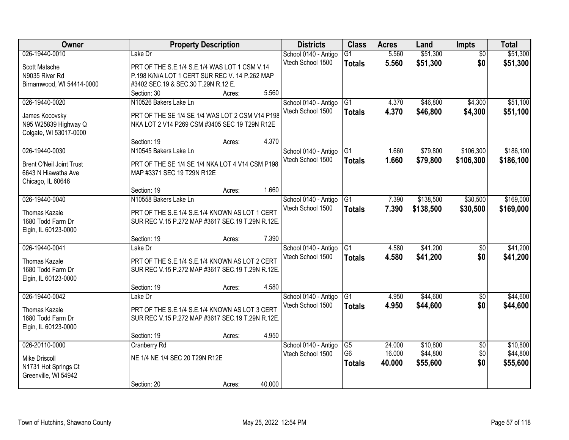| Owner                           |                                                                                                    | <b>Property Description</b> |        |                      | <b>Class</b>    | <b>Acres</b> | Land      | <b>Impts</b>    | <b>Total</b> |
|---------------------------------|----------------------------------------------------------------------------------------------------|-----------------------------|--------|----------------------|-----------------|--------------|-----------|-----------------|--------------|
| 026-19440-0010                  | Lake Dr                                                                                            |                             |        | School 0140 - Antigo | $\overline{G1}$ | 5.560        | \$51,300  | $\overline{50}$ | \$51,300     |
| Scott Matsche                   | PRT OF THE S.E.1/4 S.E.1/4 WAS LOT 1 CSM V.14                                                      |                             |        | Vtech School 1500    | <b>Totals</b>   | 5.560        | \$51,300  | \$0             | \$51,300     |
| N9035 River Rd                  | P.198 K/N/A LOT 1 CERT SUR REC V. 14 P.262 MAP                                                     |                             |        |                      |                 |              |           |                 |              |
| Birnamwood, WI 54414-0000       | #3402 SEC.19 & SEC.30 T.29N R.12 E.                                                                |                             |        |                      |                 |              |           |                 |              |
|                                 | Section: 30                                                                                        | Acres:                      | 5.560  |                      |                 |              |           |                 |              |
| 026-19440-0020                  | N10526 Bakers Lake Ln                                                                              |                             |        | School 0140 - Antigo | $\overline{G1}$ | 4.370        | \$46,800  | \$4,300         | \$51,100     |
|                                 |                                                                                                    |                             |        | Vtech School 1500    | <b>Totals</b>   | 4.370        | \$46,800  | \$4,300         | \$51,100     |
| James Kocovsky                  | PRT OF THE SE 1/4 SE 1/4 WAS LOT 2 CSM V14 P198                                                    |                             |        |                      |                 |              |           |                 |              |
| N95 W25839 Highway Q            | NKA LOT 2 V14 P269 CSM #3405 SEC 19 T29N R12E                                                      |                             |        |                      |                 |              |           |                 |              |
| Colgate, WI 53017-0000          |                                                                                                    |                             |        |                      |                 |              |           |                 |              |
|                                 | Section: 19                                                                                        | Acres:                      | 4.370  |                      |                 |              |           |                 |              |
| 026-19440-0030                  | N10545 Bakers Lake Ln                                                                              |                             |        | School 0140 - Antigo | G1              | 1.660        | \$79,800  | \$106,300       | \$186,100    |
| <b>Brent O'Neil Joint Trust</b> | PRT OF THE SE 1/4 SE 1/4 NKA LOT 4 V14 CSM P198                                                    |                             |        | Vtech School 1500    | <b>Totals</b>   | 1.660        | \$79,800  | \$106,300       | \$186,100    |
| 6643 N Hiawatha Ave             | MAP #3371 SEC 19 T29N R12E                                                                         |                             |        |                      |                 |              |           |                 |              |
| Chicago, IL 60646               |                                                                                                    |                             |        |                      |                 |              |           |                 |              |
|                                 | Section: 19                                                                                        | Acres:                      | 1.660  |                      |                 |              |           |                 |              |
| 026-19440-0040                  | N10558 Bakers Lake Ln                                                                              |                             |        | School 0140 - Antigo | G1              | 7.390        | \$138,500 | \$30,500        | \$169,000    |
| <b>Thomas Kazale</b>            |                                                                                                    |                             |        | Vtech School 1500    | <b>Totals</b>   | 7.390        | \$138,500 | \$30,500        | \$169,000    |
| 1680 Todd Farm Dr               | PRT OF THE S.E.1/4 S.E.1/4 KNOWN AS LOT 1 CERT<br>SUR REC V.15 P.272 MAP #3617 SEC.19 T.29N R.12E. |                             |        |                      |                 |              |           |                 |              |
| Elgin, IL 60123-0000            |                                                                                                    |                             |        |                      |                 |              |           |                 |              |
|                                 | Section: 19                                                                                        | Acres:                      | 7.390  |                      |                 |              |           |                 |              |
| 026-19440-0041                  | Lake Dr                                                                                            |                             |        | School 0140 - Antigo | $\overline{G1}$ | 4.580        | \$41,200  | $\overline{50}$ | \$41,200     |
|                                 |                                                                                                    |                             |        | Vtech School 1500    |                 | 4.580        | \$41,200  | \$0             | \$41,200     |
| Thomas Kazale                   | PRT OF THE S.E.1/4 S.E.1/4 KNOWN AS LOT 2 CERT                                                     |                             |        |                      | <b>Totals</b>   |              |           |                 |              |
| 1680 Todd Farm Dr               | SUR REC V.15 P.272 MAP #3617 SEC.19 T.29N R.12E.                                                   |                             |        |                      |                 |              |           |                 |              |
| Elgin, IL 60123-0000            |                                                                                                    |                             |        |                      |                 |              |           |                 |              |
|                                 | Section: 19                                                                                        | Acres:                      | 4.580  |                      |                 |              |           |                 |              |
| 026-19440-0042                  | Lake Dr                                                                                            |                             |        | School 0140 - Antigo | G1              | 4.950        | \$44,600  | $\overline{50}$ | \$44,600     |
| <b>Thomas Kazale</b>            | PRT OF THE S.E.1/4 S.E.1/4 KNOWN AS LOT 3 CERT                                                     |                             |        | Vtech School 1500    | <b>Totals</b>   | 4.950        | \$44,600  | \$0             | \$44,600     |
| 1680 Todd Farm Dr               | SUR REC V.15 P.272 MAP #3617 SEC.19 T.29N R.12E.                                                   |                             |        |                      |                 |              |           |                 |              |
| Elgin, IL 60123-0000            |                                                                                                    |                             |        |                      |                 |              |           |                 |              |
|                                 | Section: 19                                                                                        | Acres:                      | 4.950  |                      |                 |              |           |                 |              |
| 026-20110-0000                  | Cranberry Rd                                                                                       |                             |        | School 0140 - Antigo | $\overline{G5}$ | 24.000       | \$10,800  | $\overline{50}$ | \$10,800     |
|                                 |                                                                                                    |                             |        | Vtech School 1500    | G <sub>6</sub>  | 16.000       | \$44,800  | \$0             | \$44,800     |
| <b>Mike Driscoll</b>            | NE 1/4 NE 1/4 SEC 20 T29N R12E                                                                     |                             |        |                      | <b>Totals</b>   | 40.000       | \$55,600  | \$0             | \$55,600     |
| N1731 Hot Springs Ct            |                                                                                                    |                             |        |                      |                 |              |           |                 |              |
| Greenville, WI 54942            |                                                                                                    |                             |        |                      |                 |              |           |                 |              |
|                                 | Section: 20                                                                                        | Acres:                      | 40.000 |                      |                 |              |           |                 |              |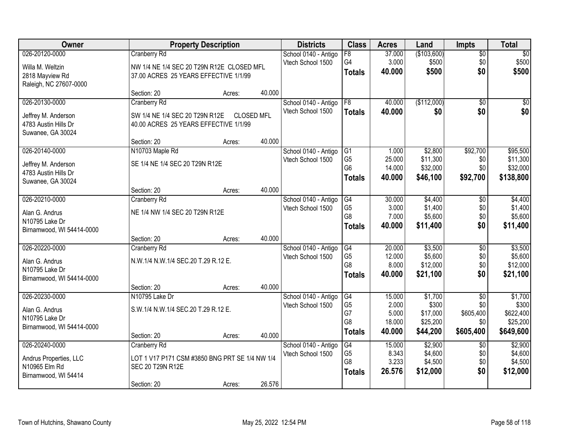| Owner                     |                                                | <b>Property Description</b> |                   | <b>Districts</b>     | <b>Class</b>    | <b>Acres</b> | Land        | <b>Impts</b>    | <b>Total</b> |
|---------------------------|------------------------------------------------|-----------------------------|-------------------|----------------------|-----------------|--------------|-------------|-----------------|--------------|
| 026-20120-0000            | <b>Cranberry Rd</b>                            |                             |                   | School 0140 - Antigo | $\overline{F8}$ | 37.000       | (\$103,600) | $\overline{50}$ | $\sqrt{50}$  |
| Willa M. Weltzin          | NW 1/4 NE 1/4 SEC 20 T29N R12E CLOSED MFL      |                             |                   | Vtech School 1500    | G4              | 3.000        | \$500       | \$0             | \$500        |
| 2818 Mayview Rd           | 37.00 ACRES 25 YEARS EFFECTIVE 1/1/99          |                             |                   |                      | <b>Totals</b>   | 40.000       | \$500       | \$0             | \$500        |
| Raleigh, NC 27607-0000    |                                                |                             |                   |                      |                 |              |             |                 |              |
|                           | Section: 20                                    | Acres:                      | 40.000            |                      |                 |              |             |                 |              |
| 026-20130-0000            | <b>Cranberry Rd</b>                            |                             |                   | School 0140 - Antigo | F8              | 40.000       | (\$112,000) | $\overline{50}$ | $\sqrt{50}$  |
|                           |                                                |                             |                   | Vtech School 1500    | <b>Totals</b>   | 40.000       | \$0         | \$0             | \$0          |
| Jeffrey M. Anderson       | SW 1/4 NE 1/4 SEC 20 T29N R12E                 |                             | <b>CLOSED MFL</b> |                      |                 |              |             |                 |              |
| 4783 Austin Hills Dr      | 40.00 ACRES 25 YEARS EFFECTIVE 1/1/99          |                             |                   |                      |                 |              |             |                 |              |
| Suwanee, GA 30024         | Section: 20                                    | Acres:                      | 40.000            |                      |                 |              |             |                 |              |
| 026-20140-0000            | N10703 Maple Rd                                |                             |                   | School 0140 - Antigo | G <sub>1</sub>  | 1.000        | \$2,800     | \$92,700        | \$95,500     |
|                           |                                                |                             |                   | Vtech School 1500    | G <sub>5</sub>  | 25.000       | \$11,300    | \$0             | \$11,300     |
| Jeffrey M. Anderson       | SE 1/4 NE 1/4 SEC 20 T29N R12E                 |                             |                   |                      | G <sub>6</sub>  | 14.000       | \$32,000    | \$0             | \$32,000     |
| 4783 Austin Hills Dr      |                                                |                             |                   |                      | <b>Totals</b>   | 40.000       | \$46,100    | \$92,700        | \$138,800    |
| Suwanee, GA 30024         |                                                |                             |                   |                      |                 |              |             |                 |              |
|                           | Section: 20                                    | Acres:                      | 40.000            |                      |                 |              |             |                 |              |
| 026-20210-0000            | <b>Cranberry Rd</b>                            |                             |                   | School 0140 - Antigo | G4              | 30.000       | \$4,400     | \$0             | \$4,400      |
| Alan G. Andrus            | NE 1/4 NW 1/4 SEC 20 T29N R12E                 |                             |                   | Vtech School 1500    | G <sub>5</sub>  | 3.000        | \$1,400     | \$0             | \$1,400      |
| N10795 Lake Dr            |                                                |                             |                   |                      | G <sub>8</sub>  | 7.000        | \$5,600     | \$0             | \$5,600      |
| Birnamwood, WI 54414-0000 |                                                |                             |                   |                      | <b>Totals</b>   | 40.000       | \$11,400    | \$0             | \$11,400     |
|                           | Section: 20                                    | Acres:                      | 40.000            |                      |                 |              |             |                 |              |
| 026-20220-0000            | <b>Cranberry Rd</b>                            |                             |                   | School 0140 - Antigo | G4              | 20.000       | \$3,500     | \$0             | \$3,500      |
| Alan G. Andrus            | N.W.1/4 N.W.1/4 SEC.20 T.29 R.12 E.            |                             |                   | Vtech School 1500    | G <sub>5</sub>  | 12.000       | \$5,600     | \$0             | \$5,600      |
| N10795 Lake Dr            |                                                |                             |                   |                      | G8              | 8.000        | \$12,000    | \$0             | \$12,000     |
| Birnamwood, WI 54414-0000 |                                                |                             |                   |                      | <b>Totals</b>   | 40.000       | \$21,100    | \$0             | \$21,100     |
|                           | Section: 20                                    | Acres:                      | 40.000            |                      |                 |              |             |                 |              |
| 026-20230-0000            | N10795 Lake Dr                                 |                             |                   | School 0140 - Antigo | G4              | 15.000       | \$1,700     | $\overline{50}$ | \$1,700      |
| Alan G. Andrus            | S.W.1/4 N.W.1/4 SEC.20 T.29 R.12 E.            |                             |                   | Vtech School 1500    | G <sub>5</sub>  | 2.000        | \$300       | \$0             | \$300        |
| N10795 Lake Dr            |                                                |                             |                   |                      | G7              | 5.000        | \$17,000    | \$605,400       | \$622,400    |
| Birnamwood, WI 54414-0000 |                                                |                             |                   |                      | G <sub>8</sub>  | 18.000       | \$25,200    | \$0             | \$25,200     |
|                           | Section: 20                                    | Acres:                      | 40.000            |                      | <b>Totals</b>   | 40.000       | \$44,200    | \$605,400       | \$649,600    |
| 026-20240-0000            | <b>Cranberry Rd</b>                            |                             |                   | School 0140 - Antigo | $\overline{G4}$ | 15.000       | \$2,900     | $\overline{50}$ | \$2,900      |
|                           |                                                |                             |                   | Vtech School 1500    | G <sub>5</sub>  | 8.343        | \$4,600     | \$0             | \$4,600      |
| Andrus Properties, LLC    | LOT 1 V17 P171 CSM #3850 BNG PRT SE 1/4 NW 1/4 |                             |                   |                      | G8              | 3.233        | \$4,500     | \$0             | \$4,500      |
| N10965 Elm Rd             | SEC 20 T29N R12E                               |                             |                   |                      | <b>Totals</b>   | 26.576       | \$12,000    | \$0             | \$12,000     |
| Birnamwood, WI 54414      |                                                |                             |                   |                      |                 |              |             |                 |              |
|                           | Section: 20                                    | Acres:                      | 26.576            |                      |                 |              |             |                 |              |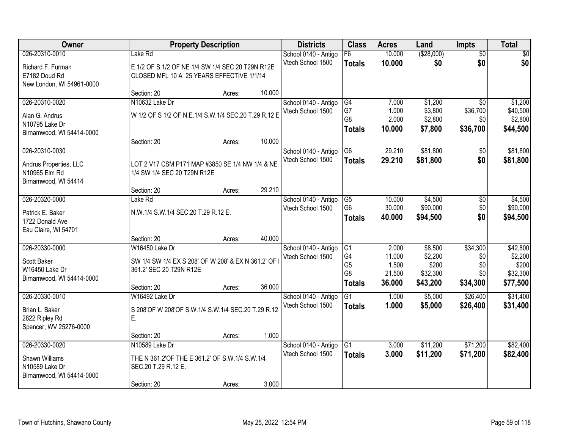| Owner                                       | <b>Property Description</b>                              |        |        | <b>Districts</b>                          | <b>Class</b>   | <b>Acres</b> | Land        | Impts           | <b>Total</b> |
|---------------------------------------------|----------------------------------------------------------|--------|--------|-------------------------------------------|----------------|--------------|-------------|-----------------|--------------|
| 026-20310-0010                              | Lake Rd                                                  |        |        | School 0140 - Antigo                      | F6             | 10.000       | ( \$28,000) | $\overline{50}$ | \$0          |
| Richard F. Furman                           | E 1/2 OF S 1/2 OF NE 1/4 SW 1/4 SEC 20 T29N R12E         |        |        | Vtech School 1500                         | <b>Totals</b>  | 10.000       | \$0         | \$0             | \$0          |
| E7182 Doud Rd                               | CLOSED MFL 10 A 25 YEARS EFFECTIVE 1/1/14                |        |        |                                           |                |              |             |                 |              |
| New London, WI 54961-0000                   |                                                          |        |        |                                           |                |              |             |                 |              |
| 026-20310-0020                              | Section: 20<br>N10632 Lake Dr                            | Acres: | 10.000 | School 0140 - Antigo                      | G4             | 7.000        | \$1,200     | $\overline{50}$ | \$1,200      |
|                                             |                                                          |        |        | Vtech School 1500                         | G7             | 1.000        | \$3,800     | \$36,700        | \$40,500     |
| Alan G. Andrus                              | W 1/2 OF S 1/2 OF N.E.1/4 S.W.1/4 SEC.20 T.29 R.12 E     |        |        |                                           | G <sub>8</sub> | 2.000        | \$2,800     | \$0             | \$2,800      |
| N10795 Lake Dr<br>Birnamwood, WI 54414-0000 |                                                          |        |        |                                           | <b>Totals</b>  | 10.000       | \$7,800     | \$36,700        | \$44,500     |
|                                             | Section: 20                                              | Acres: | 10.000 |                                           |                |              |             |                 |              |
| 026-20310-0030                              |                                                          |        |        | School 0140 - Antigo                      | G <sub>6</sub> | 29.210       | \$81,800    | $\overline{50}$ | \$81,800     |
| Andrus Properties, LLC                      | LOT 2 V17 CSM P171 MAP #3850 SE 1/4 NW 1/4 & NE          |        |        | Vtech School 1500                         | <b>Totals</b>  | 29.210       | \$81,800    | \$0             | \$81,800     |
| N10965 Elm Rd                               | 1/4 SW 1/4 SEC 20 T29N R12E                              |        |        |                                           |                |              |             |                 |              |
| Birnamwood, WI 54414                        |                                                          |        |        |                                           |                |              |             |                 |              |
|                                             | Section: 20                                              | Acres: | 29.210 |                                           |                |              |             |                 |              |
| 026-20320-0000                              | Lake Rd                                                  |        |        | School 0140 - Antigo                      | G5             | 10.000       | \$4,500     | \$0             | \$4,500      |
| Patrick E. Baker                            | N.W.1/4 S.W.1/4 SEC.20 T.29 R.12 E.                      |        |        | Vtech School 1500                         | G <sub>6</sub> | 30.000       | \$90,000    | \$0<br>\$0      | \$90,000     |
| 1722 Donald Ave                             |                                                          |        |        |                                           | <b>Totals</b>  | 40.000       | \$94,500    |                 | \$94,500     |
| Eau Claire, WI 54701                        |                                                          |        |        |                                           |                |              |             |                 |              |
| 026-20330-0000                              | Section: 20<br>W16450 Lake Dr                            | Acres: | 40.000 |                                           | G1             | 2.000        | \$8,500     | \$34,300        | \$42,800     |
|                                             |                                                          |        |        | School 0140 - Antigo<br>Vtech School 1500 | G <sub>4</sub> | 11.000       | \$2,200     | \$0             | \$2,200      |
| Scott Baker                                 | SW 1/4 SW 1/4 EX S 208' OF W 208' & EX N 361.2' OF       |        |        |                                           | G <sub>5</sub> | 1.500        | \$200       | \$0             | \$200        |
| W16450 Lake Dr                              | 361.2' SEC 20 T29N R12E                                  |        |        |                                           | G8             | 21.500       | \$32,300    | \$0             | \$32,300     |
| Birnamwood, WI 54414-0000                   | Section: 20                                              | Acres: | 36.000 |                                           | <b>Totals</b>  | 36.000       | \$43,200    | \$34,300        | \$77,500     |
| 026-20330-0010                              | W16492 Lake Dr                                           |        |        | School 0140 - Antigo                      | G1             | 1.000        | \$5,000     | \$26,400        | \$31,400     |
|                                             |                                                          |        |        | Vtech School 1500                         | <b>Totals</b>  | 1.000        | \$5,000     | \$26,400        | \$31,400     |
| Brian L. Baker<br>2822 Ripley Rd            | S 208'OF W 208'OF S.W.1/4 S.W.1/4 SEC.20 T.29 R.12<br>E. |        |        |                                           |                |              |             |                 |              |
| Spencer, WV 25276-0000                      |                                                          |        |        |                                           |                |              |             |                 |              |
|                                             | Section: 20                                              | Acres: | 1.000  |                                           |                |              |             |                 |              |
| 026-20330-0020                              | N10589 Lake Dr                                           |        |        | School 0140 - Antigo                      | G1             | 3.000        | \$11,200    | \$71,200        | \$82,400     |
| Shawn Williams                              | THE N 361.2'OF THE E 361.2' OF S.W.1/4 S.W.1/4           |        |        | Vtech School 1500                         | <b>Totals</b>  | 3.000        | \$11,200    | \$71,200        | \$82,400     |
| N10589 Lake Dr                              | SEC.20 T.29 R.12 E.                                      |        |        |                                           |                |              |             |                 |              |
| Birnamwood, WI 54414-0000                   |                                                          |        |        |                                           |                |              |             |                 |              |
|                                             | Section: 20                                              | Acres: | 3.000  |                                           |                |              |             |                 |              |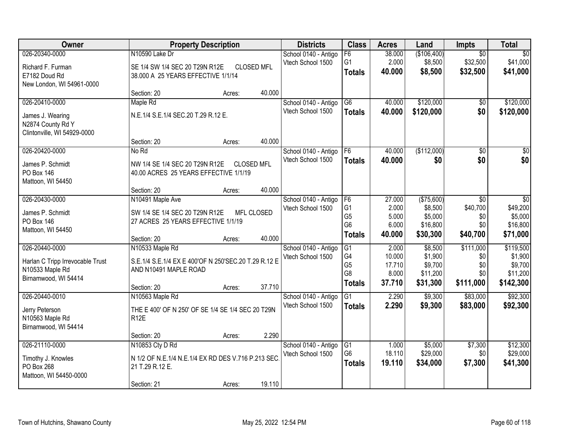| Owner                                                                                         |                                                                                                                 | <b>Property Description</b> |                             | <b>Districts</b>                          | <b>Class</b>                                                   | <b>Acres</b>                                 | Land                                                  | Impts                                       | <b>Total</b>                                             |
|-----------------------------------------------------------------------------------------------|-----------------------------------------------------------------------------------------------------------------|-----------------------------|-----------------------------|-------------------------------------------|----------------------------------------------------------------|----------------------------------------------|-------------------------------------------------------|---------------------------------------------|----------------------------------------------------------|
| 026-20340-0000<br>Richard F. Furman<br>E7182 Doud Rd<br>New London, WI 54961-0000             | N10590 Lake Dr<br>SE 1/4 SW 1/4 SEC 20 T29N R12E<br>38.000 A 25 YEARS EFFECTIVE 1/1/14                          |                             | <b>CLOSED MFL</b>           | School 0140 - Antigo<br>Vtech School 1500 | F6<br>G <sub>1</sub><br><b>Totals</b>                          | 38.000<br>2.000<br>40.000                    | (\$106,400)<br>\$8,500<br>\$8,500                     | $\overline{50}$<br>\$32,500<br>\$32,500     | $\overline{50}$<br>\$41,000<br>\$41,000                  |
|                                                                                               | Section: 20                                                                                                     | Acres:                      | 40.000                      |                                           |                                                                |                                              |                                                       |                                             |                                                          |
| 026-20410-0000<br>James J. Wearing<br>N2874 County Rd Y<br>Clintonville, WI 54929-0000        | Maple Rd<br>N.E.1/4 S.E.1/4 SEC.20 T.29 R.12 E.<br>Section: 20                                                  | Acres:                      | 40.000                      | School 0140 - Antigo<br>Vtech School 1500 | $\overline{G6}$<br><b>Totals</b>                               | 40.000<br>40.000                             | \$120,000<br>\$120,000                                | \$0<br>\$0                                  | \$120,000<br>\$120,000                                   |
| 026-20420-0000                                                                                | No Rd                                                                                                           |                             |                             | School 0140 - Antigo                      | F6                                                             | 40.000                                       | (\$112,000)                                           | $\overline{50}$                             | $\overline{50}$                                          |
| James P. Schmidt<br><b>PO Box 146</b><br>Mattoon, WI 54450                                    | NW 1/4 SE 1/4 SEC 20 T29N R12E<br>40.00 ACRES 25 YEARS EFFECTIVE 1/1/19<br>Section: 20                          | Acres:                      | <b>CLOSED MFL</b><br>40.000 | Vtech School 1500                         | <b>Totals</b>                                                  | 40.000                                       | \$0                                                   | \$0                                         | \$0                                                      |
| 026-20430-0000                                                                                | N10491 Maple Ave                                                                                                |                             |                             | School 0140 - Antigo                      | F <sub>6</sub>                                                 | 27.000                                       | (\$75,600)                                            | \$0                                         | \$0                                                      |
| James P. Schmidt<br>PO Box 146<br>Mattoon, WI 54450                                           | SW 1/4 SE 1/4 SEC 20 T29N R12E<br>27 ACRES 25 YEARS EFFECTIVE 1/1/19                                            |                             | <b>MFL CLOSED</b>           | Vtech School 1500                         | G <sub>1</sub><br>G <sub>5</sub><br>G <sub>6</sub>             | 2.000<br>5.000<br>6.000                      | \$8,500<br>\$5,000<br>\$16,800                        | \$40,700<br>\$0<br>\$0                      | \$49,200<br>\$5,000<br>\$16,800                          |
|                                                                                               | Section: 20                                                                                                     | Acres:                      | 40.000                      |                                           | <b>Totals</b>                                                  | 40.000                                       | \$30,300                                              | \$40,700                                    | \$71,000                                                 |
| 026-20440-0000<br>Harlan C Tripp Irrevocable Trust<br>N10533 Maple Rd<br>Birnamwood, WI 54414 | N10533 Maple Rd<br>S.E.1/4 S.E.1/4 EX E 400'OF N 250'SEC.20 T.29 R.12 E<br>AND N10491 MAPLE ROAD<br>Section: 20 | Acres:                      | 37.710                      | School 0140 - Antigo<br>Vtech School 1500 | $\overline{G1}$<br>G4<br>G <sub>5</sub><br>G8<br><b>Totals</b> | 2.000<br>10.000<br>17.710<br>8.000<br>37.710 | \$8,500<br>\$1,900<br>\$9,700<br>\$11,200<br>\$31,300 | \$111,000<br>\$0<br>\$0<br>\$0<br>\$111,000 | \$119,500<br>\$1,900<br>\$9,700<br>\$11,200<br>\$142,300 |
| 026-20440-0010<br>Jerry Peterson<br>N10563 Maple Rd<br>Birnamwood, WI 54414                   | N10563 Maple Rd<br>THE E 400' OF N 250' OF SE 1/4 SE 1/4 SEC 20 T29N<br>R <sub>12</sub> E<br>Section: 20        | Acres:                      | 2.290                       | School 0140 - Antigo<br>Vtech School 1500 | G1<br><b>Totals</b>                                            | 2.290<br>2.290                               | \$9,300<br>\$9,300                                    | \$83,000<br>\$83,000                        | \$92,300<br>\$92,300                                     |
| 026-21110-0000                                                                                | N10853 Cty D Rd                                                                                                 |                             |                             | School 0140 - Antigo                      | G1                                                             | 1.000                                        | \$5,000                                               | \$7,300                                     | \$12,300                                                 |
| Timothy J. Knowles<br>PO Box 268<br>Mattoon, WI 54450-0000                                    | N 1/2 OF N.E.1/4 N.E.1/4 EX RD DES V.716 P.213 SEC<br>21 T.29 R.12 E.<br>Section: 21                            | Acres:                      | 19.110                      | Vtech School 1500                         | G <sub>6</sub><br><b>Totals</b>                                | 18.110<br>19.110                             | \$29,000<br>\$34,000                                  | \$0<br>\$7,300                              | \$29,000<br>\$41,300                                     |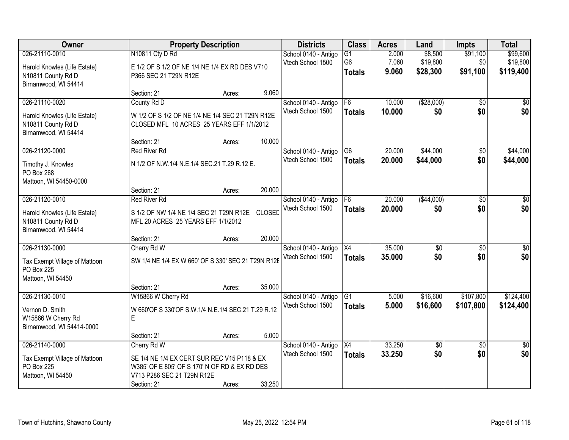| Owner                                                                                        |                                                                                                                                           | <b>Property Description</b><br><b>Districts</b> |               |                                           | <b>Class</b>                                       | <b>Acres</b>            | Land                            | <b>Impts</b>                | <b>Total</b>                      |
|----------------------------------------------------------------------------------------------|-------------------------------------------------------------------------------------------------------------------------------------------|-------------------------------------------------|---------------|-------------------------------------------|----------------------------------------------------|-------------------------|---------------------------------|-----------------------------|-----------------------------------|
| 026-21110-0010<br>Harold Knowles (Life Estate)<br>N10811 County Rd D<br>Birnamwood, WI 54414 | N10811 Cty D Rd<br>E 1/2 OF S 1/2 OF NE 1/4 NE 1/4 EX RD DES V710<br>P366 SEC 21 T29N R12E                                                |                                                 |               | School 0140 - Antigo<br>Vtech School 1500 | $\overline{G1}$<br>G <sub>6</sub><br><b>Totals</b> | 2.000<br>7.060<br>9.060 | \$8,500<br>\$19,800<br>\$28,300 | \$91,100<br>\$0<br>\$91,100 | \$99,600<br>\$19,800<br>\$119,400 |
|                                                                                              | Section: 21                                                                                                                               | Acres:                                          | 9.060         |                                           |                                                    |                         |                                 |                             |                                   |
| 026-21110-0020<br>Harold Knowles (Life Estate)<br>N10811 County Rd D<br>Birnamwood, WI 54414 | County Rd D<br>W 1/2 OF S 1/2 OF NE 1/4 NE 1/4 SEC 21 T29N R12E<br>CLOSED MFL 10 ACRES 25 YEARS EFF 1/1/2012<br>Section: 21               | Acres:                                          | 10.000        | School 0140 - Antigo<br>Vtech School 1500 | F6<br><b>Totals</b>                                | 10.000<br>10.000        | ( \$28,000)<br>\$0              | $\overline{50}$<br>\$0      | \$0<br>\$0                        |
| 026-21120-0000                                                                               | <b>Red River Rd</b>                                                                                                                       |                                                 |               | School 0140 - Antigo                      | G <sub>6</sub>                                     | 20.000                  | \$44,000                        | $\overline{50}$             | \$44,000                          |
| Timothy J. Knowles<br>PO Box 268<br>Mattoon, WI 54450-0000                                   | N 1/2 OF N.W.1/4 N.E.1/4 SEC.21 T.29 R.12 E.                                                                                              |                                                 |               | Vtech School 1500                         | <b>Totals</b>                                      | 20.000                  | \$44,000                        | \$0                         | \$44,000                          |
|                                                                                              | Section: 21                                                                                                                               | Acres:                                          | 20.000        |                                           |                                                    |                         |                                 |                             |                                   |
| 026-21120-0010<br>Harold Knowles (Life Estate)<br>N10811 County Rd D<br>Birnamwood, WI 54414 | <b>Red River Rd</b><br>S 1/2 OF NW 1/4 NE 1/4 SEC 21 T29N R12E<br>MFL 20 ACRES 25 YEARS EFF 1/1/2012                                      |                                                 | <b>CLOSED</b> | School 0140 - Antigo<br>Vtech School 1500 | F <sub>6</sub><br><b>Totals</b>                    | 20.000<br>20.000        | ( \$44,000)<br>\$0              | \$0<br>\$0                  | \$0<br>\$0                        |
|                                                                                              | Section: 21                                                                                                                               | Acres:                                          | 20.000        |                                           |                                                    |                         |                                 |                             |                                   |
| 026-21130-0000<br>Tax Exempt Village of Mattoon<br>PO Box 225<br>Mattoon, WI 54450           | Cherry Rd W<br>SW 1/4 NE 1/4 EX W 660' OF S 330' SEC 21 T29N R12E                                                                         |                                                 |               | School 0140 - Antigo<br>Vtech School 1500 | $\overline{X4}$<br><b>Totals</b>                   | 35.000<br>35.000        | $\overline{\$0}$<br>\$0         | $\overline{50}$<br>\$0      | $\overline{50}$<br>\$0            |
|                                                                                              | Section: 21                                                                                                                               | Acres:                                          | 35.000        |                                           |                                                    |                         |                                 |                             |                                   |
| 026-21130-0010<br>Vernon D. Smith<br>W15866 W Cherry Rd<br>Birnamwood, WI 54414-0000         | W15866 W Cherry Rd<br>W 660'OF S 330'OF S.W.1/4 N.E.1/4 SEC.21 T.29 R.12<br>E                                                             |                                                 |               | School 0140 - Antigo<br>Vtech School 1500 | G1<br><b>Totals</b>                                | 5.000<br>5.000          | \$16,600<br>\$16,600            | \$107,800<br>\$107,800      | \$124,400<br>\$124,400            |
| 026-21140-0000                                                                               | Section: 21<br>Cherry Rd W                                                                                                                | Acres:                                          | 5.000         |                                           | X4                                                 | 33.250                  | \$0                             | $\overline{50}$             | $\overline{50}$                   |
| Tax Exempt Village of Mattoon<br>PO Box 225<br>Mattoon, WI 54450                             | SE 1/4 NE 1/4 EX CERT SUR REC V15 P118 & EX<br>W385' OF E 805' OF S 170' N OF RD & EX RD DES<br>V713 P286 SEC 21 T29N R12E<br>Section: 21 | Acres:                                          | 33.250        | School 0140 - Antigo<br>Vtech School 1500 | <b>Totals</b>                                      | 33.250                  | \$0                             | \$0                         | \$0                               |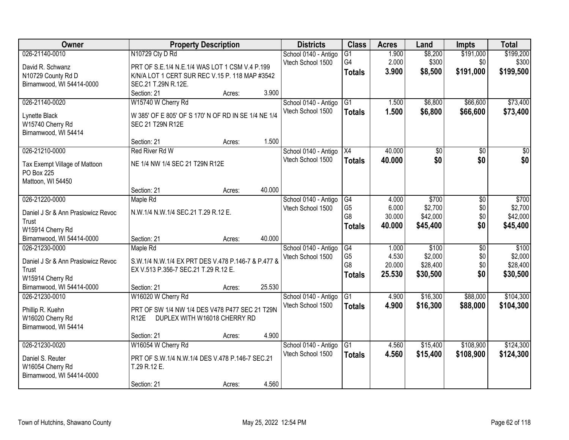| Owner                                         | <b>Property Description</b>                         |        |        | <b>Districts</b>     | <b>Class</b>         | <b>Acres</b> | Land     | Impts           | <b>Total</b> |
|-----------------------------------------------|-----------------------------------------------------|--------|--------|----------------------|----------------------|--------------|----------|-----------------|--------------|
| 026-21140-0010                                | N10729 Cty D Rd                                     |        |        | School 0140 - Antigo | $\overline{G1}$      | 1.900        | \$8,200  | \$191,000       | \$199,200    |
| David R. Schwanz                              | PRT OF S.E.1/4 N.E.1/4 WAS LOT 1 CSM V.4 P.199      |        |        | Vtech School 1500    | G4                   | 2.000        | \$300    | \$0             | \$300        |
| N10729 County Rd D                            | K/N/A LOT 1 CERT SUR REC V.15 P. 118 MAP #3542      |        |        |                      | <b>Totals</b>        | 3.900        | \$8,500  | \$191,000       | \$199,500    |
| Birnamwood, WI 54414-0000                     | SEC.21 T.29N R.12E.                                 |        |        |                      |                      |              |          |                 |              |
|                                               | Section: 21                                         | Acres: | 3.900  |                      |                      |              |          |                 |              |
| 026-21140-0020                                | W15740 W Cherry Rd                                  |        |        | School 0140 - Antigo | $\overline{G1}$      | 1.500        | \$6,800  | \$66,600        | \$73,400     |
|                                               |                                                     |        |        | Vtech School 1500    | <b>Totals</b>        | 1.500        | \$6,800  | \$66,600        | \$73,400     |
| Lynette Black                                 | W 385' OF E 805' OF S 170' N OF RD IN SE 1/4 NE 1/4 |        |        |                      |                      |              |          |                 |              |
| W15740 Cherry Rd                              | SEC 21 T29N R12E                                    |        |        |                      |                      |              |          |                 |              |
| Birnamwood, WI 54414                          |                                                     |        |        |                      |                      |              |          |                 |              |
|                                               | Section: 21                                         | Acres: | 1.500  |                      |                      |              |          |                 |              |
| 026-21210-0000                                | Red River Rd W                                      |        |        | School 0140 - Antigo | X4                   | 40.000       | \$0      | \$0             | \$0          |
| Tax Exempt Village of Mattoon                 | NE 1/4 NW 1/4 SEC 21 T29N R12E                      |        |        | Vtech School 1500    | <b>Totals</b>        | 40.000       | \$0      | \$0             | \$0          |
| PO Box 225                                    |                                                     |        |        |                      |                      |              |          |                 |              |
| Mattoon, WI 54450                             |                                                     |        |        |                      |                      |              |          |                 |              |
|                                               | Section: 21                                         | Acres: | 40.000 |                      |                      |              |          |                 |              |
| 026-21220-0000                                | Maple Rd                                            |        |        | School 0140 - Antigo | G4                   | 4.000        | \$700    | \$0             | \$700        |
|                                               |                                                     |        |        | Vtech School 1500    | G <sub>5</sub>       | 6.000        | \$2,700  | \$0             | \$2,700      |
| Daniel J Sr & Ann Praslowicz Revoc            | N.W.1/4 N.W.1/4 SEC.21 T.29 R.12 E.                 |        |        |                      | G8                   | 30.000       | \$42,000 | \$0             | \$42,000     |
| Trust                                         |                                                     |        |        |                      | <b>Totals</b>        | 40.000       | \$45,400 | \$0             | \$45,400     |
| W15914 Cherry Rd<br>Birnamwood, WI 54414-0000 | Section: 21                                         |        | 40.000 |                      |                      |              |          |                 |              |
| 026-21230-0000                                |                                                     | Acres: |        |                      |                      | 1.000        | \$100    | $\overline{30}$ | \$100        |
|                                               | Maple Rd                                            |        |        | School 0140 - Antigo | G4<br>G <sub>5</sub> | 4.530        | \$2,000  | \$0             | \$2,000      |
| Daniel J Sr & Ann Praslowicz Revoc            | S.W.1/4 N.W.1/4 EX PRT DES V.478 P.146-7 & P.477 &  |        |        | Vtech School 1500    | G <sub>8</sub>       | 20.000       | \$28,400 | \$0             | \$28,400     |
| Trust                                         | EX V.513 P.356-7 SEC.21 T.29 R.12 E.                |        |        |                      |                      | 25.530       | \$30,500 | \$0             | \$30,500     |
| W15914 Cherry Rd                              |                                                     |        |        |                      | <b>Totals</b>        |              |          |                 |              |
| Birnamwood, WI 54414-0000                     | Section: 21                                         | Acres: | 25.530 |                      |                      |              |          |                 |              |
| 026-21230-0010                                | W16020 W Cherry Rd                                  |        |        | School 0140 - Antigo | $\overline{G1}$      | 4.900        | \$16,300 | \$88,000        | \$104,300    |
| Phillip R. Kuehn                              | PRT OF SW 1/4 NW 1/4 DES V478 P477 SEC 21 T29N      |        |        | Vtech School 1500    | <b>Totals</b>        | 4.900        | \$16,300 | \$88,000        | \$104,300    |
| W16020 Cherry Rd                              | DUPLEX WITH W16018 CHERRY RD<br>R <sub>12</sub> E   |        |        |                      |                      |              |          |                 |              |
| Birnamwood, WI 54414                          |                                                     |        |        |                      |                      |              |          |                 |              |
|                                               | Section: 21                                         | Acres: | 4.900  |                      |                      |              |          |                 |              |
| 026-21230-0020                                | W16054 W Cherry Rd                                  |        |        | School 0140 - Antigo | G1                   | 4.560        | \$15,400 | \$108,900       | \$124,300    |
|                                               |                                                     |        |        | Vtech School 1500    | Totals               | 4.560        | \$15,400 | \$108,900       | \$124,300    |
| Daniel S. Reuter                              | PRT OF S.W.1/4 N.W.1/4 DES V.478 P.146-7 SEC.21     |        |        |                      |                      |              |          |                 |              |
| W16054 Cherry Rd                              | T.29 R.12 E.                                        |        |        |                      |                      |              |          |                 |              |
| Birnamwood, WI 54414-0000                     |                                                     |        |        |                      |                      |              |          |                 |              |
|                                               | Section: 21                                         | Acres: | 4.560  |                      |                      |              |          |                 |              |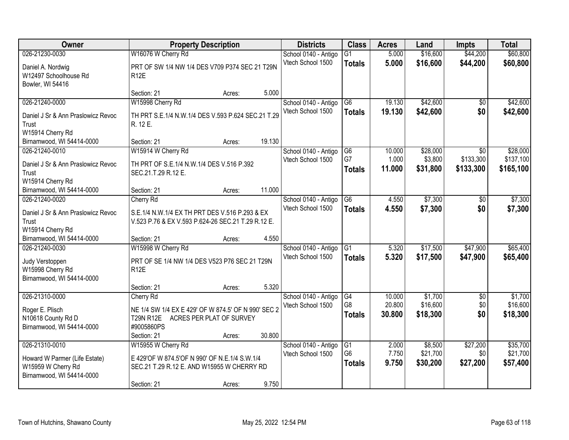| Owner                                                                                              | <b>Property Description</b>                                                                                                    | <b>Districts</b>                          | <b>Class</b>                          | <b>Acres</b>               | Land                            | <b>Impts</b>                  | <b>Total</b>                     |
|----------------------------------------------------------------------------------------------------|--------------------------------------------------------------------------------------------------------------------------------|-------------------------------------------|---------------------------------------|----------------------------|---------------------------------|-------------------------------|----------------------------------|
| 026-21230-0030                                                                                     | W16076 W Cherry Rd                                                                                                             | School 0140 - Antigo                      | $\overline{G1}$                       | 5.000                      | \$16,600                        | \$44,200                      | \$60,800                         |
| Daniel A. Nordwig<br>W12497 Schoolhouse Rd<br>Bowler, WI 54416                                     | PRT OF SW 1/4 NW 1/4 DES V709 P374 SEC 21 T29N<br><b>R12E</b>                                                                  | Vtech School 1500                         | <b>Totals</b>                         | 5.000                      | \$16,600                        | \$44,200                      | \$60,800                         |
|                                                                                                    | Section: 21<br>Acres:                                                                                                          | 5.000                                     |                                       |                            |                                 |                               |                                  |
| 026-21240-0000                                                                                     | W15998 Cherry Rd                                                                                                               | School 0140 - Antigo                      | $\overline{G6}$                       | 19.130                     | \$42,600                        | $\overline{50}$               | \$42,600                         |
| Daniel J Sr & Ann Praslowicz Revoc<br>Trust<br>W15914 Cherry Rd                                    | TH PRT S.E.1/4 N.W.1/4 DES V.593 P.624 SEC.21 T.29<br>R. 12 E.                                                                 | Vtech School 1500                         | <b>Totals</b>                         | 19.130                     | \$42,600                        | \$0                           | \$42,600                         |
| Birnamwood, WI 54414-0000                                                                          | 19.130<br>Section: 21<br>Acres:                                                                                                |                                           |                                       |                            |                                 |                               |                                  |
| 026-21240-0010                                                                                     | W15914 W Cherry Rd                                                                                                             | School 0140 - Antigo                      | G6                                    | 10.000                     | \$28,000                        | \$0                           | \$28,000                         |
| Daniel J Sr & Ann Praslowicz Revoc<br>Trust<br>W15914 Cherry Rd                                    | TH PRT OF S.E.1/4 N.W.1/4 DES V.516 P.392<br>SEC.21.T.29 R.12 E.                                                               | Vtech School 1500                         | G7<br><b>Totals</b>                   | 1.000<br>11.000            | \$3,800<br>\$31,800             | \$133,300<br>\$133,300        | \$137,100<br>\$165,100           |
| Birnamwood, WI 54414-0000                                                                          | 11.000<br>Section: 21<br>Acres:                                                                                                |                                           |                                       |                            |                                 |                               |                                  |
| 026-21240-0020                                                                                     | Cherry Rd                                                                                                                      | School 0140 - Antigo                      | G <sub>6</sub>                        | 4.550                      | \$7,300                         | \$0                           | \$7,300                          |
| Daniel J Sr & Ann Praslowicz Revoc<br>Trust<br>W15914 Cherry Rd                                    | S.E.1/4 N.W.1/4 EX TH PRT DES V.516 P.293 & EX<br>V.523 P.76 & EX V.593 P.624-26 SEC.21 T.29 R.12 E.                           | Vtech School 1500                         | <b>Totals</b>                         | 4.550                      | \$7,300                         | \$0                           | \$7,300                          |
| Birnamwood, WI 54414-0000                                                                          | Section: 21<br>Acres:                                                                                                          | 4.550                                     |                                       |                            |                                 |                               |                                  |
| 026-21240-0030<br>Judy Verstoppen<br>W15998 Cherry Rd<br>Birnamwood, WI 54414-0000                 | W15998 W Cherry Rd<br>PRT OF SE 1/4 NW 1/4 DES V523 P76 SEC 21 T29N<br><b>R12E</b>                                             | School 0140 - Antigo<br>Vtech School 1500 | $\overline{G1}$<br><b>Totals</b>      | 5.320<br>5.320             | \$17,500<br>\$17,500            | \$47,900<br>\$47,900          | \$65,400<br>\$65,400             |
|                                                                                                    | Section: 21<br>Acres:                                                                                                          | 5.320                                     |                                       |                            |                                 |                               |                                  |
| 026-21310-0000<br>Roger E. Plisch<br>N10618 County Rd D<br>Birnamwood, WI 54414-0000               | Cherry Rd<br>NE 1/4 SW 1/4 EX E 429' OF W 874.5' OF N 990' SEC 2<br>ACRES PER PLAT OF SURVEY<br><b>T29N R12E</b><br>#9005860PS | School 0140 - Antigo<br>Vtech School 1500 | G4<br>G <sub>8</sub><br><b>Totals</b> | 10.000<br>20.800<br>30.800 | \$1,700<br>\$16,600<br>\$18,300 | $\overline{50}$<br>\$0<br>\$0 | \$1,700<br>\$16,600<br>\$18,300  |
|                                                                                                    | 30.800<br>Section: 21<br>Acres:                                                                                                |                                           |                                       |                            |                                 |                               |                                  |
| 026-21310-0010<br>Howard W Parmer (Life Estate)<br>W15959 W Cherry Rd<br>Birnamwood, WI 54414-0000 | W15955 W Cherry Rd<br>E 429'OF W 874.5'OF N 990' OF N.E.1/4 S.W.1/4<br>SEC.21 T.29 R.12 E. AND W15955 W CHERRY RD              | School 0140 - Antigo<br>Vtech School 1500 | G1<br>G <sub>6</sub><br><b>Totals</b> | 2.000<br>7.750<br>9.750    | \$8,500<br>\$21,700<br>\$30,200 | \$27,200<br>\$0<br>\$27,200   | \$35,700<br>\$21,700<br>\$57,400 |
|                                                                                                    | Section: 21<br>Acres:                                                                                                          | 9.750                                     |                                       |                            |                                 |                               |                                  |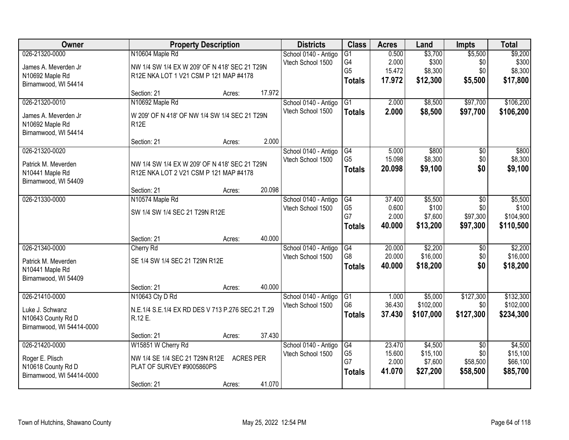| Owner                     |                                                   | <b>Property Description</b> |        | <b>Districts</b>     | <b>Class</b>    | <b>Acres</b> | Land      | <b>Impts</b>    | <b>Total</b> |
|---------------------------|---------------------------------------------------|-----------------------------|--------|----------------------|-----------------|--------------|-----------|-----------------|--------------|
| 026-21320-0000            | N10604 Maple Rd                                   |                             |        | School 0140 - Antigo | $\overline{G1}$ | 0.500        | \$3,700   | \$5,500         | \$9,200      |
| James A. Meverden Jr      | NW 1/4 SW 1/4 EX W 209' OF N 418' SEC 21 T29N     |                             |        | Vtech School 1500    | G4              | 2.000        | \$300     | \$0             | \$300        |
| N10692 Maple Rd           | R12E NKA LOT 1 V21 CSM P 121 MAP #4178            |                             |        |                      | G <sub>5</sub>  | 15.472       | \$8,300   | \$0             | \$8,300      |
| Birnamwood, WI 54414      |                                                   |                             |        |                      | <b>Totals</b>   | 17.972       | \$12,300  | \$5,500         | \$17,800     |
|                           | Section: 21                                       | Acres:                      | 17.972 |                      |                 |              |           |                 |              |
| 026-21320-0010            | N10692 Maple Rd                                   |                             |        | School 0140 - Antigo | G1              | 2.000        | \$8,500   | \$97,700        | \$106,200    |
| James A. Meverden Jr      | W 209' OF N 418' OF NW 1/4 SW 1/4 SEC 21 T29N     |                             |        | Vtech School 1500    | <b>Totals</b>   | 2.000        | \$8,500   | \$97,700        | \$106,200    |
| N10692 Maple Rd           | <b>R12E</b>                                       |                             |        |                      |                 |              |           |                 |              |
| Birnamwood, WI 54414      |                                                   |                             |        |                      |                 |              |           |                 |              |
|                           | Section: 21                                       | Acres:                      | 2.000  |                      |                 |              |           |                 |              |
| 026-21320-0020            |                                                   |                             |        | School 0140 - Antigo | G4              | 5.000        | \$800     | \$0             | \$800        |
| Patrick M. Meverden       | NW 1/4 SW 1/4 EX W 209' OF N 418' SEC 21 T29N     |                             |        | Vtech School 1500    | G <sub>5</sub>  | 15.098       | \$8,300   | \$0             | \$8,300      |
| N10441 Maple Rd           | R12E NKA LOT 2 V21 CSM P 121 MAP #4178            |                             |        |                      | <b>Totals</b>   | 20.098       | \$9,100   | \$0             | \$9,100      |
| Birnamwood, WI 54409      |                                                   |                             |        |                      |                 |              |           |                 |              |
|                           | Section: 21                                       | Acres:                      | 20.098 |                      |                 |              |           |                 |              |
| 026-21330-0000            | N10574 Maple Rd                                   |                             |        | School 0140 - Antigo | G4              | 37.400       | \$5,500   | $\overline{50}$ | \$5,500      |
|                           | SW 1/4 SW 1/4 SEC 21 T29N R12E                    |                             |        | Vtech School 1500    | G <sub>5</sub>  | 0.600        | \$100     | \$0             | \$100        |
|                           |                                                   |                             |        |                      | G7              | 2.000        | \$7,600   | \$97,300        | \$104,900    |
|                           |                                                   |                             |        |                      | <b>Totals</b>   | 40.000       | \$13,200  | \$97,300        | \$110,500    |
|                           | Section: 21                                       | Acres:                      | 40.000 |                      |                 |              |           |                 |              |
| 026-21340-0000            | Cherry Rd                                         |                             |        | School 0140 - Antigo | G4              | 20.000       | \$2,200   | \$0             | \$2,200      |
| Patrick M. Meverden       | SE 1/4 SW 1/4 SEC 21 T29N R12E                    |                             |        | Vtech School 1500    | G <sub>8</sub>  | 20.000       | \$16,000  | \$0             | \$16,000     |
| N10441 Maple Rd           |                                                   |                             |        |                      | <b>Totals</b>   | 40.000       | \$18,200  | \$0             | \$18,200     |
| Birnamwood, WI 54409      |                                                   |                             |        |                      |                 |              |           |                 |              |
|                           | Section: 21                                       | Acres:                      | 40.000 |                      |                 |              |           |                 |              |
| 026-21410-0000            | N10643 Cty D Rd                                   |                             |        | School 0140 - Antigo | G1              | 1.000        | \$5,000   | \$127,300       | \$132,300    |
| Luke J. Schwanz           | N.E.1/4 S.E.1/4 EX RD DES V 713 P.276 SEC.21 T.29 |                             |        | Vtech School 1500    | G <sub>6</sub>  | 36.430       | \$102,000 | \$0             | \$102,000    |
| N10643 County Rd D        | R.12 E.                                           |                             |        |                      | <b>Totals</b>   | 37.430       | \$107,000 | \$127,300       | \$234,300    |
| Birnamwood, WI 54414-0000 |                                                   |                             |        |                      |                 |              |           |                 |              |
|                           | Section: 21                                       | Acres:                      | 37.430 |                      |                 |              |           |                 |              |
| 026-21420-0000            | W15851 W Cherry Rd                                |                             |        | School 0140 - Antigo | G4              | 23.470       | \$4,500   | $\overline{50}$ | \$4,500      |
| Roger E. Plisch           | NW 1/4 SE 1/4 SEC 21 T29N R12E                    | <b>ACRES PER</b>            |        | Vtech School 1500    | G <sub>5</sub>  | 15.600       | \$15,100  | \$0             | \$15,100     |
| N10618 County Rd D        | PLAT OF SURVEY #9005860PS                         |                             |        |                      | G7              | 2.000        | \$7,600   | \$58,500        | \$66,100     |
| Birnamwood, WI 54414-0000 |                                                   |                             |        |                      | <b>Totals</b>   | 41.070       | \$27,200  | \$58,500        | \$85,700     |
|                           | Section: 21                                       | Acres:                      | 41.070 |                      |                 |              |           |                 |              |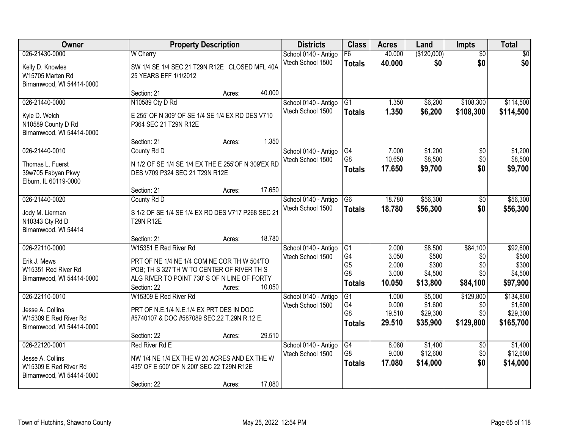| Owner                                                                                    | <b>Property Description</b>                                                                                                                                                       |                            | <b>Districts</b>                          | <b>Class</b>                                                              | <b>Acres</b>                               | Land                                             | Impts                                     | <b>Total</b>                                      |
|------------------------------------------------------------------------------------------|-----------------------------------------------------------------------------------------------------------------------------------------------------------------------------------|----------------------------|-------------------------------------------|---------------------------------------------------------------------------|--------------------------------------------|--------------------------------------------------|-------------------------------------------|---------------------------------------------------|
| 026-21430-0000<br>Kelly D. Knowles<br>W15705 Marten Rd<br>Birnamwood, WI 54414-0000      | <b>W</b> Cherry<br>SW 1/4 SE 1/4 SEC 21 T29N R12E CLOSED MFL 40A<br>25 YEARS EFF 1/1/2012                                                                                         |                            | School 0140 - Antigo<br>Vtech School 1500 | F6<br><b>Totals</b>                                                       | 40.000<br>40.000                           | (\$120,000)<br>\$0                               | $\overline{50}$<br>\$0                    | $\overline{50}$<br>\$0                            |
| 026-21440-0000<br>Kyle D. Welch<br>N10589 County D Rd<br>Birnamwood, WI 54414-0000       | Section: 21<br>N10589 Cty D Rd<br>E 255' OF N 309' OF SE 1/4 SE 1/4 EX RD DES V710<br>P364 SEC 21 T29N R12E<br>Section: 21                                                        | 40.000<br>Acres:<br>1.350  | School 0140 - Antigo<br>Vtech School 1500 | $\overline{G1}$<br><b>Totals</b>                                          | 1.350<br>1.350                             | \$6,200<br>\$6,200                               | \$108,300<br>\$108,300                    | \$114,500<br>\$114,500                            |
| 026-21440-0010<br>Thomas L. Fuerst<br>39w705 Fabyan Pkwy<br>Elburn, IL 60119-0000        | County Rd D<br>N 1/2 OF SE 1/4 SE 1/4 EX THE E 255'OF N 309'EX RD<br>DES V709 P324 SEC 21 T29N R12E<br>Section: 21                                                                | Acres:<br>17.650<br>Acres: | School 0140 - Antigo<br>Vtech School 1500 | G4<br>G8<br><b>Totals</b>                                                 | 7.000<br>10.650<br>17.650                  | \$1,200<br>\$8,500<br>\$9,700                    | \$0<br>\$0<br>\$0                         | \$1,200<br>\$8,500<br>\$9,700                     |
| 026-21440-0020<br>Jody M. Lierman<br>N10343 Cty Rd D<br>Birnamwood, WI 54414             | County Rd D<br>S 1/2 OF SE 1/4 SE 1/4 EX RD DES V717 P268 SEC 21<br><b>T29N R12E</b><br>Section: 21                                                                               | 18.780<br>Acres:           | School 0140 - Antigo<br>Vtech School 1500 | G <sub>6</sub><br><b>Totals</b>                                           | 18.780<br>18.780                           | \$56,300<br>\$56,300                             | \$0<br>\$0                                | \$56,300<br>\$56,300                              |
| 026-22110-0000<br>Erik J. Mews<br>W15351 Red River Rd<br>Birnamwood, WI 54414-0000       | W15351 E Red River Rd<br>PRT OF NE 1/4 NE 1/4 COM NE COR TH W 504'TO<br>POB; TH S 327'TH W TO CENTER OF RIVER TH S<br>ALG RIVER TO POINT 730' S OF N LINE OF FORTY<br>Section: 22 | 10.050<br>Acres:           | School 0140 - Antigo<br>Vtech School 1500 | G1<br>G <sub>4</sub><br>G <sub>5</sub><br>G <sub>8</sub><br><b>Totals</b> | 2.000<br>3.050<br>2.000<br>3.000<br>10.050 | \$8,500<br>\$500<br>\$300<br>\$4,500<br>\$13,800 | \$84,100<br>\$0<br>\$0<br>\$0<br>\$84,100 | \$92,600<br>\$500<br>\$300<br>\$4,500<br>\$97,900 |
| 026-22110-0010<br>Jesse A. Collins<br>W15309 E Red River Rd<br>Birnamwood, WI 54414-0000 | W15309 E Red River Rd<br>PRT OF N.E.1/4 N.E.1/4 EX PRT DES IN DOC<br>#5740107 & DOC #587089 SEC.22 T.29N R.12 E.<br>Section: 22                                                   | 29.510<br>Acres:           | School 0140 - Antigo<br>Vtech School 1500 | $\overline{G1}$<br>G4<br>G <sub>8</sub><br><b>Totals</b>                  | 1.000<br>9.000<br>19.510<br>29.510         | \$5,000<br>\$1,600<br>\$29,300<br>\$35,900       | \$129,800<br>\$0<br>\$0<br>\$129,800      | \$134,800<br>\$1,600<br>\$29,300<br>\$165,700     |
| 026-22120-0001<br>Jesse A. Collins<br>W15309 E Red River Rd<br>Birnamwood, WI 54414-0000 | Red River Rd E<br>NW 1/4 NE 1/4 EX THE W 20 ACRES AND EX THE W<br>435' OF E 500' OF N 200' SEC 22 T29N R12E<br>Section: 22                                                        | 17.080<br>Acres:           | School 0140 - Antigo<br>Vtech School 1500 | G4<br>G8<br><b>Totals</b>                                                 | 8.080<br>9.000<br>17.080                   | \$1,400<br>\$12,600<br>\$14,000                  | $\overline{50}$<br>\$0<br>\$0             | \$1,400<br>\$12,600<br>\$14,000                   |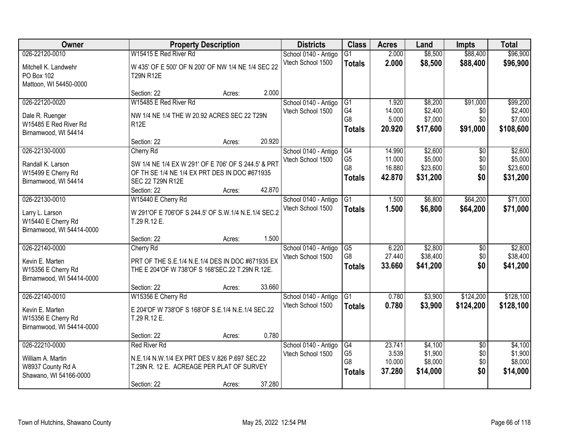| Owner                                                                                | <b>Property Description</b>                                                                                                                                    |        | <b>Districts</b>                          | <b>Class</b>                                            | <b>Acres</b>                         | Land                                       | <b>Impts</b>                         | <b>Total</b>                               |
|--------------------------------------------------------------------------------------|----------------------------------------------------------------------------------------------------------------------------------------------------------------|--------|-------------------------------------------|---------------------------------------------------------|--------------------------------------|--------------------------------------------|--------------------------------------|--------------------------------------------|
| 026-22120-0010                                                                       | W15415 E Red River Rd                                                                                                                                          |        | School 0140 - Antigo                      | G1                                                      | 2.000                                | \$8,500                                    | \$88,400                             | \$96,900                                   |
| Mitchell K. Landwehr<br>PO Box 102<br>Mattoon, WI 54450-0000                         | W 435' OF E 500' OF N 200' OF NW 1/4 NE 1/4 SEC 22<br><b>T29N R12E</b>                                                                                         |        | Vtech School 1500                         | <b>Totals</b>                                           | 2.000                                | \$8,500                                    | \$88,400                             | \$96,900                                   |
|                                                                                      | Section: 22<br>Acres:                                                                                                                                          | 2.000  |                                           |                                                         |                                      |                                            |                                      |                                            |
| 026-22120-0020<br>Dale R. Ruenger<br>W15485 E Red River Rd                           | W15485 E Red River Rd<br>NW 1/4 NE 1/4 THE W 20.92 ACRES SEC 22 T29N<br><b>R12E</b>                                                                            |        | School 0140 - Antigo<br>Vtech School 1500 | G1<br>G <sub>4</sub><br>G8                              | 1.920<br>14.000<br>5.000             | \$8,200<br>\$2,400<br>\$7,000              | \$91,000<br>\$0<br>\$0               | \$99,200<br>\$2,400<br>\$7,000             |
| Birnamwood, WI 54414                                                                 | Section: 22<br>Acres:                                                                                                                                          | 20.920 |                                           | <b>Totals</b>                                           | 20.920                               | \$17,600                                   | \$91,000                             | \$108,600                                  |
| 026-22130-0000<br>Randall K. Larson<br>W15499 E Cherry Rd<br>Birnamwood, WI 54414    | Cherry Rd<br>SW 1/4 NE 1/4 EX W 291' OF E 706' OF S 244.5' & PRT<br>OF TH SE 1/4 NE 1/4 EX PRT DES IN DOC #671935<br>SEC 22 T29N R12E<br>Section: 22<br>Acres: | 42.870 | School 0140 - Antigo<br>Vtech School 1500 | G4<br>G <sub>5</sub><br>G <sub>8</sub><br><b>Totals</b> | 14.990<br>11.000<br>16.880<br>42.870 | \$2,600<br>\$5,000<br>\$23,600<br>\$31,200 | $\overline{50}$<br>\$0<br>\$0<br>\$0 | \$2,600<br>\$5,000<br>\$23,600<br>\$31,200 |
| 026-22130-0010<br>Larry L. Larson<br>W15440 E Cherry Rd<br>Birnamwood, WI 54414-0000 | W15440 E Cherry Rd<br>W 291'OF E 706'OF S 244.5' OF S.W.1/4 N.E.1/4 SEC.2<br>T.29 R.12 E.                                                                      |        | School 0140 - Antigo<br>Vtech School 1500 | G1<br><b>Totals</b>                                     | 1.500<br>1.500                       | \$6,800<br>\$6,800                         | \$64,200<br>\$64,200                 | \$71,000<br>\$71,000                       |
|                                                                                      | Section: 22<br>Acres:                                                                                                                                          | 1.500  |                                           |                                                         |                                      |                                            |                                      |                                            |
| 026-22140-0000<br>Kevin E. Marten<br>W15356 E Cherry Rd<br>Birnamwood, WI 54414-0000 | Cherry Rd<br>PRT OF THE S.E.1/4 N.E.1/4 DES IN DOC #671935 EX<br>THE E 204'OF W 738'OF S 168'SEC.22 T.29N R.12E.                                               |        | School 0140 - Antigo<br>Vtech School 1500 | G5<br>G <sub>8</sub><br><b>Totals</b>                   | 6.220<br>27.440<br>33.660            | \$2,800<br>\$38,400<br>\$41,200            | $\overline{50}$<br>\$0<br>\$0        | \$2,800<br>\$38,400<br>\$41,200            |
|                                                                                      | Section: 22<br>Acres:                                                                                                                                          | 33.660 |                                           |                                                         |                                      |                                            |                                      |                                            |
| 026-22140-0010<br>Kevin E. Marten<br>W15356 E Cherry Rd<br>Birnamwood, WI 54414-0000 | W15356 E Cherry Rd<br>E 204'OF W 738'OF S 168'OF S.E.1/4 N.E.1/4 SEC.22<br>T.29 R.12 E.                                                                        |        | School 0140 - Antigo<br>Vtech School 1500 | G1<br><b>Totals</b>                                     | 0.780<br>0.780                       | \$3,900<br>\$3,900                         | \$124,200<br>\$124,200               | \$128,100<br>\$128,100                     |
|                                                                                      | Section: 22<br>Acres:                                                                                                                                          | 0.780  |                                           |                                                         |                                      |                                            |                                      |                                            |
| 026-22210-0000<br>William A. Martin<br>W8937 County Rd A<br>Shawano, WI 54166-0000   | <b>Red River Rd</b><br>N.E.1/4 N.W.1/4 EX PRT DES V.826 P.697 SEC.22<br>T.29N R. 12 E. ACREAGE PER PLAT OF SURVEY<br>Section: 22<br>Acres:                     | 37.280 | School 0140 - Antigo<br>Vtech School 1500 | G4<br>G <sub>5</sub><br>G8<br><b>Totals</b>             | 23.741<br>3.539<br>10.000<br>37.280  | \$4,100<br>\$1,900<br>\$8,000<br>\$14,000  | $\overline{50}$<br>\$0<br>\$0<br>\$0 | \$4,100<br>\$1,900<br>\$8,000<br>\$14,000  |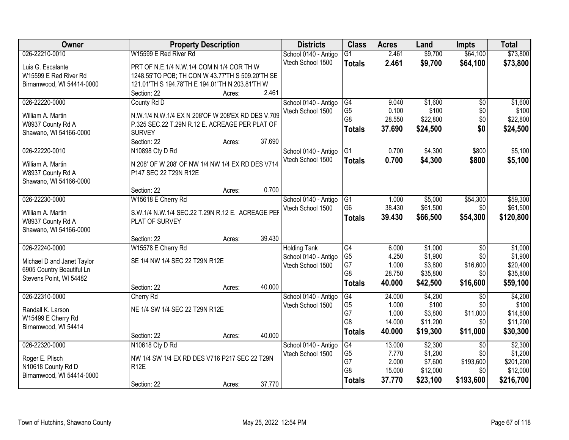| Owner                                       | <b>Property Description</b>                                        |        |        | <b>Districts</b>                          | <b>Class</b>           | <b>Acres</b> | Land     | <b>Impts</b>    | <b>Total</b> |
|---------------------------------------------|--------------------------------------------------------------------|--------|--------|-------------------------------------------|------------------------|--------------|----------|-----------------|--------------|
| 026-22210-0010                              | W15599 E Red River Rd                                              |        |        | School 0140 - Antigo                      | $\overline{G1}$        | 2.461        | \$9,700  | \$64,100        | \$73,800     |
| Luis G. Escalante                           | PRT OF N.E.1/4 N.W.1/4 COM N 1/4 COR TH W                          |        |        | Vtech School 1500                         | <b>Totals</b>          | 2.461        | \$9,700  | \$64,100        | \$73,800     |
| W15599 E Red River Rd                       | 1248.55'TO POB; TH CON W 43.77'TH S 509.20'TH SE                   |        |        |                                           |                        |              |          |                 |              |
| Birnamwood, WI 54414-0000                   | 121.01'TH S 194.78'TH E 194.01'TH N 203.81'TH W                    |        |        |                                           |                        |              |          |                 |              |
|                                             | Section: 22                                                        | Acres: | 2.461  |                                           |                        |              |          |                 |              |
| 026-22220-0000                              | County Rd D                                                        |        |        | School 0140 - Antigo                      | G4                     | 9.040        | \$1,600  | $\overline{50}$ | \$1,600      |
|                                             |                                                                    |        |        | Vtech School 1500                         | G <sub>5</sub>         | 0.100        | \$100    | \$0             | \$100        |
| William A. Martin                           | N.W.1/4 N.W.1/4 EX N 208'OF W 208'EX RD DES V.709                  |        |        |                                           | G8                     | 28.550       | \$22,800 | \$0             | \$22,800     |
| W8937 County Rd A                           | P.325 SEC.22 T.29N R.12 E. ACREAGE PER PLAT OF                     |        |        |                                           | <b>Totals</b>          | 37.690       | \$24,500 | \$0             | \$24,500     |
| Shawano, WI 54166-0000                      | <b>SURVEY</b>                                                      |        |        |                                           |                        |              |          |                 |              |
|                                             | Section: 22                                                        | Acres: | 37.690 |                                           |                        |              |          |                 |              |
| 026-22220-0010                              | N10898 Cty D Rd                                                    |        |        | School 0140 - Antigo                      | G1                     | 0.700        | \$4,300  | \$800           | \$5,100      |
| William A. Martin                           | N 208' OF W 208' OF NW 1/4 NW 1/4 EX RD DES V714                   |        |        | Vtech School 1500                         | <b>Totals</b>          | 0.700        | \$4,300  | \$800           | \$5,100      |
| W8937 County Rd A                           | P147 SEC 22 T29N R12E                                              |        |        |                                           |                        |              |          |                 |              |
| Shawano, WI 54166-0000                      |                                                                    |        |        |                                           |                        |              |          |                 |              |
|                                             | Section: 22                                                        | Acres: | 0.700  |                                           |                        |              |          |                 |              |
| 026-22230-0000                              | W15618 E Cherry Rd                                                 |        |        | School 0140 - Antigo                      | G <sub>1</sub>         | 1.000        | \$5,000  | \$54,300        | \$59,300     |
|                                             |                                                                    |        |        | Vtech School 1500                         | G <sub>6</sub>         | 38.430       | \$61,500 | \$0             | \$61,500     |
| William A. Martin                           | S.W.1/4 N.W.1/4 SEC.22 T.29N R.12 E. ACREAGE PER<br>PLAT OF SURVEY |        |        |                                           | <b>Totals</b>          | 39.430       | \$66,500 | \$54,300        | \$120,800    |
| W8937 County Rd A<br>Shawano, WI 54166-0000 |                                                                    |        |        |                                           |                        |              |          |                 |              |
|                                             | Section: 22                                                        | Acres: | 39.430 |                                           |                        |              |          |                 |              |
| 026-22240-0000                              | W15578 E Cherry Rd                                                 |        |        |                                           | G4                     | 6.000        | \$1,000  | $\overline{50}$ | \$1,000      |
|                                             |                                                                    |        |        | <b>Holding Tank</b>                       | G <sub>5</sub>         | 4.250        | \$1,900  | \$0             | \$1,900      |
| Michael D and Janet Taylor                  | SE 1/4 NW 1/4 SEC 22 T29N R12E                                     |        |        | School 0140 - Antigo<br>Vtech School 1500 | G7                     | 1.000        | \$3,800  | \$16,600        | \$20,400     |
| 6905 Country Beautiful Ln                   |                                                                    |        |        |                                           | G8                     | 28.750       | \$35,800 | \$0             | \$35,800     |
| Stevens Point, WI 54482                     |                                                                    |        |        |                                           | <b>Totals</b>          | 40.000       | \$42,500 | \$16,600        | \$59,100     |
|                                             | Section: 22                                                        | Acres: | 40.000 |                                           |                        |              |          |                 |              |
| 026-22310-0000                              | Cherry Rd                                                          |        |        | School 0140 - Antigo                      | $\overline{\text{G4}}$ | 24.000       | \$4,200  | $\overline{30}$ | \$4,200      |
| Randall K. Larson                           | NE 1/4 SW 1/4 SEC 22 T29N R12E                                     |        |        | Vtech School 1500                         | G <sub>5</sub>         | 1.000        | \$100    | \$0             | \$100        |
| W15499 E Cherry Rd                          |                                                                    |        |        |                                           | G7                     | 1.000        | \$3,800  | \$11,000        | \$14,800     |
| Birnamwood, WI 54414                        |                                                                    |        |        |                                           | G <sub>8</sub>         | 14.000       | \$11,200 | \$0             | \$11,200     |
|                                             | Section: 22                                                        | Acres: | 40.000 |                                           | <b>Totals</b>          | 40.000       | \$19,300 | \$11,000        | \$30,300     |
| 026-22320-0000                              | N10618 Cty D Rd                                                    |        |        | School 0140 - Antigo                      | G4                     | 13.000       | \$2,300  | $\overline{50}$ | \$2,300      |
|                                             |                                                                    |        |        | Vtech School 1500                         | G <sub>5</sub>         | 7.770        | \$1,200  | \$0             | \$1,200      |
| Roger E. Plisch                             | NW 1/4 SW 1/4 EX RD DES V716 P217 SEC 22 T29N                      |        |        |                                           | G7                     | 2.000        | \$7,600  | \$193,600       | \$201,200    |
| N10618 County Rd D                          | <b>R12E</b>                                                        |        |        |                                           | G8                     | 15.000       | \$12,000 | \$0             | \$12,000     |
| Birnamwood, WI 54414-0000                   |                                                                    |        |        |                                           | <b>Totals</b>          | 37.770       | \$23,100 | \$193,600       | \$216,700    |
|                                             | Section: 22                                                        | Acres: | 37.770 |                                           |                        |              |          |                 |              |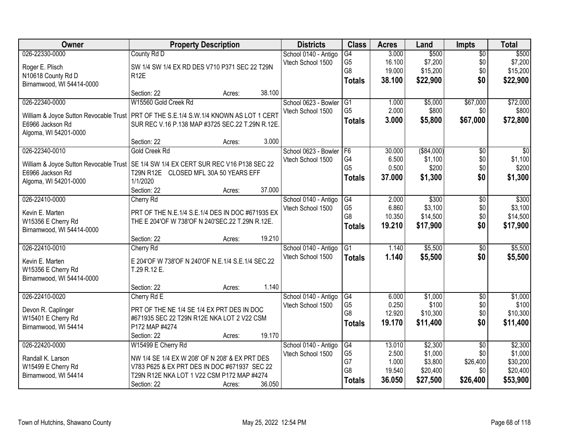| Owner                                                                                   | <b>Property Description</b>                                                                |        |        | <b>Districts</b>     | <b>Class</b>    | <b>Acres</b> | Land        | <b>Impts</b>    | <b>Total</b>    |
|-----------------------------------------------------------------------------------------|--------------------------------------------------------------------------------------------|--------|--------|----------------------|-----------------|--------------|-------------|-----------------|-----------------|
| 026-22330-0000                                                                          | County Rd D                                                                                |        |        | School 0140 - Antigo | $\overline{G4}$ | 3.000        | \$500       | $\overline{50}$ | \$500           |
| Roger E. Plisch                                                                         | SW 1/4 SW 1/4 EX RD DES V710 P371 SEC 22 T29N                                              |        |        | Vtech School 1500    | G <sub>5</sub>  | 16.100       | \$7,200     | \$0             | \$7,200         |
| N10618 County Rd D                                                                      | R <sub>12</sub> E                                                                          |        |        |                      | G8              | 19.000       | \$15,200    | \$0             | \$15,200        |
| Birnamwood, WI 54414-0000                                                               |                                                                                            |        |        |                      | <b>Totals</b>   | 38.100       | \$22,900    | \$0             | \$22,900        |
|                                                                                         | Section: 22                                                                                | Acres: | 38.100 |                      |                 |              |             |                 |                 |
| 026-22340-0000                                                                          | W15560 Gold Creek Rd                                                                       |        |        | School 0623 - Bowler | G1              | 1.000        | \$5,000     | \$67,000        | \$72,000        |
| William & Joyce Sutton Revocable Trust   PRT OF THE S.E.1/4 S.W.1/4 KNOWN AS LOT 1 CERT |                                                                                            |        |        | Vtech School 1500    | G <sub>5</sub>  | 2.000        | \$800       | \$0             | \$800           |
| E6966 Jackson Rd                                                                        | SUR REC V.16 P.138 MAP #3725 SEC.22 T.29N R.12E.                                           |        |        |                      | <b>Totals</b>   | 3.000        | \$5,800     | \$67,000        | \$72,800        |
| Algoma, WI 54201-0000                                                                   |                                                                                            |        |        |                      |                 |              |             |                 |                 |
|                                                                                         | Section: 22                                                                                | Acres: | 3.000  |                      |                 |              |             |                 |                 |
| 026-22340-0010                                                                          | Gold Creek Rd                                                                              |        |        | School 0623 - Bowler | F <sub>6</sub>  | 30.000       | ( \$84,000) | $\overline{50}$ | $\overline{30}$ |
| William & Joyce Sutton Revocable Trust   SE 1/4 SW 1/4 EX CERT SUR REC V16 P138 SEC 22  |                                                                                            |        |        | Vtech School 1500    | G4              | 6.500        | \$1,100     | \$0             | \$1,100         |
| E6966 Jackson Rd                                                                        | T29N R12E CLOSED MFL 30A 50 YEARS EFF                                                      |        |        |                      | G <sub>5</sub>  | 0.500        | \$200       | \$0             | \$200           |
| Algoma, WI 54201-0000                                                                   | 1/1/2020                                                                                   |        |        |                      | <b>Totals</b>   | 37.000       | \$1,300     | \$0             | \$1,300         |
|                                                                                         | Section: 22                                                                                | Acres: | 37.000 |                      |                 |              |             |                 |                 |
| 026-22410-0000                                                                          | Cherry Rd                                                                                  |        |        | School 0140 - Antigo | G4              | 2.000        | \$300       | \$0             | \$300           |
| Kevin E. Marten                                                                         | PRT OF THE N.E.1/4 S.E.1/4 DES IN DOC #671935 EX                                           |        |        | Vtech School 1500    | G <sub>5</sub>  | 6.860        | \$3,100     | \$0             | \$3,100         |
| W15356 E Cherry Rd                                                                      | THE E 204'OF W 738'OF N 240'SEC.22 T.29N R.12E.                                            |        |        |                      | G <sub>8</sub>  | 10.350       | \$14,500    | \$0             | \$14,500        |
| Birnamwood, WI 54414-0000                                                               |                                                                                            |        |        |                      | <b>Totals</b>   | 19.210       | \$17,900    | \$0             | \$17,900        |
|                                                                                         | Section: 22                                                                                | Acres: | 19.210 |                      |                 |              |             |                 |                 |
| 026-22410-0010                                                                          | Cherry Rd                                                                                  |        |        | School 0140 - Antigo | $\overline{G1}$ | 1.140        | \$5,500     | $\overline{50}$ | \$5,500         |
|                                                                                         |                                                                                            |        |        | Vtech School 1500    | <b>Totals</b>   | 1.140        | \$5,500     | \$0             | \$5,500         |
| Kevin E. Marten<br>W15356 E Cherry Rd                                                   | E 204'OF W 738'OF N 240'OF N.E.1/4 S.E.1/4 SEC.22<br>T.29 R.12 E.                          |        |        |                      |                 |              |             |                 |                 |
| Birnamwood, WI 54414-0000                                                               |                                                                                            |        |        |                      |                 |              |             |                 |                 |
|                                                                                         | Section: 22                                                                                | Acres: | 1.140  |                      |                 |              |             |                 |                 |
| 026-22410-0020                                                                          | Cherry Rd E                                                                                |        |        | School 0140 - Antigo | G4              | 6.000        | \$1,000     | $\overline{50}$ | \$1,000         |
|                                                                                         |                                                                                            |        |        | Vtech School 1500    | G <sub>5</sub>  | 0.250        | \$100       | \$0             | \$100           |
| Devon R. Caplinger                                                                      | PRT OF THE NE 1/4 SE 1/4 EX PRT DES IN DOC<br>#671935 SEC 22 T29N R12E NKA LOT 2 V22 CSM   |        |        |                      | G <sub>8</sub>  | 12.920       | \$10,300    | \$0             | \$10,300        |
| W15401 E Cherry Rd<br>Birnamwood, WI 54414                                              | P172 MAP #4274                                                                             |        |        |                      | <b>Totals</b>   | 19.170       | \$11,400    | \$0             | \$11,400        |
|                                                                                         | Section: 22                                                                                | Acres: | 19.170 |                      |                 |              |             |                 |                 |
| 026-22420-0000                                                                          | W15499 E Cherry Rd                                                                         |        |        | School 0140 - Antigo | G4              | 13.010       | \$2,300     | $\overline{30}$ | \$2,300         |
|                                                                                         |                                                                                            |        |        | Vtech School 1500    | G <sub>5</sub>  | 2.500        | \$1,000     | \$0             | \$1,000         |
| Randall K. Larson                                                                       | NW 1/4 SE 1/4 EX W 208' OF N 208' & EX PRT DES                                             |        |        |                      | G7              | 1.000        | \$3,800     | \$26,400        | \$30,200        |
| W15499 E Cherry Rd<br>Birnamwood, WI 54414                                              | V783 P625 & EX PRT DES IN DOC #671937 SEC 22<br>T29N R12E NKA LOT 1 V22 CSM P172 MAP #4274 |        |        |                      | G <sub>8</sub>  | 19.540       | \$20,400    | \$0             | \$20,400        |
|                                                                                         | Section: 22                                                                                | Acres: | 36.050 |                      | <b>Totals</b>   | 36.050       | \$27,500    | \$26,400        | \$53,900        |
|                                                                                         |                                                                                            |        |        |                      |                 |              |             |                 |                 |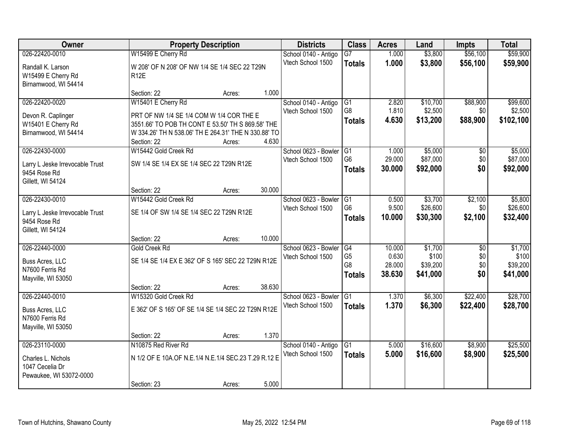| Owner                           |                                                      | <b>Property Description</b> |        | <b>Districts</b>     | <b>Class</b>                     | <b>Acres</b>     | Land                 | <b>Impts</b>    | <b>Total</b>         |
|---------------------------------|------------------------------------------------------|-----------------------------|--------|----------------------|----------------------------------|------------------|----------------------|-----------------|----------------------|
| 026-22420-0010                  | W15499 E Cherry Rd                                   |                             |        | School 0140 - Antigo | $\overline{G7}$                  | 1.000            | \$3,800              | \$56,100        | \$59,900             |
| Randall K. Larson               | W 208' OF N 208' OF NW 1/4 SE 1/4 SEC 22 T29N        |                             |        | Vtech School 1500    | <b>Totals</b>                    | 1.000            | \$3,800              | \$56,100        | \$59,900             |
| W15499 E Cherry Rd              | <b>R12E</b>                                          |                             |        |                      |                                  |                  |                      |                 |                      |
| Birnamwood, WI 54414            |                                                      |                             |        |                      |                                  |                  |                      |                 |                      |
|                                 | Section: 22                                          | Acres:                      | 1.000  |                      |                                  |                  |                      |                 |                      |
| 026-22420-0020                  | W15401 E Cherry Rd                                   |                             |        | School 0140 - Antigo | G1                               | 2.820            | \$10,700             | \$88,900        | \$99,600             |
| Devon R. Caplinger              | PRT OF NW 1/4 SE 1/4 COM W 1/4 COR THE E             |                             |        | Vtech School 1500    | G8                               | 1.810            | \$2,500              | \$0             | \$2,500              |
| W15401 E Cherry Rd              | 3551.66' TO POB TH CONT E 53.50' TH S 869.58' THE    |                             |        |                      | <b>Totals</b>                    | 4.630            | \$13,200             | \$88,900        | \$102,100            |
| Birnamwood, WI 54414            | W 334.26' TH N 538.06' TH E 264.31' THE N 330.88' TO |                             |        |                      |                                  |                  |                      |                 |                      |
|                                 | Section: 22                                          | Acres:                      | 4.630  |                      |                                  |                  |                      |                 |                      |
| 026-22430-0000                  | W15442 Gold Creek Rd                                 |                             |        | School 0623 - Bowler | IG1                              | 1.000            | \$5,000              | $\overline{50}$ | \$5,000              |
| Larry L Jeske Irrevocable Trust | SW 1/4 SE 1/4 EX SE 1/4 SEC 22 T29N R12E             |                             |        | Vtech School 1500    | G <sub>6</sub>                   | 29.000           | \$87,000             | \$0             | \$87,000             |
| 9454 Rose Rd                    |                                                      |                             |        |                      | <b>Totals</b>                    | 30,000           | \$92,000             | \$0             | \$92,000             |
| Gillett, WI 54124               |                                                      |                             |        |                      |                                  |                  |                      |                 |                      |
|                                 | Section: 22                                          | Acres:                      | 30.000 |                      |                                  |                  |                      |                 |                      |
| 026-22430-0010                  | W15442 Gold Creek Rd                                 |                             |        | School 0623 - Bowler | G1                               | 0.500            | \$3,700              | \$2,100         | \$5,800              |
| Larry L Jeske Irrevocable Trust | SE 1/4 OF SW 1/4 SE 1/4 SEC 22 T29N R12E             |                             |        | Vtech School 1500    | G <sub>6</sub>                   | 9.500            | \$26,600             | \$0             | \$26,600             |
| 9454 Rose Rd                    |                                                      |                             |        |                      | <b>Totals</b>                    | 10.000           | \$30,300             | \$2,100         | \$32,400             |
| Gillett, WI 54124               |                                                      |                             |        |                      |                                  |                  |                      |                 |                      |
|                                 | Section: 22                                          | Acres:                      | 10.000 |                      |                                  |                  |                      |                 |                      |
| 026-22440-0000                  | Gold Creek Rd                                        |                             |        | School 0623 - Bowler | G4                               | 10.000           | \$1,700              | $\overline{50}$ | \$1,700              |
| Buss Acres, LLC                 | SE 1/4 SE 1/4 EX E 362' OF S 165' SEC 22 T29N R12E   |                             |        | Vtech School 1500    | G <sub>5</sub><br>G <sub>8</sub> | 0.630            | \$100                | \$0             | \$100                |
| N7600 Ferris Rd                 |                                                      |                             |        |                      |                                  | 28.000<br>38.630 | \$39,200<br>\$41,000 | \$0<br>\$0      | \$39,200<br>\$41,000 |
| Mayville, WI 53050              |                                                      |                             |        |                      | <b>Totals</b>                    |                  |                      |                 |                      |
|                                 | Section: 22                                          | Acres:                      | 38.630 |                      |                                  |                  |                      |                 |                      |
| 026-22440-0010                  | W15320 Gold Creek Rd                                 |                             |        | School 0623 - Bowler | IG1                              | 1.370            | \$6,300              | \$22,400        | \$28,700             |
| Buss Acres, LLC                 | E 362' OF S 165' OF SE 1/4 SE 1/4 SEC 22 T29N R12E   |                             |        | Vtech School 1500    | <b>Totals</b>                    | 1.370            | \$6,300              | \$22,400        | \$28,700             |
| N7600 Ferris Rd                 |                                                      |                             |        |                      |                                  |                  |                      |                 |                      |
| Mayville, WI 53050              |                                                      |                             |        |                      |                                  |                  |                      |                 |                      |
|                                 | Section: 22                                          | Acres:                      | 1.370  |                      |                                  |                  |                      |                 |                      |
| 026-23110-0000                  | N10875 Red River Rd                                  |                             |        | School 0140 - Antigo | G1                               | 5.000            | \$16,600             | \$8,900         | \$25,500             |
| Charles L. Nichols              | N 1/2 OF E 10A.OF N.E.1/4 N.E.1/4 SEC.23 T.29 R.12 E |                             |        | Vtech School 1500    | <b>Totals</b>                    | 5.000            | \$16,600             | \$8,900         | \$25,500             |
| 1047 Cecelia Dr                 |                                                      |                             |        |                      |                                  |                  |                      |                 |                      |
| Pewaukee, WI 53072-0000         |                                                      |                             |        |                      |                                  |                  |                      |                 |                      |
|                                 | Section: 23                                          | Acres:                      | 5.000  |                      |                                  |                  |                      |                 |                      |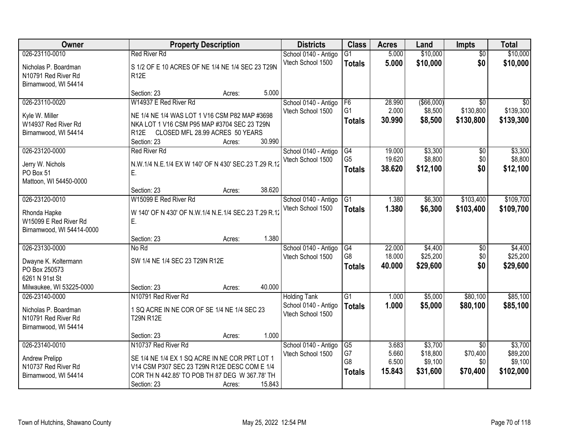| Owner                                                                                  |                                                                                                                                                                                        | <b>Property Description</b>               |        | <b>Districts</b>                          | <b>Class</b>                                      | <b>Acres</b>                      | Land                                       | <b>Impts</b>                                   | <b>Total</b>                                |
|----------------------------------------------------------------------------------------|----------------------------------------------------------------------------------------------------------------------------------------------------------------------------------------|-------------------------------------------|--------|-------------------------------------------|---------------------------------------------------|-----------------------------------|--------------------------------------------|------------------------------------------------|---------------------------------------------|
| 026-23110-0010                                                                         | <b>Red River Rd</b>                                                                                                                                                                    |                                           |        | School 0140 - Antigo                      | $\overline{G1}$                                   | 5.000                             | \$10,000                                   | $\overline{50}$                                | \$10,000                                    |
| Nicholas P. Boardman<br>N10791 Red River Rd<br>Birnamwood, WI 54414                    | S 1/2 OF E 10 ACRES OF NE 1/4 NE 1/4 SEC 23 T29N<br><b>R12E</b>                                                                                                                        |                                           |        | Vtech School 1500                         | <b>Totals</b>                                     | 5.000                             | \$10,000                                   | \$0                                            | \$10,000                                    |
|                                                                                        | Section: 23                                                                                                                                                                            | Acres:                                    | 5.000  |                                           |                                                   |                                   |                                            |                                                |                                             |
| 026-23110-0020<br>Kyle W. Miller<br>W14937 Red River Rd<br>Birnamwood, WI 54414        | W14937 E Red River Rd<br>NE 1/4 NE 1/4 WAS LOT 1 V16 CSM P82 MAP #3698<br>NKA LOT 1 V16 CSM P95 MAP #3704 SEC 23 T29N<br>R <sub>12</sub> E<br>Section: 23                              | CLOSED MFL 28.99 ACRES 50 YEARS<br>Acres: | 30.990 | School 0140 - Antigo<br>Vtech School 1500 | F <sub>6</sub><br>G <sub>1</sub><br><b>Totals</b> | 28.990<br>2.000<br>30.990         | ( \$66,000)<br>\$8,500<br>\$8,500          | $\overline{30}$<br>\$130,800<br>\$130,800      | \$0<br>\$139,300<br>\$139,300               |
| 026-23120-0000                                                                         | <b>Red River Rd</b>                                                                                                                                                                    |                                           |        | School 0140 - Antigo                      | G4                                                | 19.000                            | \$3,300                                    | \$0                                            | \$3,300                                     |
| Jerry W. Nichols<br>PO Box 51<br>Mattoon, WI 54450-0000                                | N.W.1/4 N.E.1/4 EX W 140' OF N 430' SEC.23 T.29 R.12<br>Ε.                                                                                                                             |                                           |        | Vtech School 1500                         | G <sub>5</sub><br><b>Totals</b>                   | 19.620<br>38.620                  | \$8,800<br>\$12,100                        | \$0<br>\$0                                     | \$8,800<br>\$12,100                         |
|                                                                                        | Section: 23                                                                                                                                                                            | Acres:                                    | 38.620 |                                           |                                                   |                                   |                                            |                                                |                                             |
| 026-23120-0010<br>Rhonda Hapke<br>W15099 E Red River Rd                                | W15099 E Red River Rd<br>W 140' OF N 430' OF N.W.1/4 N.E.1/4 SEC.23 T.29 R.12<br>Ε.                                                                                                    |                                           |        | School 0140 - Antigo<br>Vtech School 1500 | G1<br><b>Totals</b>                               | 1.380<br>1.380                    | \$6,300<br>\$6,300                         | \$103,400<br>\$103,400                         | \$109,700<br>\$109,700                      |
| Birnamwood, WI 54414-0000                                                              |                                                                                                                                                                                        |                                           |        |                                           |                                                   |                                   |                                            |                                                |                                             |
| 026-23130-0000                                                                         | Section: 23<br>No Rd                                                                                                                                                                   | Acres:                                    | 1.380  | School 0140 - Antigo                      | G4                                                | 22.000                            | \$4,400                                    | $\overline{50}$                                | \$4,400                                     |
| Dwayne K. Koltermann<br>PO Box 250573<br>6261 N 91st St<br>Milwaukee, WI 53225-0000    | SW 1/4 NE 1/4 SEC 23 T29N R12E<br>Section: 23                                                                                                                                          | Acres:                                    | 40.000 | Vtech School 1500                         | G <sub>8</sub><br><b>Totals</b>                   | 18.000<br>40.000                  | \$25,200<br>\$29,600                       | \$0<br>\$0                                     | \$25,200<br>\$29,600                        |
| 026-23140-0000                                                                         | N10791 Red River Rd                                                                                                                                                                    |                                           |        | <b>Holding Tank</b>                       | $\overline{G1}$                                   | 1.000                             | \$5,000                                    | \$80,100                                       | \$85,100                                    |
| Nicholas P. Boardman<br>N10791 Red River Rd<br>Birnamwood, WI 54414                    | 1 SQ ACRE IN NE COR OF SE 1/4 NE 1/4 SEC 23<br><b>T29N R12E</b>                                                                                                                        |                                           |        | School 0140 - Antigo<br>Vtech School 1500 | <b>Totals</b>                                     | 1.000                             | \$5,000                                    | \$80,100                                       | \$85,100                                    |
|                                                                                        | Section: 23                                                                                                                                                                            | Acres:                                    | 1.000  |                                           |                                                   |                                   |                                            |                                                |                                             |
| 026-23140-0010<br><b>Andrew Prelipp</b><br>N10737 Red River Rd<br>Birnamwood, WI 54414 | N10737 Red River Rd<br>SE 1/4 NE 1/4 EX 1 SQ ACRE IN NE COR PRT LOT 1<br>V14 CSM P307 SEC 23 T29N R12E DESC COM E 1/4<br>COR TH N 442.85' TO POB TH 87 DEG W 367.78' TH<br>Section: 23 | Acres:                                    | 15.843 | School 0140 - Antigo<br>Vtech School 1500 | $\overline{G5}$<br>G7<br>G8<br><b>Totals</b>      | 3.683<br>5.660<br>6.500<br>15.843 | \$3,700<br>\$18,800<br>\$9,100<br>\$31,600 | $\overline{30}$<br>\$70,400<br>\$0<br>\$70,400 | \$3,700<br>\$89,200<br>\$9,100<br>\$102,000 |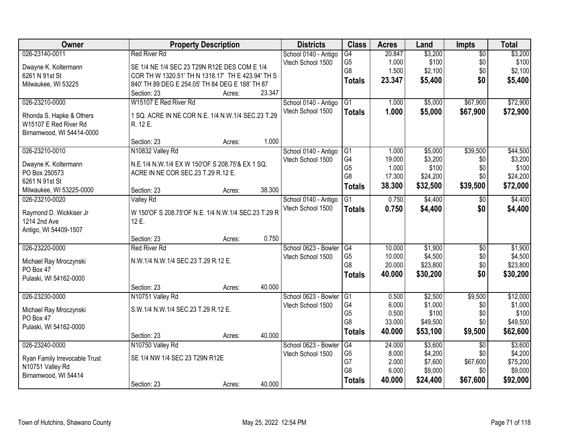| Owner                                             |                                                               | <b>Property Description</b> |        | <b>Districts</b>     | <b>Class</b>    | <b>Acres</b> | Land     | <b>Impts</b>    | <b>Total</b> |
|---------------------------------------------------|---------------------------------------------------------------|-----------------------------|--------|----------------------|-----------------|--------------|----------|-----------------|--------------|
| 026-23140-0011                                    | <b>Red River Rd</b>                                           |                             |        | School 0140 - Antigo | G4              | 20.847       | \$3,200  | $\overline{50}$ | \$3,200      |
| Dwayne K. Koltermann                              | SE 1/4 NE 1/4 SEC 23 T29N R12E DES COM E 1/4                  |                             |        | Vtech School 1500    | G <sub>5</sub>  | 1.000        | \$100    | \$0             | \$100        |
| 6261 N 91st St                                    | COR TH W 1320.51' TH N 1318.17' TH E 423.94' TH S             |                             |        |                      | G8              | 1.500        | \$2,100  | \$0             | \$2,100      |
| Milwaukee, WI 53225                               | 840' TH 89 DEG E 254.05' TH 84 DEG E 188' TH 87               |                             |        |                      | <b>Totals</b>   | 23.347       | \$5,400  | \$0             | \$5,400      |
|                                                   | Section: 23                                                   | Acres:                      | 23.347 |                      |                 |              |          |                 |              |
| 026-23210-0000                                    | W15107 E Red River Rd                                         |                             |        | School 0140 - Antigo | G1              | 1.000        | \$5,000  | \$67,900        | \$72,900     |
|                                                   |                                                               |                             |        | Vtech School 1500    | <b>Totals</b>   | 1.000        | \$5,000  | \$67,900        | \$72,900     |
| Rhonda S. Hapke & Others<br>W15107 E Red River Rd | 1 SQ. ACRE IN NE COR N.E. 1/4 N.W.1/4 SEC.23 T.29<br>R. 12 E. |                             |        |                      |                 |              |          |                 |              |
| Birnamwood, WI 54414-0000                         |                                                               |                             |        |                      |                 |              |          |                 |              |
|                                                   | Section: 23                                                   | Acres:                      | 1.000  |                      |                 |              |          |                 |              |
| 026-23210-0010                                    | N10832 Valley Rd                                              |                             |        | School 0140 - Antigo | G1              | 1.000        | \$5,000  | \$39,500        | \$44,500     |
|                                                   |                                                               |                             |        | Vtech School 1500    | G4              | 19.000       | \$3,200  | \$0             | \$3,200      |
| Dwayne K. Koltermann                              | N.E.1/4 N.W.1/4 EX W 150'OF S 208.75'& EX 1 SQ.               |                             |        |                      | G <sub>5</sub>  | 1.000        | \$100    | \$0             | \$100        |
| PO Box 250573<br>6261 N 91st St                   | ACRE IN NE COR SEC.23 T.29 R.12 E.                            |                             |        |                      | G8              | 17.300       | \$24,200 | \$0             | \$24,200     |
| Milwaukee, WI 53225-0000                          | Section: 23                                                   | Acres:                      | 38.300 |                      | <b>Totals</b>   | 38.300       | \$32,500 | \$39,500        | \$72,000     |
| 026-23210-0020                                    | <b>Valley Rd</b>                                              |                             |        | School 0140 - Antigo | G1              | 0.750        | \$4,400  | \$0             | \$4,400      |
|                                                   |                                                               |                             |        | Vtech School 1500    |                 | 0.750        |          | \$0             |              |
| Raymond D. Wickkiser Jr                           | W 150'OF S 208.75'OF N.E. 1/4 N.W.1/4 SEC.23 T.29 R           |                             |        |                      | <b>Totals</b>   |              | \$4,400  |                 | \$4,400      |
| 1214 2nd Ave                                      | 12 E.                                                         |                             |        |                      |                 |              |          |                 |              |
| Antigo, WI 54409-1507                             |                                                               |                             |        |                      |                 |              |          |                 |              |
|                                                   | Section: 23                                                   | Acres:                      | 0.750  |                      |                 |              |          |                 |              |
| 026-23220-0000                                    | <b>Red River Rd</b>                                           |                             |        | School 0623 - Bowler | G4              | 10.000       | \$1,900  | $\overline{30}$ | \$1,900      |
| Michael Ray Mroczynski                            | N.W.1/4 N.W.1/4 SEC.23 T.29 R.12 E.                           |                             |        | Vtech School 1500    | G <sub>5</sub>  | 10.000       | \$4,500  | \$0             | \$4,500      |
| PO Box 47                                         |                                                               |                             |        |                      | G <sub>8</sub>  | 20.000       | \$23,800 | \$0             | \$23,800     |
| Pulaski, WI 54162-0000                            |                                                               |                             |        |                      | <b>Totals</b>   | 40.000       | \$30,200 | \$0             | \$30,200     |
|                                                   | Section: 23                                                   | Acres:                      | 40.000 |                      |                 |              |          |                 |              |
| 026-23230-0000                                    | N10751 Valley Rd                                              |                             |        | School 0623 - Bowler | $\overline{G1}$ | 0.500        | \$2,500  | \$9,500         | \$12,000     |
| Michael Ray Mroczynski                            | S.W.1/4 N.W.1/4 SEC.23 T.29 R.12 E.                           |                             |        | Vtech School 1500    | G4              | 6.000        | \$1,000  | \$0             | \$1,000      |
| PO Box 47                                         |                                                               |                             |        |                      | G <sub>5</sub>  | 0.500        | \$100    | \$0             | \$100        |
| Pulaski, WI 54162-0000                            |                                                               |                             |        |                      | G <sub>8</sub>  | 33.000       | \$49,500 | \$0             | \$49,500     |
|                                                   | Section: 23                                                   | Acres:                      | 40.000 |                      | <b>Totals</b>   | 40.000       | \$53,100 | \$9,500         | \$62,600     |
| 026-23240-0000                                    | N10750 Valley Rd                                              |                             |        | School 0623 - Bowler | G4              | 24.000       | \$3,600  | $\overline{50}$ | \$3,600      |
|                                                   |                                                               |                             |        | Vtech School 1500    | G <sub>5</sub>  | 8.000        | \$4,200  | \$0             | \$4,200      |
| Ryan Family Irrevocable Trust                     | SE 1/4 NW 1/4 SEC 23 T29N R12E                                |                             |        |                      | G7              | 2.000        | \$7,600  | \$67,600        | \$75,200     |
| N10751 Valley Rd                                  |                                                               |                             |        |                      | G8              | 6.000        | \$9,000  | \$0             | \$9,000      |
| Birnamwood, WI 54414                              | Section: 23                                                   |                             | 40.000 |                      | <b>Totals</b>   | 40.000       | \$24,400 | \$67,600        | \$92,000     |
|                                                   |                                                               | Acres:                      |        |                      |                 |              |          |                 |              |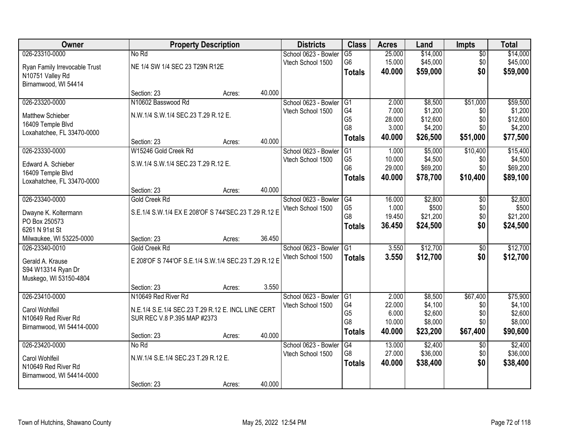| Owner                         |                                                      | <b>Property Description</b> |        | <b>Districts</b>     | <b>Class</b>                     | <b>Acres</b>    | Land               | <b>Impts</b>    | <b>Total</b>       |
|-------------------------------|------------------------------------------------------|-----------------------------|--------|----------------------|----------------------------------|-----------------|--------------------|-----------------|--------------------|
| 026-23310-0000                | No Rd                                                |                             |        | School 0623 - Bowler | $\overline{G5}$                  | 25.000          | \$14,000           | $\sqrt{$0}$     | \$14,000           |
| Ryan Family Irrevocable Trust | NE 1/4 SW 1/4 SEC 23 T29N R12E                       |                             |        | Vtech School 1500    | G <sub>6</sub>                   | 15.000          | \$45,000           | \$0             | \$45,000           |
| N10751 Valley Rd              |                                                      |                             |        |                      | <b>Totals</b>                    | 40.000          | \$59,000           | \$0             | \$59,000           |
| Birnamwood, WI 54414          |                                                      |                             |        |                      |                                  |                 |                    |                 |                    |
|                               | Section: 23                                          | Acres:                      | 40.000 |                      |                                  |                 |                    |                 |                    |
| 026-23320-0000                | N10602 Basswood Rd                                   |                             |        | School 0623 - Bowler | G1                               | 2.000           | \$8,500            | \$51,000        | \$59,500           |
| <b>Matthew Schieber</b>       | N.W.1/4 S.W.1/4 SEC.23 T.29 R.12 E.                  |                             |        | Vtech School 1500    | G4                               | 7.000           | \$1,200            | \$0             | \$1,200            |
| 16409 Temple Blvd             |                                                      |                             |        |                      | G <sub>5</sub><br>G <sub>8</sub> | 28.000          | \$12,600           | \$0             | \$12,600           |
| Loxahatchee, FL 33470-0000    |                                                      |                             |        |                      |                                  | 3.000<br>40.000 | \$4,200            | \$0             | \$4,200            |
|                               | Section: 23                                          | Acres:                      | 40.000 |                      | <b>Totals</b>                    |                 | \$26,500           | \$51,000        | \$77,500           |
| 026-23330-0000                | W15246 Gold Creek Rd                                 |                             |        | School 0623 - Bowler | G <sub>1</sub>                   | 1.000           | \$5,000            | \$10,400        | \$15,400           |
| Edward A. Schieber            | S.W.1/4 S.W.1/4 SEC.23 T.29 R.12 E.                  |                             |        | Vtech School 1500    | G <sub>5</sub>                   | 10.000          | \$4,500            | \$0             | \$4,500            |
| 16409 Temple Blvd             |                                                      |                             |        |                      | G <sub>6</sub>                   | 29.000          | \$69,200           | \$0             | \$69,200           |
| Loxahatchee, FL 33470-0000    |                                                      |                             |        |                      | <b>Totals</b>                    | 40.000          | \$78,700           | \$10,400        | \$89,100           |
|                               | Section: 23                                          | Acres:                      | 40.000 |                      |                                  |                 |                    |                 |                    |
| 026-23340-0000                | Gold Creek Rd                                        |                             |        | School 0623 - Bowler | G4                               | 16.000          | \$2,800            | $\sqrt[6]{3}$   | \$2,800            |
| Dwayne K. Koltermann          | S.E.1/4 S.W.1/4 EX E 208'OF S 744'SEC.23 T.29 R.12 E |                             |        | Vtech School 1500    | G <sub>5</sub>                   | 1.000           | \$500              | \$0             | \$500              |
| PO Box 250573                 |                                                      |                             |        |                      | G <sub>8</sub>                   | 19.450          | \$21,200           | \$0             | \$21,200           |
| 6261 N 91st St                |                                                      |                             |        |                      | <b>Totals</b>                    | 36.450          | \$24,500           | \$0             | \$24,500           |
| Milwaukee, WI 53225-0000      | Section: 23                                          | Acres:                      | 36.450 |                      |                                  |                 |                    |                 |                    |
| 026-23340-0010                | Gold Creek Rd                                        |                             |        | School 0623 - Bowler | $\overline{G1}$                  | 3.550           | \$12,700           | $\overline{50}$ | \$12,700           |
| Gerald A. Krause              | E 208'OF S 744'OF S.E.1/4 S.W.1/4 SEC.23 T.29 R.12 E |                             |        | Vtech School 1500    | <b>Totals</b>                    | 3.550           | \$12,700           | \$0             | \$12,700           |
| S94 W13314 Ryan Dr            |                                                      |                             |        |                      |                                  |                 |                    |                 |                    |
| Muskego, WI 53150-4804        |                                                      |                             |        |                      |                                  |                 |                    |                 |                    |
|                               | Section: 23                                          | Acres:                      | 3.550  |                      |                                  |                 |                    |                 |                    |
| 026-23410-0000                | N10649 Red River Rd                                  |                             |        | School 0623 - Bowler | G1                               | 2.000           | \$8,500            | \$67,400        | \$75,900           |
| Carol Wohlfeil                | N.E.1/4 S.E.1/4 SEC.23 T.29 R.12 E. INCL LINE CERT   |                             |        | Vtech School 1500    | G4                               | 22.000          | \$4,100            | \$0             | \$4,100            |
| N10649 Red River Rd           | SUR REC V.8 P.395 MAP #2373                          |                             |        |                      | G <sub>5</sub><br>G <sub>8</sub> | 6.000<br>10.000 | \$2,600<br>\$8,000 | \$0<br>\$0      | \$2,600<br>\$8,000 |
| Birnamwood, WI 54414-0000     |                                                      |                             |        |                      |                                  | 40.000          |                    |                 |                    |
|                               | Section: 23                                          | Acres:                      | 40.000 |                      | <b>Totals</b>                    |                 | \$23,200           | \$67,400        | \$90,600           |
| 026-23420-0000                | No Rd                                                |                             |        | School 0623 - Bowler | G4                               | 13,000          | \$2,400            | $\overline{50}$ | \$2,400            |
| Carol Wohlfeil                | N.W.1/4 S.E.1/4 SEC.23 T.29 R.12 E.                  |                             |        | Vtech School 1500    | G8                               | 27.000          | \$36,000           | \$0             | \$36,000           |
| N10649 Red River Rd           |                                                      |                             |        |                      | <b>Totals</b>                    | 40.000          | \$38,400           | \$0             | \$38,400           |
| Birnamwood, WI 54414-0000     |                                                      |                             |        |                      |                                  |                 |                    |                 |                    |
|                               | Section: 23                                          | Acres:                      | 40.000 |                      |                                  |                 |                    |                 |                    |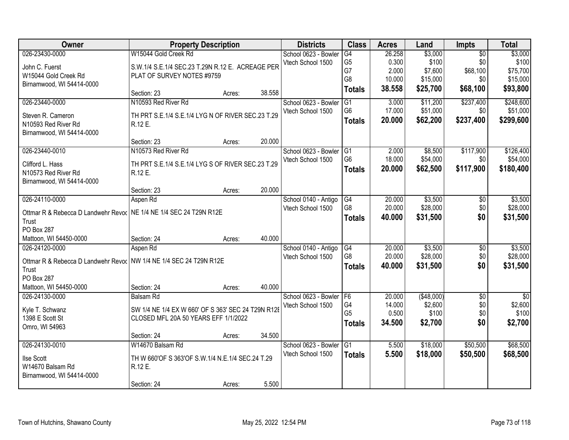| Owner                                                                | <b>Property Description</b>                        |        |        | <b>Districts</b>     | <b>Class</b>         | <b>Acres</b> | Land        | <b>Impts</b>    | <b>Total</b>    |
|----------------------------------------------------------------------|----------------------------------------------------|--------|--------|----------------------|----------------------|--------------|-------------|-----------------|-----------------|
| 026-23430-0000                                                       | W15044 Gold Creek Rd                               |        |        | School 0623 - Bowler | $\overline{G4}$      | 26.258       | \$3,000     | $\overline{50}$ | \$3,000         |
| John C. Fuerst                                                       | S.W.1/4 S.E.1/4 SEC.23 T.29N R.12 E. ACREAGE PER   |        |        | Vtech School 1500    | G <sub>5</sub>       | 0.300        | \$100       | \$0             | \$100           |
| W15044 Gold Creek Rd                                                 | PLAT OF SURVEY NOTES #9759                         |        |        |                      | G7                   | 2.000        | \$7,600     | \$68,100        | \$75,700        |
| Birnamwood, WI 54414-0000                                            |                                                    |        |        |                      | G8                   | 10.000       | \$15,000    | \$0             | \$15,000        |
|                                                                      | Section: 23                                        | Acres: | 38.558 |                      | <b>Totals</b>        | 38.558       | \$25,700    | \$68,100        | \$93,800        |
| 026-23440-0000                                                       | N10593 Red River Rd                                |        |        | School 0623 - Bowler | G1                   | 3.000        | \$11,200    | \$237,400       | \$248,600       |
| Steven R. Cameron                                                    | TH PRT S.E.1/4 S.E.1/4 LYG N OF RIVER SEC.23 T.29  |        |        | Vtech School 1500    | G <sub>6</sub>       | 17.000       | \$51,000    | \$0             | \$51,000        |
| N10593 Red River Rd                                                  | R.12 E.                                            |        |        |                      | <b>Totals</b>        | 20.000       | \$62,200    | \$237,400       | \$299,600       |
| Birnamwood, WI 54414-0000                                            |                                                    |        |        |                      |                      |              |             |                 |                 |
|                                                                      | Section: 23                                        | Acres: | 20.000 |                      |                      |              |             |                 |                 |
| 026-23440-0010                                                       | N10573 Red River Rd                                |        |        | School 0623 - Bowler | IG <sub>1</sub>      | 2.000        | \$8,500     | \$117,900       | \$126,400       |
| Clifford L. Hass                                                     | TH PRT S.E.1/4 S.E.1/4 LYG S OF RIVER SEC.23 T.29  |        |        | Vtech School 1500    | G <sub>6</sub>       | 18.000       | \$54,000    | \$0             | \$54,000        |
| N10573 Red River Rd                                                  | R.12 E.                                            |        |        |                      | <b>Totals</b>        | 20.000       | \$62,500    | \$117,900       | \$180,400       |
| Birnamwood, WI 54414-0000                                            |                                                    |        |        |                      |                      |              |             |                 |                 |
|                                                                      | Section: 23                                        | Acres: | 20.000 |                      |                      |              |             |                 |                 |
| 026-24110-0000                                                       | Aspen Rd                                           |        |        | School 0140 - Antigo | G4                   | 20.000       | \$3,500     | \$0             | \$3,500         |
|                                                                      |                                                    |        |        | Vtech School 1500    | G8                   | 20.000       | \$28,000    | \$0             | \$28,000        |
| Ottmar R & Rebecca D Landwehr Revor   NE 1/4 NE 1/4 SEC 24 T29N R12E |                                                    |        |        |                      | <b>Totals</b>        | 40.000       | \$31,500    | \$0             | \$31,500        |
| Trust<br>PO Box 287                                                  |                                                    |        |        |                      |                      |              |             |                 |                 |
| Mattoon, WI 54450-0000                                               | Section: 24                                        | Acres: | 40.000 |                      |                      |              |             |                 |                 |
| 026-24120-0000                                                       | Aspen Rd                                           |        |        | School 0140 - Antigo | G4                   | 20.000       | \$3,500     | \$0             | \$3,500         |
|                                                                      |                                                    |        |        | Vtech School 1500    | G8                   | 20.000       | \$28,000    | \$0             | \$28,000        |
| Ottmar R & Rebecca D Landwehr Revor NW 1/4 NE 1/4 SEC 24 T29N R12E   |                                                    |        |        |                      | <b>Totals</b>        | 40.000       | \$31,500    | \$0             | \$31,500        |
| Trust                                                                |                                                    |        |        |                      |                      |              |             |                 |                 |
| PO Box 287                                                           |                                                    |        |        |                      |                      |              |             |                 |                 |
| Mattoon, WI 54450-0000                                               | Section: 24                                        | Acres: | 40.000 |                      |                      |              |             |                 |                 |
| 026-24130-0000                                                       | Balsam Rd                                          |        |        | School 0623 - Bowler | F <sub>6</sub>       | 20.000       | ( \$48,000) | $\overline{50}$ | $\overline{30}$ |
| Kyle T. Schwanz                                                      | SW 1/4 NE 1/4 EX W 660' OF S 363' SEC 24 T29N R12E |        |        | Vtech School 1500    | G4<br>G <sub>5</sub> | 14.000       | \$2,600     | \$0             | \$2,600         |
| 1398 E Scott St                                                      | CLOSED MFL 20A 50 YEARS EFF 1/1/2022               |        |        |                      |                      | 0.500        | \$100       | \$0             | \$100           |
| Omro, WI 54963                                                       |                                                    |        |        |                      | <b>Totals</b>        | 34.500       | \$2,700     | \$0             | \$2,700         |
|                                                                      | Section: 24                                        | Acres: | 34.500 |                      |                      |              |             |                 |                 |
| 026-24130-0010                                                       | W14670 Balsam Rd                                   |        |        | School 0623 - Bowler | G1                   | 5.500        | \$18,000    | \$50,500        | \$68,500        |
| <b>Ilse Scott</b>                                                    | TH W 660'OF S 363'OF S.W.1/4 N.E.1/4 SEC.24 T.29   |        |        | Vtech School 1500    | <b>Totals</b>        | 5.500        | \$18,000    | \$50,500        | \$68,500        |
| W14670 Balsam Rd                                                     | R.12 E.                                            |        |        |                      |                      |              |             |                 |                 |
| Birnamwood, WI 54414-0000                                            |                                                    |        |        |                      |                      |              |             |                 |                 |
|                                                                      | Section: 24                                        | Acres: | 5.500  |                      |                      |              |             |                 |                 |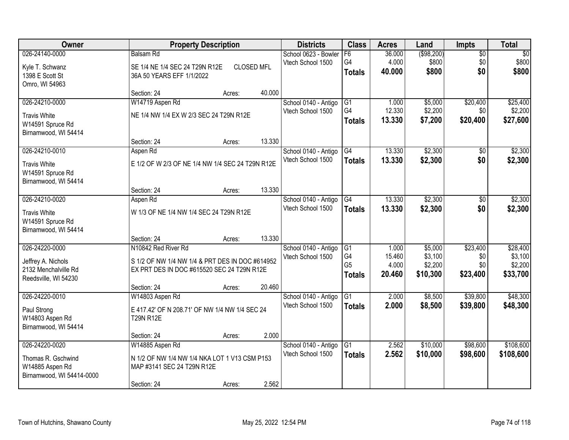| 026-24140-0000<br>( \$98, 200)<br><b>Balsam Rd</b><br>School 0623 - Bowler<br>F6<br>36.000                                              | $\sqrt{30}$<br>$\overline{50}$         |
|-----------------------------------------------------------------------------------------------------------------------------------------|----------------------------------------|
| 4.000<br>G4<br>\$800<br>Vtech School 1500<br>Kyle T. Schwanz<br>SE 1/4 NE 1/4 SEC 24 T29N R12E<br><b>CLOSED MFL</b>                     | \$800<br>\$0                           |
| 40,000<br>\$800<br><b>Totals</b><br>1398 E Scott St<br>36A 50 YEARS EFF 1/1/2022                                                        | \$0<br>\$800                           |
| Omro, WI 54963                                                                                                                          |                                        |
| 40.000<br>Section: 24<br>Acres:                                                                                                         |                                        |
| W14719 Aspen Rd<br>\$5,000<br>026-24210-0000<br>School 0140 - Antigo<br>$\overline{G1}$<br>1.000                                        | \$20,400<br>\$25,400                   |
| G4<br>12.330<br>\$2,200<br>Vtech School 1500<br>NE 1/4 NW 1/4 EX W 2/3 SEC 24 T29N R12E<br><b>Travis White</b>                          | \$0<br>\$2,200                         |
| 13.330<br>\$7,200<br><b>Totals</b><br>W14591 Spruce Rd                                                                                  | \$20,400<br>\$27,600                   |
| Birnamwood, WI 54414                                                                                                                    |                                        |
| 13.330<br>Section: 24<br>Acres:                                                                                                         |                                        |
| 13.330<br>\$2,300<br>026-24210-0010<br>G4<br>Aspen Rd<br>School 0140 - Antigo                                                           | \$2,300<br>$\sqrt{6}$                  |
| Vtech School 1500<br>\$2,300<br>13.330<br><b>Totals</b><br>E 1/2 OF W 2/3 OF NE 1/4 NW 1/4 SEC 24 T29N R12E<br><b>Travis White</b>      | \$0<br>\$2,300                         |
| W14591 Spruce Rd                                                                                                                        |                                        |
| Birnamwood, WI 54414                                                                                                                    |                                        |
| 13.330<br>Section: 24<br>Acres:                                                                                                         |                                        |
| 026-24210-0020<br>13.330<br>\$2,300<br>School 0140 - Antigo<br>G4<br>Aspen Rd<br>Vtech School 1500                                      | \$2,300<br>\$0                         |
| 13.330<br>\$2,300<br><b>Totals</b><br><b>Travis White</b><br>W 1/3 OF NE 1/4 NW 1/4 SEC 24 T29N R12E                                    | \$0<br>\$2,300                         |
| W14591 Spruce Rd                                                                                                                        |                                        |
| Birnamwood, WI 54414                                                                                                                    |                                        |
| 13.330<br>Section: 24<br>Acres:                                                                                                         |                                        |
| 026-24220-0000<br>N10842 Red River Rd<br>1.000<br>\$5,000<br>School 0140 - Antigo<br>G1<br>G4<br>15.460<br>\$3,100<br>Vtech School 1500 | \$23,400<br>\$28,400<br>\$3,100<br>\$0 |
| Jeffrey A. Nichols<br>S 1/2 OF NW 1/4 NW 1/4 & PRT DES IN DOC #614952<br>G <sub>5</sub><br>4.000<br>\$2,200                             | \$2,200<br>\$0                         |
| 2132 Menchalville Rd<br>EX PRT DES IN DOC #615520 SEC 24 T29N R12E<br>\$23,400<br>20.460<br>\$10,300<br><b>Totals</b>                   | \$33,700                               |
| Reedsville, WI 54230                                                                                                                    |                                        |
| 20.460<br>Section: 24<br>Acres:<br>2.000<br>\$8,500<br>026-24220-0010<br>$\overline{G1}$<br>W14803 Aspen Rd<br>School 0140 - Antigo     | \$39,800<br>\$48,300                   |
| Vtech School 1500<br>2.000<br>\$8,500<br><b>Totals</b>                                                                                  | \$39,800<br>\$48,300                   |
| Paul Strong<br>E 417.42' OF N 208.71' OF NW 1/4 NW 1/4 SEC 24                                                                           |                                        |
| W14803 Aspen Rd<br><b>T29N R12E</b>                                                                                                     |                                        |
| Birnamwood, WI 54414<br>2.000<br>Section: 24                                                                                            |                                        |
| Acres:<br>026-24220-0020<br>2.562<br>\$10,000<br>W14885 Aspen Rd<br>School 0140 - Antigo<br>G1                                          | \$98,600<br>\$108,600                  |
| Vtech School 1500<br>2.562<br>\$10,000<br><b>Totals</b>                                                                                 | \$98,600<br>\$108,600                  |
| N 1/2 OF NW 1/4 NW 1/4 NKA LOT 1 V13 CSM P153<br>Thomas R. Gschwind                                                                     |                                        |
| W14885 Aspen Rd<br>MAP #3141 SEC 24 T29N R12E<br>Birnamwood, WI 54414-0000                                                              |                                        |
| 2.562<br>Section: 24<br>Acres:                                                                                                          |                                        |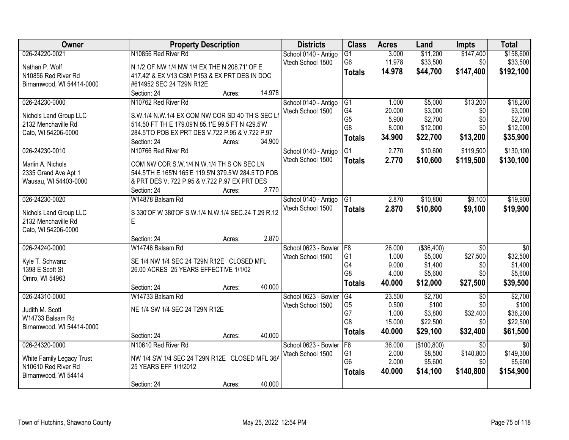| Owner                     | <b>Property Description</b>                         |                  | <b>Districts</b>     | <b>Class</b>           | <b>Acres</b> | Land        | <b>Impts</b>    | <b>Total</b>    |
|---------------------------|-----------------------------------------------------|------------------|----------------------|------------------------|--------------|-------------|-----------------|-----------------|
| 026-24220-0021            | N10856 Red River Rd                                 |                  | School 0140 - Antigo | G1                     | 3.000        | \$11,200    | \$147,400       | \$158,600       |
| Nathan P. Wolf            | N 1/2 OF NW 1/4 NW 1/4 EX THE N 208.71' OF E        |                  | Vtech School 1500    | G <sub>6</sub>         | 11.978       | \$33,500    | \$0             | \$33,500        |
| N10856 Red River Rd       | 417.42' & EX V13 CSM P153 & EX PRT DES IN DOC       |                  |                      | <b>Totals</b>          | 14.978       | \$44,700    | \$147,400       | \$192,100       |
| Birnamwood, WI 54414-0000 | #614952 SEC 24 T29N R12E                            |                  |                      |                        |              |             |                 |                 |
|                           | Section: 24                                         | 14.978<br>Acres: |                      |                        |              |             |                 |                 |
| 026-24230-0000            | N10762 Red River Rd                                 |                  | School 0140 - Antigo | G1                     | 1.000        | \$5,000     | \$13,200        | \$18,200        |
|                           |                                                     |                  | Vtech School 1500    | G <sub>4</sub>         | 20.000       | \$3,000     | \$0             | \$3,000         |
| Nichols Land Group LLC    | S.W.1/4 N.W.1/4 EX COM NW COR SD 40 TH S SEC LI     |                  |                      | G <sub>5</sub>         | 5.900        | \$2,700     | \$0             | \$2,700         |
| 2132 Menchaville Rd       | 514.50 FT TH E 179.09'N 85.1'E 99.5 FT N 429.5'W    |                  |                      | G8                     | 8.000        | \$12,000    | \$0             | \$12,000        |
| Cato, WI 54206-0000       | 284.5'TO POB EX PRT DES V.722 P.95 & V.722 P.97     |                  |                      | <b>Totals</b>          | 34.900       | \$22,700    | \$13,200        | \$35,900        |
|                           | Section: 24                                         | 34.900<br>Acres: |                      |                        |              |             |                 |                 |
| 026-24230-0010            | N10766 Red River Rd                                 |                  | School 0140 - Antigo | G1                     | 2.770        | \$10,600    | \$119,500       | \$130,100       |
| Marlin A. Nichols         | COM NW COR S.W.1/4 N.W.1/4 TH S ON SEC LN           |                  | Vtech School 1500    | <b>Totals</b>          | 2.770        | \$10,600    | \$119,500       | \$130,100       |
| 2335 Grand Ave Apt 1      | 544.5'TH E 165'N 165'E 119.5'N 379.5'W 284.5'TO POB |                  |                      |                        |              |             |                 |                 |
| Wausau, WI 54403-0000     | & PRT DES V. 722 P.95 & V.722 P.97 EX PRT DES       |                  |                      |                        |              |             |                 |                 |
|                           | Section: 24                                         | 2.770<br>Acres:  |                      |                        |              |             |                 |                 |
| 026-24230-0020            | W14878 Balsam Rd                                    |                  | School 0140 - Antigo | G <sub>1</sub>         | 2.870        | \$10,800    | \$9,100         | \$19,900        |
|                           |                                                     |                  | Vtech School 1500    | <b>Totals</b>          | 2.870        | \$10,800    | \$9,100         | \$19,900        |
| Nichols Land Group LLC    | S 330'OF W 380'OF S.W.1/4 N.W.1/4 SEC.24 T.29 R.12  |                  |                      |                        |              |             |                 |                 |
| 2132 Menchaville Rd       | E                                                   |                  |                      |                        |              |             |                 |                 |
| Cato, WI 54206-0000       |                                                     |                  |                      |                        |              |             |                 |                 |
|                           | Section: 24                                         | 2.870<br>Acres:  |                      |                        |              |             |                 |                 |
| 026-24240-0000            | W14746 Balsam Rd                                    |                  | School 0623 - Bowler | F <sub>8</sub>         | 26.000       | ( \$36,400) | $\overline{30}$ | $\overline{50}$ |
| Kyle T. Schwanz           | SE 1/4 NW 1/4 SEC 24 T29N R12E CLOSED MFL           |                  | Vtech School 1500    | G <sub>1</sub>         | 1.000        | \$5,000     | \$27,500        | \$32,500        |
| 1398 E Scott St           | 26.00 ACRES 25 YEARS EFFECTIVE 1/1/02               |                  |                      | G4                     | 9.000        | \$1,400     | \$0             | \$1,400         |
| Omro, WI 54963            |                                                     |                  |                      | G8                     | 4.000        | \$5,600     | \$0             | \$5,600         |
|                           | Section: 24                                         | 40.000<br>Acres: |                      | <b>Totals</b>          | 40.000       | \$12,000    | \$27,500        | \$39,500        |
| 026-24310-0000            | W14733 Balsam Rd                                    |                  | School 0623 - Bowler | $\overline{\text{G4}}$ | 23.500       | \$2,700     | $\overline{30}$ | \$2,700         |
| Judith M. Scott           | NE 1/4 SW 1/4 SEC 24 T29N R12E                      |                  | Vtech School 1500    | G <sub>5</sub>         | 0.500        | \$100       | \$0             | \$100           |
| W14733 Balsam Rd          |                                                     |                  |                      | G7                     | 1.000        | \$3,800     | \$32,400        | \$36,200        |
|                           |                                                     |                  |                      | G <sub>8</sub>         | 15.000       | \$22,500    | \$0             | \$22,500        |
| Birnamwood, WI 54414-0000 | Section: 24                                         | 40.000<br>Acres: |                      | <b>Totals</b>          | 40.000       | \$29,100    | \$32,400        | \$61,500        |
| 026-24320-0000            | N10610 Red River Rd                                 |                  | School 0623 - Bowler | F6                     | 36.000       | (\$100,800) | $\overline{30}$ | $\overline{50}$ |
|                           |                                                     |                  | Vtech School 1500    | G1                     | 2.000        | \$8,500     | \$140,800       | \$149,300       |
| White Family Legacy Trust | NW 1/4 SW 1/4 SEC 24 T29N R12E CLOSED MFL 36A       |                  |                      | G <sub>6</sub>         | 2.000        | \$5,600     | \$0             | \$5,600         |
| N10610 Red River Rd       | 25 YEARS EFF 1/1/2012                               |                  |                      |                        | 40.000       | \$14,100    | \$140,800       | \$154,900       |
| Birnamwood, WI 54414      |                                                     |                  |                      | <b>Totals</b>          |              |             |                 |                 |
|                           | Section: 24                                         | 40.000<br>Acres: |                      |                        |              |             |                 |                 |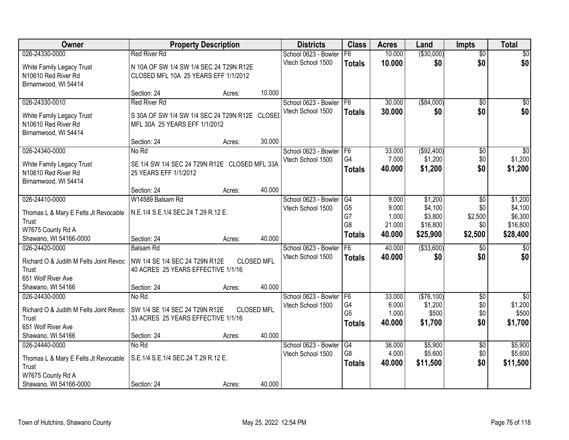| Owner                                  | <b>Property Description</b>                    |                   |                   | <b>Districts</b>     | <b>Class</b>          | <b>Acres</b>    | Land                  | <b>Impts</b>           | <b>Total</b>               |
|----------------------------------------|------------------------------------------------|-------------------|-------------------|----------------------|-----------------------|-----------------|-----------------------|------------------------|----------------------------|
| 026-24330-0000                         | <b>Red River Rd</b>                            |                   |                   | School 0623 - Bowler | F6                    | 10.000          | ( \$30,000)           | $\overline{50}$        | \$0                        |
| White Family Legacy Trust              | N 10A OF SW 1/4 SW 1/4 SEC 24 T29N R12E        |                   |                   | Vtech School 1500    | <b>Totals</b>         | 10.000          | \$0                   | \$0                    | \$0                        |
| N10610 Red River Rd                    | CLOSED MFL 10A 25 YEARS EFF 1/1/2012           |                   |                   |                      |                       |                 |                       |                        |                            |
| Birnamwood, WI 54414                   |                                                |                   |                   |                      |                       |                 |                       |                        |                            |
|                                        | Section: 24                                    | Acres:            | 10.000            |                      |                       |                 |                       |                        |                            |
| 026-24330-0010                         | <b>Red River Rd</b>                            |                   |                   | School 0623 - Bowler | F <sub>6</sub>        | 30.000          | ( \$84,000)           | $\overline{50}$        | \$0                        |
| White Family Legacy Trust              | S 30A OF SW 1/4 SW 1/4 SEC 24 T29N R12E CLOSEI |                   |                   | Vtech School 1500    | <b>Totals</b>         | 30.000          | \$0                   | \$0                    | \$0                        |
| N10610 Red River Rd                    | MFL 30A 25 YEARS EFF 1/1/2012                  |                   |                   |                      |                       |                 |                       |                        |                            |
| Birnamwood, WI 54414                   |                                                |                   |                   |                      |                       |                 |                       |                        |                            |
|                                        | Section: 24                                    | Acres:            | 30.000            |                      |                       |                 |                       |                        |                            |
| 026-24340-0000                         | No Rd                                          |                   |                   | School 0623 - Bowler | IF <sub>6</sub>       | 33.000          | ( \$92,400)           | \$0                    | \$0                        |
| White Family Legacy Trust              | SE 1/4 SW 1/4 SEC 24 T29N R12E CLOSED MFL 33A  |                   |                   | Vtech School 1500    | G4                    | 7.000<br>40.000 | \$1,200               | \$0<br>\$0             | \$1,200                    |
| N10610 Red River Rd                    | 25 YEARS EFF 1/1/2012                          |                   |                   |                      | <b>Totals</b>         |                 | \$1,200               |                        | \$1,200                    |
| Birnamwood, WI 54414                   |                                                |                   |                   |                      |                       |                 |                       |                        |                            |
|                                        | Section: 24                                    | Acres:            | 40.000            |                      |                       |                 |                       |                        |                            |
| 026-24410-0000                         | W14589 Balsam Rd                               |                   |                   | School 0623 - Bowler | G4<br>G <sub>5</sub>  | 9.000<br>9.000  | \$1,200               | $\sqrt{6}$<br>\$0      | \$1,200                    |
| Thomas L & Mary E Felts Jt Revocable   | N.E.1/4 S.E.1/4 SEC.24 T.29 R.12 E.            |                   |                   | Vtech School 1500    | G7                    | 1.000           | \$4,100<br>\$3,800    | \$2,500                | \$4,100<br>\$6,300         |
| Trust                                  |                                                |                   |                   |                      | G <sub>8</sub>        | 21.000          | \$16,800              | \$0                    | \$16,800                   |
| W7675 County Rd A                      |                                                |                   |                   |                      | <b>Totals</b>         | 40.000          | \$25,900              | \$2,500                | \$28,400                   |
| Shawano, WI 54166-0000                 | Section: 24                                    | Acres:            | 40.000            |                      |                       |                 |                       |                        |                            |
| 026-24420-0000                         | <b>Balsam Rd</b>                               |                   |                   | School 0623 - Bowler | F6                    | 40.000          | ( \$33,600)           | $\overline{30}$        | $\sqrt{50}$                |
| Richard O & Judith M Felts Joint Revoc | NW 1/4 SE 1/4 SEC 24 T29N R12E                 |                   | <b>CLOSED MFL</b> | Vtech School 1500    | <b>Totals</b>         | 40.000          | \$0                   | \$0                    | \$0                        |
| Trust                                  | 40 ACRES 25 YEARS EFFECTIVE 1/1/16             |                   |                   |                      |                       |                 |                       |                        |                            |
| 651 Wolf River Ave                     |                                                |                   |                   |                      |                       |                 |                       |                        |                            |
| Shawano, WI 54166                      | Section: 24                                    | Acres:            | 40.000            |                      |                       |                 |                       |                        |                            |
| 026-24430-0000                         | No Rd                                          |                   |                   | School 0623 - Bowler | IF <sub>6</sub><br>G4 | 33.000<br>6.000 | (\$76,100)<br>\$1,200 | $\overline{50}$        | $\overline{30}$<br>\$1,200 |
| Richard O & Judith M Felts Joint Revoc | SW 1/4 SE 1/4 SEC 24 T29N R12E                 | <b>CLOSED MFL</b> |                   | Vtech School 1500    | G <sub>5</sub>        | 1.000           | \$500                 | \$0<br>\$0             | \$500                      |
| <b>Trust</b>                           | 33 ACRES 25 YEARS EFFECTIVE 1/1/16             |                   |                   |                      | <b>Totals</b>         | 40.000          | \$1,700               | \$0                    | \$1,700                    |
| 651 Wolf River Ave                     |                                                |                   |                   |                      |                       |                 |                       |                        |                            |
| Shawano, WI 54166                      | Section: 24                                    | Acres:            | 40.000            |                      |                       |                 |                       |                        |                            |
| 026-24440-0000                         | No Rd                                          |                   |                   | School 0623 - Bowler | G4<br>G8              | 36.000<br>4.000 | \$5,900<br>\$5,600    | $\overline{50}$<br>\$0 | \$5,900<br>\$5,600         |
| Thomas L & Mary E Felts Jt Revocable   | S.E.1/4 S.E.1/4 SEC.24 T.29 R.12 E.            |                   |                   | Vtech School 1500    |                       | 40.000          | \$11,500              | \$0                    |                            |
| Trust                                  |                                                |                   |                   |                      | <b>Totals</b>         |                 |                       |                        | \$11,500                   |
| W7675 County Rd A                      |                                                |                   |                   |                      |                       |                 |                       |                        |                            |
| Shawano, WI 54166-0000                 | Section: 24                                    | Acres:            | 40.000            |                      |                       |                 |                       |                        |                            |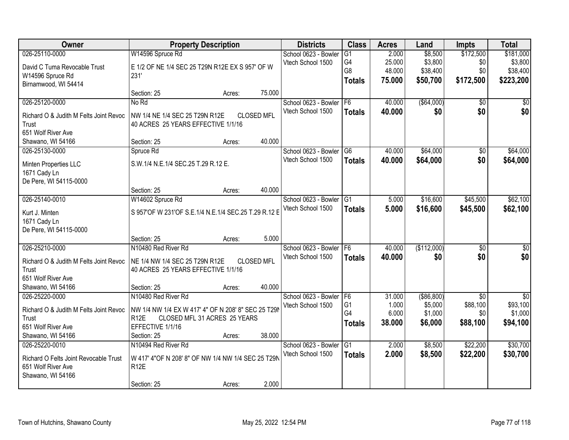| Owner                                  | <b>Property Description</b>                                          |                   | <b>Districts</b>     | <b>Class</b>    | <b>Acres</b> | Land         | <b>Impts</b>    | <b>Total</b>    |
|----------------------------------------|----------------------------------------------------------------------|-------------------|----------------------|-----------------|--------------|--------------|-----------------|-----------------|
| 026-25110-0000                         | W14596 Spruce Rd                                                     |                   | School 0623 - Bowler | $\overline{G1}$ | 2.000        | \$8,500      | \$172,500       | \$181,000       |
| David C Tuma Revocable Trust           | E 1/2 OF NE 1/4 SEC 25 T29N R12E EX S 957' OF W                      |                   | Vtech School 1500    | G4              | 25.000       | \$3,800      | \$0             | \$3,800         |
| W14596 Spruce Rd                       | 231'                                                                 |                   |                      | G8              | 48.000       | \$38,400     | \$0             | \$38,400        |
| Birnamwood, WI 54414                   |                                                                      |                   |                      | <b>Totals</b>   | 75.000       | \$50,700     | \$172,500       | \$223,200       |
|                                        | Section: 25                                                          | 75.000<br>Acres:  |                      |                 |              |              |                 |                 |
| 026-25120-0000                         | No Rd                                                                |                   | School 0623 - Bowler | F <sub>6</sub>  | 40.000       | ( \$64,000)  | \$0             | \$0             |
| Richard O & Judith M Felts Joint Revoc |                                                                      | <b>CLOSED MFL</b> | Vtech School 1500    | <b>Totals</b>   | 40.000       | \$0          | \$0             | \$0             |
| Trust                                  | NW 1/4 NE 1/4 SEC 25 T29N R12E<br>40 ACRES 25 YEARS EFFECTIVE 1/1/16 |                   |                      |                 |              |              |                 |                 |
| 651 Wolf River Ave                     |                                                                      |                   |                      |                 |              |              |                 |                 |
| Shawano, WI 54166                      | Section: 25                                                          | 40.000<br>Acres:  |                      |                 |              |              |                 |                 |
| 026-25130-0000                         | Spruce Rd                                                            |                   | School 0623 - Bowler | $\overline{G6}$ | 40.000       | \$64,000     | $\overline{50}$ | \$64,000        |
|                                        |                                                                      |                   | Vtech School 1500    | <b>Totals</b>   | 40.000       | \$64,000     | \$0             | \$64,000        |
| Minten Properties LLC                  | S.W.1/4 N.E.1/4 SEC.25 T.29 R.12 E.                                  |                   |                      |                 |              |              |                 |                 |
| 1671 Cady Ln                           |                                                                      |                   |                      |                 |              |              |                 |                 |
| De Pere, WI 54115-0000                 |                                                                      |                   |                      |                 |              |              |                 |                 |
|                                        | Section: 25                                                          | 40.000<br>Acres:  |                      |                 |              |              |                 |                 |
| 026-25140-0010                         | W14602 Spruce Rd                                                     |                   | School 0623 - Bowler | G1              | 5.000        | \$16,600     | \$45,500        | \$62,100        |
| Kurt J. Minten                         | S 957'OF W 231'OF S.E.1/4 N.E.1/4 SEC.25 T.29 R.12 E                 |                   | Vtech School 1500    | <b>Totals</b>   | 5.000        | \$16,600     | \$45,500        | \$62,100        |
| 1671 Cady Ln                           |                                                                      |                   |                      |                 |              |              |                 |                 |
| De Pere, WI 54115-0000                 |                                                                      |                   |                      |                 |              |              |                 |                 |
|                                        | Section: 25                                                          | 5.000<br>Acres:   |                      |                 |              |              |                 |                 |
| 026-25210-0000                         | N10480 Red River Rd                                                  |                   | School 0623 - Bowler | F6              | 40.000       | (\$112,000)  | $\overline{50}$ | $\overline{50}$ |
| Richard O & Judith M Felts Joint Revoc | NE 1/4 NW 1/4 SEC 25 T29N R12E                                       | <b>CLOSED MFL</b> | Vtech School 1500    | <b>Totals</b>   | 40.000       | \$0          | \$0             | \$0             |
| Trust                                  | 40 ACRES 25 YEARS EFFECTIVE 1/1/16                                   |                   |                      |                 |              |              |                 |                 |
| 651 Wolf River Ave                     |                                                                      |                   |                      |                 |              |              |                 |                 |
| Shawano, WI 54166                      | Section: 25                                                          | 40.000<br>Acres:  |                      |                 |              |              |                 |                 |
| 026-25220-0000                         | N10480 Red River Rd                                                  |                   | School 0623 - Bowler | F <sub>6</sub>  | 31.000       | ( \$86, 800) | $\overline{50}$ | $\overline{50}$ |
|                                        |                                                                      |                   | Vtech School 1500    | G <sub>1</sub>  | 1.000        | \$5,000      | \$88,100        | \$93,100        |
| Richard O & Judith M Felts Joint Revoc | NW 1/4 NW 1/4 EX W 417' 4" OF N 208' 8" SEC 25 T29                   |                   |                      | G4              | 6.000        | \$1,000      | \$0             | \$1,000         |
| Trust                                  | <b>R12E</b><br>CLOSED MFL 31 ACRES 25 YEARS                          |                   |                      | <b>Totals</b>   | 38.000       | \$6,000      | \$88,100        | \$94,100        |
| 651 Wolf River Ave                     | EFFECTIVE 1/1/16                                                     |                   |                      |                 |              |              |                 |                 |
| Shawano, WI 54166                      | Section: 25                                                          | 38.000<br>Acres:  |                      |                 |              |              |                 |                 |
| 026-25220-0010                         | N10494 Red River Rd                                                  |                   | School 0623 - Bowler | G1              | 2.000        | \$8,500      | \$22,200        | \$30,700        |
| Richard O Felts Joint Revocable Trust  | W 417' 4"OF N 208' 8" OF NW 1/4 NW 1/4 SEC 25 T29N                   |                   | Vtech School 1500    | <b>Totals</b>   | 2.000        | \$8,500      | \$22,200        | \$30,700        |
| 651 Wolf River Ave                     | R <sub>12</sub> E                                                    |                   |                      |                 |              |              |                 |                 |
| Shawano, WI 54166                      |                                                                      |                   |                      |                 |              |              |                 |                 |
|                                        | Section: 25                                                          | 2.000<br>Acres:   |                      |                 |              |              |                 |                 |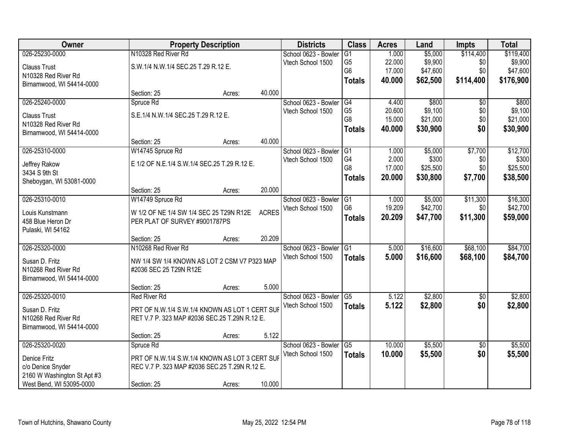| Owner                       |                                                | <b>Property Description</b> |              | <b>Districts</b>     | <b>Class</b>    | <b>Acres</b> | Land     | <b>Impts</b>    | <b>Total</b> |
|-----------------------------|------------------------------------------------|-----------------------------|--------------|----------------------|-----------------|--------------|----------|-----------------|--------------|
| 026-25230-0000              | N10328 Red River Rd                            |                             |              | School 0623 - Bowler | $\overline{G1}$ | 1.000        | \$5,000  | \$114,400       | \$119,400    |
| <b>Clauss Trust</b>         | S.W.1/4 N.W.1/4 SEC.25 T.29 R.12 E.            |                             |              | Vtech School 1500    | G <sub>5</sub>  | 22.000       | \$9,900  | \$0             | \$9,900      |
| N10328 Red River Rd         |                                                |                             |              |                      | G <sub>6</sub>  | 17.000       | \$47,600 | \$0             | \$47,600     |
| Birnamwood, WI 54414-0000   |                                                |                             |              |                      | <b>Totals</b>   | 40.000       | \$62,500 | \$114,400       | \$176,900    |
|                             | Section: 25                                    | Acres:                      | 40.000       |                      |                 |              |          |                 |              |
| 026-25240-0000              | Spruce Rd                                      |                             |              | School 0623 - Bowler | G4              | 4.400        | \$800    | \$0             | \$800        |
| <b>Clauss Trust</b>         | S.E.1/4 N.W.1/4 SEC.25 T.29 R.12 E.            |                             |              | Vtech School 1500    | G <sub>5</sub>  | 20.600       | \$9,100  | \$0             | \$9,100      |
| N10328 Red River Rd         |                                                |                             |              |                      | G8              | 15.000       | \$21,000 | \$0             | \$21,000     |
| Birnamwood, WI 54414-0000   |                                                |                             |              |                      | <b>Totals</b>   | 40.000       | \$30,900 | \$0             | \$30,900     |
|                             | Section: 25                                    | Acres:                      | 40.000       |                      |                 |              |          |                 |              |
| 026-25310-0000              | W14745 Spruce Rd                               |                             |              | School 0623 - Bowler | IG1             | 1.000        | \$5,000  | \$7,700         | \$12,700     |
| Jeffrey Rakow               | E 1/2 OF N.E.1/4 S.W.1/4 SEC.25 T.29 R.12 E.   |                             |              | Vtech School 1500    | G4              | 2.000        | \$300    | \$0             | \$300        |
| 3434 S 9th St               |                                                |                             |              |                      | G8              | 17.000       | \$25,500 | \$0             | \$25,500     |
| Sheboygan, WI 53081-0000    |                                                |                             |              |                      | <b>Totals</b>   | 20,000       | \$30,800 | \$7,700         | \$38,500     |
|                             | Section: 25                                    | Acres:                      | 20.000       |                      |                 |              |          |                 |              |
| 026-25310-0010              | W14749 Spruce Rd                               |                             |              | School 0623 - Bowler | G1              | 1.000        | \$5,000  | \$11,300        | \$16,300     |
| Louis Kunstmann             | W 1/2 OF NE 1/4 SW 1/4 SEC 25 T29N R12E        |                             | <b>ACRES</b> | Vtech School 1500    | G <sub>6</sub>  | 19.209       | \$42,700 | \$0             | \$42,700     |
| 458 Blue Heron Dr           | PER PLAT OF SURVEY #9001787PS                  |                             |              |                      | <b>Totals</b>   | 20.209       | \$47,700 | \$11,300        | \$59,000     |
| Pulaski, WI 54162           |                                                |                             |              |                      |                 |              |          |                 |              |
|                             | Section: 25                                    | Acres:                      | 20.209       |                      |                 |              |          |                 |              |
| 026-25320-0000              | N10268 Red River Rd                            |                             |              | School 0623 - Bowler | $\overline{G1}$ | 5.000        | \$16,600 | \$68,100        | \$84,700     |
| Susan D. Fritz              | NW 1/4 SW 1/4 KNOWN AS LOT 2 CSM V7 P323 MAP   |                             |              | Vtech School 1500    | <b>Totals</b>   | 5.000        | \$16,600 | \$68,100        | \$84,700     |
| N10268 Red River Rd         | #2036 SEC 25 T29N R12E                         |                             |              |                      |                 |              |          |                 |              |
| Birnamwood, WI 54414-0000   |                                                |                             |              |                      |                 |              |          |                 |              |
|                             | Section: 25                                    | Acres:                      | 5.000        |                      |                 |              |          |                 |              |
| 026-25320-0010              | <b>Red River Rd</b>                            |                             |              | School 0623 - Bowler | G <sub>5</sub>  | 5.122        | \$2,800  | $\overline{50}$ | \$2,800      |
| Susan D. Fritz              | PRT OF N.W.1/4 S.W.1/4 KNOWN AS LOT 1 CERT SUF |                             |              | Vtech School 1500    | <b>Totals</b>   | 5.122        | \$2,800  | \$0             | \$2,800      |
| N10268 Red River Rd         | RET V.7 P. 323 MAP #2036 SEC.25 T.29N R.12 E.  |                             |              |                      |                 |              |          |                 |              |
| Birnamwood, WI 54414-0000   |                                                |                             |              |                      |                 |              |          |                 |              |
|                             | Section: 25                                    | Acres:                      | 5.122        |                      |                 |              |          |                 |              |
| 026-25320-0020              | Spruce Rd                                      |                             |              | School 0623 - Bowler | G5              | 10.000       | \$5,500  | $\overline{50}$ | \$5,500      |
| Denice Fritz                | PRT OF N.W.1/4 S.W.1/4 KNOWN AS LOT 3 CERT SUF |                             |              | Vtech School 1500    | <b>Totals</b>   | 10.000       | \$5,500  | \$0             | \$5,500      |
| c/o Denice Snyder           | REC V.7 P. 323 MAP #2036 SEC.25 T.29N R.12 E.  |                             |              |                      |                 |              |          |                 |              |
| 2160 W Washington St Apt #3 |                                                |                             |              |                      |                 |              |          |                 |              |
| West Bend, WI 53095-0000    | Section: 25                                    | Acres:                      | 10.000       |                      |                 |              |          |                 |              |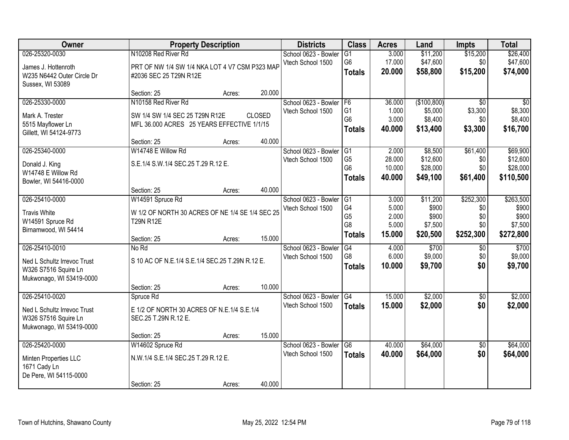| Owner                       |                                                 | <b>Property Description</b> |               |                      | <b>Class</b>         | <b>Acres</b>   | Land             | <b>Impts</b>    | <b>Total</b>     |
|-----------------------------|-------------------------------------------------|-----------------------------|---------------|----------------------|----------------------|----------------|------------------|-----------------|------------------|
| 026-25320-0030              | N10208 Red River Rd                             |                             |               | School 0623 - Bowler | $\overline{G1}$      | 3.000          | \$11,200         | \$15,200        | \$26,400         |
| James J. Hottenroth         | PRT OF NW 1/4 SW 1/4 NKA LOT 4 V7 CSM P323 MAP  |                             |               | Vtech School 1500    | G <sub>6</sub>       | 17.000         | \$47,600         | \$0             | \$47,600         |
| W235 N6442 Outer Circle Dr  | #2036 SEC 25 T29N R12E                          |                             |               |                      | <b>Totals</b>        | 20.000         | \$58,800         | \$15,200        | \$74,000         |
| Sussex, WI 53089            |                                                 |                             |               |                      |                      |                |                  |                 |                  |
|                             | Section: 25                                     | Acres:                      | 20.000        |                      |                      |                |                  |                 |                  |
| 026-25330-0000              | N10158 Red River Rd                             |                             |               | School 0623 - Bowler | F <sub>6</sub>       | 36.000         | (\$100,800)      | $\overline{30}$ | $\overline{50}$  |
| Mark A. Trester             | SW 1/4 SW 1/4 SEC 25 T29N R12E                  |                             | <b>CLOSED</b> | Vtech School 1500    | G <sub>1</sub>       | 1.000          | \$5,000          | \$3,300         | \$8,300          |
| 5515 Mayflower Ln           | MFL 36.000 ACRES 25 YEARS EFFECTIVE 1/1/15      |                             |               |                      | G <sub>6</sub>       | 3.000          | \$8,400          | \$0             | \$8,400          |
| Gillett, WI 54124-9773      |                                                 |                             |               |                      | <b>Totals</b>        | 40.000         | \$13,400         | \$3,300         | \$16,700         |
|                             | Section: 25                                     | Acres:                      | 40.000        |                      |                      |                |                  |                 |                  |
| 026-25340-0000              | W14748 E Willow Rd                              |                             |               | School 0623 - Bowler | IG1                  | 2.000          | \$8,500          | \$61,400        | \$69,900         |
| Donald J. King              | S.E.1/4 S.W.1/4 SEC.25 T.29 R.12 E.             |                             |               | Vtech School 1500    | G <sub>5</sub>       | 28.000         | \$12,600         | \$0             | \$12,600         |
| W14748 E Willow Rd          |                                                 |                             |               |                      | G <sub>6</sub>       | 10.000         | \$28,000         | \$0             | \$28,000         |
| Bowler, WI 54416-0000       |                                                 |                             |               |                      | <b>Totals</b>        | 40.000         | \$49,100         | \$61,400        | \$110,500        |
|                             | Section: 25                                     | Acres:                      | 40.000        |                      |                      |                |                  |                 |                  |
| 026-25410-0000              | W14591 Spruce Rd                                |                             |               | School 0623 - Bowler | G1                   | 3.000          | \$11,200         | \$252,300       | \$263,500        |
| <b>Travis White</b>         | W 1/2 OF NORTH 30 ACRES OF NE 1/4 SE 1/4 SEC 25 |                             |               | Vtech School 1500    | G4                   | 5.000          | \$900            | \$0             | \$900            |
| W14591 Spruce Rd            | <b>T29N R12E</b>                                |                             |               |                      | G <sub>5</sub><br>G8 | 2.000<br>5.000 | \$900<br>\$7,500 | \$0<br>\$0      | \$900<br>\$7,500 |
| Birnamwood, WI 54414        |                                                 |                             |               |                      | <b>Totals</b>        | 15.000         | \$20,500         | \$252,300       | \$272,800        |
|                             | Section: 25                                     | Acres:                      | 15.000        |                      |                      |                |                  |                 |                  |
| 026-25410-0010              | No Rd                                           |                             |               | School 0623 - Bowler | $\overline{G4}$      | 4.000          | \$700            | $\overline{50}$ | \$700            |
| Ned L Schultz Irrevoc Trust | S 10 AC OF N.E.1/4 S.E.1/4 SEC.25 T.29N R.12 E. |                             |               | Vtech School 1500    | G8                   | 6.000          | \$9,000          | \$0             | \$9,000          |
| W326 S7516 Squire Ln        |                                                 |                             |               |                      | <b>Totals</b>        | 10.000         | \$9,700          | \$0             | \$9,700          |
| Mukwonago, WI 53419-0000    |                                                 |                             |               |                      |                      |                |                  |                 |                  |
|                             | Section: 25                                     | Acres:                      | 10.000        |                      |                      |                |                  |                 |                  |
| 026-25410-0020              | Spruce Rd                                       |                             |               | School 0623 - Bowler | G4                   | 15.000         | \$2,000          | $\overline{50}$ | \$2,000          |
| Ned L Schultz Irrevoc Trust | E 1/2 OF NORTH 30 ACRES OF N.E.1/4 S.E.1/4      |                             |               | Vtech School 1500    | <b>Totals</b>        | 15.000         | \$2,000          | \$0             | \$2,000          |
| W326 S7516 Squire Ln        | SEC.25 T.29N R.12 E.                            |                             |               |                      |                      |                |                  |                 |                  |
| Mukwonago, WI 53419-0000    |                                                 |                             |               |                      |                      |                |                  |                 |                  |
|                             | Section: 25                                     | Acres:                      | 15.000        |                      |                      |                |                  |                 |                  |
| 026-25420-0000              | W14602 Spruce Rd                                |                             |               | School 0623 - Bowler | G6                   | 40.000         | \$64,000         | $\overline{50}$ | \$64,000         |
| Minten Properties LLC       | N.W.1/4 S.E.1/4 SEC.25 T.29 R.12 E.             |                             |               | Vtech School 1500    | <b>Totals</b>        | 40.000         | \$64,000         | \$0             | \$64,000         |
| 1671 Cady Ln                |                                                 |                             |               |                      |                      |                |                  |                 |                  |
| De Pere, WI 54115-0000      |                                                 |                             |               |                      |                      |                |                  |                 |                  |
|                             | Section: 25                                     | Acres:                      | 40.000        |                      |                      |                |                  |                 |                  |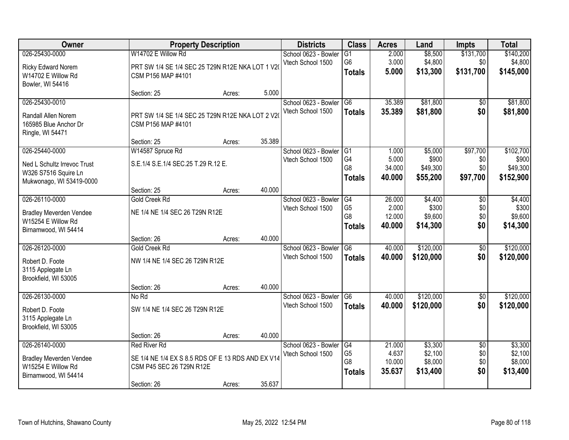| Owner                          |                                                   | <b>Property Description</b> |        | <b>Districts</b>     | <b>Class</b>         | <b>Acres</b>    | Land               | <b>Impts</b>    | <b>Total</b>       |
|--------------------------------|---------------------------------------------------|-----------------------------|--------|----------------------|----------------------|-----------------|--------------------|-----------------|--------------------|
| 026-25430-0000                 | W14702 E Willow Rd                                |                             |        | School 0623 - Bowler | G1                   | 2.000           | \$8,500            | \$131,700       | \$140,200          |
| Ricky Edward Norem             | PRT SW 1/4 SE 1/4 SEC 25 T29N R12E NKA LOT 1 V20  |                             |        | Vtech School 1500    | G <sub>6</sub>       | 3.000           | \$4,800            | \$0             | \$4,800            |
| W14702 E Willow Rd             | CSM P156 MAP #4101                                |                             |        |                      | <b>Totals</b>        | 5.000           | \$13,300           | \$131,700       | \$145,000          |
| Bowler, WI 54416               |                                                   |                             |        |                      |                      |                 |                    |                 |                    |
|                                | Section: 25                                       | Acres:                      | 5.000  |                      |                      |                 |                    |                 |                    |
| 026-25430-0010                 |                                                   |                             |        | School 0623 - Bowler | G <sub>6</sub>       | 35.389          | \$81,800           | $\overline{50}$ | \$81,800           |
| Randall Allen Norem            | PRT SW 1/4 SE 1/4 SEC 25 T29N R12E NKA LOT 2 V2   |                             |        | Vtech School 1500    | <b>Totals</b>        | 35.389          | \$81,800           | \$0             | \$81,800           |
| 165985 Blue Anchor Dr          | CSM P156 MAP #4101                                |                             |        |                      |                      |                 |                    |                 |                    |
| Ringle, WI 54471               |                                                   |                             |        |                      |                      |                 |                    |                 |                    |
|                                | Section: 25                                       | Acres:                      | 35.389 |                      |                      |                 |                    |                 |                    |
| 026-25440-0000                 | W14587 Spruce Rd                                  |                             |        | School 0623 - Bowler | $\overline{G1}$      | 1.000           | \$5,000            | \$97,700        | \$102,700          |
| Ned L Schultz Irrevoc Trust    | S.E.1/4 S.E.1/4 SEC.25 T.29 R.12 E.               |                             |        | Vtech School 1500    | G <sub>4</sub>       | 5.000           | \$900              | \$0             | \$900              |
| W326 S7516 Squire Ln           |                                                   |                             |        |                      | G8                   | 34.000          | \$49,300           | \$0             | \$49,300           |
| Mukwonago, WI 53419-0000       |                                                   |                             |        |                      | <b>Totals</b>        | 40.000          | \$55,200           | \$97,700        | \$152,900          |
|                                | Section: 25                                       | Acres:                      | 40.000 |                      |                      |                 |                    |                 |                    |
| 026-26110-0000                 | Gold Creek Rd                                     |                             |        | School 0623 - Bowler | G4                   | 26.000          | \$4,400            | \$0             | \$4,400            |
| <b>Bradley Meverden Vendee</b> | NE 1/4 NE 1/4 SEC 26 T29N R12E                    |                             |        | Vtech School 1500    | G <sub>5</sub>       | 2.000           | \$300              | \$0             | \$300              |
| W15254 E Willow Rd             |                                                   |                             |        |                      | G <sub>8</sub>       | 12.000          | \$9,600            | \$0             | \$9,600            |
| Birnamwood, WI 54414           |                                                   |                             |        |                      | <b>Totals</b>        | 40.000          | \$14,300           | \$0             | \$14,300           |
|                                | Section: 26                                       | Acres:                      | 40.000 |                      |                      |                 |                    |                 |                    |
| 026-26120-0000                 | Gold Creek Rd                                     |                             |        | School 0623 - Bowler | $\overline{G6}$      | 40.000          | \$120,000          | $\overline{50}$ | \$120,000          |
| Robert D. Foote                | NW 1/4 NE 1/4 SEC 26 T29N R12E                    |                             |        | Vtech School 1500    | <b>Totals</b>        | 40.000          | \$120,000          | \$0             | \$120,000          |
| 3115 Applegate Ln              |                                                   |                             |        |                      |                      |                 |                    |                 |                    |
| Brookfield, WI 53005           |                                                   |                             |        |                      |                      |                 |                    |                 |                    |
|                                | Section: 26                                       | Acres:                      | 40.000 |                      |                      |                 |                    |                 |                    |
| 026-26130-0000                 | No Rd                                             |                             |        | School 0623 - Bowler | G <sub>6</sub>       | 40.000          | \$120,000          | $\overline{60}$ | \$120,000          |
| Robert D. Foote                | SW 1/4 NE 1/4 SEC 26 T29N R12E                    |                             |        | Vtech School 1500    | <b>Totals</b>        | 40.000          | \$120,000          | \$0             | \$120,000          |
| 3115 Applegate Ln              |                                                   |                             |        |                      |                      |                 |                    |                 |                    |
| Brookfield, WI 53005           |                                                   |                             |        |                      |                      |                 |                    |                 |                    |
|                                | Section: 26                                       | Acres:                      | 40.000 |                      |                      |                 |                    |                 |                    |
| 026-26140-0000                 | <b>Red River Rd</b>                               |                             |        | School 0623 - Bowler | G4                   | 21.000          | \$3,300            | $\overline{50}$ | \$3,300            |
| <b>Bradley Meverden Vendee</b> | SE 1/4 NE 1/4 EX S 8.5 RDS OF E 13 RDS AND EX V14 |                             |        | Vtech School 1500    | G <sub>5</sub><br>G8 | 4.637<br>10.000 | \$2,100<br>\$8,000 | \$0<br>\$0      | \$2,100<br>\$8,000 |
| W15254 E Willow Rd             | CSM P45 SEC 26 T29N R12E                          |                             |        |                      |                      | 35.637          | \$13,400           | \$0             | \$13,400           |
| Birnamwood, WI 54414           |                                                   |                             |        |                      | <b>Totals</b>        |                 |                    |                 |                    |
|                                | Section: 26                                       | Acres:                      | 35.637 |                      |                      |                 |                    |                 |                    |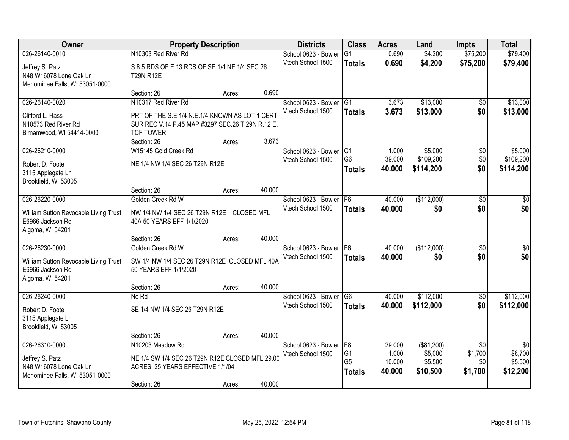| Owner                                                                                           |                                                                                                                           | <b>Property Description</b> |        | <b>Districts</b>                          | <b>Class</b>                                | <b>Acres</b>                        | Land                                          | <b>Impts</b>                                 | <b>Total</b>                                      |
|-------------------------------------------------------------------------------------------------|---------------------------------------------------------------------------------------------------------------------------|-----------------------------|--------|-------------------------------------------|---------------------------------------------|-------------------------------------|-----------------------------------------------|----------------------------------------------|---------------------------------------------------|
| 026-26140-0010                                                                                  | N10303 Red River Rd                                                                                                       |                             |        | School 0623 - Bowler                      | $\overline{G1}$                             | 0.690                               | \$4,200                                       | \$75,200                                     | \$79,400                                          |
| Jeffrey S. Patz<br>N48 W16078 Lone Oak Ln<br>Menominee Falls, WI 53051-0000                     | S 8.5 RDS OF E 13 RDS OF SE 1/4 NE 1/4 SEC 26<br><b>T29N R12E</b>                                                         |                             |        | Vtech School 1500                         | <b>Totals</b>                               | 0.690                               | \$4,200                                       | \$75,200                                     | \$79,400                                          |
|                                                                                                 | Section: 26                                                                                                               | Acres:                      | 0.690  |                                           |                                             |                                     |                                               |                                              |                                                   |
| 026-26140-0020<br>Clifford L. Hass<br>N10573 Red River Rd                                       | N10317 Red River Rd<br>PRT OF THE S.E.1/4 N.E.1/4 KNOWN AS LOT 1 CERT<br>SUR REC V.14 P.45 MAP #3297 SEC.26 T.29N R.12 E. |                             |        | School 0623 - Bowler<br>Vtech School 1500 | G1<br><b>Totals</b>                         | 3.673<br>3.673                      | \$13,000<br>\$13,000                          | \$0<br>\$0                                   | \$13,000<br>\$13,000                              |
| Birnamwood, WI 54414-0000                                                                       | <b>TCF TOWER</b><br>Section: 26                                                                                           | Acres:                      | 3.673  |                                           |                                             |                                     |                                               |                                              |                                                   |
| 026-26210-0000                                                                                  | W15145 Gold Creek Rd                                                                                                      |                             |        | School 0623 - Bowler                      | G1                                          | 1.000                               | \$5,000                                       | \$0                                          | \$5,000                                           |
| Robert D. Foote<br>3115 Applegate Ln<br>Brookfield, WI 53005                                    | NE 1/4 NW 1/4 SEC 26 T29N R12E                                                                                            |                             |        | Vtech School 1500                         | G <sub>6</sub><br><b>Totals</b>             | 39.000<br>40.000                    | \$109,200<br>\$114,200                        | \$0\$<br>\$0                                 | \$109,200<br>\$114,200                            |
|                                                                                                 | Section: 26                                                                                                               | Acres:                      | 40.000 |                                           |                                             |                                     |                                               |                                              |                                                   |
| 026-26220-0000                                                                                  | Golden Creek Rd W                                                                                                         |                             |        | School 0623 - Bowler                      | F6                                          | 40.000                              | (\$112,000)                                   | $\overline{50}$                              | \$0                                               |
| William Sutton Revocable Living Trust<br>E6966 Jackson Rd<br>Algoma, WI 54201                   | NW 1/4 NW 1/4 SEC 26 T29N R12E CLOSED MFL<br>40A 50 YEARS EFF 1/1/2020                                                    |                             |        | Vtech School 1500                         | <b>Totals</b>                               | 40.000                              | \$0                                           | \$0                                          | \$0                                               |
|                                                                                                 | Section: 26                                                                                                               | Acres:                      | 40.000 |                                           |                                             |                                     |                                               |                                              |                                                   |
| 026-26230-0000<br>William Sutton Revocable Living Trust<br>E6966 Jackson Rd<br>Algoma, WI 54201 | Golden Creek Rd W<br>SW 1/4 NW 1/4 SEC 26 T29N R12E CLOSED MFL 40A<br>50 YEARS EFF 1/1/2020                               |                             |        | School 0623 - Bowler<br>Vtech School 1500 | F6<br><b>Totals</b>                         | 40.000<br>40.000                    | (\$112,000)<br>\$0                            | $\overline{60}$<br>\$0                       | \$0<br>\$0                                        |
|                                                                                                 | Section: 26                                                                                                               | Acres:                      | 40.000 |                                           |                                             |                                     |                                               |                                              |                                                   |
| 026-26240-0000<br>Robert D. Foote<br>3115 Applegate Ln<br>Brookfield, WI 53005                  | No Rd<br>SE 1/4 NW 1/4 SEC 26 T29N R12E                                                                                   |                             |        | School 0623 - Bowler<br>Vtech School 1500 | G <sub>6</sub><br><b>Totals</b>             | 40.000<br>40.000                    | \$112,000<br>\$112,000                        | $\overline{50}$<br>\$0                       | \$112,000<br>\$112,000                            |
|                                                                                                 | Section: 26                                                                                                               | Acres:                      | 40.000 |                                           |                                             |                                     |                                               |                                              |                                                   |
| 026-26310-0000<br>Jeffrey S. Patz<br>N48 W16078 Lone Oak Ln<br>Menominee Falls, WI 53051-0000   | N10203 Meadow Rd<br>NE 1/4 SW 1/4 SEC 26 T29N R12E CLOSED MFL 29.00<br>ACRES 25 YEARS EFFECTIVE 1/1/04                    |                             |        | School 0623 - Bowler<br>Vtech School 1500 | F8<br>G1<br>G <sub>5</sub><br><b>Totals</b> | 29.000<br>1.000<br>10.000<br>40.000 | ( \$81,200)<br>\$5,000<br>\$5,500<br>\$10,500 | $\overline{30}$<br>\$1,700<br>\$0<br>\$1,700 | $\overline{50}$<br>\$6,700<br>\$5,500<br>\$12,200 |
|                                                                                                 | Section: 26                                                                                                               | Acres:                      | 40.000 |                                           |                                             |                                     |                                               |                                              |                                                   |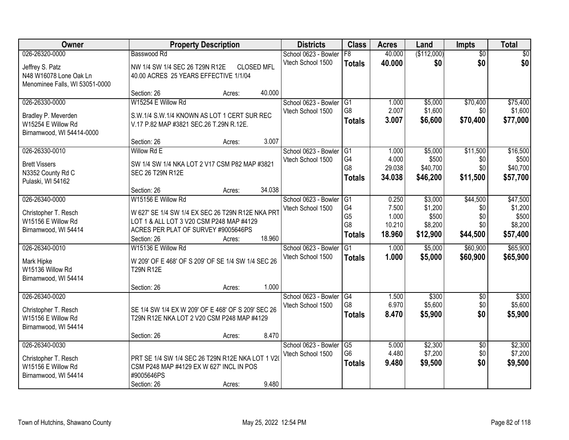| Owner                          |                                                    | <b>Property Description</b> |                   | <b>Districts</b>     | <b>Class</b>    | <b>Acres</b> | Land        | <b>Impts</b>    | <b>Total</b> |
|--------------------------------|----------------------------------------------------|-----------------------------|-------------------|----------------------|-----------------|--------------|-------------|-----------------|--------------|
| 026-26320-0000                 | Basswood Rd                                        |                             |                   | School 0623 - Bowler | F8              | 40.000       | (\$112,000) | $\overline{50}$ | \$0          |
| Jeffrey S. Patz                | NW 1/4 SW 1/4 SEC 26 T29N R12E                     |                             | <b>CLOSED MFL</b> | Vtech School 1500    | <b>Totals</b>   | 40.000       | \$0         | \$0             | \$0          |
| N48 W16078 Lone Oak Ln         | 40.00 ACRES 25 YEARS EFFECTIVE 1/1/04              |                             |                   |                      |                 |              |             |                 |              |
| Menominee Falls, WI 53051-0000 |                                                    |                             |                   |                      |                 |              |             |                 |              |
|                                | Section: 26                                        | Acres:                      | 40.000            |                      |                 |              |             |                 |              |
| 026-26330-0000                 | W15254 E Willow Rd                                 |                             |                   | School 0623 - Bowler | G1              | 1.000        | \$5,000     | \$70,400        | \$75,400     |
| Bradley P. Meverden            | S.W.1/4 S.W.1/4 KNOWN AS LOT 1 CERT SUR REC        |                             |                   | Vtech School 1500    | G8              | 2.007        | \$1,600     | \$0             | \$1,600      |
| W15254 E Willow Rd             | V.17 P.82 MAP #3821 SEC.26 T.29N R.12E.            |                             |                   |                      | <b>Totals</b>   | 3.007        | \$6,600     | \$70,400        | \$77,000     |
| Birnamwood, WI 54414-0000      |                                                    |                             |                   |                      |                 |              |             |                 |              |
|                                | Section: 26                                        | Acres:                      | 3.007             |                      |                 |              |             |                 |              |
| 026-26330-0010                 | Willow Rd E                                        |                             |                   | School 0623 - Bowler | G1              | 1.000        | \$5,000     | \$11,500        | \$16,500     |
| <b>Brett Vissers</b>           | SW 1/4 SW 1/4 NKA LOT 2 V17 CSM P82 MAP #3821      |                             |                   | Vtech School 1500    | G4              | 4.000        | \$500       | \$0             | \$500        |
| N3352 County Rd C              | SEC 26 T29N R12E                                   |                             |                   |                      | G <sub>8</sub>  | 29.038       | \$40,700    | \$0             | \$40,700     |
| Pulaski, WI 54162              |                                                    |                             |                   |                      | <b>Totals</b>   | 34.038       | \$46,200    | \$11,500        | \$57,700     |
|                                | Section: 26                                        | Acres:                      | 34.038            |                      |                 |              |             |                 |              |
| 026-26340-0000                 | W15156 E Willow Rd                                 |                             |                   | School 0623 - Bowler | G1              | 0.250        | \$3,000     | \$44,500        | \$47,500     |
| Christopher T. Resch           | W 627' SE 1/4 SW 1/4 EX SEC 26 T29N R12E NKA PRT   |                             |                   | Vtech School 1500    | G4              | 7.500        | \$1,200     | \$0             | \$1,200      |
| W15156 E Willow Rd             | LOT 1 & ALL LOT 3 V20 CSM P248 MAP #4129           |                             |                   |                      | G <sub>5</sub>  | 1.000        | \$500       | \$0             | \$500        |
| Birnamwood, WI 54414           | ACRES PER PLAT OF SURVEY #9005646PS                |                             |                   |                      | G8              | 10.210       | \$8,200     | \$0             | \$8,200      |
|                                | Section: 26                                        | Acres:                      | 18.960            |                      | <b>Totals</b>   | 18.960       | \$12,900    | \$44,500        | \$57,400     |
| 026-26340-0010                 | W15136 E Willow Rd                                 |                             |                   | School 0623 - Bowler | $\overline{G1}$ | 1.000        | \$5,000     | \$60,900        | \$65,900     |
| Mark Hipke                     | W 209' OF E 468' OF S 209' OF SE 1/4 SW 1/4 SEC 26 |                             |                   | Vtech School 1500    | <b>Totals</b>   | 1.000        | \$5,000     | \$60,900        | \$65,900     |
| W15136 Willow Rd               | <b>T29N R12E</b>                                   |                             |                   |                      |                 |              |             |                 |              |
| Birnamwood, WI 54414           |                                                    |                             |                   |                      |                 |              |             |                 |              |
|                                | Section: 26                                        | Acres:                      | 1.000             |                      |                 |              |             |                 |              |
| 026-26340-0020                 |                                                    |                             |                   | School 0623 - Bowler | G4              | 1.500        | \$300       | \$0             | \$300        |
| Christopher T. Resch           | SE 1/4 SW 1/4 EX W 209' OF E 468' OF S 209' SEC 26 |                             |                   | Vtech School 1500    | G8              | 6.970        | \$5,600     | \$0             | \$5,600      |
| W15156 E Willow Rd             | T29N R12E NKA LOT 2 V20 CSM P248 MAP #4129         |                             |                   |                      | <b>Totals</b>   | 8.470        | \$5,900     | \$0             | \$5,900      |
| Birnamwood, WI 54414           |                                                    |                             |                   |                      |                 |              |             |                 |              |
|                                | Section: 26                                        | Acres:                      | 8.470             |                      |                 |              |             |                 |              |
| 026-26340-0030                 |                                                    |                             |                   | School 0623 - Bowler | $\overline{G5}$ | 5.000        | \$2,300     | $\overline{60}$ | \$2,300      |
| Christopher T. Resch           | PRT SE 1/4 SW 1/4 SEC 26 T29N R12E NKA LOT 1 V20   |                             |                   | Vtech School 1500    | G <sub>6</sub>  | 4.480        | \$7,200     | \$0             | \$7,200      |
| W15156 E Willow Rd             | CSM P248 MAP #4129 EX W 627' INCL IN POS           |                             |                   |                      | <b>Totals</b>   | 9.480        | \$9,500     | \$0             | \$9,500      |
| Birnamwood, WI 54414           | #9005646PS                                         |                             |                   |                      |                 |              |             |                 |              |
|                                | Section: 26                                        | Acres:                      | 9.480             |                      |                 |              |             |                 |              |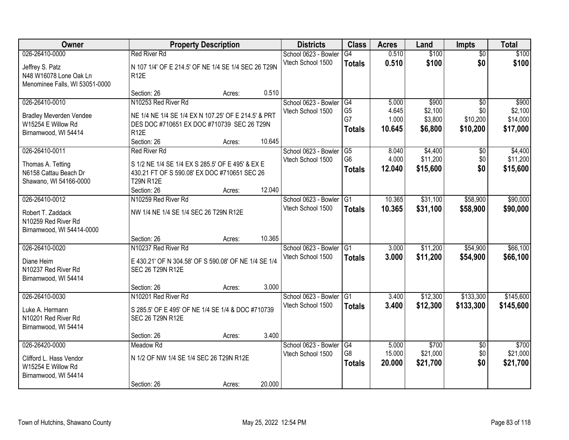| Owner                                         | <b>Property Description</b>                          |        |        | <b>Districts</b>     | <b>Class</b>    | <b>Acres</b> | Land     | <b>Impts</b>    | <b>Total</b> |
|-----------------------------------------------|------------------------------------------------------|--------|--------|----------------------|-----------------|--------------|----------|-----------------|--------------|
| 026-26410-0000                                | <b>Red River Rd</b>                                  |        |        | School 0623 - Bowler | G4              | 0.510        | \$100    | $\overline{50}$ | \$100        |
| Jeffrey S. Patz                               | N 107 1/4' OF E 214.5' OF NE 1/4 SE 1/4 SEC 26 T29N  |        |        | Vtech School 1500    | <b>Totals</b>   | 0.510        | \$100    | \$0             | \$100        |
| N48 W16078 Lone Oak Ln                        | <b>R12E</b>                                          |        |        |                      |                 |              |          |                 |              |
| Menominee Falls, WI 53051-0000                |                                                      |        |        |                      |                 |              |          |                 |              |
|                                               | Section: 26                                          | Acres: | 0.510  |                      |                 |              |          |                 |              |
| 026-26410-0010                                | N10253 Red River Rd                                  |        |        | School 0623 - Bowler | G4              | 5.000        | \$900    | $\overline{30}$ | \$900        |
| <b>Bradley Meverden Vendee</b>                | NE 1/4 NE 1/4 SE 1/4 EX N 107.25' OF E 214.5' & PRT  |        |        | Vtech School 1500    | G <sub>5</sub>  | 4.645        | \$2,100  | \$0             | \$2,100      |
| W15254 E Willow Rd                            | DES DOC #710651 EX DOC #710739 SEC 26 T29N           |        |        |                      | G7              | 1.000        | \$3,800  | \$10,200        | \$14,000     |
| Birnamwood, WI 54414                          | R <sub>12E</sub>                                     |        |        |                      | <b>Totals</b>   | 10.645       | \$6,800  | \$10,200        | \$17,000     |
|                                               | Section: 26                                          | Acres: | 10.645 |                      |                 |              |          |                 |              |
| 026-26410-0011                                | <b>Red River Rd</b>                                  |        |        | School 0623 - Bowler | G5              | 8.040        | \$4,400  | \$0             | \$4,400      |
| Thomas A. Tetting                             | S 1/2 NE 1/4 SE 1/4 EX S 285.5' OF E 495' & EX E     |        |        | Vtech School 1500    | G <sub>6</sub>  | 4.000        | \$11,200 | \$0             | \$11,200     |
| N6158 Cattau Beach Dr                         | 430.21 FT OF S 590.08' EX DOC #710651 SEC 26         |        |        |                      | <b>Totals</b>   | 12.040       | \$15,600 | \$0             | \$15,600     |
| Shawano, WI 54166-0000                        | <b>T29N R12E</b>                                     |        |        |                      |                 |              |          |                 |              |
|                                               | Section: 26                                          | Acres: | 12.040 |                      |                 |              |          |                 |              |
| 026-26410-0012                                | N10259 Red River Rd                                  |        |        | School 0623 - Bowler | G1              | 10.365       | \$31,100 | \$58,900        | \$90,000     |
| Robert T. Zaddack                             | NW 1/4 NE 1/4 SE 1/4 SEC 26 T29N R12E                |        |        | Vtech School 1500    | <b>Totals</b>   | 10.365       | \$31,100 | \$58,900        | \$90,000     |
| N10259 Red River Rd                           |                                                      |        |        |                      |                 |              |          |                 |              |
| Birnamwood, WI 54414-0000                     |                                                      |        |        |                      |                 |              |          |                 |              |
|                                               | Section: 26                                          | Acres: | 10.365 |                      |                 |              |          |                 |              |
| 026-26410-0020                                | N10237 Red River Rd                                  |        |        | School 0623 - Bowler | $\overline{G1}$ | 3.000        | \$11,200 | \$54,900        | \$66,100     |
| Diane Heim                                    | E 430.21' OF N 304.58' OF S 590.08' OF NE 1/4 SE 1/4 |        |        | Vtech School 1500    | <b>Totals</b>   | 3.000        | \$11,200 | \$54,900        | \$66,100     |
| N10237 Red River Rd                           | SEC 26 T29N R12E                                     |        |        |                      |                 |              |          |                 |              |
| Birnamwood, WI 54414                          |                                                      |        |        |                      |                 |              |          |                 |              |
|                                               | Section: 26                                          | Acres: | 3.000  |                      |                 |              |          |                 |              |
| 026-26410-0030                                | N10201 Red River Rd                                  |        |        | School 0623 - Bowler | $\overline{G1}$ | 3.400        | \$12,300 | \$133,300       | \$145,600    |
| Luke A. Hermann                               | S 285.5' OF E 495' OF NE 1/4 SE 1/4 & DOC #710739    |        |        | Vtech School 1500    | <b>Totals</b>   | 3.400        | \$12,300 | \$133,300       | \$145,600    |
| N10201 Red River Rd                           | SEC 26 T29N R12E                                     |        |        |                      |                 |              |          |                 |              |
| Birnamwood, WI 54414                          |                                                      |        |        |                      |                 |              |          |                 |              |
|                                               | Section: 26                                          | Acres: | 3.400  |                      |                 |              |          |                 |              |
| 026-26420-0000                                | Meadow Rd                                            |        |        | School 0623 - Bowler | G4              | 5.000        | \$700    | $\overline{50}$ | \$700        |
|                                               | N 1/2 OF NW 1/4 SE 1/4 SEC 26 T29N R12E              |        |        | Vtech School 1500    | G8              | 15.000       | \$21,000 | \$0             | \$21,000     |
| Clifford L. Hass Vendor<br>W15254 E Willow Rd |                                                      |        |        |                      | <b>Totals</b>   | 20.000       | \$21,700 | \$0             | \$21,700     |
| Birnamwood, WI 54414                          |                                                      |        |        |                      |                 |              |          |                 |              |
|                                               | Section: 26                                          | Acres: | 20.000 |                      |                 |              |          |                 |              |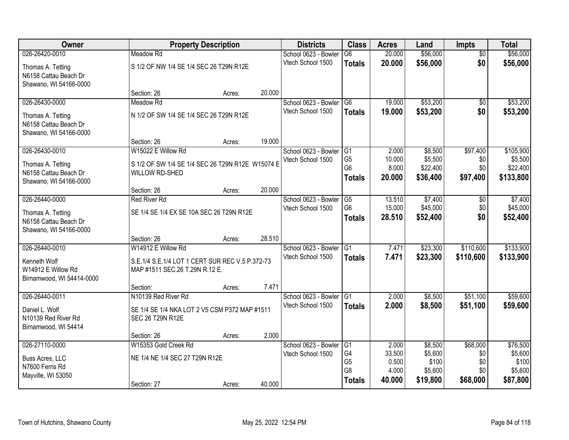| Owner                                                                                  |                                                                                                         | <b>Property Description</b> |        | <b>Districts</b>                          | <b>Class</b>                                                               | <b>Acres</b>                                | Land                                               | <b>Impts</b>                              | <b>Total</b>                                        |
|----------------------------------------------------------------------------------------|---------------------------------------------------------------------------------------------------------|-----------------------------|--------|-------------------------------------------|----------------------------------------------------------------------------|---------------------------------------------|----------------------------------------------------|-------------------------------------------|-----------------------------------------------------|
| 026-26420-0010                                                                         | <b>Meadow Rd</b>                                                                                        |                             |        | School 0623 - Bowler                      | $\overline{G6}$                                                            | 20.000                                      | \$56,000                                           | $\overline{30}$                           | \$56,000                                            |
| Thomas A. Tetting<br>N6158 Cattau Beach Dr<br>Shawano, WI 54166-0000                   | S 1/2 OF NW 1/4 SE 1/4 SEC 26 T29N R12E                                                                 |                             |        | Vtech School 1500                         | <b>Totals</b>                                                              | 20.000                                      | \$56,000                                           | \$0                                       | \$56,000                                            |
|                                                                                        | Section: 26                                                                                             | Acres:                      | 20.000 |                                           |                                                                            |                                             |                                                    |                                           |                                                     |
| 026-26430-0000                                                                         | Meadow Rd                                                                                               |                             |        | School 0623 - Bowler                      | $\overline{G6}$                                                            | 19.000                                      | \$53,200                                           | $\overline{50}$                           | \$53,200                                            |
| Thomas A. Tetting<br>N6158 Cattau Beach Dr<br>Shawano, WI 54166-0000                   | N 1/2 OF SW 1/4 SE 1/4 SEC 26 T29N R12E                                                                 |                             |        | Vtech School 1500                         | <b>Totals</b>                                                              | 19.000                                      | \$53,200                                           | \$0                                       | \$53,200                                            |
|                                                                                        | Section: 26                                                                                             | Acres:                      | 19.000 |                                           |                                                                            |                                             |                                                    |                                           |                                                     |
| 026-26430-0010<br>Thomas A. Tetting<br>N6158 Cattau Beach Dr<br>Shawano, WI 54166-0000 | W15022 E Willow Rd<br>S 1/2 OF SW 1/4 SE 1/4 SEC 26 T29N R12E W15074 E<br><b>WILLOW RD-SHED</b>         |                             |        | School 0623 - Bowler<br>Vtech School 1500 | IG1<br>G <sub>5</sub><br>G <sub>6</sub><br><b>Totals</b>                   | 2.000<br>10.000<br>8.000<br>20,000          | \$8,500<br>\$5,500<br>\$22,400<br>\$36,400         | \$97,400<br>\$0<br>\$0<br>\$97,400        | \$105,900<br>\$5,500<br>\$22,400<br>\$133,800       |
|                                                                                        | Section: 26                                                                                             | Acres:                      | 20.000 |                                           |                                                                            |                                             |                                                    |                                           |                                                     |
| 026-26440-0000                                                                         | <b>Red River Rd</b>                                                                                     |                             |        | School 0623 - Bowler                      | G5                                                                         | 13.510                                      | \$7,400                                            | \$0                                       | \$7,400                                             |
| Thomas A. Tetting<br>N6158 Cattau Beach Dr<br>Shawano, WI 54166-0000                   | SE 1/4 SE 1/4 EX SE 10A SEC 26 T29N R12E                                                                |                             |        | Vtech School 1500                         | G <sub>6</sub><br><b>Totals</b>                                            | 15.000<br>28.510                            | \$45,000<br>\$52,400                               | \$0<br>\$0                                | \$45,000<br>\$52,400                                |
|                                                                                        | Section: 26                                                                                             | Acres:                      | 28.510 |                                           |                                                                            |                                             |                                                    |                                           |                                                     |
| 026-26440-0010<br>Kenneth Wolf<br>W14912 E Willow Rd<br>Birnamwood, WI 54414-0000      | W14912 E Willow Rd<br>S.E.1/4 S.E.1/4 LOT 1 CERT SUR REC V.5 P.372-73<br>MAP #1511 SEC.26 T.29N R.12 E. |                             |        | School 0623 - Bowler<br>Vtech School 1500 | $\overline{G1}$<br><b>Totals</b>                                           | 7.471<br>7.471                              | \$23,300<br>\$23,300                               | \$110,600<br>\$110,600                    | \$133,900<br>\$133,900                              |
|                                                                                        | Section:                                                                                                | Acres:                      | 7.471  |                                           |                                                                            |                                             |                                                    |                                           |                                                     |
| 026-26440-0011<br>Daniel L. Wolf<br>N10139 Red River Rd<br>Birnamwood, WI 54414        | N10139 Red River Rd<br>SE 1/4 SE 1/4 NKA LOT 2 V5 CSM P372 MAP #1511<br>SEC 26 T29N R12E                |                             |        | School 0623 - Bowler<br>Vtech School 1500 | G <sub>1</sub><br><b>Totals</b>                                            | 2.000<br>2.000                              | \$8,500<br>\$8,500                                 | \$51,100<br>\$51,100                      | \$59,600<br>\$59,600                                |
|                                                                                        | Section: 26                                                                                             | Acres:                      | 2.000  |                                           |                                                                            |                                             |                                                    |                                           |                                                     |
| 026-27110-0000<br>Buss Acres, LLC<br>N7600 Ferris Rd<br>Mayville, WI 53050             | W15353 Gold Creek Rd<br>NE 1/4 NE 1/4 SEC 27 T29N R12E<br>Section: 27                                   | Acres:                      | 40.000 | School 0623 - Bowler<br>Vtech School 1500 | $\overline{G1}$<br>G4<br>G <sub>5</sub><br>G <sub>8</sub><br><b>Totals</b> | 2.000<br>33.500<br>0.500<br>4.000<br>40.000 | \$8,500<br>\$5,600<br>\$100<br>\$5,600<br>\$19,800 | \$68,000<br>\$0<br>\$0<br>\$0<br>\$68,000 | \$76,500<br>\$5,600<br>\$100<br>\$5,600<br>\$87,800 |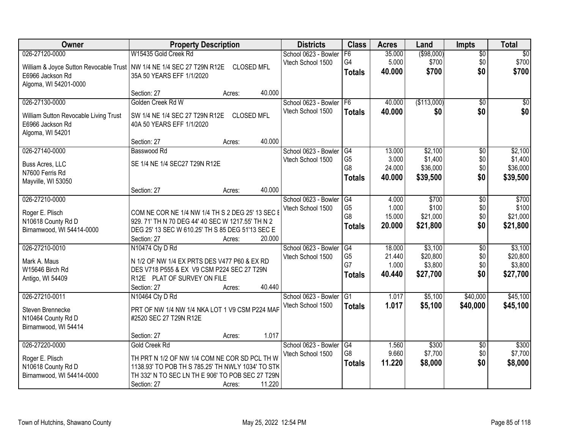| Owner                                                                   | <b>Property Description</b>                                                                |                   |        | <b>Districts</b>     | <b>Class</b>    | <b>Acres</b> | Land        | <b>Impts</b>    | <b>Total</b> |
|-------------------------------------------------------------------------|--------------------------------------------------------------------------------------------|-------------------|--------|----------------------|-----------------|--------------|-------------|-----------------|--------------|
| 026-27120-0000                                                          | W15435 Gold Creek Rd                                                                       |                   |        | School 0623 - Bowler | F6              | 35.000       | ( \$98,000) | $\overline{50}$ | $\sqrt{30}$  |
| William & Joyce Sutton Revocable Trust   NW 1/4 NE 1/4 SEC 27 T29N R12E |                                                                                            | <b>CLOSED MFL</b> |        | Vtech School 1500    | G4              | 5.000        | \$700       | \$0             | \$700        |
| E6966 Jackson Rd                                                        | 35A 50 YEARS EFF 1/1/2020                                                                  |                   |        |                      | <b>Totals</b>   | 40,000       | \$700       | \$0             | \$700        |
| Algoma, WI 54201-0000                                                   |                                                                                            |                   |        |                      |                 |              |             |                 |              |
|                                                                         | Section: 27                                                                                | Acres:            | 40.000 |                      |                 |              |             |                 |              |
| 026-27130-0000                                                          | Golden Creek Rd W                                                                          |                   |        | School 0623 - Bowler | F <sub>6</sub>  | 40.000       | (\$113,000) | $\overline{50}$ | $\sqrt{50}$  |
| William Sutton Revocable Living Trust                                   | SW 1/4 NE 1/4 SEC 27 T29N R12E                                                             | <b>CLOSED MFL</b> |        | Vtech School 1500    | <b>Totals</b>   | 40.000       | \$0         | \$0             | \$0          |
| E6966 Jackson Rd                                                        | 40A 50 YEARS EFF 1/1/2020                                                                  |                   |        |                      |                 |              |             |                 |              |
| Algoma, WI 54201                                                        |                                                                                            |                   |        |                      |                 |              |             |                 |              |
|                                                                         | Section: 27                                                                                | Acres:            | 40.000 |                      |                 |              |             |                 |              |
| 026-27140-0000                                                          | Basswood Rd                                                                                |                   |        | School 0623 - Bowler | G4              | 13.000       | \$2,100     | $\overline{50}$ | \$2,100      |
| Buss Acres, LLC                                                         | SE 1/4 NE 1/4 SEC27 T29N R12E                                                              |                   |        | Vtech School 1500    | G <sub>5</sub>  | 3.000        | \$1,400     | \$0             | \$1,400      |
| N7600 Ferris Rd                                                         |                                                                                            |                   |        |                      | G <sub>8</sub>  | 24.000       | \$36,000    | \$0             | \$36,000     |
| Mayville, WI 53050                                                      |                                                                                            |                   |        |                      | <b>Totals</b>   | 40.000       | \$39,500    | \$0             | \$39,500     |
|                                                                         | Section: 27                                                                                | Acres:            | 40.000 |                      |                 |              |             |                 |              |
| 026-27210-0000                                                          |                                                                                            |                   |        | School 0623 - Bowler | G4              | 4.000        | \$700       | \$0             | \$700        |
| Roger E. Plisch                                                         | COM NE COR NE 1/4 NW 1/4 TH S 2 DEG 25' 13 SEC I                                           |                   |        | Vtech School 1500    | G <sub>5</sub>  | 1.000        | \$100       | \$0             | \$100        |
| N10618 County Rd D                                                      | 929. 71' TH N 70 DEG 44' 40 SEC W 1217.55' TH N 2                                          |                   |        |                      | G <sub>8</sub>  | 15.000       | \$21,000    | \$0             | \$21,000     |
| Birnamwood, WI 54414-0000                                               | DEG 25' 13 SEC W 610.25' TH S 85 DEG 51'13 SEC E                                           |                   |        |                      | <b>Totals</b>   | 20.000       | \$21,800    | \$0             | \$21,800     |
|                                                                         | Section: 27                                                                                | Acres:            | 20.000 |                      |                 |              |             |                 |              |
| 026-27210-0010                                                          | N10474 Cty D Rd                                                                            |                   |        | School 0623 - Bowler | $\overline{G4}$ | 18.000       | \$3,100     | $\overline{50}$ | \$3,100      |
|                                                                         |                                                                                            |                   |        | Vtech School 1500    | G <sub>5</sub>  | 21.440       | \$20,800    | \$0             | \$20,800     |
| Mark A. Maus<br>W15646 Birch Rd                                         | N 1/2 OF NW 1/4 EX PRTS DES V477 P60 & EX RD<br>DES V718 P555 & EX V9 CSM P224 SEC 27 T29N |                   |        |                      | G7              | 1.000        | \$3,800     | \$0             | \$3,800      |
| Antigo, WI 54409                                                        | R12E PLAT OF SURVEY ON FILE                                                                |                   |        |                      | <b>Totals</b>   | 40.440       | \$27,700    | \$0             | \$27,700     |
|                                                                         | Section: 27                                                                                | Acres:            | 40.440 |                      |                 |              |             |                 |              |
| 026-27210-0011                                                          | N10464 Cty D Rd                                                                            |                   |        | School 0623 - Bowler | G1              | 1.017        | \$5,100     | \$40,000        | \$45,100     |
|                                                                         |                                                                                            |                   |        | Vtech School 1500    | <b>Totals</b>   | 1.017        | \$5,100     | \$40,000        | \$45,100     |
| Steven Brennecke                                                        | PRT OF NW 1/4 NW 1/4 NKA LOT 1 V9 CSM P224 MAP                                             |                   |        |                      |                 |              |             |                 |              |
| N10464 County Rd D                                                      | #2520 SEC 27 T29N R12E                                                                     |                   |        |                      |                 |              |             |                 |              |
| Birnamwood, WI 54414                                                    | Section: 27                                                                                | Acres:            | 1.017  |                      |                 |              |             |                 |              |
| 026-27220-0000                                                          | Gold Creek Rd                                                                              |                   |        | School 0623 - Bowler | G4              | 1.560        | \$300       | $\overline{50}$ | \$300        |
|                                                                         |                                                                                            |                   |        | Vtech School 1500    | G <sub>8</sub>  | 9.660        | \$7,700     | \$0             | \$7,700      |
| Roger E. Plisch                                                         | TH PRT N 1/2 OF NW 1/4 COM NE COR SD PCL TH W                                              |                   |        |                      | <b>Totals</b>   | 11.220       | \$8,000     | \$0             | \$8,000      |
| N10618 County Rd D                                                      | 1138.93' TO POB TH S 785.25' TH NWLY 1034' TO STK                                          |                   |        |                      |                 |              |             |                 |              |
| Birnamwood, WI 54414-0000                                               | TH 332' N TO SEC LN TH E 906' TO POB SEC 27 T29N                                           |                   |        |                      |                 |              |             |                 |              |
|                                                                         | Section: 27                                                                                | Acres:            | 11.220 |                      |                 |              |             |                 |              |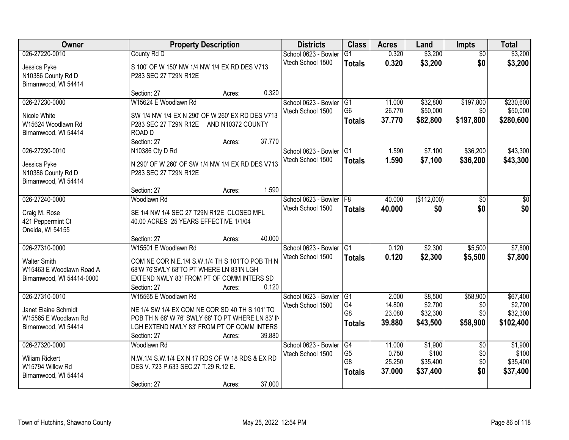| <b>Owner</b>              | <b>Property Description</b>                       |                  | <b>Districts</b>     | <b>Class</b>         | <b>Acres</b>     | Land        | <b>Impts</b>    | <b>Total</b>          |
|---------------------------|---------------------------------------------------|------------------|----------------------|----------------------|------------------|-------------|-----------------|-----------------------|
| 026-27220-0010            | County Rd D                                       |                  | School 0623 - Bowler | $\overline{G1}$      | 0.320            | \$3,200     | $\overline{50}$ | \$3,200               |
| Jessica Pyke              | S 100' OF W 150' NW 1/4 NW 1/4 EX RD DES V713     |                  | Vtech School 1500    | <b>Totals</b>        | 0.320            | \$3,200     | \$0             | \$3,200               |
| N10386 County Rd D        | P283 SEC 27 T29N R12E                             |                  |                      |                      |                  |             |                 |                       |
| Birnamwood, WI 54414      |                                                   |                  |                      |                      |                  |             |                 |                       |
|                           | Section: 27                                       | 0.320<br>Acres:  |                      |                      |                  |             |                 |                       |
| 026-27230-0000            | W15624 E Woodlawn Rd                              |                  | School 0623 - Bowler | G1                   | 11.000           | \$32,800    | \$197,800       | \$230,600             |
| Nicole White              | SW 1/4 NW 1/4 EX N 290' OF W 260' EX RD DES V713  |                  | Vtech School 1500    | G <sub>6</sub>       | 26.770           | \$50,000    | \$0             | \$50,000              |
| W15624 Woodlawn Rd        | P283 SEC 27 T29N R12E AND N10372 COUNTY           |                  |                      | <b>Totals</b>        | 37.770           | \$82,800    | \$197,800       | \$280,600             |
| Birnamwood, WI 54414      | ROAD D                                            |                  |                      |                      |                  |             |                 |                       |
|                           | Section: 27                                       | 37.770<br>Acres: |                      |                      |                  |             |                 |                       |
| 026-27230-0010            | N10386 Cty D Rd                                   |                  | School 0623 - Bowler | $\overline{G1}$      | 1.590            | \$7,100     | \$36,200        | \$43,300              |
| Jessica Pyke              | N 290' OF W 260' OF SW 1/4 NW 1/4 EX RD DES V713  |                  | Vtech School 1500    | <b>Totals</b>        | 1.590            | \$7,100     | \$36,200        | \$43,300              |
| N10386 County Rd D        | P283 SEC 27 T29N R12E                             |                  |                      |                      |                  |             |                 |                       |
| Birnamwood, WI 54414      |                                                   |                  |                      |                      |                  |             |                 |                       |
|                           | Section: 27                                       | 1.590<br>Acres:  |                      |                      |                  |             |                 |                       |
| 026-27240-0000            | Woodlawn Rd                                       |                  | School 0623 - Bowler | F8                   | 40.000           | (\$112,000) | \$0             | \$0                   |
| Craig M. Rose             | SE 1/4 NW 1/4 SEC 27 T29N R12E CLOSED MFL         |                  | Vtech School 1500    | <b>Totals</b>        | 40.000           | \$0         | \$0             | \$0                   |
| 421 Peppermint Ct         | 40.00 ACRES 25 YEARS EFFECTIVE 1/1/04             |                  |                      |                      |                  |             |                 |                       |
| Oneida, WI 54155          |                                                   |                  |                      |                      |                  |             |                 |                       |
|                           | Section: 27                                       | 40.000<br>Acres: |                      |                      |                  |             |                 |                       |
| 026-27310-0000            | W15501 E Woodlawn Rd                              |                  | School 0623 - Bowler | $\overline{G1}$      | 0.120            | \$2,300     | \$5,500         | \$7,800               |
| <b>Walter Smith</b>       | COM NE COR N.E.1/4 S.W.1/4 TH S 101'TO POB TH N   |                  | Vtech School 1500    | <b>Totals</b>        | 0.120            | \$2,300     | \$5,500         | \$7,800               |
| W15463 E Woodlawn Road A  | 68'W 76'SWLY 68'TO PT WHERE LN 83'IN LGH          |                  |                      |                      |                  |             |                 |                       |
| Birnamwood, WI 54414-0000 | EXTEND NWLY 83' FROM PT OF COMM INTERS SD         |                  |                      |                      |                  |             |                 |                       |
|                           | Section: 27                                       | 0.120<br>Acres:  |                      |                      |                  |             |                 |                       |
| 026-27310-0010            | W15565 E Woodlawn Rd                              |                  | School 0623 - Bowler | G <sub>1</sub>       | 2.000            | \$8,500     | \$58,900        | \$67,400              |
| Janet Elaine Schmidt      | NE 1/4 SW 1/4 EX COM NE COR SD 40 TH S 101' TO    |                  | Vtech School 1500    | G4<br>G <sub>8</sub> | 14.800           | \$2,700     | \$0             | \$2,700               |
| W15565 E Woodlawn Rd      | POB TH N 68' W 76' SWLY 68' TO PT WHERE LN 83' IN |                  |                      |                      | 23.080<br>39.880 | \$32,300    | \$0             | \$32,300<br>\$102,400 |
| Birnamwood, WI 54414      | LGH EXTEND NWLY 83' FROM PT OF COMM INTERS        |                  |                      | <b>Totals</b>        |                  | \$43,500    | \$58,900        |                       |
|                           | Section: 27                                       | 39.880<br>Acres: |                      |                      |                  |             |                 |                       |
| 026-27320-0000            | Woodlawn Rd                                       |                  | School 0623 - Bowler | G4                   | 11.000           | \$1,900     | $\overline{50}$ | \$1,900               |
| <b>Wiliam Rickert</b>     | N.W.1/4 S.W.1/4 EX N 17 RDS OF W 18 RDS & EX RD   |                  | Vtech School 1500    | G <sub>5</sub><br>G8 | 0.750            | \$100       | \$0             | \$100                 |
| W15794 Willow Rd          | DES V. 723 P.633 SEC.27 T.29 R.12 E.              |                  |                      |                      | 25.250<br>37.000 | \$35,400    | \$0<br>\$0      | \$35,400              |
| Birnamwood, WI 54414      |                                                   |                  |                      | <b>Totals</b>        |                  | \$37,400    |                 | \$37,400              |
|                           | Section: 27                                       | 37.000<br>Acres: |                      |                      |                  |             |                 |                       |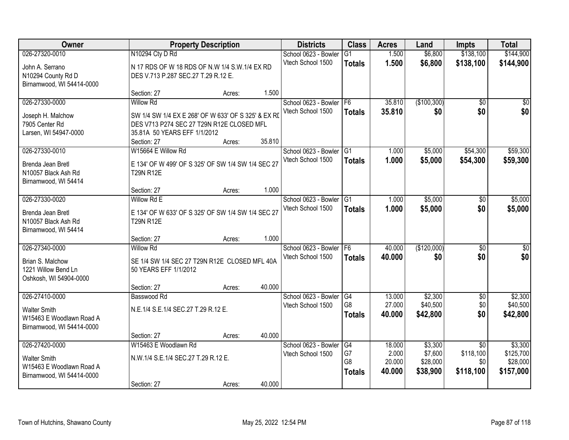| Owner                     |                                                     | <b>Property Description</b> |        | <b>Districts</b>                          | <b>Class</b>          | <b>Acres</b>     | Land                | <b>Impts</b>                 | <b>Total</b>         |
|---------------------------|-----------------------------------------------------|-----------------------------|--------|-------------------------------------------|-----------------------|------------------|---------------------|------------------------------|----------------------|
| 026-27320-0010            | N10294 Cty D Rd                                     |                             |        | School 0623 - Bowler                      | G1                    | 1.500            | \$6,800             | \$138,100                    | \$144,900            |
| John A. Serrano           | N 17 RDS OF W 18 RDS OF N.W 1/4 S.W.1/4 EX RD       |                             |        | Vtech School 1500                         | <b>Totals</b>         | 1.500            | \$6,800             | \$138,100                    | \$144,900            |
| N10294 County Rd D        | DES V.713 P.287 SEC.27 T.29 R.12 E.                 |                             |        |                                           |                       |                  |                     |                              |                      |
| Birnamwood, WI 54414-0000 |                                                     |                             |        |                                           |                       |                  |                     |                              |                      |
|                           | Section: 27                                         | Acres:                      | 1.500  |                                           |                       |                  |                     |                              |                      |
| 026-27330-0000            | <b>Willow Rd</b>                                    |                             |        | School 0623 - Bowler                      | F <sub>6</sub>        | 35.810           | (\$100,300)         | $\overline{50}$              | $\overline{50}$      |
| Joseph H. Malchow         | SW 1/4 SW 1/4 EX E 268' OF W 633' OF S 325' & EX RI |                             |        | Vtech School 1500                         | <b>Totals</b>         | 35.810           | \$0                 | \$0                          | \$0                  |
| 7905 Center Rd            | DES V713 P274 SEC 27 T29N R12E CLOSED MFL           |                             |        |                                           |                       |                  |                     |                              |                      |
| Larsen, WI 54947-0000     | 35.81A 50 YEARS EFF 1/1/2012                        |                             |        |                                           |                       |                  |                     |                              |                      |
|                           | Section: 27                                         | Acres:                      | 35.810 |                                           |                       |                  |                     |                              |                      |
| 026-27330-0010            | W15664 E Willow Rd                                  |                             |        | School 0623 - Bowler G1                   |                       | 1.000            | \$5,000             | \$54,300                     | \$59,300             |
| Brenda Jean Bretl         | E 134' OF W 499' OF S 325' OF SW 1/4 SW 1/4 SEC 27  |                             |        | Vtech School 1500                         | <b>Totals</b>         | 1.000            | \$5,000             | \$54,300                     | \$59,300             |
| N10057 Black Ash Rd       | <b>T29N R12E</b>                                    |                             |        |                                           |                       |                  |                     |                              |                      |
| Birnamwood, WI 54414      |                                                     |                             |        |                                           |                       |                  |                     |                              |                      |
|                           | Section: 27                                         | Acres:                      | 1.000  |                                           |                       |                  |                     |                              |                      |
| 026-27330-0020            | Willow Rd E                                         |                             |        | School 0623 - Bowler                      | G1                    | 1.000            | \$5,000             | \$0                          | \$5,000              |
| Brenda Jean Bretl         | E 134' OF W 633' OF S 325' OF SW 1/4 SW 1/4 SEC 27  |                             |        | Vtech School 1500                         | <b>Totals</b>         | 1.000            | \$5,000             | \$0                          | \$5,000              |
| N10057 Black Ash Rd       | <b>T29N R12E</b>                                    |                             |        |                                           |                       |                  |                     |                              |                      |
| Birnamwood, WI 54414      |                                                     |                             |        |                                           |                       |                  |                     |                              |                      |
|                           | Section: 27                                         | Acres:                      | 1.000  |                                           |                       |                  |                     |                              |                      |
| 026-27340-0000            | <b>Willow Rd</b>                                    |                             |        | School 0623 - Bowler                      | F <sub>6</sub>        | 40.000           | (\$120,000)         | $\overline{50}$              | $\overline{50}$      |
| Brian S. Malchow          | SE 1/4 SW 1/4 SEC 27 T29N R12E CLOSED MFL 40A       |                             |        | Vtech School 1500                         | <b>Totals</b>         | 40.000           | \$0                 | \$0                          | \$0                  |
| 1221 Willow Bend Ln       | 50 YEARS EFF 1/1/2012                               |                             |        |                                           |                       |                  |                     |                              |                      |
| Oshkosh, WI 54904-0000    |                                                     |                             |        |                                           |                       |                  |                     |                              |                      |
|                           | Section: 27                                         | Acres:                      | 40.000 |                                           |                       |                  |                     |                              |                      |
| 026-27410-0000            | Basswood Rd                                         |                             |        | School 0623 - Bowler                      | $\overline{G4}$<br>G8 | 13.000<br>27.000 | \$2,300<br>\$40,500 | $\overline{50}$<br>\$0       | \$2,300<br>\$40,500  |
| <b>Walter Smith</b>       | N.E.1/4 S.E.1/4 SEC.27 T.29 R.12 E.                 |                             |        | Vtech School 1500                         |                       | 40.000           | \$42,800            | \$0                          | \$42,800             |
| W15463 E Woodlawn Road A  |                                                     |                             |        |                                           | <b>Totals</b>         |                  |                     |                              |                      |
| Birnamwood, WI 54414-0000 |                                                     |                             |        |                                           |                       |                  |                     |                              |                      |
|                           | Section: 27                                         | Acres:                      | 40.000 |                                           |                       |                  |                     |                              |                      |
| 026-27420-0000            | W15463 E Woodlawn Rd                                |                             |        | School 0623 - Bowler<br>Vtech School 1500 | G4<br>G7              | 18.000<br>2.000  | \$3,300<br>\$7,600  | $\overline{30}$<br>\$118,100 | \$3,300<br>\$125,700 |
| <b>Walter Smith</b>       | N.W.1/4 S.E.1/4 SEC.27 T.29 R.12 E.                 |                             |        |                                           | G8                    | 20.000           | \$28,000            | \$0                          | \$28,000             |
| W15463 E Woodlawn Road A  |                                                     |                             |        |                                           | <b>Totals</b>         | 40.000           | \$38,900            | \$118,100                    | \$157,000            |
| Birnamwood, WI 54414-0000 |                                                     |                             |        |                                           |                       |                  |                     |                              |                      |
|                           | Section: 27                                         | Acres:                      | 40.000 |                                           |                       |                  |                     |                              |                      |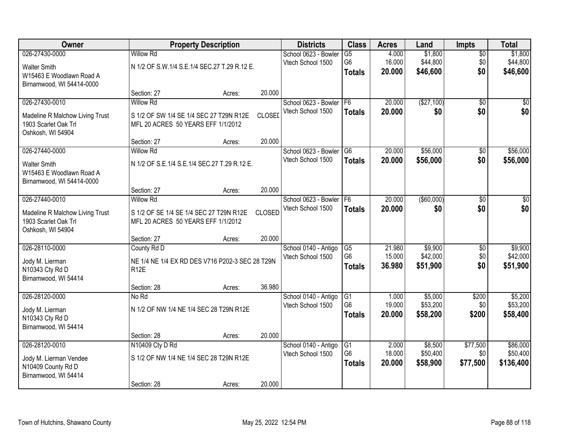| Owner                           |                                                 | <b>Property Description</b> |               | <b>Districts</b>                          | <b>Class</b>         | <b>Acres</b>    | Land                 | Impts           | <b>Total</b>         |
|---------------------------------|-------------------------------------------------|-----------------------------|---------------|-------------------------------------------|----------------------|-----------------|----------------------|-----------------|----------------------|
| 026-27430-0000                  | <b>Willow Rd</b>                                |                             |               | School 0623 - Bowler                      | $\overline{G5}$      | 4.000           | \$1,800              | $\overline{50}$ | \$1,800              |
| <b>Walter Smith</b>             | N 1/2 OF S.W.1/4 S.E.1/4 SEC.27 T.29 R.12 E.    |                             |               | Vtech School 1500                         | G <sub>6</sub>       | 16.000          | \$44,800             | \$0             | \$44,800             |
| W15463 E Woodlawn Road A        |                                                 |                             |               |                                           | <b>Totals</b>        | 20.000          | \$46,600             | \$0             | \$46,600             |
| Birnamwood, WI 54414-0000       |                                                 |                             |               |                                           |                      |                 |                      |                 |                      |
|                                 | Section: 27                                     | Acres:                      | 20.000        |                                           |                      |                 |                      |                 |                      |
| 026-27430-0010                  | <b>Willow Rd</b>                                |                             |               | School 0623 - Bowler                      | F6                   | 20.000          | (\$27,100)           | $\overline{50}$ | $\overline{50}$      |
| Madeline R Malchow Living Trust | S 1/2 OF SW 1/4 SE 1/4 SEC 27 T29N R12E         |                             | <b>CLOSED</b> | Vtech School 1500                         | <b>Totals</b>        | 20.000          | \$0                  | \$0             | \$0                  |
| 1903 Scarlet Oak Trl            | MFL 20 ACRES 50 YEARS EFF 1/1/2012              |                             |               |                                           |                      |                 |                      |                 |                      |
| Oshkosh, WI 54904               |                                                 |                             |               |                                           |                      |                 |                      |                 |                      |
|                                 | Section: 27                                     | Acres:                      | 20.000        |                                           |                      |                 |                      |                 |                      |
| 026-27440-0000                  | <b>Willow Rd</b>                                |                             |               | School 0623 - Bowler                      | $\overline{G6}$      | 20.000          | \$56,000             | \$0             | \$56,000             |
| <b>Walter Smith</b>             | N 1/2 OF S.E.1/4 S.E.1/4 SEC.27 T.29 R.12 E.    |                             |               | Vtech School 1500                         | <b>Totals</b>        | 20.000          | \$56,000             | \$0             | \$56,000             |
| W15463 E Woodlawn Road A        |                                                 |                             |               |                                           |                      |                 |                      |                 |                      |
| Birnamwood, WI 54414-0000       |                                                 |                             |               |                                           |                      |                 |                      |                 |                      |
|                                 | Section: 27                                     | Acres:                      | 20.000        |                                           |                      |                 |                      |                 |                      |
| 026-27440-0010                  | <b>Willow Rd</b>                                |                             |               | School 0623 - Bowler                      | F <sub>6</sub>       | 20.000          | ( \$60,000)          | \$0             | \$0                  |
| Madeline R Malchow Living Trust | S 1/2 OF SE 1/4 SE 1/4 SEC 27 T29N R12E         |                             | CLOSED        | Vtech School 1500                         | <b>Totals</b>        | 20.000          | \$0                  | \$0             | \$0                  |
| 1903 Scarlet Oak Trl            | MFL 20 ACRES 50 YEARS EFF 1/1/2012              |                             |               |                                           |                      |                 |                      |                 |                      |
| Oshkosh, WI 54904               |                                                 |                             |               |                                           |                      |                 |                      |                 |                      |
|                                 | Section: 27                                     | Acres:                      | 20.000        |                                           |                      |                 |                      |                 |                      |
| 026-28110-0000                  | County Rd D                                     |                             |               | School 0140 - Antigo                      | G5                   | 21.980          | \$9,900              | $\overline{50}$ | \$9,900              |
| Jody M. Lierman                 | NE 1/4 NE 1/4 EX RD DES V716 P202-3 SEC 28 T29N |                             |               | Vtech School 1500                         | G <sub>6</sub>       | 15.000          | \$42,000             | \$0             | \$42,000             |
| N10343 Cty Rd D                 | R <sub>12</sub> E                               |                             |               |                                           | <b>Totals</b>        | 36.980          | \$51,900             | \$0             | \$51,900             |
| Birnamwood, WI 54414            |                                                 |                             |               |                                           |                      |                 |                      |                 |                      |
|                                 | Section: 28                                     | Acres:                      | 36.980        |                                           |                      |                 |                      |                 |                      |
| 026-28120-0000                  | No Rd                                           |                             |               | School 0140 - Antigo                      | G1<br>G <sub>6</sub> | 1.000<br>19.000 | \$5,000              | \$200           | \$5,200              |
| Jody M. Lierman                 | N 1/2 OF NW 1/4 NE 1/4 SEC 28 T29N R12E         |                             |               | Vtech School 1500                         |                      | 20,000          | \$53,200<br>\$58,200 | \$0<br>\$200    | \$53,200<br>\$58,400 |
| N10343 Cty Rd D                 |                                                 |                             |               |                                           | <b>Totals</b>        |                 |                      |                 |                      |
| Birnamwood, WI 54414            |                                                 |                             |               |                                           |                      |                 |                      |                 |                      |
|                                 | Section: 28                                     | Acres:                      | 20.000        |                                           |                      |                 |                      |                 |                      |
| 026-28120-0010                  | N10409 Cty D Rd                                 |                             |               | School 0140 - Antigo<br>Vtech School 1500 | G1<br>G <sub>6</sub> | 2.000<br>18.000 | \$8,500<br>\$50,400  | \$77,500<br>\$0 | \$86,000<br>\$50,400 |
| Jody M. Lierman Vendee          | S 1/2 OF NW 1/4 NE 1/4 SEC 28 T29N R12E         |                             |               |                                           | <b>Totals</b>        | 20.000          | \$58,900             | \$77,500        | \$136,400            |
| N10409 County Rd D              |                                                 |                             |               |                                           |                      |                 |                      |                 |                      |
| Birnamwood, WI 54414            |                                                 |                             |               |                                           |                      |                 |                      |                 |                      |
|                                 | Section: 28                                     | Acres:                      | 20.000        |                                           |                      |                 |                      |                 |                      |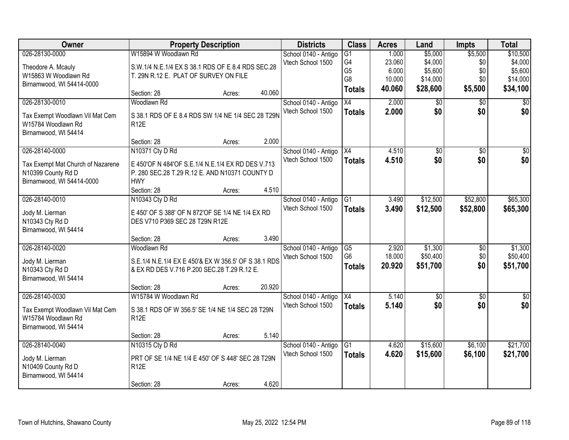| Owner                                                 | <b>Property Description</b>                                                                         |        |        | <b>Districts</b>     | <b>Class</b>    | <b>Acres</b> | Land            | <b>Impts</b>    | <b>Total</b>    |
|-------------------------------------------------------|-----------------------------------------------------------------------------------------------------|--------|--------|----------------------|-----------------|--------------|-----------------|-----------------|-----------------|
| 026-28130-0000                                        | W15894 W Woodlawn Rd                                                                                |        |        | School 0140 - Antigo | $\overline{G1}$ | 1.000        | \$5,000         | \$5,500         | \$10,500        |
| Theodore A. Mcauly                                    | S.W.1/4 N.E.1/4 EX S 38.1 RDS OF E 8.4 RDS SEC.28                                                   |        |        | Vtech School 1500    | G4              | 23.060       | \$4,000         | \$0             | \$4,000         |
| W15863 W Woodlawn Rd                                  | T. 29N R.12 E. PLAT OF SURVEY ON FILE                                                               |        |        |                      | G <sub>5</sub>  | 6.000        | \$5,600         | \$0             | \$5,600         |
| Birnamwood, WI 54414-0000                             |                                                                                                     |        |        |                      | G8              | 10.000       | \$14,000        | \$0             | \$14,000        |
|                                                       | Section: 28                                                                                         | Acres: | 40.060 |                      | <b>Totals</b>   | 40.060       | \$28,600        | \$5,500         | \$34,100        |
| 026-28130-0010                                        | Woodlawn Rd                                                                                         |        |        | School 0140 - Antigo | $\overline{X4}$ | 2.000        | \$0             | $\overline{50}$ | $\overline{50}$ |
| Tax Exempt Woodlawn Vil Mat Cem                       | S 38.1 RDS OF E 8.4 RDS SW 1/4 NE 1/4 SEC 28 T29N                                                   |        |        | Vtech School 1500    | <b>Totals</b>   | 2.000        | \$0             | \$0             | \$0             |
| W15784 Woodlawn Rd                                    | <b>R12E</b>                                                                                         |        |        |                      |                 |              |                 |                 |                 |
| Birnamwood, WI 54414                                  |                                                                                                     |        |        |                      |                 |              |                 |                 |                 |
|                                                       | Section: 28                                                                                         | Acres: | 2.000  |                      |                 |              |                 |                 |                 |
| 026-28140-0000                                        | N10371 Cty D Rd                                                                                     |        |        | School 0140 - Antigo | X4              | 4.510        | $\overline{50}$ | $\overline{50}$ | $\overline{50}$ |
| Tax Exempt Mat Church of Nazarene                     | E 450'OF N 484'OF S.E.1/4 N.E.1/4 EX RD DES V.713                                                   |        |        | Vtech School 1500    | <b>Totals</b>   | 4.510        | \$0             | \$0             | \$0             |
| N10399 County Rd D                                    | P. 280 SEC.28 T.29 R.12 E. AND N10371 COUNTY D                                                      |        |        |                      |                 |              |                 |                 |                 |
| Birnamwood, WI 54414-0000                             | <b>HWY</b>                                                                                          |        |        |                      |                 |              |                 |                 |                 |
|                                                       | Section: 28                                                                                         | Acres: | 4.510  |                      |                 |              |                 |                 |                 |
| 026-28140-0010                                        | N10343 Cty D Rd                                                                                     |        |        | School 0140 - Antigo | G1              | 3.490        | \$12,500        | \$52,800        | \$65,300        |
| Jody M. Lierman                                       | E 450' OF S 388' OF N 872' OF SE 1/4 NE 1/4 EX RD                                                   |        |        | Vtech School 1500    | <b>Totals</b>   | 3.490        | \$12,500        | \$52,800        | \$65,300        |
| N10343 Cty Rd D                                       | DES V710 P369 SEC 28 T29N R12E                                                                      |        |        |                      |                 |              |                 |                 |                 |
| Birnamwood, WI 54414                                  |                                                                                                     |        |        |                      |                 |              |                 |                 |                 |
|                                                       | Section: 28                                                                                         | Acres: | 3.490  |                      |                 |              |                 |                 |                 |
| 026-28140-0020                                        | Woodlawn Rd                                                                                         |        |        | School 0140 - Antigo | G5              | 2.920        | \$1,300         | $\overline{60}$ | \$1,300         |
|                                                       |                                                                                                     |        |        | Vtech School 1500    | G <sub>6</sub>  | 18.000       | \$50,400        | \$0             | \$50,400        |
| Jody M. Lierman<br>N10343 Cty Rd D                    | S.E.1/4 N.E.1/4 EX E 450'& EX W 356.5' OF S 38.1 RDS<br>& EX RD DES V.716 P.200 SEC.28 T.29 R.12 E. |        |        |                      | <b>Totals</b>   | 20.920       | \$51,700        | \$0             | \$51,700        |
| Birnamwood, WI 54414                                  |                                                                                                     |        |        |                      |                 |              |                 |                 |                 |
|                                                       | Section: 28                                                                                         | Acres: | 20.920 |                      |                 |              |                 |                 |                 |
| 026-28140-0030                                        | W15784 W Woodlawn Rd                                                                                |        |        | School 0140 - Antigo | X4              | 5.140        | $\sqrt{6}$      | $\sqrt{6}$      | $\frac{1}{6}$   |
|                                                       |                                                                                                     |        |        | Vtech School 1500    | <b>Totals</b>   | 5.140        | \$0             | \$0             | \$0             |
| Tax Exempt Woodlawn Vil Mat Cem<br>W15784 Woodlawn Rd | S 38.1 RDS OF W 356.5' SE 1/4 NE 1/4 SEC 28 T29N<br>R <sub>12</sub> E                               |        |        |                      |                 |              |                 |                 |                 |
| Birnamwood, WI 54414                                  |                                                                                                     |        |        |                      |                 |              |                 |                 |                 |
|                                                       | Section: 28                                                                                         | Acres: | 5.140  |                      |                 |              |                 |                 |                 |
| 026-28140-0040                                        | N10315 Cty D Rd                                                                                     |        |        | School 0140 - Antigo | G1              | 4.620        | \$15,600        | \$6,100         | \$21,700        |
|                                                       |                                                                                                     |        |        | Vtech School 1500    | <b>Totals</b>   | 4.620        | \$15,600        | \$6,100         | \$21,700        |
| Jody M. Lierman                                       | PRT OF SE 1/4 NE 1/4 E 450' OF S 448' SEC 28 T29N                                                   |        |        |                      |                 |              |                 |                 |                 |
| N10409 County Rd D                                    | <b>R12E</b>                                                                                         |        |        |                      |                 |              |                 |                 |                 |
| Birnamwood, WI 54414                                  | Section: 28                                                                                         | Acres: | 4.620  |                      |                 |              |                 |                 |                 |
|                                                       |                                                                                                     |        |        |                      |                 |              |                 |                 |                 |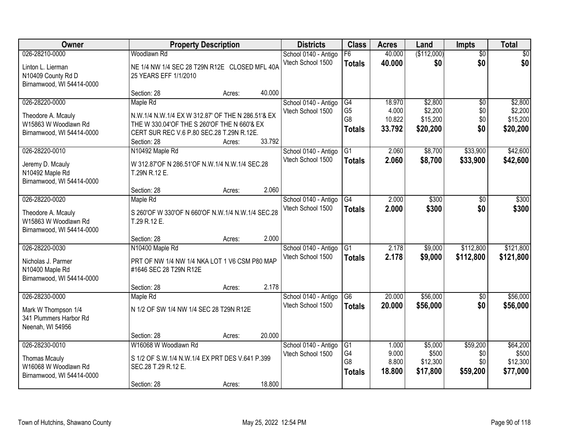| <b>Owner</b>                                                                                |                                                                                                                                                                          | <b>Property Description</b> |        | <b>Districts</b>                          | <b>Class</b>                                            | <b>Acres</b>                        | Land                                       | <b>Impts</b>                         | <b>Total</b>                               |
|---------------------------------------------------------------------------------------------|--------------------------------------------------------------------------------------------------------------------------------------------------------------------------|-----------------------------|--------|-------------------------------------------|---------------------------------------------------------|-------------------------------------|--------------------------------------------|--------------------------------------|--------------------------------------------|
| 026-28210-0000<br>Linton L. Lierman<br>N10409 County Rd D<br>Birnamwood, WI 54414-0000      | Woodlawn Rd<br>NE 1/4 NW 1/4 SEC 28 T29N R12E CLOSED MFL 40A<br>25 YEARS EFF 1/1/2010                                                                                    |                             |        | School 0140 - Antigo<br>Vtech School 1500 | $\overline{F6}$<br><b>Totals</b>                        | 40.000<br>40.000                    | (\$112,000)<br>\$0                         | $\overline{50}$<br>\$0               | $\overline{30}$<br>\$0                     |
|                                                                                             | Section: 28                                                                                                                                                              | Acres:                      | 40.000 |                                           |                                                         |                                     |                                            |                                      |                                            |
| 026-28220-0000<br>Theodore A. Mcauly<br>W15863 W Woodlawn Rd<br>Birnamwood, WI 54414-0000   | Maple Rd<br>N.W.1/4 N.W.1/4 EX W 312.87' OF THE N 286.51'& EX<br>THE W 330.04'OF THE S 260'OF THE N 660'& EX<br>CERT SUR REC V.6 P.80 SEC.28 T.29N R.12E.<br>Section: 28 | Acres:                      | 33.792 | School 0140 - Antigo<br>Vtech School 1500 | G4<br>G <sub>5</sub><br>G <sub>8</sub><br><b>Totals</b> | 18.970<br>4.000<br>10.822<br>33.792 | \$2,800<br>\$2,200<br>\$15,200<br>\$20,200 | $\overline{30}$<br>\$0<br>\$0<br>\$0 | \$2,800<br>\$2,200<br>\$15,200<br>\$20,200 |
| 026-28220-0010<br>Jeremy D. Mcauly<br>N10492 Maple Rd<br>Birnamwood, WI 54414-0000          | N10492 Maple Rd<br>W 312.87'OF N 286.51'OF N.W.1/4 N.W.1/4 SEC.28<br>T.29N R.12 E.<br>Section: 28                                                                        | Acres:                      | 2.060  | School 0140 - Antigo<br>Vtech School 1500 | G1<br><b>Totals</b>                                     | 2.060<br>2.060                      | \$8,700<br>\$8,700                         | \$33,900<br>\$33,900                 | \$42,600<br>\$42,600                       |
| 026-28220-0020<br>Theodore A. Mcauly<br>W15863 W Woodlawn Rd<br>Birnamwood, WI 54414-0000   | Maple Rd<br>S 260'OF W 330'OF N 660'OF N.W.1/4 N.W.1/4 SEC.28<br>T.29 R.12 E.                                                                                            |                             | 2.000  | School 0140 - Antigo<br>Vtech School 1500 | G4<br><b>Totals</b>                                     | 2.000<br>2.000                      | \$300<br>\$300                             | $\sqrt{6}$<br>\$0                    | \$300<br>\$300                             |
| 026-28220-0030<br>Nicholas J. Parmer<br>N10400 Maple Rd<br>Birnamwood, WI 54414-0000        | Section: 28<br>N10400 Maple Rd<br>PRT OF NW 1/4 NW 1/4 NKA LOT 1 V6 CSM P80 MAP<br>#1646 SEC 28 T29N R12E<br>Section: 28                                                 | Acres:<br>Acres:            | 2.178  | School 0140 - Antigo<br>Vtech School 1500 | $\overline{G1}$<br><b>Totals</b>                        | 2.178<br>2.178                      | \$9,000<br>\$9,000                         | \$112,800<br>\$112,800               | \$121,800<br>\$121,800                     |
| 026-28230-0000<br>Mark W Thompson 1/4<br>341 Plummers Harbor Rd<br>Neenah, WI 54956         | Maple Rd<br>N 1/2 OF SW 1/4 NW 1/4 SEC 28 T29N R12E<br>Section: 28                                                                                                       | Acres:                      | 20.000 | School 0140 - Antigo<br>Vtech School 1500 | G6<br><b>Totals</b>                                     | 20.000<br>20.000                    | \$56,000<br>\$56,000                       | $\overline{50}$<br>\$0               | \$56,000<br>\$56,000                       |
| 026-28230-0010<br><b>Thomas Mcauly</b><br>W16068 W Woodlawn Rd<br>Birnamwood, WI 54414-0000 | W16068 W Woodlawn Rd<br>S 1/2 OF S.W.1/4 N.W.1/4 EX PRT DES V.641 P.399<br>SEC.28 T.29 R.12 E.<br>Section: 28                                                            | Acres:                      | 18.800 | School 0140 - Antigo<br>Vtech School 1500 | G1<br>G4<br>G <sub>8</sub><br><b>Totals</b>             | 1.000<br>9.000<br>8.800<br>18.800   | \$5,000<br>\$500<br>\$12,300<br>\$17,800   | \$59,200<br>\$0<br>\$0<br>\$59,200   | \$64,200<br>\$500<br>\$12,300<br>\$77,000  |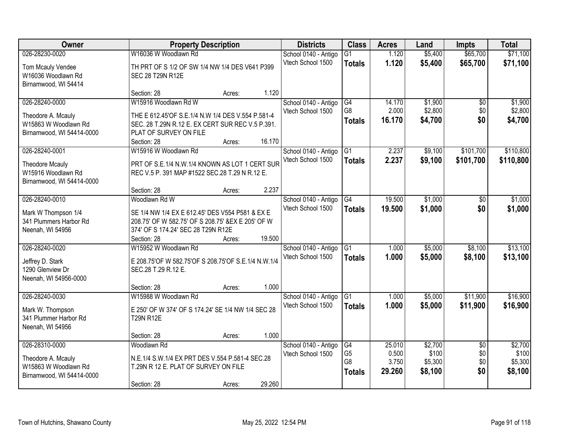| Owner                     | <b>Property Description</b>                         |        |        | <b>Districts</b>                          | <b>Class</b>         | <b>Acres</b>    | Land             | <b>Impts</b>           | <b>Total</b>     |
|---------------------------|-----------------------------------------------------|--------|--------|-------------------------------------------|----------------------|-----------------|------------------|------------------------|------------------|
| 026-28230-0020            | W16036 W Woodlawn Rd                                |        |        | School 0140 - Antigo                      | G1                   | 1.120           | \$5,400          | \$65,700               | \$71,100         |
| Tom Mcauly Vendee         | TH PRT OF S 1/2 OF SW 1/4 NW 1/4 DES V641 P399      |        |        | Vtech School 1500                         | <b>Totals</b>        | 1.120           | \$5,400          | \$65,700               | \$71,100         |
| W16036 Woodlawn Rd        | SEC 28 T29N R12E                                    |        |        |                                           |                      |                 |                  |                        |                  |
| Birnamwood, WI 54414      |                                                     |        |        |                                           |                      |                 |                  |                        |                  |
|                           | Section: 28                                         | Acres: | 1.120  |                                           |                      |                 |                  |                        |                  |
| 026-28240-0000            | W15916 Woodlawn Rd W                                |        |        | School 0140 - Antigo                      | G4                   | 14.170          | \$1,900          | \$0                    | \$1,900          |
| Theodore A. Mcauly        | THE E 612.45'OF S.E.1/4 N.W 1/4 DES V.554 P.581-4   |        |        | Vtech School 1500                         | G <sub>8</sub>       | 2.000<br>16.170 | \$2,800          | \$0<br>\$0             | \$2,800          |
| W15863 W Woodlawn Rd      | SEC. 28 T.29N R.12 E. EX CERT SUR REC V.5 P.391.    |        |        |                                           | <b>Totals</b>        |                 | \$4,700          |                        | \$4,700          |
| Birnamwood, WI 54414-0000 | PLAT OF SURVEY ON FILE                              |        |        |                                           |                      |                 |                  |                        |                  |
|                           | Section: 28                                         | Acres: | 16.170 |                                           |                      |                 |                  |                        |                  |
| 026-28240-0001            | W15916 W Woodlawn Rd                                |        |        | School 0140 - Antigo                      | $\overline{G1}$      | 2.237           | \$9,100          | \$101,700              | \$110,800        |
| <b>Theodore Mcauly</b>    | PRT OF S.E.1/4 N.W.1/4 KNOWN AS LOT 1 CERT SUR      |        |        | Vtech School 1500                         | <b>Totals</b>        | 2.237           | \$9,100          | \$101,700              | \$110,800        |
| W15916 Woodlawn Rd        | REC V.5 P. 391 MAP #1522 SEC.28 T.29 N R.12 E.      |        |        |                                           |                      |                 |                  |                        |                  |
| Birnamwood, WI 54414-0000 |                                                     |        |        |                                           |                      |                 |                  |                        |                  |
|                           | Section: 28                                         | Acres: | 2.237  |                                           |                      |                 |                  |                        |                  |
| 026-28240-0010            | Woodlawn Rd W                                       |        |        | School 0140 - Antigo                      | G4                   | 19.500          | \$1,000          | \$0                    | \$1,000          |
| Mark W Thompson 1/4       | SE 1/4 NW 1/4 EX E 612.45' DES V554 P581 & EX E     |        |        | Vtech School 1500                         | <b>Totals</b>        | 19,500          | \$1,000          | \$0                    | \$1,000          |
| 341 Plummers Harbor Rd    | 208.75' OF W 582.75' OF S 208.75' &EX E 205' OF W   |        |        |                                           |                      |                 |                  |                        |                  |
| Neenah, WI 54956          | 374' OF S 174.24' SEC 28 T29N R12E                  |        |        |                                           |                      |                 |                  |                        |                  |
|                           | Section: 28                                         | Acres: | 19.500 |                                           |                      |                 |                  |                        |                  |
| 026-28240-0020            | W15952 W Woodlawn Rd                                |        |        | School 0140 - Antigo                      | $\overline{G1}$      | 1.000           | \$5,000          | \$8,100                | \$13,100         |
| Jeffrey D. Stark          | E 208.75'OF W 582.75'OF S 208.75'OF S.E.1/4 N.W.1/4 |        |        | Vtech School 1500                         | <b>Totals</b>        | 1.000           | \$5,000          | \$8,100                | \$13,100         |
| 1290 Glenview Dr          | SEC.28 T.29 R.12 E.                                 |        |        |                                           |                      |                 |                  |                        |                  |
| Neenah, WI 54956-0000     |                                                     |        |        |                                           |                      |                 |                  |                        |                  |
|                           | Section: 28                                         | Acres: | 1.000  |                                           |                      |                 |                  |                        |                  |
| 026-28240-0030            | W15988 W Woodlawn Rd                                |        |        | School 0140 - Antigo<br>Vtech School 1500 | G <sub>1</sub>       | 1.000           | \$5,000          | \$11,900               | \$16,900         |
| Mark W. Thompson          | E 250' OF W 374' OF S 174.24' SE 1/4 NW 1/4 SEC 28  |        |        |                                           | <b>Totals</b>        | 1.000           | \$5,000          | \$11,900               | \$16,900         |
| 341 Plummer Harbor Rd     | <b>T29N R12E</b>                                    |        |        |                                           |                      |                 |                  |                        |                  |
| Neenah, WI 54956          |                                                     |        |        |                                           |                      |                 |                  |                        |                  |
|                           | Section: 28                                         | Acres: | 1.000  |                                           |                      |                 |                  |                        |                  |
| 026-28310-0000            | Woodlawn Rd                                         |        |        | School 0140 - Antigo<br>Vtech School 1500 | G4<br>G <sub>5</sub> | 25.010<br>0.500 | \$2,700<br>\$100 | $\overline{50}$<br>\$0 | \$2,700<br>\$100 |
| Theodore A. Mcauly        | N.E.1/4 S.W.1/4 EX PRT DES V.554 P.581-4 SEC.28     |        |        |                                           | G8                   | 3.750           | \$5,300          | \$0                    | \$5,300          |
| W15863 W Woodlawn Rd      | T.29N R 12 E. PLAT OF SURVEY ON FILE                |        |        |                                           | <b>Totals</b>        | 29.260          | \$8,100          | \$0                    | \$8,100          |
| Birnamwood, WI 54414-0000 |                                                     |        |        |                                           |                      |                 |                  |                        |                  |
|                           | Section: 28                                         | Acres: | 29.260 |                                           |                      |                 |                  |                        |                  |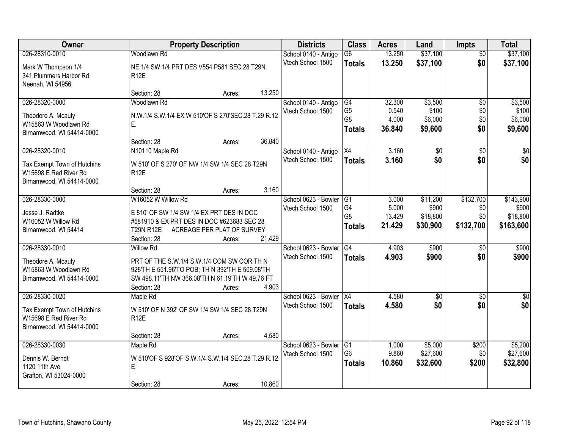| Owner                                                                                               | <b>Property Description</b>                                                                                                                                                                            | <b>Districts</b>                          | <b>Class</b>                                      | <b>Acres</b>                       | Land                                      | <b>Impts</b>                         | <b>Total</b>                                |
|-----------------------------------------------------------------------------------------------------|--------------------------------------------------------------------------------------------------------------------------------------------------------------------------------------------------------|-------------------------------------------|---------------------------------------------------|------------------------------------|-------------------------------------------|--------------------------------------|---------------------------------------------|
| 026-28310-0010                                                                                      | Woodlawn Rd                                                                                                                                                                                            | School 0140 - Antigo                      | $\overline{G6}$                                   | 13.250                             | \$37,100                                  | $\overline{50}$                      | \$37,100                                    |
| Mark W Thompson 1/4<br>341 Plummers Harbor Rd<br>Neenah, WI 54956                                   | NE 1/4 SW 1/4 PRT DES V554 P581 SEC 28 T29N<br><b>R12E</b>                                                                                                                                             | Vtech School 1500                         | <b>Totals</b>                                     | 13.250                             | \$37,100                                  | \$0                                  | \$37,100                                    |
|                                                                                                     | 13.250<br>Section: 28<br>Acres:                                                                                                                                                                        |                                           |                                                   |                                    |                                           |                                      |                                             |
| 026-28320-0000<br>Theodore A. Mcauly<br>W15863 W Woodlawn Rd<br>Birnamwood, WI 54414-0000           | Woodlawn Rd<br>N.W.1/4 S.W.1/4 EX W 510'OF S 270'SEC.28 T.29 R.12<br>Ε.<br>36.840<br>Section: 28<br>Acres:                                                                                             | School 0140 - Antigo<br>Vtech School 1500 | G4<br>G <sub>5</sub><br>G8<br><b>Totals</b>       | 32.300<br>0.540<br>4.000<br>36.840 | \$3,500<br>\$100<br>\$6,000<br>\$9,600    | $\overline{50}$<br>\$0<br>\$0<br>\$0 | \$3,500<br>\$100<br>\$6,000<br>\$9,600      |
| 026-28320-0010                                                                                      | N10110 Maple Rd                                                                                                                                                                                        | School 0140 - Antigo                      | X4                                                | 3.160                              | $\overline{50}$                           | $\overline{50}$                      | $\overline{\$0}$                            |
| Tax Exempt Town of Hutchins<br>W15698 E Red River Rd<br>Birnamwood, WI 54414-0000                   | W 510' OF S 270' OF NW 1/4 SW 1/4 SEC 28 T29N<br>R <sub>12</sub> E                                                                                                                                     | Vtech School 1500                         | <b>Totals</b>                                     | 3.160                              | \$0                                       | \$0                                  | \$0                                         |
|                                                                                                     | 3.160<br>Section: 28<br>Acres:                                                                                                                                                                         |                                           |                                                   |                                    |                                           |                                      |                                             |
| 026-28330-0000<br>Jesse J. Radtke<br>W16052 W Willow Rd<br>Birnamwood, WI 54414                     | W16052 W Willow Rd<br>E 810' OF SW 1/4 SW 1/4 EX PRT DES IN DOC<br>#581910 & EX PRT DES IN DOC #623683 SEC 28<br><b>T29N R12E</b><br>ACREAGE PER PLAT OF SURVEY<br>21.429<br>Section: 28<br>Acres:     | School 0623 - Bowler<br>Vtech School 1500 | G1<br>G4<br>G <sub>8</sub><br><b>Totals</b>       | 3.000<br>5.000<br>13.429<br>21.429 | \$11,200<br>\$900<br>\$18,800<br>\$30,900 | \$132,700<br>\$0<br>\$0<br>\$132,700 | \$143,900<br>\$900<br>\$18,800<br>\$163,600 |
| 026-28330-0010<br>Theodore A. Mcauly<br>W15863 W Woodlawn Rd<br>Birnamwood, WI 54414-0000           | <b>Willow Rd</b><br>PRT OF THE S.W.1/4 S.W.1/4 COM SW COR TH N<br>928'TH E 551.96'TO POB; TH N 392'TH E 509.08'TH<br>SW 498.11'TH NW 366.08'TH N 61.19'TH W 49.76 FT<br>4.903<br>Section: 28<br>Acres: | School 0623 - Bowler<br>Vtech School 1500 | $\overline{G4}$<br><b>Totals</b>                  | 4.903<br>4.903                     | \$900<br>\$900                            | $\overline{50}$<br>\$0               | \$900<br>\$900                              |
| 026-28330-0020<br>Tax Exempt Town of Hutchins<br>W15698 E Red River Rd<br>Birnamwood, WI 54414-0000 | Maple Rd<br>W 510' OF N 392' OF SW 1/4 SW 1/4 SEC 28 T29N<br><b>R12E</b><br>4.580<br>Section: 28<br>Acres:                                                                                             | School 0623 - Bowler<br>Vtech School 1500 | $\overline{X4}$<br><b>Totals</b>                  | 4.580<br>4.580                     | $\overline{50}$<br>\$0                    | $\overline{50}$<br>\$0               | $\sqrt{50}$<br>\$0                          |
| 026-28330-0030<br>Dennis W. Berndt<br>1120 11th Ave<br>Grafton, WI 53024-0000                       | Maple Rd<br>W 510'OF S 928'OF S.W.1/4 S.W.1/4 SEC.28 T.29 R.12<br>E<br>10.860<br>Section: 28<br>Acres:                                                                                                 | School 0623 - Bowler<br>Vtech School 1500 | G <sub>1</sub><br>G <sub>6</sub><br><b>Totals</b> | 1.000<br>9.860<br>10.860           | \$5,000<br>\$27,600<br>\$32,600           | \$200<br>\$0<br>\$200                | \$5,200<br>\$27,600<br>\$32,800             |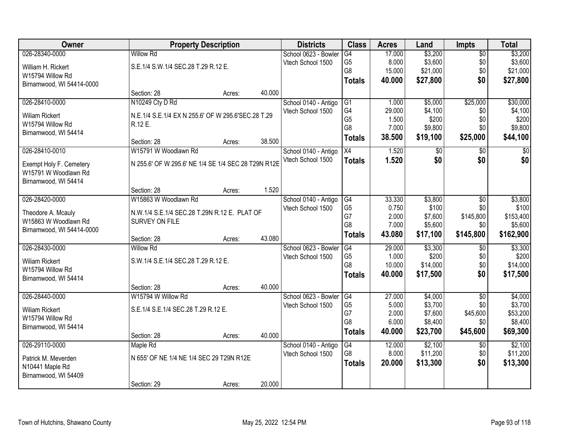| Owner                     |                                                     | <b>Property Description</b> |        | <b>Districts</b>     | <b>Class</b>    | <b>Acres</b> | Land         | <b>Impts</b>    | <b>Total</b>    |
|---------------------------|-----------------------------------------------------|-----------------------------|--------|----------------------|-----------------|--------------|--------------|-----------------|-----------------|
| 026-28340-0000            | <b>Willow Rd</b>                                    |                             |        | School 0623 - Bowler | $\overline{G4}$ | 17.000       | \$3,200      | $\overline{50}$ | \$3,200         |
| William H. Rickert        | S.E.1/4 S.W.1/4 SEC.28 T.29 R.12 E.                 |                             |        | Vtech School 1500    | G <sub>5</sub>  | 8.000        | \$3,600      | \$0             | \$3,600         |
| W15794 Willow Rd          |                                                     |                             |        |                      | G8              | 15.000       | \$21,000     | \$0             | \$21,000        |
| Birnamwood, WI 54414-0000 |                                                     |                             |        |                      | <b>Totals</b>   | 40.000       | \$27,800     | \$0             | \$27,800        |
|                           | Section: 28                                         | Acres:                      | 40.000 |                      |                 |              |              |                 |                 |
| 026-28410-0000            | N10249 Cty D Rd                                     |                             |        | School 0140 - Antigo | G1              | 1.000        | \$5,000      | \$25,000        | \$30,000        |
| <b>Wiliam Rickert</b>     | N.E.1/4 S.E.1/4 EX N 255.6' OF W 295.6'SEC.28 T.29  |                             |        | Vtech School 1500    | G4              | 29.000       | \$4,100      | \$0             | \$4,100         |
| W15794 Willow Rd          | R.12 E.                                             |                             |        |                      | G <sub>5</sub>  | 1.500        | \$200        | \$0             | \$200           |
| Birnamwood, WI 54414      |                                                     |                             |        |                      | G8              | 7.000        | \$9,800      | \$0             | \$9,800         |
|                           | Section: 28                                         | Acres:                      | 38.500 |                      | <b>Totals</b>   | 38.500       | \$19,100     | \$25,000        | \$44,100        |
| 026-28410-0010            | W15791 W Woodlawn Rd                                |                             |        | School 0140 - Antigo | X4              | 1.520        | $\sqrt[6]{}$ | $\sqrt[6]{}$    | $\overline{30}$ |
| Exempt Holy F. Cemetery   | N 255.6' OF W 295.6' NE 1/4 SE 1/4 SEC 28 T29N R12E |                             |        | Vtech School 1500    | <b>Totals</b>   | 1.520        | \$0          | \$0             | \$0             |
| W15791 W Woodlawn Rd      |                                                     |                             |        |                      |                 |              |              |                 |                 |
| Birnamwood, WI 54414      |                                                     |                             |        |                      |                 |              |              |                 |                 |
|                           | Section: 28                                         | Acres:                      | 1.520  |                      |                 |              |              |                 |                 |
| 026-28420-0000            | W15863 W Woodlawn Rd                                |                             |        | School 0140 - Antigo | G4              | 33.330       | \$3,800      | $\sqrt[6]{3}$   | \$3,800         |
| Theodore A. Mcauly        | N.W.1/4 S.E.1/4 SEC.28 T.29N R.12 E. PLAT OF        |                             |        | Vtech School 1500    | G <sub>5</sub>  | 0.750        | \$100        | \$0             | \$100           |
| W15863 W Woodlawn Rd      | SURVEY ON FILE                                      |                             |        |                      | G7              | 2.000        | \$7,600      | \$145,800       | \$153,400       |
| Birnamwood, WI 54414-0000 |                                                     |                             |        |                      | G8              | 7.000        | \$5,600      | \$0             | \$5,600         |
|                           | Section: 28                                         | Acres:                      | 43.080 |                      | <b>Totals</b>   | 43.080       | \$17,100     | \$145,800       | \$162,900       |
| 026-28430-0000            | <b>Willow Rd</b>                                    |                             |        | School 0623 - Bowler | G4              | 29.000       | \$3,300      | \$0             | \$3,300         |
| <b>Wiliam Rickert</b>     | S.W.1/4 S.E.1/4 SEC.28 T.29 R.12 E.                 |                             |        | Vtech School 1500    | G <sub>5</sub>  | 1.000        | \$200        | \$0             | \$200           |
| W15794 Willow Rd          |                                                     |                             |        |                      | G <sub>8</sub>  | 10.000       | \$14,000     | \$0             | \$14,000        |
| Birnamwood, WI 54414      |                                                     |                             |        |                      | <b>Totals</b>   | 40.000       | \$17,500     | \$0             | \$17,500        |
|                           | Section: 28                                         | Acres:                      | 40.000 |                      |                 |              |              |                 |                 |
| 026-28440-0000            | W15794 W Willow Rd                                  |                             |        | School 0623 - Bowler | G4              | 27.000       | \$4,000      | $\overline{50}$ | \$4,000         |
| <b>Wiliam Rickert</b>     | S.E.1/4 S.E.1/4 SEC.28 T.29 R.12 E.                 |                             |        | Vtech School 1500    | G <sub>5</sub>  | 5.000        | \$3,700      | \$0             | \$3,700         |
| W15794 Willow Rd          |                                                     |                             |        |                      | G7              | 2.000        | \$7,600      | \$45,600        | \$53,200        |
| Birnamwood, WI 54414      |                                                     |                             |        |                      | G <sub>8</sub>  | 6.000        | \$8,400      | \$0             | \$8,400         |
|                           | Section: 28                                         | Acres:                      | 40.000 |                      | <b>Totals</b>   | 40.000       | \$23,700     | \$45,600        | \$69,300        |
| 026-29110-0000            | Maple Rd                                            |                             |        | School 0140 - Antigo | $\overline{G4}$ | 12.000       | \$2,100      | \$0             | \$2,100         |
| Patrick M. Meverden       | N 655' OF NE 1/4 NE 1/4 SEC 29 T29N R12E            |                             |        | Vtech School 1500    | G8              | 8.000        | \$11,200     | \$0             | \$11,200        |
| N10441 Maple Rd           |                                                     |                             |        |                      | <b>Totals</b>   | 20.000       | \$13,300     | \$0             | \$13,300        |
| Birnamwood, WI 54409      |                                                     |                             |        |                      |                 |              |              |                 |                 |
|                           | Section: 29                                         | Acres:                      | 20.000 |                      |                 |              |              |                 |                 |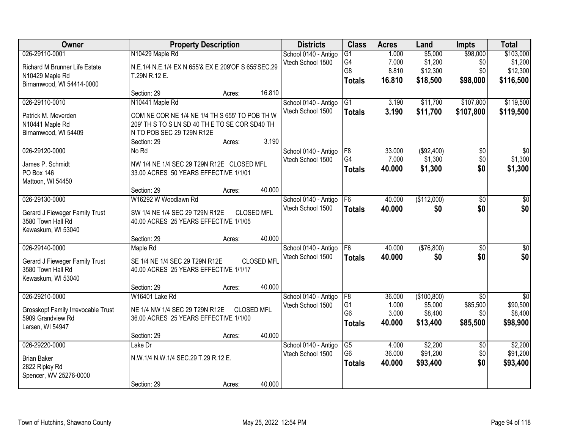| <b>Owner</b>                                                                                    |                                                                                                                                                                 | <b>Property Description</b> |                   | <b>Districts</b>                          | <b>Class</b>                                            | <b>Acres</b>                       | Land                                          | <b>Impts</b>                                   | <b>Total</b>                                       |
|-------------------------------------------------------------------------------------------------|-----------------------------------------------------------------------------------------------------------------------------------------------------------------|-----------------------------|-------------------|-------------------------------------------|---------------------------------------------------------|------------------------------------|-----------------------------------------------|------------------------------------------------|----------------------------------------------------|
| 026-29110-0001<br>Richard M Brunner Life Estate<br>N10429 Maple Rd<br>Birnamwood, WI 54414-0000 | N10429 Maple Rd<br>N.E.1/4 N.E.1/4 EX N 655'& EX E 209'OF S 655'SEC.29<br>T.29N R.12 E.                                                                         |                             |                   | School 0140 - Antigo<br>Vtech School 1500 | $\overline{G1}$<br>G4<br>G8<br><b>Totals</b>            | 1.000<br>7.000<br>8.810<br>16.810  | \$5,000<br>\$1,200<br>\$12,300<br>\$18,500    | \$98,000<br>\$0<br>\$0<br>\$98,000             | \$103,000<br>\$1,200<br>\$12,300<br>\$116,500      |
|                                                                                                 | Section: 29                                                                                                                                                     | Acres:                      | 16.810            |                                           |                                                         |                                    |                                               |                                                |                                                    |
| 026-29110-0010<br>Patrick M. Meverden<br>N10441 Maple Rd<br>Birnamwood, WI 54409                | N10441 Maple Rd<br>COM NE COR NE 1/4 NE 1/4 TH S 655' TO POB TH W<br>209' TH S TO S LN SD 40 TH E TO SE COR SD40 TH<br>N TO POB SEC 29 T29N R12E<br>Section: 29 | Acres:                      | 3.190             | School 0140 - Antigo<br>Vtech School 1500 | $\overline{G1}$<br><b>Totals</b>                        | 3.190<br>3.190                     | \$11,700<br>\$11,700                          | \$107,800<br>\$107,800                         | \$119,500<br>\$119,500                             |
| 026-29120-0000                                                                                  | No Rd                                                                                                                                                           |                             |                   | School 0140 - Antigo                      | F8                                                      | 33.000                             | ( \$92,400)                                   | \$0                                            | \$0                                                |
| James P. Schmidt<br><b>PO Box 146</b><br>Mattoon, WI 54450                                      | NW 1/4 NE 1/4 SEC 29 T29N R12E CLOSED MFL<br>33.00 ACRES 50 YEARS EFFECTIVE 1/1/01                                                                              |                             |                   | Vtech School 1500                         | G4<br><b>Totals</b>                                     | 7.000<br>40.000                    | \$1,300<br>\$1,300                            | \$0<br>\$0                                     | \$1,300<br>\$1,300                                 |
|                                                                                                 | Section: 29                                                                                                                                                     | Acres:                      | 40.000            |                                           |                                                         |                                    |                                               |                                                |                                                    |
| 026-29130-0000<br>Gerard J Fieweger Family Trust<br>3580 Town Hall Rd<br>Kewaskum, WI 53040     | W16292 W Woodlawn Rd<br>SW 1/4 NE 1/4 SEC 29 T29N R12E<br>40.00 ACRES 25 YEARS EFFECTIVE 1/1/05                                                                 |                             | <b>CLOSED MFL</b> | School 0140 - Antigo<br>Vtech School 1500 | F <sub>6</sub><br><b>Totals</b>                         | 40.000<br>40.000                   | (\$112,000)<br>\$0                            | \$0<br>\$0                                     | \$0<br>\$0                                         |
|                                                                                                 | Section: 29                                                                                                                                                     | Acres:                      | 40.000            |                                           |                                                         |                                    |                                               |                                                |                                                    |
| 026-29140-0000<br>Gerard J Fieweger Family Trust<br>3580 Town Hall Rd<br>Kewaskum, WI 53040     | Maple Rd<br>SE 1/4 NE 1/4 SEC 29 T29N R12E<br>40.00 ACRES 25 YEARS EFFECTIVE 1/1/17                                                                             |                             | <b>CLOSED MFL</b> | School 0140 - Antigo<br>Vtech School 1500 | F6<br><b>Totals</b>                                     | 40.000<br>40.000                   | (\$76,800)<br>\$0                             | $\overline{50}$<br>\$0                         | $\overline{50}$<br>\$0                             |
|                                                                                                 | Section: 29                                                                                                                                                     | Acres:                      | 40.000            |                                           |                                                         |                                    |                                               |                                                |                                                    |
| 026-29210-0000<br>Grosskopf Family Irrevocable Trust<br>5909 Grandview Rd<br>Larsen, WI 54947   | W16401 Lake Rd<br>NE 1/4 NW 1/4 SEC 29 T29N R12E<br>36.00 ACRES 25 YEARS EFFECTIVE 1/1/00                                                                       |                             | <b>CLOSED MFL</b> | School 0140 - Antigo<br>Vtech School 1500 | F8<br>G <sub>1</sub><br>G <sub>6</sub><br><b>Totals</b> | 36.000<br>1.000<br>3.000<br>40.000 | (\$100,800)<br>\$5,000<br>\$8,400<br>\$13,400 | $\overline{50}$<br>\$85,500<br>\$0<br>\$85,500 | $\overline{30}$<br>\$90,500<br>\$8,400<br>\$98,900 |
|                                                                                                 | Section: 29                                                                                                                                                     | Acres:                      | 40.000            |                                           |                                                         |                                    |                                               |                                                |                                                    |
| 026-29220-0000<br><b>Brian Baker</b><br>2822 Ripley Rd<br>Spencer, WV 25276-0000                | Lake Dr<br>N.W.1/4 N.W.1/4 SEC.29 T.29 R.12 E.<br>Section: 29                                                                                                   | Acres:                      | 40.000            | School 0140 - Antigo<br>Vtech School 1500 | $\overline{G5}$<br>G <sub>6</sub><br><b>Totals</b>      | 4.000<br>36.000<br>40.000          | \$2,200<br>\$91,200<br>\$93,400               | $\overline{50}$<br>\$0<br>\$0                  | \$2,200<br>\$91,200<br>\$93,400                    |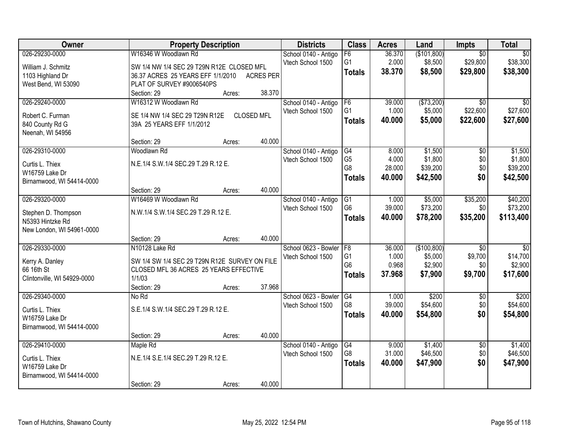| Owner                       |                                               | <b>Property Description</b> |                   | <b>Districts</b>                          | <b>Class</b>   | <b>Acres</b>    | Land        | <b>Impts</b>    | <b>Total</b>    |
|-----------------------------|-----------------------------------------------|-----------------------------|-------------------|-------------------------------------------|----------------|-----------------|-------------|-----------------|-----------------|
| 026-29230-0000              | W16346 W Woodlawn Rd                          |                             |                   | School 0140 - Antigo                      | F6             | 36.370          | (\$101,800) | $\overline{50}$ | $\overline{50}$ |
| William J. Schmitz          | SW 1/4 NW 1/4 SEC 29 T29N R12E CLOSED MFL     |                             |                   | Vtech School 1500                         | G1             | 2.000           | \$8,500     | \$29,800        | \$38,300        |
| 1103 Highland Dr            | 36.37 ACRES 25 YEARS EFF 1/1/2010             |                             | <b>ACRES PER</b>  |                                           | <b>Totals</b>  | 38.370          | \$8,500     | \$29,800        | \$38,300        |
| West Bend, WI 53090         | PLAT OF SURVEY #9006540PS                     |                             |                   |                                           |                |                 |             |                 |                 |
|                             | Section: 29                                   | Acres:                      | 38.370            |                                           |                |                 |             |                 |                 |
| 026-29240-0000              | W16312 W Woodlawn Rd                          |                             |                   | School 0140 - Antigo                      | F6             | 39.000          | (\$73,200)  | $\overline{50}$ | $\overline{50}$ |
|                             |                                               |                             |                   | Vtech School 1500                         | G <sub>1</sub> | 1.000           | \$5,000     | \$22,600        | \$27,600        |
| Robert C. Furman            | SE 1/4 NW 1/4 SEC 29 T29N R12E                |                             | <b>CLOSED MFL</b> |                                           | <b>Totals</b>  | 40.000          | \$5,000     | \$22,600        | \$27,600        |
| 840 County Rd G             | 39A 25 YEARS EFF 1/1/2012                     |                             |                   |                                           |                |                 |             |                 |                 |
| Neenah, WI 54956            | Section: 29                                   |                             | 40.000            |                                           |                |                 |             |                 |                 |
| 026-29310-0000              | Woodlawn Rd                                   | Acres:                      |                   |                                           | G4             | 8.000           | \$1,500     | \$0             | \$1,500         |
|                             |                                               |                             |                   | School 0140 - Antigo<br>Vtech School 1500 | G <sub>5</sub> | 4.000           | \$1,800     | \$0             | \$1,800         |
| Curtis L. Thiex             | N.E.1/4 S.W.1/4 SEC.29 T.29 R.12 E.           |                             |                   |                                           | G8             | 28.000          | \$39,200    | \$0             | \$39,200        |
| W16759 Lake Dr              |                                               |                             |                   |                                           | <b>Totals</b>  | 40.000          | \$42,500    | \$0             | \$42,500        |
| Birnamwood, WI 54414-0000   |                                               |                             |                   |                                           |                |                 |             |                 |                 |
|                             | Section: 29                                   | Acres:                      | 40.000            |                                           |                |                 |             |                 |                 |
| 026-29320-0000              | W16469 W Woodlawn Rd                          |                             |                   | School 0140 - Antigo                      | G1             | 1.000           | \$5,000     | \$35,200        | \$40,200        |
| Stephen D. Thompson         | N.W.1/4 S.W.1/4 SEC.29 T.29 R.12 E.           |                             |                   | Vtech School 1500                         | G <sub>6</sub> | 39.000          | \$73,200    | \$0             | \$73,200        |
| N5393 Hintzke Rd            |                                               |                             |                   |                                           | <b>Totals</b>  | 40.000          | \$78,200    | \$35,200        | \$113,400       |
| New London, WI 54961-0000   |                                               |                             |                   |                                           |                |                 |             |                 |                 |
|                             | Section: 29                                   | Acres:                      | 40.000            |                                           |                |                 |             |                 |                 |
| 026-29330-0000              | N10128 Lake Rd                                |                             |                   | School 0623 - Bowler                      | F8             | 36.000          | (\$100,800) | $\overline{30}$ | $\overline{50}$ |
|                             |                                               |                             |                   | Vtech School 1500                         | G <sub>1</sub> | 1.000           | \$5,000     | \$9,700         | \$14,700        |
| Kerry A. Danley             | SW 1/4 SW 1/4 SEC 29 T29N R12E SURVEY ON FILE |                             |                   |                                           | G <sub>6</sub> | 0.968           | \$2,900     | \$0             | \$2,900         |
| 66 16th St                  | CLOSED MFL 36 ACRES 25 YEARS EFFECTIVE        |                             |                   |                                           | <b>Totals</b>  | 37.968          | \$7,900     | \$9,700         | \$17,600        |
| Clintonville, WI 54929-0000 | 1/1/03                                        |                             |                   |                                           |                |                 |             |                 |                 |
|                             | Section: 29                                   | Acres:                      | 37.968            |                                           |                |                 |             |                 |                 |
| 026-29340-0000              | No Rd                                         |                             |                   | School 0623 - Bowler                      | G4<br>G8       | 1.000<br>39.000 | \$200       | $\overline{50}$ | \$200           |
| Curtis L. Thiex             | S.E.1/4 S.W.1/4 SEC.29 T.29 R.12 E.           |                             |                   | Vtech School 1500                         |                |                 | \$54,600    | \$0             | \$54,600        |
| W16759 Lake Dr              |                                               |                             |                   |                                           | <b>Totals</b>  | 40.000          | \$54,800    | \$0             | \$54,800        |
| Birnamwood, WI 54414-0000   |                                               |                             |                   |                                           |                |                 |             |                 |                 |
|                             | Section: 29                                   | Acres:                      | 40.000            |                                           |                |                 |             |                 |                 |
| 026-29410-0000              | Maple Rd                                      |                             |                   | School 0140 - Antigo                      | G4             | 9.000           | \$1,400     | $\overline{50}$ | \$1,400         |
| Curtis L. Thiex             | N.E.1/4 S.E.1/4 SEC.29 T.29 R.12 E.           |                             |                   | Vtech School 1500                         | G8             | 31.000          | \$46,500    | \$0             | \$46,500        |
| W16759 Lake Dr              |                                               |                             |                   |                                           | <b>Totals</b>  | 40.000          | \$47,900    | \$0             | \$47,900        |
| Birnamwood, WI 54414-0000   |                                               |                             |                   |                                           |                |                 |             |                 |                 |
|                             | Section: 29                                   | Acres:                      | 40.000            |                                           |                |                 |             |                 |                 |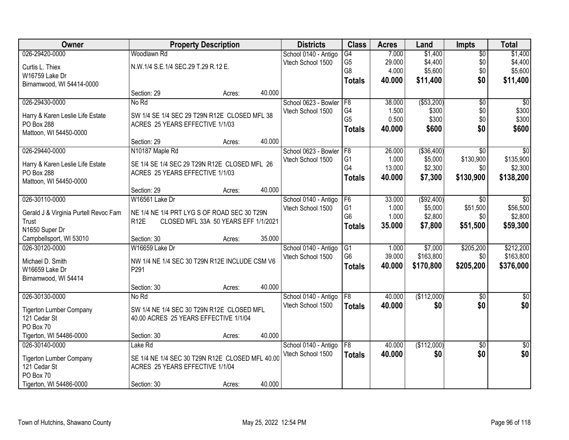| Owner                                          |                                                 | <b>Property Description</b>          |        | <b>Districts</b>                          | <b>Class</b>   | <b>Acres</b> | Land        | <b>Impts</b>    | <b>Total</b>    |
|------------------------------------------------|-------------------------------------------------|--------------------------------------|--------|-------------------------------------------|----------------|--------------|-------------|-----------------|-----------------|
| 026-29420-0000                                 | Woodlawn Rd                                     |                                      |        | School 0140 - Antigo                      | G4             | 7.000        | \$1,400     | $\overline{50}$ | \$1,400         |
| Curtis L. Thiex                                | N.W.1/4 S.E.1/4 SEC.29 T.29 R.12 E.             |                                      |        | Vtech School 1500                         | G <sub>5</sub> | 29.000       | \$4,400     | \$0             | \$4,400         |
| W16759 Lake Dr                                 |                                                 |                                      |        |                                           | G8             | 4.000        | \$5,600     | \$0             | \$5,600         |
| Birnamwood, WI 54414-0000                      |                                                 |                                      |        |                                           | <b>Totals</b>  | 40.000       | \$11,400    | \$0             | \$11,400        |
|                                                | Section: 29                                     | Acres:                               | 40.000 |                                           |                |              |             |                 |                 |
| 026-29430-0000                                 | No Rd                                           |                                      |        | School 0623 - Bowler                      | F8             | 38.000       | ( \$53,200) | $\overline{50}$ | \$0             |
|                                                | SW 1/4 SE 1/4 SEC 29 T29N R12E CLOSED MFL 38    |                                      |        | Vtech School 1500                         | G4             | 1.500        | \$300       | \$0             | \$300           |
| Harry & Karen Leslie Life Estate<br>PO Box 288 | ACRES 25 YEARS EFFECTIVE 1/1/03                 |                                      |        |                                           | G <sub>5</sub> | 0.500        | \$300       | \$0             | \$300           |
| Mattoon, WI 54450-0000                         |                                                 |                                      |        |                                           | <b>Totals</b>  | 40.000       | \$600       | \$0             | \$600           |
|                                                | Section: 29                                     | Acres:                               | 40.000 |                                           |                |              |             |                 |                 |
| 026-29440-0000                                 | N10187 Maple Rd                                 |                                      |        | School 0623 - Bowler   F8                 |                | 26.000       | ( \$36,400) | \$0             | \$0             |
|                                                | SE 1/4 SE 1/4 SEC 29 T29N R12E CLOSED MFL 26    |                                      |        | Vtech School 1500                         | G <sub>1</sub> | 1.000        | \$5,000     | \$130,900       | \$135,900       |
| Harry & Karen Leslie Life Estate<br>PO Box 288 | ACRES 25 YEARS EFFECTIVE 1/1/03                 |                                      |        |                                           | G4             | 13.000       | \$2,300     | \$0             | \$2,300         |
| Mattoon, WI 54450-0000                         |                                                 |                                      |        |                                           | <b>Totals</b>  | 40.000       | \$7,300     | \$130,900       | \$138,200       |
|                                                | Section: 29                                     | Acres:                               | 40.000 |                                           |                |              |             |                 |                 |
| 026-30110-0000                                 | W16561 Lake Dr                                  |                                      |        | School 0140 - Antigo                      | F <sub>6</sub> | 33.000       | ( \$92,400) | \$0             | \$0             |
|                                                |                                                 |                                      |        | Vtech School 1500                         | G <sub>1</sub> | 1.000        | \$5,000     | \$51,500        | \$56,500        |
| Gerald J & Virginia Purtell Revoc Fam          | NE 1/4 NE 1/4 PRT LYG S OF ROAD SEC 30 T29N     |                                      |        |                                           | G <sub>6</sub> | 1.000        | \$2,800     | \$0             | \$2,800         |
| <b>Trust</b>                                   | R <sub>12</sub> E                               | CLOSED MFL 33A 50 YEARS EFF 1/1/2021 |        |                                           | <b>Totals</b>  | 35.000       | \$7,800     | \$51,500        | \$59,300        |
| N1650 Super Dr                                 | Section: 30                                     |                                      | 35.000 |                                           |                |              |             |                 |                 |
| Campbellsport, WI 53010<br>026-30120-0000      | W16659 Lake Dr                                  | Acres:                               |        |                                           | G1             | 1.000        | \$7,000     | \$205,200       | \$212,200       |
|                                                |                                                 |                                      |        | School 0140 - Antigo<br>Vtech School 1500 | G <sub>6</sub> | 39.000       | \$163,800   | \$0             | \$163,800       |
| Michael D. Smith                               | NW 1/4 NE 1/4 SEC 30 T29N R12E INCLUDE CSM V6   |                                      |        |                                           | <b>Totals</b>  | 40.000       | \$170,800   | \$205,200       | \$376,000       |
| W16659 Lake Dr                                 | P <sub>291</sub>                                |                                      |        |                                           |                |              |             |                 |                 |
| Birnamwood, WI 54414                           |                                                 |                                      |        |                                           |                |              |             |                 |                 |
|                                                | Section: 30                                     | Acres:                               | 40.000 |                                           |                |              |             |                 |                 |
| 026-30130-0000                                 | No Rd                                           |                                      |        | School 0140 - Antigo                      | F8             | 40.000       | (\$112,000) | $\overline{50}$ | $\overline{50}$ |
| <b>Tigerton Lumber Company</b>                 | SW 1/4 NE 1/4 SEC 30 T29N R12E CLOSED MFL       |                                      |        | Vtech School 1500                         | <b>Totals</b>  | 40.000       | \$0         | \$0             | \$0             |
| 121 Cedar St                                   | 40.00 ACRES 25 YEARS EFFECTIVE 1/1/04           |                                      |        |                                           |                |              |             |                 |                 |
| PO Box 70                                      |                                                 |                                      |        |                                           |                |              |             |                 |                 |
| Tigerton, WI 54486-0000                        | Section: 30                                     | Acres:                               | 40.000 |                                           |                |              |             |                 |                 |
| 026-30140-0000                                 | Lake Rd                                         |                                      |        | School 0140 - Antigo                      | F8             | 40.000       | (\$112,000) | $\overline{50}$ | $\sqrt{50}$     |
| <b>Tigerton Lumber Company</b>                 | SE 1/4 NE 1/4 SEC 30 T29N R12E CLOSED MFL 40.00 |                                      |        | Vtech School 1500                         | <b>Totals</b>  | 40.000       | \$0         | \$0             | \$0             |
| 121 Cedar St                                   | ACRES 25 YEARS EFFECTIVE 1/1/04                 |                                      |        |                                           |                |              |             |                 |                 |
| PO Box 70                                      |                                                 |                                      |        |                                           |                |              |             |                 |                 |
| Tigerton, WI 54486-0000                        | Section: 30                                     | Acres:                               | 40.000 |                                           |                |              |             |                 |                 |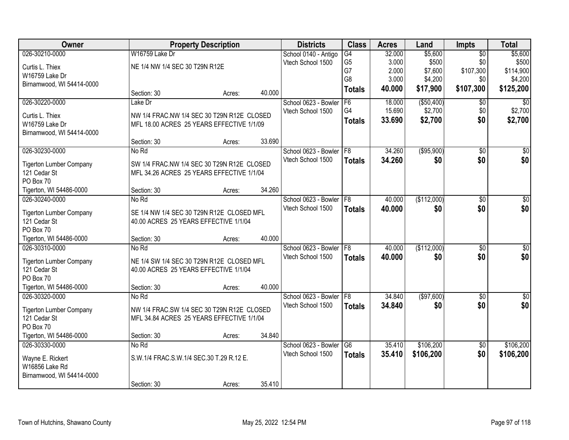| Owner                                          |                                                                                         | <b>Property Description</b> |        | <b>Districts</b>          | <b>Class</b>    | <b>Acres</b> | Land        | <b>Impts</b>    | <b>Total</b>     |
|------------------------------------------------|-----------------------------------------------------------------------------------------|-----------------------------|--------|---------------------------|-----------------|--------------|-------------|-----------------|------------------|
| 026-30210-0000                                 | W16759 Lake Dr                                                                          |                             |        | School 0140 - Antigo      | $\overline{G4}$ | 32.000       | \$5,600     | $\overline{30}$ | \$5,600          |
| Curtis L. Thiex                                | NE 1/4 NW 1/4 SEC 30 T29N R12E                                                          |                             |        | Vtech School 1500         | G <sub>5</sub>  | 3.000        | \$500       | \$0             | \$500            |
| W16759 Lake Dr                                 |                                                                                         |                             |        |                           | G7              | 2.000        | \$7,600     | \$107,300       | \$114,900        |
| Birnamwood, WI 54414-0000                      |                                                                                         |                             |        |                           | G <sub>8</sub>  | 3.000        | \$4,200     | \$0             | \$4,200          |
|                                                | Section: 30                                                                             | Acres:                      | 40.000 |                           | <b>Totals</b>   | 40.000       | \$17,900    | \$107,300       | \$125,200        |
| 026-30220-0000                                 | Lake Dr                                                                                 |                             |        | School 0623 - Bowler      | F6              | 18.000       | ( \$50,400) | $\overline{50}$ | $\overline{50}$  |
| Curtis L. Thiex                                | NW 1/4 FRAC.NW 1/4 SEC 30 T29N R12E CLOSED                                              |                             |        | Vtech School 1500         | G4              | 15.690       | \$2,700     | \$0             | \$2,700          |
| W16759 Lake Dr                                 | MFL 18.00 ACRES 25 YEARS EFFECTIVE 1/1/09                                               |                             |        |                           | <b>Totals</b>   | 33.690       | \$2,700     | \$0             | \$2,700          |
| Birnamwood, WI 54414-0000                      |                                                                                         |                             |        |                           |                 |              |             |                 |                  |
|                                                | Section: 30                                                                             | Acres:                      | 33.690 |                           |                 |              |             |                 |                  |
| 026-30230-0000                                 | No Rd                                                                                   |                             |        | School 0623 - Bowler   F8 |                 | 34.260       | ( \$95,900) | \$0             | \$0              |
| <b>Tigerton Lumber Company</b>                 | SW 1/4 FRAC.NW 1/4 SEC 30 T29N R12E CLOSED                                              |                             |        | Vtech School 1500         | <b>Totals</b>   | 34.260       | \$0         | \$0             | \$0              |
| 121 Cedar St                                   | MFL 34.26 ACRES 25 YEARS EFFECTIVE 1/1/04                                               |                             |        |                           |                 |              |             |                 |                  |
| PO Box 70                                      |                                                                                         |                             |        |                           |                 |              |             |                 |                  |
| Tigerton, WI 54486-0000                        | Section: 30                                                                             | Acres:                      | 34.260 |                           |                 |              |             |                 |                  |
| 026-30240-0000                                 | No Rd                                                                                   |                             |        | School 0623 - Bowler      | F8              | 40.000       | (\$112,000) | \$0             | \$0              |
| <b>Tigerton Lumber Company</b>                 | SE 1/4 NW 1/4 SEC 30 T29N R12E CLOSED MFL                                               |                             |        | Vtech School 1500         | <b>Totals</b>   | 40.000       | \$0         | \$0             | \$0              |
| 121 Cedar St                                   | 40.00 ACRES 25 YEARS EFFECTIVE 1/1/04                                                   |                             |        |                           |                 |              |             |                 |                  |
| PO Box 70                                      |                                                                                         |                             |        |                           |                 |              |             |                 |                  |
| Tigerton, WI 54486-0000                        | Section: 30                                                                             | Acres:                      | 40.000 |                           |                 |              |             |                 |                  |
| 026-30310-0000                                 | No Rd                                                                                   |                             |        | School 0623 - Bowler      | F8              | 40.000       | (\$112,000) | \$0             | $\overline{\$0}$ |
|                                                | NE 1/4 SW 1/4 SEC 30 T29N R12E CLOSED MFL                                               |                             |        | Vtech School 1500         | <b>Totals</b>   | 40.000       | \$0         | \$0             | \$0              |
| <b>Tigerton Lumber Company</b><br>121 Cedar St | 40.00 ACRES 25 YEARS EFFECTIVE 1/1/04                                                   |                             |        |                           |                 |              |             |                 |                  |
| PO Box 70                                      |                                                                                         |                             |        |                           |                 |              |             |                 |                  |
| Tigerton, WI 54486-0000                        | Section: 30                                                                             | Acres:                      | 40.000 |                           |                 |              |             |                 |                  |
| 026-30320-0000                                 | No Rd                                                                                   |                             |        | School 0623 - Bowler      | F8              | 34.840       | (\$97,600)  | \$0             | $\sqrt{50}$      |
|                                                |                                                                                         |                             |        | Vtech School 1500         | <b>Totals</b>   | 34.840       | \$0         | \$0             | \$0              |
| <b>Tigerton Lumber Company</b><br>121 Cedar St | NW 1/4 FRAC.SW 1/4 SEC 30 T29N R12E CLOSED<br>MFL 34.84 ACRES 25 YEARS EFFECTIVE 1/1/04 |                             |        |                           |                 |              |             |                 |                  |
| PO Box 70                                      |                                                                                         |                             |        |                           |                 |              |             |                 |                  |
| Tigerton, WI 54486-0000                        | Section: 30                                                                             | Acres:                      | 34.840 |                           |                 |              |             |                 |                  |
| 026-30330-0000                                 | No Rd                                                                                   |                             |        | School 0623 - Bowler      | G6              | 35.410       | \$106,200   | $\overline{50}$ | \$106,200        |
|                                                |                                                                                         |                             |        | Vtech School 1500         | <b>Totals</b>   | 35.410       | \$106,200   | \$0             | \$106,200        |
| Wayne E. Rickert                               | S.W.1/4 FRAC.S.W.1/4 SEC.30 T.29 R.12 E.                                                |                             |        |                           |                 |              |             |                 |                  |
| W16856 Lake Rd<br>Birnamwood, WI 54414-0000    |                                                                                         |                             |        |                           |                 |              |             |                 |                  |
|                                                | Section: 30                                                                             | Acres:                      | 35.410 |                           |                 |              |             |                 |                  |
|                                                |                                                                                         |                             |        |                           |                 |              |             |                 |                  |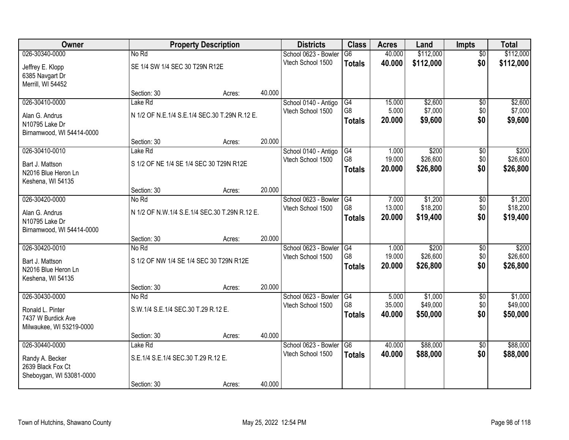| Owner                     |                                         | <b>Property Description</b>                   |        | <b>Districts</b>                          | <b>Class</b>          | <b>Acres</b>    | Land                | Impts                  | <b>Total</b>        |
|---------------------------|-----------------------------------------|-----------------------------------------------|--------|-------------------------------------------|-----------------------|-----------------|---------------------|------------------------|---------------------|
| 026-30340-0000            | No Rd                                   |                                               |        | School 0623 - Bowler                      | G6                    | 40.000          | \$112,000           | $\overline{50}$        | \$112,000           |
| Jeffrey E. Klopp          | SE 1/4 SW 1/4 SEC 30 T29N R12E          |                                               |        | Vtech School 1500                         | <b>Totals</b>         | 40.000          | \$112,000           | \$0                    | \$112,000           |
| 6385 Navgart Dr           |                                         |                                               |        |                                           |                       |                 |                     |                        |                     |
| Merrill, WI 54452         |                                         |                                               |        |                                           |                       |                 |                     |                        |                     |
|                           | Section: 30                             | Acres:                                        | 40.000 |                                           |                       |                 |                     |                        |                     |
| 026-30410-0000            | Lake Rd                                 |                                               |        | School 0140 - Antigo                      | G4                    | 15.000          | \$2,600             | $\overline{50}$        | \$2,600             |
| Alan G. Andrus            |                                         | N 1/2 OF N.E.1/4 S.E.1/4 SEC.30 T.29N R.12 E. |        | Vtech School 1500                         | G <sub>8</sub>        | 5.000           | \$7,000             | \$0                    | \$7,000             |
| N10795 Lake Dr            |                                         |                                               |        |                                           | <b>Totals</b>         | 20.000          | \$9,600             | \$0                    | \$9,600             |
| Birnamwood, WI 54414-0000 |                                         |                                               |        |                                           |                       |                 |                     |                        |                     |
|                           | Section: 30                             | Acres:                                        | 20.000 |                                           |                       |                 |                     |                        |                     |
| 026-30410-0010            | Lake Rd                                 |                                               |        | School 0140 - Antigo                      | G4                    | 1.000           | \$200               | \$0                    | \$200               |
| Bart J. Mattson           | S 1/2 OF NE 1/4 SE 1/4 SEC 30 T29N R12E |                                               |        | Vtech School 1500                         | G8                    | 19.000          | \$26,600            | \$0                    | \$26,600            |
| N2016 Blue Heron Ln       |                                         |                                               |        |                                           | <b>Totals</b>         | 20.000          | \$26,800            | \$0                    | \$26,800            |
| Keshena, WI 54135         |                                         |                                               |        |                                           |                       |                 |                     |                        |                     |
|                           | Section: 30                             | Acres:                                        | 20.000 |                                           |                       |                 |                     |                        |                     |
| 026-30420-0000            | No Rd                                   |                                               |        | School 0623 - Bowler                      | G4<br>G <sub>8</sub>  | 7.000<br>13.000 | \$1,200<br>\$18,200 | \$0<br>\$0             | \$1,200<br>\$18,200 |
| Alan G. Andrus            |                                         | N 1/2 OF N.W.1/4 S.E.1/4 SEC.30 T.29N R.12 E. |        | Vtech School 1500                         |                       | 20.000          | \$19,400            | \$0                    | \$19,400            |
| N10795 Lake Dr            |                                         |                                               |        |                                           | <b>Totals</b>         |                 |                     |                        |                     |
| Birnamwood, WI 54414-0000 |                                         |                                               |        |                                           |                       |                 |                     |                        |                     |
|                           | Section: 30                             | Acres:                                        | 20.000 |                                           |                       |                 |                     |                        |                     |
| 026-30420-0010            | No Rd                                   |                                               |        | School 0623 - Bowler<br>Vtech School 1500 | G4<br>G <sub>8</sub>  | 1.000<br>19.000 | \$200<br>\$26,600   | $\overline{50}$<br>\$0 | \$200<br>\$26,600   |
| Bart J. Mattson           | S 1/2 OF NW 1/4 SE 1/4 SEC 30 T29N R12E |                                               |        |                                           | <b>Totals</b>         | 20.000          | \$26,800            | \$0                    | \$26,800            |
| N2016 Blue Heron Ln       |                                         |                                               |        |                                           |                       |                 |                     |                        |                     |
| Keshena, WI 54135         |                                         |                                               |        |                                           |                       |                 |                     |                        |                     |
| 026-30430-0000            | Section: 30                             | Acres:                                        | 20.000 |                                           |                       |                 |                     |                        |                     |
|                           | No Rd                                   |                                               |        | School 0623 - Bowler<br>Vtech School 1500 | $\overline{G4}$<br>G8 | 5.000<br>35.000 | \$1,000<br>\$49,000 | $\overline{50}$<br>\$0 | \$1,000<br>\$49,000 |
| Ronald L. Pinter          | S.W.1/4 S.E.1/4 SEC.30 T.29 R.12 E.     |                                               |        |                                           | <b>Totals</b>         | 40.000          | \$50,000            | \$0                    | \$50,000            |
| 7437 W Burdick Ave        |                                         |                                               |        |                                           |                       |                 |                     |                        |                     |
| Milwaukee, WI 53219-0000  |                                         |                                               |        |                                           |                       |                 |                     |                        |                     |
| 026-30440-0000            | Section: 30<br>Lake Rd                  | Acres:                                        | 40.000 | School 0623 - Bowler                      | $\overline{G6}$       | 40.000          | \$88,000            | $\overline{50}$        | \$88,000            |
|                           |                                         |                                               |        | Vtech School 1500                         | <b>Totals</b>         | 40.000          | \$88,000            | \$0                    | \$88,000            |
| Randy A. Becker           | S.E.1/4 S.E.1/4 SEC.30 T.29 R.12 E.     |                                               |        |                                           |                       |                 |                     |                        |                     |
| 2639 Black Fox Ct         |                                         |                                               |        |                                           |                       |                 |                     |                        |                     |
| Sheboygan, WI 53081-0000  |                                         |                                               |        |                                           |                       |                 |                     |                        |                     |
|                           | Section: 30                             | Acres:                                        | 40.000 |                                           |                       |                 |                     |                        |                     |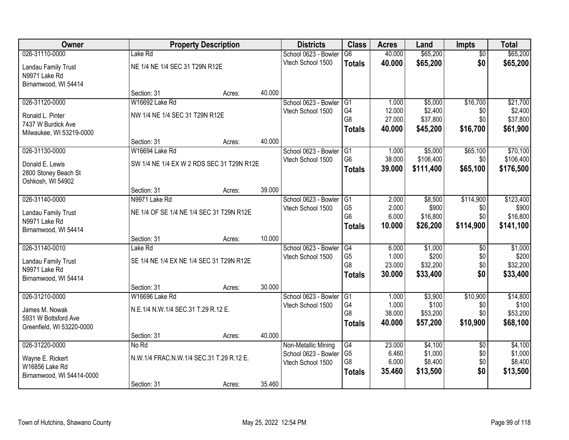| Owner                     |                                           | <b>Property Description</b> |        | <b>Districts</b>     | <b>Class</b>    | <b>Acres</b>     | Land      | <b>Impts</b>    | <b>Total</b> |
|---------------------------|-------------------------------------------|-----------------------------|--------|----------------------|-----------------|------------------|-----------|-----------------|--------------|
| 026-31110-0000            | Lake Rd                                   |                             |        | School 0623 - Bowler | $\overline{G6}$ | 40.000           | \$65,200  | $\overline{50}$ | \$65,200     |
| Landau Family Trust       | NE 1/4 NE 1/4 SEC 31 T29N R12E            |                             |        | Vtech School 1500    | <b>Totals</b>   | 40.000           | \$65,200  | \$0             | \$65,200     |
| N9971 Lake Rd             |                                           |                             |        |                      |                 |                  |           |                 |              |
| Birnamwood, WI 54414      |                                           |                             |        |                      |                 |                  |           |                 |              |
|                           | Section: 31                               | Acres:                      | 40.000 |                      |                 |                  |           |                 |              |
| 026-31120-0000            | W16692 Lake Rd                            |                             |        | School 0623 - Bowler | G1              | 1.000            | \$5,000   | \$16,700        | \$21,700     |
| Ronald L. Pinter          | NW 1/4 NE 1/4 SEC 31 T29N R12E            |                             |        | Vtech School 1500    | G4              | 12.000           | \$2,400   | \$0             | \$2,400      |
| 7437 W Burdick Ave        |                                           |                             |        |                      | G8              | 27.000           | \$37,800  | \$0             | \$37,800     |
| Milwaukee, WI 53219-0000  |                                           |                             |        |                      | <b>Totals</b>   | 40.000           | \$45,200  | \$16,700        | \$61,900     |
|                           | Section: 31                               | Acres:                      | 40.000 |                      |                 |                  |           |                 |              |
| 026-31130-0000            | W16694 Lake Rd                            |                             |        | School 0623 - Bowler | G <sub>1</sub>  | 1.000            | \$5,000   | \$65,100        | \$70,100     |
| Donald E. Lewis           | SW 1/4 NE 1/4 EX W 2 RDS SEC 31 T29N R12E |                             |        | Vtech School 1500    | G <sub>6</sub>  | 38.000           | \$106,400 | \$0             | \$106,400    |
| 2800 Stoney Beach St      |                                           |                             |        |                      | <b>Totals</b>   | 39.000           | \$111,400 | \$65,100        | \$176,500    |
| Oshkosh, WI 54902         |                                           |                             |        |                      |                 |                  |           |                 |              |
|                           | Section: 31                               | Acres:                      | 39.000 |                      |                 |                  |           |                 |              |
| 026-31140-0000            | N9971 Lake Rd                             |                             |        | School 0623 - Bowler | G1              | 2.000            | \$8,500   | \$114,900       | \$123,400    |
| Landau Family Trust       | NE 1/4 OF SE 1/4 NE 1/4 SEC 31 T29N R12E  |                             |        | Vtech School 1500    | G <sub>5</sub>  | 2.000            | \$900     | \$0             | \$900        |
| N9971 Lake Rd             |                                           |                             |        |                      | G <sub>6</sub>  | 6.000            | \$16,800  | \$0             | \$16,800     |
| Birnamwood, WI 54414      |                                           |                             |        |                      | <b>Totals</b>   | 10.000           | \$26,200  | \$114,900       | \$141,100    |
|                           | Section: 31                               | Acres:                      | 10.000 |                      |                 |                  |           |                 |              |
| 026-31140-0010            | Lake Rd                                   |                             |        | School 0623 - Bowler | G4              | 6.000            | \$1,000   | \$0             | \$1,000      |
| Landau Family Trust       | SE 1/4 NE 1/4 EX NE 1/4 SEC 31 T29N R12E  |                             |        | Vtech School 1500    | G <sub>5</sub>  | 1.000            | \$200     | \$0             | \$200        |
| N9971 Lake Rd             |                                           |                             |        |                      | G <sub>8</sub>  | 23.000           | \$32,200  | \$0<br>\$0      | \$32,200     |
| Birnamwood, WI 54414      |                                           |                             |        |                      | <b>Totals</b>   | 30.000           | \$33,400  |                 | \$33,400     |
|                           | Section: 31                               | Acres:                      | 30.000 |                      |                 |                  |           |                 |              |
| 026-31210-0000            | W16696 Lake Rd                            |                             |        | School 0623 - Bowler | $\overline{G1}$ | 1.000            | \$3,900   | \$10,900        | \$14,800     |
| James M. Nowak            | N.E.1/4 N.W.1/4 SEC.31 T.29 R.12 E.       |                             |        | Vtech School 1500    | G4              | 1.000            | \$100     | \$0             | \$100        |
| 5931 W Bottsford Ave      |                                           |                             |        |                      | G8              | 38.000<br>40.000 | \$53,200  | \$0             | \$53,200     |
| Greenfield, WI 53220-0000 |                                           |                             |        |                      | <b>Totals</b>   |                  | \$57,200  | \$10,900        | \$68,100     |
|                           | Section: 31                               | Acres:                      | 40.000 |                      |                 |                  |           |                 |              |
| 026-31220-0000            | No Rd                                     |                             |        | Non-Metallic Mining  | $\overline{G4}$ | 23.000           | \$4,100   | $\overline{60}$ | \$4,100      |
| Wayne E. Rickert          | N.W.1/4 FRAC.N.W.1/4 SEC.31 T.29 R.12 E.  |                             |        | School 0623 - Bowler | G <sub>5</sub>  | 6.460            | \$1,000   | \$0             | \$1,000      |
| W16856 Lake Rd            |                                           |                             |        | Vtech School 1500    | G <sub>8</sub>  | 6.000            | \$8,400   | \$0<br>\$0      | \$8,400      |
| Birnamwood, WI 54414-0000 |                                           |                             |        |                      | <b>Totals</b>   | 35.460           | \$13,500  |                 | \$13,500     |
|                           | Section: 31                               | Acres:                      | 35.460 |                      |                 |                  |           |                 |              |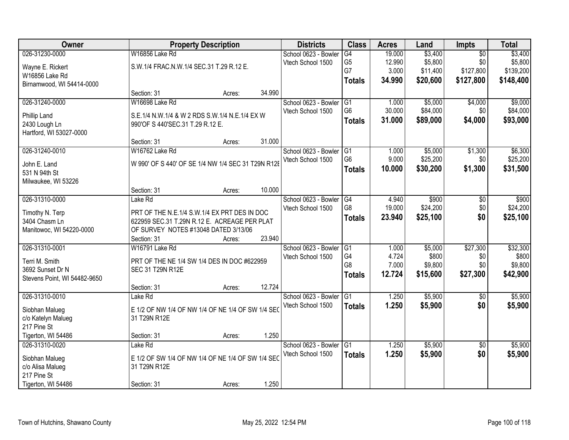| Owner                           |                                                    | <b>Property Description</b> |        | <b>Districts</b>     | <b>Class</b>         | <b>Acres</b>    | Land              | Impts           | <b>Total</b>      |
|---------------------------------|----------------------------------------------------|-----------------------------|--------|----------------------|----------------------|-----------------|-------------------|-----------------|-------------------|
| 026-31230-0000                  | W16856 Lake Rd                                     |                             |        | School 0623 - Bowler | G4                   | 19.000          | \$3,400           | $\overline{50}$ | \$3,400           |
| Wayne E. Rickert                | S.W.1/4 FRAC.N.W.1/4 SEC.31 T.29 R.12 E.           |                             |        | Vtech School 1500    | G <sub>5</sub>       | 12.990          | \$5,800           | \$0             | \$5,800           |
| W16856 Lake Rd                  |                                                    |                             |        |                      | G7                   | 3.000           | \$11,400          | \$127,800       | \$139,200         |
| Birnamwood, WI 54414-0000       |                                                    |                             |        |                      | <b>Totals</b>        | 34.990          | \$20,600          | \$127,800       | \$148,400         |
|                                 | Section: 31                                        | Acres:                      | 34.990 |                      |                      |                 |                   |                 |                   |
| 026-31240-0000                  | W16698 Lake Rd                                     |                             |        | School 0623 - Bowler | G1                   | 1.000           | \$5,000           | \$4,000         | \$9,000           |
|                                 |                                                    |                             |        | Vtech School 1500    | G <sub>6</sub>       | 30.000          | \$84,000          | \$0             | \$84,000          |
| Phillip Land                    | S.E.1/4 N.W.1/4 & W 2 RDS S.W.1/4 N.E.1/4 EX W     |                             |        |                      |                      |                 |                   |                 |                   |
| 2430 Lough Ln                   | 990'OF S 440'SEC.31 T.29 R.12 E.                   |                             |        |                      | <b>Totals</b>        | 31.000          | \$89,000          | \$4,000         | \$93,000          |
| Hartford, WI 53027-0000         |                                                    |                             |        |                      |                      |                 |                   |                 |                   |
|                                 | Section: 31                                        | Acres:                      | 31.000 |                      |                      |                 |                   |                 |                   |
| 026-31240-0010                  | W16762 Lake Rd                                     |                             |        | School 0623 - Bowler | G1                   | 1.000           | \$5,000           | \$1,300         | \$6,300           |
| John E. Land                    | W 990' OF S 440' OF SE 1/4 NW 1/4 SEC 31 T29N R12E |                             |        | Vtech School 1500    | G <sub>6</sub>       | 9.000           | \$25,200          | \$0             | \$25,200          |
|                                 |                                                    |                             |        |                      | <b>Totals</b>        | 10.000          | \$30,200          | \$1,300         | \$31,500          |
| 531 N 94th St                   |                                                    |                             |        |                      |                      |                 |                   |                 |                   |
| Milwaukee, WI 53226             | Section: 31                                        |                             | 10.000 |                      |                      |                 |                   |                 |                   |
| 026-31310-0000                  |                                                    | Acres:                      |        |                      |                      |                 |                   |                 |                   |
|                                 | Lake Rd                                            |                             |        | School 0623 - Bowler | G <sub>4</sub><br>G8 | 4.940<br>19.000 | \$900<br>\$24,200 | \$0<br>\$0      | \$900<br>\$24,200 |
| Timothy N. Terp                 | PRT OF THE N.E.1/4 S.W.1/4 EX PRT DES IN DOC       |                             |        | Vtech School 1500    |                      |                 |                   |                 |                   |
| 3404 Chasm Ln                   | 622959 SEC.31 T.29N R.12 E. ACREAGE PER PLAT       |                             |        |                      | <b>Totals</b>        | 23.940          | \$25,100          | \$0             | \$25,100          |
| Manitowoc, WI 54220-0000        | OF SURVEY NOTES #13048 DATED 3/13/06               |                             |        |                      |                      |                 |                   |                 |                   |
|                                 | Section: 31                                        | Acres:                      | 23.940 |                      |                      |                 |                   |                 |                   |
| 026-31310-0001                  | W16791 Lake Rd                                     |                             |        | School 0623 - Bowler | G1                   | 1.000           | \$5,000           | \$27,300        | \$32,300          |
|                                 |                                                    |                             |        | Vtech School 1500    | G4                   | 4.724           | \$800             | \$0             | \$800             |
| Terri M. Smith                  | PRT OF THE NE 1/4 SW 1/4 DES IN DOC #622959        |                             |        |                      | G8                   | 7.000           | \$9,800           | \$0             | \$9,800           |
| 3692 Sunset Dr N                | SEC 31 T29N R12E                                   |                             |        |                      | <b>Totals</b>        | 12.724          | \$15,600          | \$27,300        | \$42,900          |
| Stevens Point, WI 54482-9650    |                                                    |                             |        |                      |                      |                 |                   |                 |                   |
|                                 | Section: 31                                        | Acres:                      | 12.724 |                      |                      |                 |                   |                 |                   |
| 026-31310-0010                  | Lake Rd                                            |                             |        | School 0623 - Bowler | G <sub>1</sub>       | 1.250           | \$5,900           | $\sqrt{6}$      | \$5,900           |
| Siobhan Malueg                  | E 1/2 OF NW 1/4 OF NW 1/4 OF NE 1/4 OF SW 1/4 SEO  |                             |        | Vtech School 1500    | <b>Totals</b>        | 1.250           | \$5,900           | \$0             | \$5,900           |
| c/o Katelyn Malueg              | 31 T29N R12E                                       |                             |        |                      |                      |                 |                   |                 |                   |
| 217 Pine St                     |                                                    |                             |        |                      |                      |                 |                   |                 |                   |
| Tigerton, WI 54486              | Section: 31                                        | Acres:                      | 1.250  |                      |                      |                 |                   |                 |                   |
| 026-31310-0020                  | Lake Rd                                            |                             |        | School 0623 - Bowler | G1                   | 1.250           | \$5,900           | $\overline{50}$ | \$5,900           |
|                                 | E 1/2 OF SW 1/4 OF NW 1/4 OF NE 1/4 OF SW 1/4 SEC  |                             |        | Vtech School 1500    | <b>Totals</b>        | 1.250           | \$5,900           | \$0             | \$5,900           |
| Siobhan Malueg                  |                                                    |                             |        |                      |                      |                 |                   |                 |                   |
| c/o Alisa Malueg<br>217 Pine St | 31 T29N R12E                                       |                             |        |                      |                      |                 |                   |                 |                   |
|                                 |                                                    |                             | 1.250  |                      |                      |                 |                   |                 |                   |
| Tigerton, WI 54486              | Section: 31                                        | Acres:                      |        |                      |                      |                 |                   |                 |                   |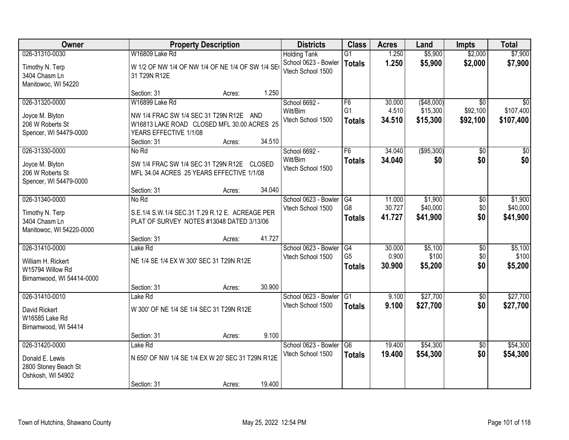| Owner                                                                                 |                                                                                                                                                  | <b>Property Description</b> |        | <b>Districts</b>                                                 | <b>Class</b>                          | <b>Acres</b>               | Land                               | <b>Impts</b>                            | <b>Total</b>                    |
|---------------------------------------------------------------------------------------|--------------------------------------------------------------------------------------------------------------------------------------------------|-----------------------------|--------|------------------------------------------------------------------|---------------------------------------|----------------------------|------------------------------------|-----------------------------------------|---------------------------------|
| 026-31310-0030<br>Timothy N. Terp<br>3404 Chasm Ln<br>Manitowoc, WI 54220             | W16809 Lake Rd<br>W 1/2 OF NW 1/4 OF NW 1/4 OF NE 1/4 OF SW 1/4 SE<br>31 T29N R12E                                                               |                             |        | <b>Holding Tank</b><br>School 0623 - Bowler<br>Vtech School 1500 | G1<br><b>Totals</b>                   | 1.250<br>1.250             | \$5,900<br>\$5,900                 | \$2,000<br>\$2,000                      | \$7,900<br>\$7,900              |
|                                                                                       | Section: 31                                                                                                                                      | Acres:                      | 1.250  |                                                                  |                                       |                            |                                    |                                         |                                 |
| 026-31320-0000<br>Joyce M. Blyton<br>206 W Roberts St<br>Spencer, WI 54479-0000       | W16899 Lake Rd<br>NW 1/4 FRAC SW 1/4 SEC 31 T29N R12E AND<br>W16813 LAKE ROAD CLOSED MFL 30.00 ACRES 25<br>YEARS EFFECTIVE 1/1/08<br>Section: 31 | Acres:                      | 34.510 | School 6692 -<br>Witt/Birn<br>Vtech School 1500                  | F6<br>G <sub>1</sub><br><b>Totals</b> | 30.000<br>4.510<br>34.510  | (\$48,000)<br>\$15,300<br>\$15,300 | $\overline{30}$<br>\$92,100<br>\$92,100 | \$0<br>\$107,400<br>\$107,400   |
| 026-31330-0000<br>Joyce M. Blyton<br>206 W Roberts St<br>Spencer, WI 54479-0000       | No Rd<br>SW 1/4 FRAC SW 1/4 SEC 31 T29N R12E CLOSED<br>MFL 34.04 ACRES 25 YEARS EFFECTIVE 1/1/08<br>Section: 31                                  | Acres:                      | 34.040 | School 6692 -<br>Witt/Birn<br>Vtech School 1500                  | F6<br><b>Totals</b>                   | 34.040<br>34.040           | ( \$95, 300)<br>\$0                | \$0<br>\$0                              | \$0<br>\$0                      |
| 026-31340-0000<br>Timothy N. Terp<br>3404 Chasm Ln<br>Manitowoc, WI 54220-0000        | No Rd<br>S.E.1/4 S.W.1/4 SEC.31 T.29 R.12 E. ACREAGE PER<br>PLAT OF SURVEY NOTES #13048 DATED 3/13/06<br>Section: 31                             | Acres:                      | 41.727 | School 0623 - Bowler<br>Vtech School 1500                        | G4<br>G <sub>8</sub><br><b>Totals</b> | 11.000<br>30.727<br>41.727 | \$1,900<br>\$40,000<br>\$41,900    | \$0<br>\$0<br>\$0                       | \$1,900<br>\$40,000<br>\$41,900 |
| 026-31410-0000<br>William H. Rickert<br>W15794 Willow Rd<br>Birnamwood, WI 54414-0000 | Lake Rd<br>NE 1/4 SE 1/4 EX W 300' SEC 31 T29N R12E<br>Section: 31                                                                               | Acres:                      | 30.900 | School 0623 - Bowler<br>Vtech School 1500                        | G4<br>G <sub>5</sub><br><b>Totals</b> | 30.000<br>0.900<br>30.900  | \$5,100<br>\$100<br>\$5,200        | $\overline{50}$<br>\$0<br>\$0           | \$5,100<br>\$100<br>\$5,200     |
| 026-31410-0010<br>David Rickert<br>W16585 Lake Rd<br>Birnamwood, WI 54414             | Lake Rd<br>W 300' OF NE 1/4 SE 1/4 SEC 31 T29N R12E<br>Section: 31                                                                               | Acres:                      | 9.100  | School 0623 - Bowler<br>Vtech School 1500                        | G1<br><b>Totals</b>                   | 9.100<br>9.100             | \$27,700<br>\$27,700               | \$0<br>\$0                              | \$27,700<br>\$27,700            |
| 026-31420-0000<br>Donald E. Lewis<br>2800 Stoney Beach St<br>Oshkosh, WI 54902        | Lake Rd<br>N 650' OF NW 1/4 SE 1/4 EX W 20' SEC 31 T29N R12E<br>Section: 31                                                                      | Acres:                      | 19.400 | School 0623 - Bowler<br>Vtech School 1500                        | $\overline{G6}$<br><b>Totals</b>      | 19.400<br>19.400           | \$54,300<br>\$54,300               | $\overline{50}$<br>\$0                  | \$54,300<br>\$54,300            |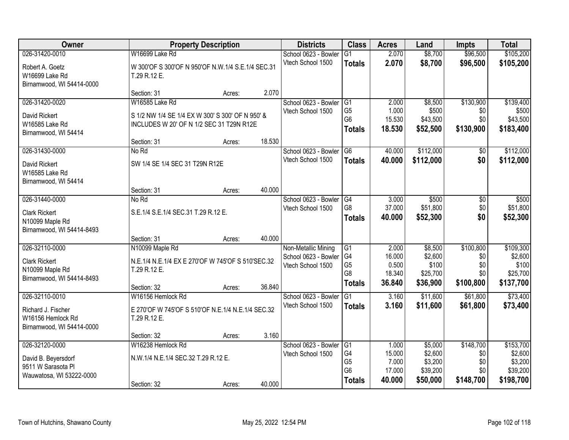| Owner                                                                                   |                                                                                                     | <b>Property Description</b> |        | <b>Districts</b>                                                 | <b>Class</b>                                                  | <b>Acres</b>                                 | Land                                                  | <b>Impts</b>                                | <b>Total</b>                                             |
|-----------------------------------------------------------------------------------------|-----------------------------------------------------------------------------------------------------|-----------------------------|--------|------------------------------------------------------------------|---------------------------------------------------------------|----------------------------------------------|-------------------------------------------------------|---------------------------------------------|----------------------------------------------------------|
| 026-31420-0010                                                                          | W16699 Lake Rd                                                                                      |                             |        | School 0623 - Bowler                                             | $\overline{G1}$                                               | 2.070                                        | \$8,700                                               | \$96,500                                    | \$105,200                                                |
| Robert A. Goetz<br>W16699 Lake Rd<br>Birnamwood, WI 54414-0000                          | W 300'OF S 300'OF N 950'OF N.W.1/4 S.E.1/4 SEC.31<br>T.29 R.12 E.                                   |                             |        | Vtech School 1500                                                | <b>Totals</b>                                                 | 2.070                                        | \$8,700                                               | \$96,500                                    | \$105,200                                                |
|                                                                                         | Section: 31                                                                                         | Acres:                      | 2.070  |                                                                  |                                                               |                                              |                                                       |                                             |                                                          |
| 026-31420-0020                                                                          | W16585 Lake Rd                                                                                      |                             |        | School 0623 - Bowler                                             | G1                                                            | 2.000                                        | \$8,500                                               | \$130,900                                   | \$139,400                                                |
| David Rickert<br>W16585 Lake Rd<br>Birnamwood, WI 54414                                 | S 1/2 NW 1/4 SE 1/4 EX W 300' S 300' OF N 950' &<br>INCLUDES W 20' OF N 1/2 SEC 31 T29N R12E        |                             |        | Vtech School 1500                                                | G <sub>5</sub><br>G <sub>6</sub><br><b>Totals</b>             | 1.000<br>15.530<br>18.530                    | \$500<br>\$43,500<br>\$52,500                         | \$0<br>\$0<br>\$130,900                     | \$500<br>\$43,500<br>\$183,400                           |
| 026-31430-0000                                                                          | Section: 31<br>No Rd                                                                                | Acres:                      | 18.530 | School 0623 - Bowler                                             | G <sub>6</sub>                                                | 40.000                                       | \$112,000                                             |                                             | \$112,000                                                |
| David Rickert<br>W16585 Lake Rd<br>Birnamwood, WI 54414                                 | SW 1/4 SE 1/4 SEC 31 T29N R12E                                                                      |                             |        | Vtech School 1500                                                | <b>Totals</b>                                                 | 40.000                                       | \$112,000                                             | \$0<br>\$0                                  | \$112,000                                                |
|                                                                                         | Section: 31                                                                                         | Acres:                      | 40.000 |                                                                  |                                                               |                                              |                                                       |                                             |                                                          |
| 026-31440-0000                                                                          | No Rd                                                                                               |                             |        | School 0623 - Bowler                                             | G4                                                            | 3.000                                        | \$500                                                 | \$0                                         | \$500                                                    |
| <b>Clark Rickert</b><br>N10099 Maple Rd<br>Birnamwood, WI 54414-8493                    | S.E.1/4 S.E.1/4 SEC.31 T.29 R.12 E.                                                                 |                             |        | Vtech School 1500                                                | G8<br><b>Totals</b>                                           | 37.000<br>40.000                             | \$51,800<br>\$52,300                                  | \$0<br>\$0                                  | \$51,800<br>\$52,300                                     |
|                                                                                         | Section: 31                                                                                         | Acres:                      | 40.000 |                                                                  |                                                               |                                              |                                                       |                                             |                                                          |
| 026-32110-0000<br><b>Clark Rickert</b><br>N10099 Maple Rd<br>Birnamwood, WI 54414-8493  | N10099 Maple Rd<br>N.E.1/4 N.E.1/4 EX E 270'OF W 745'OF S 510'SEC.32<br>T.29 R.12 E.<br>Section: 32 | Acres:                      | 36.840 | Non-Metallic Mining<br>School 0623 - Bowler<br>Vtech School 1500 | G1<br>G4<br>G <sub>5</sub><br>G <sub>8</sub><br><b>Totals</b> | 2.000<br>16.000<br>0.500<br>18.340<br>36.840 | \$8,500<br>\$2,600<br>\$100<br>\$25,700<br>\$36,900   | \$100,800<br>\$0<br>\$0<br>\$0<br>\$100,800 | \$109,300<br>\$2,600<br>\$100<br>\$25,700<br>\$137,700   |
| 026-32110-0010                                                                          | W16156 Hemlock Rd                                                                                   |                             |        | School 0623 - Bowler                                             | G1                                                            | 3.160                                        | \$11,600                                              | \$61,800                                    | \$73,400                                                 |
| Richard J. Fischer<br>W16156 Hemlock Rd<br>Birnamwood, WI 54414-0000                    | E 270'OF W 745'OF S 510'OF N.E.1/4 N.E.1/4 SEC.32<br>T.29 R.12 E.                                   |                             |        | Vtech School 1500                                                | <b>Totals</b>                                                 | 3.160                                        | \$11,600                                              | \$61,800                                    | \$73,400                                                 |
|                                                                                         | Section: 32                                                                                         | Acres:                      | 3.160  |                                                                  |                                                               |                                              |                                                       |                                             |                                                          |
| 026-32120-0000<br>David B. Beyersdorf<br>9511 W Sarasota Pl<br>Wauwatosa, WI 53222-0000 | W16238 Hemlock Rd<br>N.W.1/4 N.E.1/4 SEC.32 T.29 R.12 E.<br>Section: 32                             | Acres:                      | 40.000 | School 0623 - Bowler<br>Vtech School 1500                        | G1<br>G4<br>G <sub>5</sub><br>G <sub>6</sub><br><b>Totals</b> | 1.000<br>15.000<br>7.000<br>17.000<br>40.000 | \$5,000<br>\$2,600<br>\$3,200<br>\$39,200<br>\$50,000 | \$148,700<br>\$0<br>\$0<br>\$0<br>\$148,700 | \$153,700<br>\$2,600<br>\$3,200<br>\$39,200<br>\$198,700 |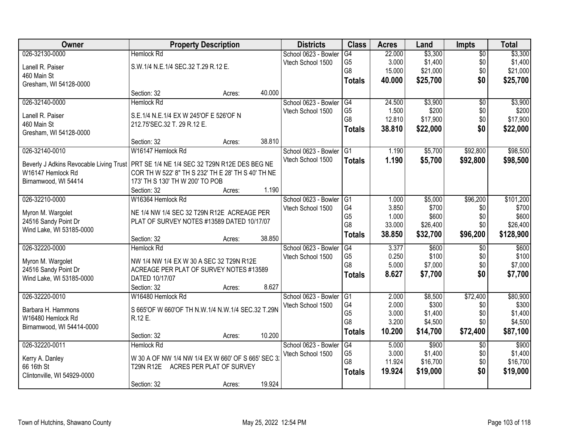| Owner                                                                                                        | <b>Property Description</b>                                                           |        |        | <b>Districts</b>     | <b>Class</b>   | <b>Acres</b> | Land     | <b>Impts</b>    | <b>Total</b> |
|--------------------------------------------------------------------------------------------------------------|---------------------------------------------------------------------------------------|--------|--------|----------------------|----------------|--------------|----------|-----------------|--------------|
| 026-32130-0000                                                                                               | <b>Hemlock Rd</b>                                                                     |        |        | School 0623 - Bowler | G4             | 22.000       | \$3,300  | $\overline{50}$ | \$3,300      |
| Lanell R. Paiser                                                                                             | S.W.1/4 N.E.1/4 SEC.32 T.29 R.12 E.                                                   |        |        | Vtech School 1500    | G <sub>5</sub> | 3.000        | \$1,400  | \$0             | \$1,400      |
| 460 Main St                                                                                                  |                                                                                       |        |        |                      | G <sub>8</sub> | 15.000       | \$21,000 | \$0             | \$21,000     |
| Gresham, WI 54128-0000                                                                                       |                                                                                       |        |        |                      | <b>Totals</b>  | 40.000       | \$25,700 | \$0             | \$25,700     |
|                                                                                                              | Section: 32                                                                           | Acres: | 40.000 |                      |                |              |          |                 |              |
| 026-32140-0000                                                                                               | <b>Hemlock Rd</b>                                                                     |        |        | School 0623 - Bowler | G4             | 24.500       | \$3,900  | $\overline{50}$ | \$3,900      |
|                                                                                                              |                                                                                       |        |        | Vtech School 1500    | G <sub>5</sub> | 1.500        | \$200    | \$0             | \$200        |
| Lanell R. Paiser                                                                                             | S.E.1/4 N.E.1/4 EX W 245'OF E 526'OF N                                                |        |        |                      | G <sub>8</sub> | 12.810       | \$17,900 | \$0             | \$17,900     |
| 460 Main St<br>Gresham, WI 54128-0000                                                                        | 212.75'SEC.32 T. 29 R.12 E.                                                           |        |        |                      | <b>Totals</b>  | 38.810       | \$22,000 | \$0             | \$22,000     |
|                                                                                                              | Section: 32                                                                           | Acres: | 38.810 |                      |                |              |          |                 |              |
| 026-32140-0010                                                                                               | W16147 Hemlock Rd                                                                     |        |        | School 0623 - Bowler | G1             | 1.190        | \$5,700  | \$92,800        | \$98,500     |
|                                                                                                              |                                                                                       |        |        | Vtech School 1500    | <b>Totals</b>  | 1.190        | \$5,700  | \$92,800        | \$98,500     |
| Beverly J Adkins Revocable Living Trust   PRT SE 1/4 NE 1/4 SEC 32 T29N R12E DES BEG NE<br>W16147 Hemlock Rd |                                                                                       |        |        |                      |                |              |          |                 |              |
| Birnamwood, WI 54414                                                                                         | COR TH W 522' 8" TH S 232' TH E 28' TH S 40' TH NE<br>173' TH S 130' TH W 200' TO POB |        |        |                      |                |              |          |                 |              |
|                                                                                                              | Section: 32                                                                           | Acres: | 1.190  |                      |                |              |          |                 |              |
| 026-32210-0000                                                                                               | W16364 Hemlock Rd                                                                     |        |        | School 0623 - Bowler | G1             | 1.000        | \$5,000  | \$96,200        | \$101,200    |
|                                                                                                              |                                                                                       |        |        | Vtech School 1500    | G4             | 3.850        | \$700    | \$0             | \$700        |
| Myron M. Wargolet                                                                                            | NE 1/4 NW 1/4 SEC 32 T29N R12E ACREAGE PER                                            |        |        |                      | G <sub>5</sub> | 1.000        | \$600    | \$0             | \$600        |
| 24516 Sandy Point Dr                                                                                         | PLAT OF SURVEY NOTES #13589 DATED 10/17/07                                            |        |        |                      | G8             | 33.000       | \$26,400 | \$0             | \$26,400     |
| Wind Lake, WI 53185-0000                                                                                     |                                                                                       |        |        |                      | <b>Totals</b>  | 38.850       | \$32,700 | \$96,200        | \$128,900    |
|                                                                                                              | Section: 32                                                                           | Acres: | 38.850 |                      |                |              |          |                 |              |
| 026-32220-0000                                                                                               | <b>Hemlock Rd</b>                                                                     |        |        | School 0623 - Bowler | G4             | 3.377        | \$600    | $\overline{50}$ | \$600        |
| Myron M. Wargolet                                                                                            | NW 1/4 NW 1/4 EX W 30 A SEC 32 T29N R12E                                              |        |        | Vtech School 1500    | G <sub>5</sub> | 0.250        | \$100    | \$0             | \$100        |
| 24516 Sandy Point Dr                                                                                         | ACREAGE PER PLAT OF SURVEY NOTES #13589                                               |        |        |                      | G <sub>8</sub> | 5.000        | \$7,000  | \$0             | \$7,000      |
| Wind Lake, WI 53185-0000                                                                                     | DATED 10/17/07                                                                        |        |        |                      | <b>Totals</b>  | 8.627        | \$7,700  | \$0             | \$7,700      |
|                                                                                                              | Section: 32                                                                           | Acres: | 8.627  |                      |                |              |          |                 |              |
| 026-32220-0010                                                                                               | W16480 Hemlock Rd                                                                     |        |        | School 0623 - Bowler | G1             | 2.000        | \$8,500  | \$72,400        | \$80,900     |
| Barbara H. Hammons                                                                                           | S 665'OF W 660'OF TH N.W.1/4 N.W.1/4 SEC.32 T.29N                                     |        |        | Vtech School 1500    | G4             | 2.000        | \$300    | \$0             | \$300        |
| W16480 Hemlock Rd                                                                                            | R.12 E.                                                                               |        |        |                      | G <sub>5</sub> | 3.000        | \$1,400  | \$0             | \$1,400      |
| Birnamwood, WI 54414-0000                                                                                    |                                                                                       |        |        |                      | G <sub>8</sub> | 3.200        | \$4,500  | \$0             | \$4,500      |
|                                                                                                              | Section: 32                                                                           | Acres: | 10.200 |                      | <b>Totals</b>  | 10.200       | \$14,700 | \$72,400        | \$87,100     |
| 026-32220-0011                                                                                               | <b>Hemlock Rd</b>                                                                     |        |        | School 0623 - Bowler | G4             | 5.000        | \$900    | $\overline{30}$ | \$900        |
|                                                                                                              | W 30 A OF NW 1/4 NW 1/4 EX W 660' OF S 665' SEC 3.                                    |        |        | Vtech School 1500    | G <sub>5</sub> | 3.000        | \$1,400  | \$0             | \$1,400      |
| Kerry A. Danley<br>66 16th St                                                                                | T29N R12E ACRES PER PLAT OF SURVEY                                                    |        |        |                      | G8             | 11.924       | \$16,700 | \$0             | \$16,700     |
| Clintonville, WI 54929-0000                                                                                  |                                                                                       |        |        |                      | <b>Totals</b>  | 19.924       | \$19,000 | \$0             | \$19,000     |
|                                                                                                              | Section: 32                                                                           | Acres: | 19.924 |                      |                |              |          |                 |              |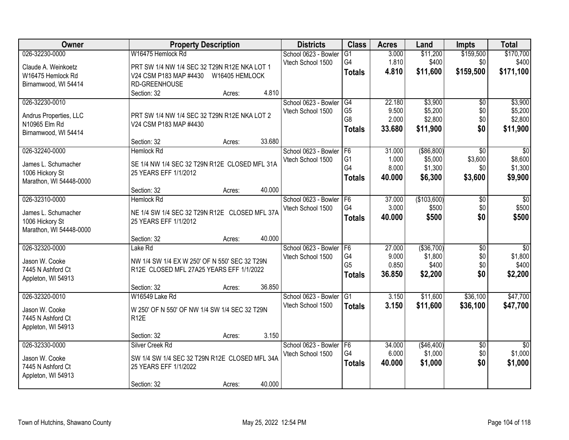| Owner                                      |                                               | <b>Property Description</b> |        | <b>Districts</b>     | <b>Class</b>    | <b>Acres</b> | Land         | <b>Impts</b>    | <b>Total</b>    |
|--------------------------------------------|-----------------------------------------------|-----------------------------|--------|----------------------|-----------------|--------------|--------------|-----------------|-----------------|
| 026-32230-0000                             | W16475 Hemlock Rd                             |                             |        | School 0623 - Bowler | $\overline{G1}$ | 3.000        | \$11,200     | \$159,500       | \$170,700       |
| Claude A. Weinkoetz                        | PRT SW 1/4 NW 1/4 SEC 32 T29N R12E NKA LOT 1  |                             |        | Vtech School 1500    | G4              | 1.810        | \$400        | \$0             | \$400           |
| W16475 Hemlock Rd                          | V24 CSM P183 MAP #4430                        | W16405 HEMLOCK              |        |                      | <b>Totals</b>   | 4.810        | \$11,600     | \$159,500       | \$171,100       |
| Birnamwood, WI 54414                       | RD-GREENHOUSE                                 |                             |        |                      |                 |              |              |                 |                 |
|                                            | Section: 32                                   | Acres:                      | 4.810  |                      |                 |              |              |                 |                 |
| 026-32230-0010                             |                                               |                             |        | School 0623 - Bowler | G4              | 22.180       | \$3,900      | $\overline{50}$ | \$3,900         |
| Andrus Properties, LLC                     | PRT SW 1/4 NW 1/4 SEC 32 T29N R12E NKA LOT 2  |                             |        | Vtech School 1500    | G <sub>5</sub>  | 9.500        | \$5,200      | \$0             | \$5,200         |
| N10965 Elm Rd                              | V24 CSM P183 MAP #4430                        |                             |        |                      | G <sub>8</sub>  | 2.000        | \$2,800      | \$0             | \$2,800         |
| Birnamwood, WI 54414                       |                                               |                             |        |                      | <b>Totals</b>   | 33.680       | \$11,900     | \$0             | \$11,900        |
|                                            | Section: 32                                   | Acres:                      | 33.680 |                      |                 |              |              |                 |                 |
| 026-32240-0000                             | <b>Hemlock Rd</b>                             |                             |        | School 0623 - Bowler | IF <sub>6</sub> | 31.000       | ( \$86, 800) | $\overline{50}$ | $\overline{30}$ |
| James L. Schumacher                        | SE 1/4 NW 1/4 SEC 32 T29N R12E CLOSED MFL 31A |                             |        | Vtech School 1500    | G <sub>1</sub>  | 1.000        | \$5,000      | \$3,600         | \$8,600         |
| 1006 Hickory St                            | 25 YEARS EFF 1/1/2012                         |                             |        |                      | G4              | 8.000        | \$1,300      | \$0             | \$1,300         |
| Marathon, WI 54448-0000                    |                                               |                             |        |                      | <b>Totals</b>   | 40.000       | \$6,300      | \$3,600         | \$9,900         |
|                                            | Section: 32                                   | Acres:                      | 40.000 |                      |                 |              |              |                 |                 |
| 026-32310-0000                             | Hemlock Rd                                    |                             |        | School 0623 - Bowler | F <sub>6</sub>  | 37.000       | (\$103,600)  | \$0             | \$0             |
|                                            |                                               |                             |        | Vtech School 1500    | G4              | 3.000        | \$500        | \$0             | \$500           |
| James L. Schumacher                        | NE 1/4 SW 1/4 SEC 32 T29N R12E CLOSED MFL 37A |                             |        |                      | <b>Totals</b>   | 40.000       | \$500        | \$0             | \$500           |
| 1006 Hickory St<br>Marathon, WI 54448-0000 | 25 YEARS EFF 1/1/2012                         |                             |        |                      |                 |              |              |                 |                 |
|                                            | Section: 32                                   | Acres:                      | 40.000 |                      |                 |              |              |                 |                 |
| 026-32320-0000                             | Lake Rd                                       |                             |        | School 0623 - Bowler | F <sub>6</sub>  | 27.000       | ( \$36,700)  | $\overline{30}$ | $\overline{50}$ |
|                                            |                                               |                             |        | Vtech School 1500    | G <sub>4</sub>  | 9.000        | \$1,800      | \$0             | \$1,800         |
| Jason W. Cooke                             | NW 1/4 SW 1/4 EX W 250' OF N 550' SEC 32 T29N |                             |        |                      | G <sub>5</sub>  | 0.850        | \$400        | \$0             | \$400           |
| 7445 N Ashford Ct                          | R12E CLOSED MFL 27A25 YEARS EFF 1/1/2022      |                             |        |                      | <b>Totals</b>   | 36.850       | \$2,200      | \$0             | \$2,200         |
| Appleton, WI 54913                         |                                               |                             |        |                      |                 |              |              |                 |                 |
|                                            | Section: 32                                   | Acres:                      | 36.850 |                      |                 |              |              |                 |                 |
| 026-32320-0010                             | W16549 Lake Rd                                |                             |        | School 0623 - Bowler | $\overline{G1}$ | 3.150        | \$11,600     | \$36,100        | \$47,700        |
| Jason W. Cooke                             | W 250' OF N 550' OF NW 1/4 SW 1/4 SEC 32 T29N |                             |        | Vtech School 1500    | <b>Totals</b>   | 3.150        | \$11,600     | \$36,100        | \$47,700        |
| 7445 N Ashford Ct                          | R <sub>12</sub> E                             |                             |        |                      |                 |              |              |                 |                 |
| Appleton, WI 54913                         |                                               |                             |        |                      |                 |              |              |                 |                 |
|                                            | Section: 32                                   | Acres:                      | 3.150  |                      |                 |              |              |                 |                 |
| 026-32330-0000                             | Silver Creek Rd                               |                             |        | School 0623 - Bowler | F6              | 34.000       | (\$46,400)   | $\overline{50}$ | $\overline{50}$ |
| Jason W. Cooke                             | SW 1/4 SW 1/4 SEC 32 T29N R12E CLOSED MFL 34A |                             |        | Vtech School 1500    | G4              | 6.000        | \$1,000      | \$0             | \$1,000         |
| 7445 N Ashford Ct                          | 25 YEARS EFF 1/1/2022                         |                             |        |                      | <b>Totals</b>   | 40.000       | \$1,000      | \$0             | \$1,000         |
| Appleton, WI 54913                         |                                               |                             |        |                      |                 |              |              |                 |                 |
|                                            | Section: 32                                   | Acres:                      | 40.000 |                      |                 |              |              |                 |                 |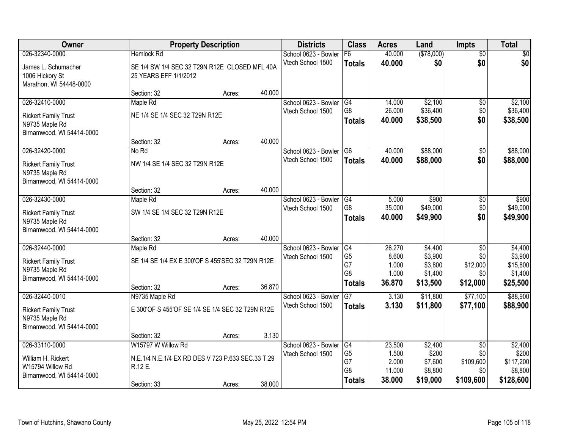| Owner                                                                                        |                                                                                    | <b>Property Description</b> |        | <b>Districts</b>                          | <b>Class</b>                     | <b>Acres</b>                       | Land                                   | <b>Impts</b>                               | <b>Total</b>                             |
|----------------------------------------------------------------------------------------------|------------------------------------------------------------------------------------|-----------------------------|--------|-------------------------------------------|----------------------------------|------------------------------------|----------------------------------------|--------------------------------------------|------------------------------------------|
| 026-32340-0000                                                                               | <b>Hemlock Rd</b>                                                                  |                             |        | School 0623 - Bowler                      | F6                               | 40.000                             | (\$78,000)                             | $\overline{50}$                            | \$0                                      |
| James L. Schumacher<br>1006 Hickory St<br>Marathon, WI 54448-0000                            | SE 1/4 SW 1/4 SEC 32 T29N R12E CLOSED MFL 40A<br>25 YEARS EFF 1/1/2012             |                             |        | Vtech School 1500                         | <b>Totals</b>                    | 40.000                             | \$0                                    | \$0                                        | \$0                                      |
|                                                                                              | Section: 32                                                                        | Acres:                      | 40.000 |                                           |                                  |                                    |                                        |                                            |                                          |
| 026-32410-0000                                                                               | Maple Rd                                                                           |                             |        | School 0623 - Bowler                      | G4                               | 14.000                             | \$2,100                                | $\overline{60}$                            | \$2,100                                  |
| <b>Rickert Family Trust</b><br>N9735 Maple Rd                                                | NE 1/4 SE 1/4 SEC 32 T29N R12E                                                     |                             |        | Vtech School 1500                         | G <sub>8</sub><br><b>Totals</b>  | 26.000<br>40.000                   | \$36,400<br>\$38,500                   | \$0<br>\$0                                 | \$36,400<br>\$38,500                     |
| Birnamwood, WI 54414-0000                                                                    | Section: 32                                                                        | Acres:                      | 40.000 |                                           |                                  |                                    |                                        |                                            |                                          |
| 026-32420-0000                                                                               | No Rd                                                                              |                             |        | School 0623 - Bowler                      | G <sub>6</sub>                   | 40.000                             | \$88,000                               | $\overline{50}$                            | \$88,000                                 |
| <b>Rickert Family Trust</b><br>N9735 Maple Rd<br>Birnamwood, WI 54414-0000                   | NW 1/4 SE 1/4 SEC 32 T29N R12E                                                     |                             |        | Vtech School 1500                         | <b>Totals</b>                    | 40.000                             | \$88,000                               | \$0                                        | \$88,000                                 |
|                                                                                              | Section: 32                                                                        | Acres:                      | 40.000 |                                           |                                  |                                    |                                        |                                            |                                          |
| 026-32430-0000                                                                               | Maple Rd                                                                           |                             |        | School 0623 - Bowler                      | G4                               | 5.000                              | \$900                                  | \$0                                        | \$900                                    |
| <b>Rickert Family Trust</b><br>N9735 Maple Rd<br>Birnamwood, WI 54414-0000                   | SW 1/4 SE 1/4 SEC 32 T29N R12E                                                     |                             |        | Vtech School 1500                         | G8<br><b>Totals</b>              | 35.000<br>40.000                   | \$49,000<br>\$49,900                   | \$0<br>\$0                                 | \$49,000<br>\$49,900                     |
|                                                                                              | Section: 32                                                                        | Acres:                      | 40.000 |                                           |                                  |                                    |                                        |                                            |                                          |
| 026-32440-0000                                                                               | Maple Rd                                                                           |                             |        | School 0623 - Bowler<br>Vtech School 1500 | G4<br>G <sub>5</sub>             | 26.270<br>8.600                    | \$4,400<br>\$3,900                     | $\overline{50}$<br>\$0                     | \$4,400<br>\$3,900                       |
| <b>Rickert Family Trust</b><br>N9735 Maple Rd<br>Birnamwood, WI 54414-0000                   | SE 1/4 SE 1/4 EX E 300'OF S 455'SEC 32 T29N R12E                                   |                             |        |                                           | G7<br>G8<br><b>Totals</b>        | 1.000<br>1.000<br>36.870           | \$3,800<br>\$1,400<br>\$13,500         | \$12,000<br>\$0<br>\$12,000                | \$15,800<br>\$1,400<br>\$25,500          |
|                                                                                              | Section: 32                                                                        | Acres:                      | 36.870 |                                           |                                  |                                    |                                        |                                            |                                          |
| 026-32440-0010<br><b>Rickert Family Trust</b><br>N9735 Maple Rd<br>Birnamwood, WI 54414-0000 | N9735 Maple Rd<br>E 300'OF S 455'OF SE 1/4 SE 1/4 SEC 32 T29N R12E                 |                             |        | School 0623 - Bowler<br>Vtech School 1500 | $\overline{G}$<br><b>Totals</b>  | 3.130<br>3.130                     | \$11,800<br>\$11,800                   | \$77,100<br>\$77,100                       | \$88,900<br>\$88,900                     |
|                                                                                              | Section: 32                                                                        | Acres:                      | 3.130  |                                           |                                  |                                    |                                        |                                            |                                          |
| 026-33110-0000<br>William H. Rickert<br>W15794 Willow Rd                                     | W15797 W Willow Rd<br>N.E.1/4 N.E.1/4 EX RD DES V 723 P.633 SEC.33 T.29<br>R.12 E. |                             |        | School 0623 - Bowler<br>Vtech School 1500 | G4<br>G <sub>5</sub><br>G7<br>G8 | 23.500<br>1.500<br>2.000<br>11.000 | \$2,400<br>\$200<br>\$7,600<br>\$8,800 | $\overline{50}$<br>\$0<br>\$109,600<br>\$0 | \$2,400<br>\$200<br>\$117,200<br>\$8,800 |
| Birnamwood, WI 54414-0000                                                                    | Section: 33                                                                        | Acres:                      | 38.000 |                                           | <b>Totals</b>                    | 38.000                             | \$19,000                               | \$109,600                                  | \$128,600                                |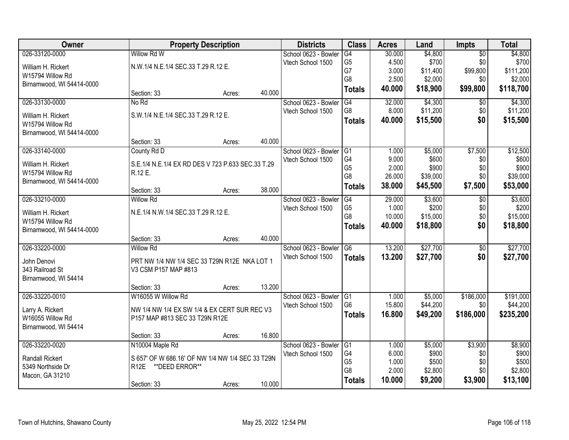| Owner                     |                                                   | <b>Property Description</b> |        | <b>Districts</b>     | <b>Class</b>    | <b>Acres</b> | Land     | <b>Impts</b>    | <b>Total</b> |
|---------------------------|---------------------------------------------------|-----------------------------|--------|----------------------|-----------------|--------------|----------|-----------------|--------------|
| 026-33120-0000            | Willow Rd W                                       |                             |        | School 0623 - Bowler | G4              | 30.000       | \$4,800  | $\overline{30}$ | \$4,800      |
| William H. Rickert        | N.W.1/4 N.E.1/4 SEC.33 T.29 R.12 E.               |                             |        | Vtech School 1500    | G <sub>5</sub>  | 4.500        | \$700    | \$0             | \$700        |
| W15794 Willow Rd          |                                                   |                             |        |                      | G7              | 3.000        | \$11,400 | \$99,800        | \$111,200    |
| Birnamwood, WI 54414-0000 |                                                   |                             |        |                      | G <sub>8</sub>  | 2.500        | \$2,000  | \$0             | \$2,000      |
|                           | Section: 33                                       | Acres:                      | 40.000 |                      | <b>Totals</b>   | 40.000       | \$18,900 | \$99,800        | \$118,700    |
| 026-33130-0000            | No Rd                                             |                             |        | School 0623 - Bowler | G4              | 32.000       | \$4,300  | \$0             | \$4,300      |
| William H. Rickert        | S.W.1/4 N.E.1/4 SEC.33 T.29 R.12 E.               |                             |        | Vtech School 1500    | G <sub>8</sub>  | 8.000        | \$11,200 | \$0             | \$11,200     |
| W15794 Willow Rd          |                                                   |                             |        |                      | <b>Totals</b>   | 40.000       | \$15,500 | \$0             | \$15,500     |
| Birnamwood, WI 54414-0000 |                                                   |                             |        |                      |                 |              |          |                 |              |
|                           | Section: 33                                       | Acres:                      | 40.000 |                      |                 |              |          |                 |              |
| 026-33140-0000            | County Rd D                                       |                             |        | School 0623 - Bowler | $\overline{G1}$ | 1.000        | \$5,000  | \$7,500         | \$12,500     |
| William H. Rickert        | S.E.1/4 N.E.1/4 EX RD DES V 723 P.633 SEC.33 T.29 |                             |        | Vtech School 1500    | G4              | 9.000        | \$600    | \$0             | \$600        |
| W15794 Willow Rd          | R.12 E.                                           |                             |        |                      | G <sub>5</sub>  | 2.000        | \$900    | \$0             | \$900        |
| Birnamwood, WI 54414-0000 |                                                   |                             |        |                      | G <sub>8</sub>  | 26.000       | \$39,000 | \$0             | \$39,000     |
|                           | Section: 33                                       | Acres:                      | 38.000 |                      | <b>Totals</b>   | 38.000       | \$45,500 | \$7,500         | \$53,000     |
| 026-33210-0000            | <b>Willow Rd</b>                                  |                             |        | School 0623 - Bowler | G4              | 29.000       | \$3,600  | $\overline{50}$ | \$3,600      |
| William H. Rickert        | N.E.1/4 N.W.1/4 SEC.33 T.29 R.12 E.               |                             |        | Vtech School 1500    | G <sub>5</sub>  | 1.000        | \$200    | \$0             | \$200        |
| W15794 Willow Rd          |                                                   |                             |        |                      | G <sub>8</sub>  | 10.000       | \$15,000 | \$0             | \$15,000     |
| Birnamwood, WI 54414-0000 |                                                   |                             |        |                      | <b>Totals</b>   | 40.000       | \$18,800 | \$0             | \$18,800     |
|                           | Section: 33                                       | Acres:                      | 40.000 |                      |                 |              |          |                 |              |
| 026-33220-0000            | <b>Willow Rd</b>                                  |                             |        | School 0623 - Bowler | G6              | 13.200       | \$27,700 | $\overline{50}$ | \$27,700     |
| John Denovi               | PRT NW 1/4 NW 1/4 SEC 33 T29N R12E NKA LOT 1      |                             |        | Vtech School 1500    | <b>Totals</b>   | 13.200       | \$27,700 | \$0             | \$27,700     |
| 343 Railroad St           | V3 CSM P157 MAP #813                              |                             |        |                      |                 |              |          |                 |              |
| Birnamwood, WI 54414      |                                                   |                             |        |                      |                 |              |          |                 |              |
|                           | Section: 33                                       | Acres:                      | 13.200 |                      |                 |              |          |                 |              |
| 026-33220-0010            | W16055 W Willow Rd                                |                             |        | School 0623 - Bowler | $\sqrt{G1}$     | 1.000        | \$5,000  | \$186,000       | \$191,000    |
| Larry A. Rickert          | NW 1/4 NW 1/4 EX SW 1/4 & EX CERT SUR REC V3      |                             |        | Vtech School 1500    | G <sub>6</sub>  | 15.800       | \$44,200 | \$0             | \$44,200     |
| W16055 Willow Rd          | P157 MAP #813 SEC 33 T29N R12E                    |                             |        |                      | <b>Totals</b>   | 16.800       | \$49,200 | \$186,000       | \$235,200    |
| Birnamwood, WI 54414      |                                                   |                             |        |                      |                 |              |          |                 |              |
|                           | Section: 33                                       | Acres:                      | 16.800 |                      |                 |              |          |                 |              |
| 026-33220-0020            | N10004 Maple Rd                                   |                             |        | School 0623 - Bowler | G1              | 1.000        | \$5,000  | \$3,900         | \$8,900      |
| <b>Randall Rickert</b>    | S 657' OF W 686.16' OF NW 1/4 NW 1/4 SEC 33 T29N  |                             |        | Vtech School 1500    | G4              | 6.000        | \$900    | \$0             | \$900        |
| 5349 Northside Dr         | **DEED ERROR**<br>R <sub>12</sub> E               |                             |        |                      | G <sub>5</sub>  | 1.000        | \$500    | \$0             | \$500        |
| Macon, GA 31210           |                                                   |                             |        |                      | G8              | 2.000        | \$2,800  | \$0             | \$2,800      |
|                           | Section: 33                                       | Acres:                      | 10.000 |                      | <b>Totals</b>   | 10.000       | \$9,200  | \$3,900         | \$13,100     |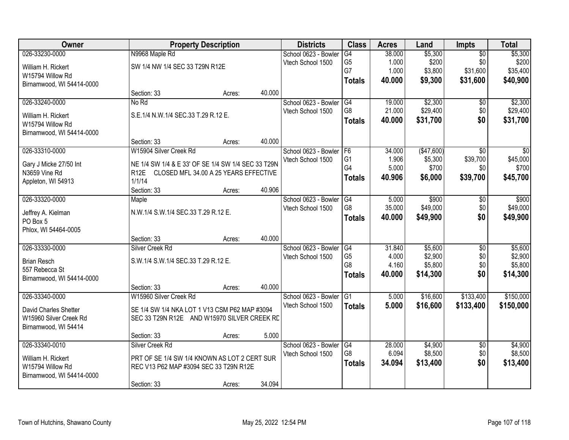| Owner                     |                                                    | <b>Property Description</b>           |        | <b>Districts</b>          | <b>Class</b>    | <b>Acres</b> | Land        | <b>Impts</b>    | <b>Total</b> |
|---------------------------|----------------------------------------------------|---------------------------------------|--------|---------------------------|-----------------|--------------|-------------|-----------------|--------------|
| 026-33230-0000            | N9968 Maple Rd                                     |                                       |        | School 0623 - Bowler      | $\overline{G4}$ | 38.000       | \$5,300     | $\overline{50}$ | \$5,300      |
| William H. Rickert        | SW 1/4 NW 1/4 SEC 33 T29N R12E                     |                                       |        | Vtech School 1500         | G <sub>5</sub>  | 1.000        | \$200       | \$0             | \$200        |
| W15794 Willow Rd          |                                                    |                                       |        |                           | G7              | 1.000        | \$3,800     | \$31,600        | \$35,400     |
| Birnamwood, WI 54414-0000 |                                                    |                                       |        |                           | <b>Totals</b>   | 40.000       | \$9,300     | \$31,600        | \$40,900     |
|                           | Section: 33                                        | Acres:                                | 40.000 |                           |                 |              |             |                 |              |
| 026-33240-0000            | No Rd                                              |                                       |        | School 0623 - Bowler      | G4              | 19.000       | \$2,300     | \$0             | \$2,300      |
| William H. Rickert        | S.E.1/4 N.W.1/4 SEC.33 T.29 R.12 E.                |                                       |        | Vtech School 1500         | G8              | 21.000       | \$29,400    | \$0             | \$29,400     |
| W15794 Willow Rd          |                                                    |                                       |        |                           | <b>Totals</b>   | 40.000       | \$31,700    | \$0             | \$31,700     |
| Birnamwood, WI 54414-0000 |                                                    |                                       |        |                           |                 |              |             |                 |              |
|                           | Section: 33                                        | Acres:                                | 40.000 |                           |                 |              |             |                 |              |
| 026-33310-0000            | W15904 Silver Creek Rd                             |                                       |        | School 0623 - Bowler   F6 |                 | 34.000       | ( \$47,600) | \$0             | \$0          |
| Gary J Micke 27/50 Int    | NE 1/4 SW 1/4 & E 33' OF SE 1/4 SW 1/4 SEC 33 T29N |                                       |        | Vtech School 1500         | G <sub>1</sub>  | 1.906        | \$5,300     | \$39,700        | \$45,000     |
| N3659 Vine Rd             | R <sub>12E</sub>                                   | CLOSED MFL 34.00 A 25 YEARS EFFECTIVE |        |                           | G4              | 5.000        | \$700       | \$0             | \$700        |
| Appleton, WI 54913        | 1/1/14                                             |                                       |        |                           | <b>Totals</b>   | 40.906       | \$6,000     | \$39,700        | \$45,700     |
|                           | Section: 33                                        | Acres:                                | 40.906 |                           |                 |              |             |                 |              |
| 026-33320-0000            | Maple                                              |                                       |        | School 0623 - Bowler      | G4              | 5.000        | \$900       | $\sqrt[6]{}$    | \$900        |
| Jeffrey A. Kielman        | N.W.1/4 S.W.1/4 SEC.33 T.29 R.12 E.                |                                       |        | Vtech School 1500         | G8              | 35.000       | \$49,000    | \$0             | \$49,000     |
| PO Box 5                  |                                                    |                                       |        |                           | <b>Totals</b>   | 40.000       | \$49,900    | \$0             | \$49,900     |
| Phlox, WI 54464-0005      |                                                    |                                       |        |                           |                 |              |             |                 |              |
|                           | Section: 33                                        | Acres:                                | 40.000 |                           |                 |              |             |                 |              |
| 026-33330-0000            | Silver Creek Rd                                    |                                       |        | School 0623 - Bowler      | G4              | 31.840       | \$5,600     | $\overline{50}$ | \$5,600      |
| <b>Brian Resch</b>        | S.W.1/4 S.W.1/4 SEC.33 T.29 R.12 E.                |                                       |        | Vtech School 1500         | G <sub>5</sub>  | 4.000        | \$2,900     | \$0             | \$2,900      |
| 557 Rebecca St            |                                                    |                                       |        |                           | G8              | 4.160        | \$5,800     | \$0             | \$5,800      |
| Birnamwood, WI 54414-0000 |                                                    |                                       |        |                           | <b>Totals</b>   | 40.000       | \$14,300    | \$0             | \$14,300     |
|                           | Section: 33                                        | Acres:                                | 40.000 |                           |                 |              |             |                 |              |
| 026-33340-0000            | W15960 Silver Creek Rd                             |                                       |        | School 0623 - Bowler      | G1              | 5.000        | \$16,600    | \$133,400       | \$150,000    |
| David Charles Shetter     | SE 1/4 SW 1/4 NKA LOT 1 V13 CSM P62 MAP #3094      |                                       |        | Vtech School 1500         | <b>Totals</b>   | 5.000        | \$16,600    | \$133,400       | \$150,000    |
| W15960 Silver Creek Rd    | SEC 33 T29N R12E AND W15970 SILVER CREEK RD        |                                       |        |                           |                 |              |             |                 |              |
| Birnamwood, WI 54414      |                                                    |                                       |        |                           |                 |              |             |                 |              |
|                           | Section: 33                                        | Acres:                                | 5.000  |                           |                 |              |             |                 |              |
| 026-33340-0010            | Silver Creek Rd                                    |                                       |        | School 0623 - Bowler      | G4              | 28.000       | \$4,900     | $\overline{50}$ | \$4,900      |
| William H. Rickert        | PRT OF SE 1/4 SW 1/4 KNOWN AS LOT 2 CERT SUR       |                                       |        | Vtech School 1500         | G8              | 6.094        | \$8,500     | \$0             | \$8,500      |
| W15794 Willow Rd          | REC V13 P62 MAP #3094 SEC 33 T29N R12E             |                                       |        |                           | <b>Totals</b>   | 34.094       | \$13,400    | \$0             | \$13,400     |
| Birnamwood, WI 54414-0000 |                                                    |                                       |        |                           |                 |              |             |                 |              |
|                           | Section: 33                                        | Acres:                                | 34.094 |                           |                 |              |             |                 |              |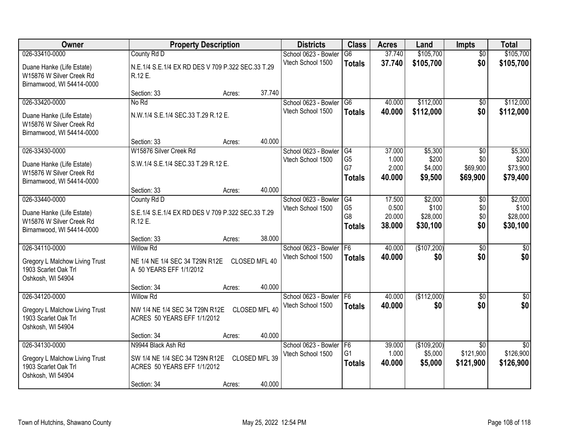| Owner                                                                              |                                                              | <b>Property Description</b> |               | <b>Districts</b>                               | <b>Class</b>                     | <b>Acres</b>    | Land                   | <b>Impts</b>                 | <b>Total</b>                 |
|------------------------------------------------------------------------------------|--------------------------------------------------------------|-----------------------------|---------------|------------------------------------------------|----------------------------------|-----------------|------------------------|------------------------------|------------------------------|
| 026-33410-0000                                                                     | County Rd D                                                  |                             |               | School 0623 - Bowler                           | $\overline{G6}$                  | 37.740          | \$105,700              | $\overline{50}$              | \$105,700                    |
| Duane Hanke (Life Estate)<br>W15876 W Silver Creek Rd<br>Birnamwood, WI 54414-0000 | N.E.1/4 S.E.1/4 EX RD DES V 709 P.322 SEC.33 T.29<br>R.12 E. |                             |               | Vtech School 1500                              | <b>Totals</b>                    | 37.740          | \$105,700              | \$0                          | \$105,700                    |
|                                                                                    | Section: 33                                                  | Acres:                      | 37.740        |                                                |                                  |                 |                        |                              |                              |
| 026-33420-0000                                                                     | No Rd                                                        |                             |               | School 0623 - Bowler                           | $\overline{G6}$                  | 40.000          | \$112,000              | $\overline{50}$              | \$112,000                    |
| Duane Hanke (Life Estate)<br>W15876 W Silver Creek Rd<br>Birnamwood, WI 54414-0000 | N.W.1/4 S.E.1/4 SEC.33 T.29 R.12 E.                          |                             |               | Vtech School 1500                              | <b>Totals</b>                    | 40.000          | \$112,000              | \$0                          | \$112,000                    |
|                                                                                    | Section: 33                                                  | Acres:                      | 40.000        |                                                |                                  |                 |                        |                              |                              |
| 026-33430-0000                                                                     | W15876 Silver Creek Rd                                       |                             |               | School 0623 - Bowler                           | G4                               | 37.000          | \$5,300                | \$0                          | \$5,300                      |
| Duane Hanke (Life Estate)                                                          | S.W.1/4 S.E.1/4 SEC.33 T.29 R.12 E.                          |                             |               | Vtech School 1500                              | G <sub>5</sub><br>G7             | 1.000<br>2.000  | \$200<br>\$4,000       | \$0<br>\$69,900              | \$200<br>\$73,900            |
| W15876 W Silver Creek Rd                                                           |                                                              |                             |               |                                                | <b>Totals</b>                    | 40.000          | \$9,500                | \$69,900                     | \$79,400                     |
| Birnamwood, WI 54414-0000                                                          |                                                              |                             |               |                                                |                                  |                 |                        |                              |                              |
|                                                                                    | Section: 33                                                  | Acres:                      | 40.000        |                                                |                                  |                 |                        |                              |                              |
| 026-33440-0000                                                                     | County Rd D                                                  |                             |               | School 0623 - Bowler                           | G4                               | 17.500          | \$2,000                | \$0                          | \$2,000                      |
| Duane Hanke (Life Estate)                                                          | S.E.1/4 S.E.1/4 EX RD DES V 709 P.322 SEC.33 T.29            |                             |               | Vtech School 1500                              | G <sub>5</sub><br>G <sub>8</sub> | 0.500<br>20.000 | \$100<br>\$28,000      | \$0<br>\$0                   | \$100<br>\$28,000            |
| W15876 W Silver Creek Rd                                                           | R.12 E.                                                      |                             |               |                                                | <b>Totals</b>                    | 38.000          | \$30,100               | \$0                          | \$30,100                     |
| Birnamwood, WI 54414-0000                                                          |                                                              |                             |               |                                                |                                  |                 |                        |                              |                              |
|                                                                                    | Section: 33                                                  | Acres:                      | 38.000        |                                                |                                  |                 |                        |                              |                              |
| 026-34110-0000                                                                     | <b>Willow Rd</b>                                             |                             |               | School 0623 - Bowler                           | F6                               | 40.000          | (\$107,200)            | $\overline{50}$              | $\overline{50}$              |
| <b>Gregory L Malchow Living Trust</b>                                              | NE 1/4 NE 1/4 SEC 34 T29N R12E                               |                             | CLOSED MFL 40 | Vtech School 1500                              | <b>Totals</b>                    | 40.000          | \$0                    | \$0                          | \$0                          |
| 1903 Scarlet Oak Trl                                                               | A 50 YEARS EFF 1/1/2012                                      |                             |               |                                                |                                  |                 |                        |                              |                              |
| Oshkosh, WI 54904                                                                  |                                                              |                             |               |                                                |                                  |                 |                        |                              |                              |
|                                                                                    | Section: 34                                                  | Acres:                      | 40.000        |                                                |                                  |                 |                        |                              |                              |
| 026-34120-0000                                                                     | <b>Willow Rd</b>                                             |                             |               | School 0623 - Bowler   F6<br>Vtech School 1500 |                                  | 40.000          | (\$112,000)            | $\overline{50}$<br>\$0       | $\overline{\$0}$<br>\$0      |
| Gregory L Malchow Living Trust                                                     | NW 1/4 NE 1/4 SEC 34 T29N R12E                               |                             | CLOSED MFL 40 |                                                | <b>Totals</b>                    | 40.000          | \$0                    |                              |                              |
| 1903 Scarlet Oak Trl                                                               | ACRES 50 YEARS EFF 1/1/2012                                  |                             |               |                                                |                                  |                 |                        |                              |                              |
| Oshkosh, WI 54904                                                                  |                                                              |                             |               |                                                |                                  |                 |                        |                              |                              |
|                                                                                    | Section: 34                                                  | Acres:                      | 40.000        |                                                |                                  |                 |                        |                              |                              |
| 026-34130-0000                                                                     | N9944 Black Ash Rd                                           |                             |               | School 0623 - Bowler<br>Vtech School 1500      | F <sub>6</sub><br>G <sub>1</sub> | 39.000<br>1.000 | (\$109,200)<br>\$5,000 | $\overline{30}$<br>\$121,900 | $\overline{50}$<br>\$126,900 |
| Gregory L Malchow Living Trust                                                     | SW 1/4 NE 1/4 SEC 34 T29N R12E                               |                             | CLOSED MFL 39 |                                                | <b>Totals</b>                    | 40.000          | \$5,000                | \$121,900                    | \$126,900                    |
| 1903 Scarlet Oak Trl                                                               | ACRES 50 YEARS EFF 1/1/2012                                  |                             |               |                                                |                                  |                 |                        |                              |                              |
| Oshkosh, WI 54904                                                                  |                                                              |                             | 40.000        |                                                |                                  |                 |                        |                              |                              |
|                                                                                    | Section: 34                                                  | Acres:                      |               |                                                |                                  |                 |                        |                              |                              |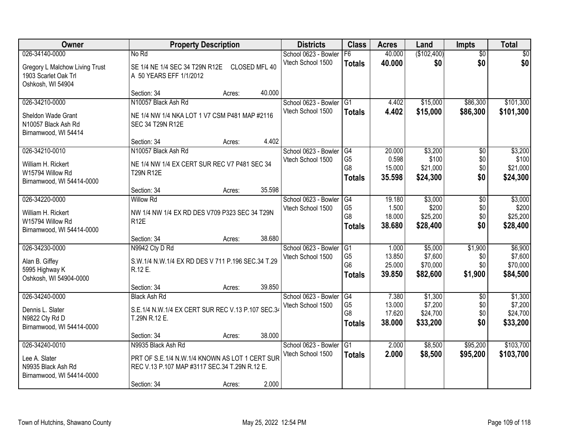| Owner                                                                                 |                                                                                                                                      | <b>Property Description</b> |               | <b>Districts</b>                          | <b>Class</b>                                            | <b>Acres</b>                        | Land                                       | <b>Impts</b>                         | <b>Total</b>                               |
|---------------------------------------------------------------------------------------|--------------------------------------------------------------------------------------------------------------------------------------|-----------------------------|---------------|-------------------------------------------|---------------------------------------------------------|-------------------------------------|--------------------------------------------|--------------------------------------|--------------------------------------------|
| 026-34140-0000                                                                        | No Rd                                                                                                                                |                             |               | School 0623 - Bowler                      | F6                                                      | 40.000                              | (\$102,400)                                | $\overline{50}$                      | \$0                                        |
| <b>Gregory L Malchow Living Trust</b><br>1903 Scarlet Oak Trl<br>Oshkosh, WI 54904    | SE 1/4 NE 1/4 SEC 34 T29N R12E<br>A 50 YEARS EFF 1/1/2012                                                                            |                             | CLOSED MFL 40 | Vtech School 1500                         | <b>Totals</b>                                           | 40.000                              | \$0                                        | \$0                                  | \$0                                        |
|                                                                                       | Section: 34                                                                                                                          | Acres:                      | 40.000        |                                           |                                                         |                                     |                                            |                                      |                                            |
| 026-34210-0000<br>Sheldon Wade Grant<br>N10057 Black Ash Rd<br>Birnamwood, WI 54414   | N10057 Black Ash Rd<br>NE 1/4 NW 1/4 NKA LOT 1 V7 CSM P481 MAP #2116<br>SEC 34 T29N R12E                                             |                             |               | School 0623 - Bowler<br>Vtech School 1500 | $\overline{G1}$<br><b>Totals</b>                        | 4.402<br>4.402                      | \$15,000<br>\$15,000                       | \$86,300<br>\$86,300                 | \$101,300<br>\$101,300                     |
|                                                                                       | Section: 34                                                                                                                          | Acres:                      | 4.402         |                                           |                                                         |                                     |                                            |                                      |                                            |
| 026-34210-0010<br>William H. Rickert<br>W15794 Willow Rd<br>Birnamwood, WI 54414-0000 | N10057 Black Ash Rd<br>NE 1/4 NW 1/4 EX CERT SUR REC V7 P481 SEC 34<br><b>T29N R12E</b>                                              |                             |               | School 0623 - Bowler<br>Vtech School 1500 | G4<br>G <sub>5</sub><br>G <sub>8</sub><br><b>Totals</b> | 20.000<br>0.598<br>15.000<br>35.598 | \$3,200<br>\$100<br>\$21,000<br>\$24,300   | \$0<br>\$0<br>\$0<br>\$0             | \$3,200<br>\$100<br>\$21,000<br>\$24,300   |
|                                                                                       | Section: 34                                                                                                                          | Acres:                      | 35.598        |                                           |                                                         |                                     |                                            |                                      |                                            |
| 026-34220-0000<br>William H. Rickert<br>W15794 Willow Rd<br>Birnamwood, WI 54414-0000 | <b>Willow Rd</b><br>NW 1/4 NW 1/4 EX RD DES V709 P323 SEC 34 T29N<br><b>R12E</b>                                                     |                             |               | School 0623 - Bowler<br>Vtech School 1500 | G4<br>G <sub>5</sub><br>G8<br><b>Totals</b>             | 19.180<br>1.500<br>18.000<br>38.680 | \$3,000<br>\$200<br>\$25,200<br>\$28,400   | $\sqrt[6]{3}$<br>\$0<br>\$0<br>\$0   | \$3,000<br>\$200<br>\$25,200<br>\$28,400   |
|                                                                                       | Section: 34                                                                                                                          | Acres:                      | 38.680        |                                           |                                                         |                                     |                                            |                                      |                                            |
| 026-34230-0000<br>Alan B. Giffey<br>5995 Highway K<br>Oshkosh, WI 54904-0000          | N9942 Cty D Rd<br>S.W.1/4 N.W.1/4 EX RD DES V 711 P.196 SEC.34 T.29<br>R.12 E.                                                       |                             |               | School 0623 - Bowler<br>Vtech School 1500 | G1<br>G <sub>5</sub><br>G <sub>6</sub><br><b>Totals</b> | 1.000<br>13.850<br>25.000<br>39.850 | \$5,000<br>\$7,600<br>\$70,000<br>\$82,600 | \$1,900<br>\$0<br>\$0<br>\$1,900     | \$6,900<br>\$7,600<br>\$70,000<br>\$84,500 |
|                                                                                       | Section: 34                                                                                                                          | Acres:                      | 39.850        |                                           |                                                         |                                     |                                            |                                      |                                            |
| 026-34240-0000<br>Dennis L. Slater<br>N9822 Cty Rd D<br>Birnamwood, WI 54414-0000     | <b>Black Ash Rd</b><br>S.E.1/4 N.W.1/4 EX CERT SUR REC V.13 P.107 SEC.34<br>T.29N R.12 E.                                            |                             |               | School 0623 - Bowler<br>Vtech School 1500 | G4<br>G <sub>5</sub><br>G <sub>8</sub><br><b>Totals</b> | 7.380<br>13.000<br>17.620<br>38.000 | \$1,300<br>\$7,200<br>\$24,700<br>\$33,200 | $\overline{50}$<br>\$0<br>\$0<br>\$0 | \$1,300<br>\$7,200<br>\$24,700<br>\$33,200 |
|                                                                                       | Section: 34                                                                                                                          | Acres:                      | 38.000        |                                           |                                                         |                                     |                                            |                                      |                                            |
| 026-34240-0010<br>Lee A. Slater<br>N9935 Black Ash Rd<br>Birnamwood, WI 54414-0000    | N9935 Black Ash Rd<br>PRT OF S.E.1/4 N.W.1/4 KNOWN AS LOT 1 CERT SUR<br>REC V.13 P.107 MAP #3117 SEC.34 T.29N R.12 E.<br>Section: 34 | Acres:                      | 2.000         | School 0623 - Bowler<br>Vtech School 1500 | G1<br><b>Totals</b>                                     | 2.000<br>2.000                      | \$8,500<br>\$8,500                         | \$95,200<br>\$95,200                 | \$103,700<br>\$103,700                     |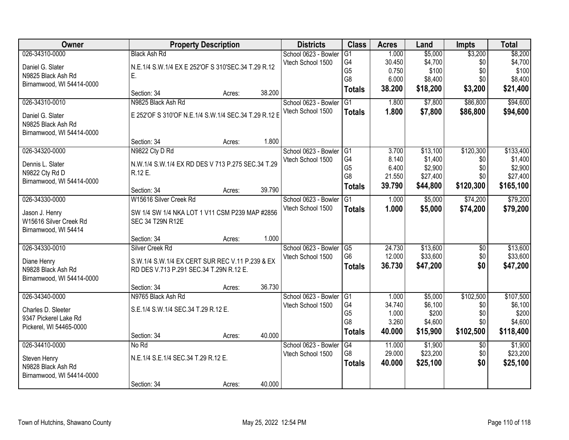| Owner                                           |                                                      | <b>Property Description</b> |        | <b>Districts</b>        | <b>Class</b>    | <b>Acres</b> | Land                | <b>Impts</b>           | <b>Total</b> |
|-------------------------------------------------|------------------------------------------------------|-----------------------------|--------|-------------------------|-----------------|--------------|---------------------|------------------------|--------------|
| 026-34310-0000                                  | <b>Black Ash Rd</b>                                  |                             |        | School 0623 - Bowler    | G1              | 1.000        | \$5,000             | \$3,200                | \$8,200      |
| Daniel G. Slater                                | N.E.1/4 S.W.1/4 EX E 252'OF S 310'SEC.34 T.29 R.12   |                             |        | Vtech School 1500       | G <sub>4</sub>  | 30.450       | \$4,700             | \$0                    | \$4,700      |
| N9825 Black Ash Rd                              | Е.                                                   |                             |        |                         | G <sub>5</sub>  | 0.750        | \$100               | \$0                    | \$100        |
| Birnamwood, WI 54414-0000                       |                                                      |                             |        |                         | G <sub>8</sub>  | 6.000        | \$8,400             | \$0                    | \$8,400      |
|                                                 | Section: 34                                          | Acres:                      | 38.200 |                         | <b>Totals</b>   | 38.200       | \$18,200            | \$3,200                | \$21,400     |
| 026-34310-0010                                  | N9825 Black Ash Rd                                   |                             |        | School 0623 - Bowler    | G1              | 1.800        | \$7,800             | \$86,800               | \$94,600     |
| Daniel G. Slater                                | E 252'OF S 310'OF N.E.1/4 S.W.1/4 SEC.34 T.29 R.12 E |                             |        | Vtech School 1500       | <b>Totals</b>   | 1.800        | \$7,800             | \$86,800               | \$94,600     |
| N9825 Black Ash Rd                              |                                                      |                             |        |                         |                 |              |                     |                        |              |
| Birnamwood, WI 54414-0000                       |                                                      |                             |        |                         |                 |              |                     |                        |              |
|                                                 | Section: 34                                          | Acres:                      | 1.800  |                         |                 |              |                     |                        |              |
| 026-34320-0000                                  | N9822 Cty D Rd                                       |                             |        | School 0623 - Bowler G1 |                 | 3.700        | \$13,100            | \$120,300              | \$133,400    |
| Dennis L. Slater                                | N.W.1/4 S.W.1/4 EX RD DES V 713 P.275 SEC.34 T.29    |                             |        | Vtech School 1500       | G4              | 8.140        | \$1,400             | \$0                    | \$1,400      |
| N9822 Cty Rd D                                  | R.12 E.                                              |                             |        |                         | G <sub>5</sub>  | 6.400        | \$2,900             | \$0                    | \$2,900      |
| Birnamwood, WI 54414-0000                       |                                                      |                             |        |                         | G <sub>8</sub>  | 21.550       | \$27,400            | \$0                    | \$27,400     |
|                                                 | Section: 34                                          | Acres:                      | 39.790 |                         | <b>Totals</b>   | 39.790       | \$44,800            | \$120,300              | \$165,100    |
| 026-34330-0000                                  | W15616 Silver Creek Rd                               |                             |        | School 0623 - Bowler    | G1              | 1.000        | \$5,000             | \$74,200               | \$79,200     |
| Jason J. Henry                                  | SW 1/4 SW 1/4 NKA LOT 1 V11 CSM P239 MAP #2856       |                             |        | Vtech School 1500       | <b>Totals</b>   | 1.000        | \$5,000             | \$74,200               | \$79,200     |
| W15616 Silver Creek Rd                          | SEC 34 T29N R12E                                     |                             |        |                         |                 |              |                     |                        |              |
| Birnamwood, WI 54414                            |                                                      |                             |        |                         |                 |              |                     |                        |              |
|                                                 | Section: 34                                          | Acres:                      | 1.000  |                         |                 |              |                     |                        |              |
| 026-34330-0010                                  | Silver Creek Rd                                      |                             |        | School 0623 - Bowler    | G <sub>5</sub>  | 24.730       | \$13,600            | $\overline{50}$        | \$13,600     |
|                                                 |                                                      |                             |        | Vtech School 1500       | G <sub>6</sub>  | 12.000       | \$33,600            | \$0                    | \$33,600     |
| Diane Henry                                     | S.W.1/4 S.W.1/4 EX CERT SUR REC V.11 P.239 & EX      |                             |        |                         | <b>Totals</b>   | 36.730       | \$47,200            | \$0                    | \$47,200     |
| N9828 Black Ash Rd<br>Birnamwood, WI 54414-0000 | RD DES V.713 P.291 SEC.34 T.29N R.12 E.              |                             |        |                         |                 |              |                     |                        |              |
|                                                 | Section: 34                                          | Acres:                      | 36.730 |                         |                 |              |                     |                        |              |
| 026-34340-0000                                  | N9765 Black Ash Rd                                   |                             |        | School 0623 - Bowler    | $\overline{G1}$ | 1.000        | \$5,000             | \$102,500              | \$107,500    |
|                                                 |                                                      |                             |        | Vtech School 1500       | G4              | 34.740       | \$6,100             | \$0                    | \$6,100      |
| Charles D. Sleeter                              | S.E.1/4 S.W.1/4 SEC.34 T.29 R.12 E.                  |                             |        |                         | G <sub>5</sub>  | 1.000        | \$200               | \$0                    | \$200        |
| 9347 Pickerel Lake Rd                           |                                                      |                             |        |                         | G <sub>8</sub>  | 3.260        | \$4,600             | \$0                    | \$4,600      |
| Pickerel, WI 54465-0000                         |                                                      |                             |        |                         | <b>Totals</b>   | 40.000       | \$15,900            | \$102,500              | \$118,400    |
| 026-34410-0000                                  | Section: 34<br>No Rd                                 | Acres:                      | 40.000 | School 0623 - Bowler    | G4              | 11.000       |                     |                        | \$1,900      |
|                                                 |                                                      |                             |        | Vtech School 1500       | G <sub>8</sub>  | 29.000       | \$1,900<br>\$23,200 | $\overline{50}$<br>\$0 | \$23,200     |
| Steven Henry                                    | N.E.1/4 S.E.1/4 SEC.34 T.29 R.12 E.                  |                             |        |                         |                 | 40.000       | \$25,100            | \$0                    | \$25,100     |
| N9828 Black Ash Rd                              |                                                      |                             |        |                         | <b>Totals</b>   |              |                     |                        |              |
| Birnamwood, WI 54414-0000                       |                                                      |                             |        |                         |                 |              |                     |                        |              |
|                                                 | Section: 34                                          | Acres:                      | 40.000 |                         |                 |              |                     |                        |              |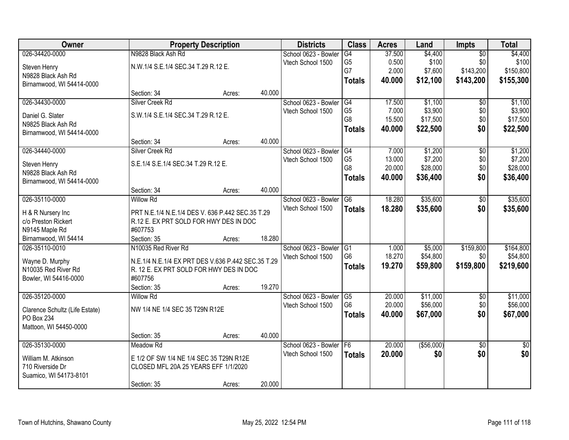| Owner                          |                                                    | <b>Property Description</b> |        | <b>Districts</b>     | <b>Class</b>   | <b>Acres</b> | Land        | Impts           | <b>Total</b>    |
|--------------------------------|----------------------------------------------------|-----------------------------|--------|----------------------|----------------|--------------|-------------|-----------------|-----------------|
| 026-34420-0000                 | N9828 Black Ash Rd                                 |                             |        | School 0623 - Bowler | G4             | 37.500       | \$4,400     | $\overline{50}$ | \$4,400         |
| Steven Henry                   | N.W.1/4 S.E.1/4 SEC.34 T.29 R.12 E.                |                             |        | Vtech School 1500    | G <sub>5</sub> | 0.500        | \$100       | \$0             | \$100           |
| N9828 Black Ash Rd             |                                                    |                             |        |                      | G7             | 2.000        | \$7,600     | \$143,200       | \$150,800       |
| Birnamwood, WI 54414-0000      |                                                    |                             |        |                      | <b>Totals</b>  | 40.000       | \$12,100    | \$143,200       | \$155,300       |
|                                | Section: 34                                        | Acres:                      | 40.000 |                      |                |              |             |                 |                 |
| 026-34430-0000                 | Silver Creek Rd                                    |                             |        | School 0623 - Bowler | G4             | 17.500       | \$1,100     | $\overline{50}$ | \$1,100         |
|                                |                                                    |                             |        | Vtech School 1500    | G <sub>5</sub> | 7.000        | \$3,900     | \$0             | \$3,900         |
| Daniel G. Slater               | S.W.1/4 S.E.1/4 SEC.34 T.29 R.12 E.                |                             |        |                      | G8             | 15.500       | \$17,500    | \$0             | \$17,500        |
| N9825 Black Ash Rd             |                                                    |                             |        |                      | <b>Totals</b>  | 40.000       | \$22,500    | \$0             | \$22,500        |
| Birnamwood, WI 54414-0000      | Section: 34                                        | Acres:                      | 40.000 |                      |                |              |             |                 |                 |
| 026-34440-0000                 | Silver Creek Rd                                    |                             |        | School 0623 - Bowler | G4             | 7.000        | \$1,200     | $\overline{50}$ | \$1,200         |
|                                |                                                    |                             |        | Vtech School 1500    | G <sub>5</sub> | 13.000       | \$7,200     | \$0             | \$7,200         |
| Steven Henry                   | S.E.1/4 S.E.1/4 SEC.34 T.29 R.12 E.                |                             |        |                      | G8             | 20.000       | \$28,000    | \$0             | \$28,000        |
| N9828 Black Ash Rd             |                                                    |                             |        |                      | <b>Totals</b>  | 40.000       | \$36,400    | \$0             | \$36,400        |
| Birnamwood, WI 54414-0000      |                                                    |                             |        |                      |                |              |             |                 |                 |
|                                | Section: 34                                        | Acres:                      | 40.000 |                      |                |              |             |                 |                 |
| 026-35110-0000                 | <b>Willow Rd</b>                                   |                             |        | School 0623 - Bowler | G6             | 18.280       | \$35,600    | \$0             | \$35,600        |
| H & R Nursery Inc              | PRT N.E.1/4 N.E.1/4 DES V. 636 P.442 SEC.35 T.29   |                             |        | Vtech School 1500    | <b>Totals</b>  | 18.280       | \$35,600    | \$0             | \$35,600        |
| c/o Preston Rickert            | R.12 E. EX PRT SOLD FOR HWY DES IN DOC             |                             |        |                      |                |              |             |                 |                 |
| N9145 Maple Rd                 | #607753                                            |                             |        |                      |                |              |             |                 |                 |
| Birnamwood, WI 54414           | Section: 35                                        | Acres:                      | 18.280 |                      |                |              |             |                 |                 |
| 026-35110-0010                 | N10035 Red River Rd                                |                             |        | School 0623 - Bowler | G1             | 1.000        | \$5,000     | \$159,800       | \$164,800       |
| Wayne D. Murphy                | N.E.1/4 N.E.1/4 EX PRT DES V.636 P.442 SEC.35 T.29 |                             |        | Vtech School 1500    | G <sub>6</sub> | 18.270       | \$54,800    | \$0             | \$54,800        |
| N10035 Red River Rd            | R. 12 E. EX PRT SOLD FOR HWY DES IN DOC            |                             |        |                      | <b>Totals</b>  | 19.270       | \$59,800    | \$159,800       | \$219,600       |
| Bowler, WI 54416-0000          | #607756                                            |                             |        |                      |                |              |             |                 |                 |
|                                | Section: 35                                        | Acres:                      | 19.270 |                      |                |              |             |                 |                 |
| 026-35120-0000                 | <b>Willow Rd</b>                                   |                             |        | School 0623 - Bowler | G5             | 20.000       | \$11,000    | $\sqrt{6}$      | \$11,000        |
|                                |                                                    |                             |        | Vtech School 1500    | G <sub>6</sub> | 20.000       | \$56,000    | \$0             | \$56,000        |
| Clarence Schultz (Life Estate) | NW 1/4 NE 1/4 SEC 35 T29N R12E                     |                             |        |                      | <b>Totals</b>  | 40.000       | \$67,000    | \$0             | \$67,000        |
| PO Box 234                     |                                                    |                             |        |                      |                |              |             |                 |                 |
| Mattoon, WI 54450-0000         |                                                    |                             |        |                      |                |              |             |                 |                 |
|                                | Section: 35                                        | Acres:                      | 40.000 |                      |                |              |             |                 |                 |
| 026-35130-0000                 | Meadow Rd                                          |                             |        | School 0623 - Bowler | F6             | 20.000       | ( \$56,000) | $\overline{50}$ | $\overline{50}$ |
| William M. Atkinson            | E 1/2 OF SW 1/4 NE 1/4 SEC 35 T29N R12E            |                             |        | Vtech School 1500    | <b>Totals</b>  | 20.000       | \$0         | \$0             | \$0             |
| 710 Riverside Dr               | CLOSED MFL 20A 25 YEARS EFF 1/1/2020               |                             |        |                      |                |              |             |                 |                 |
| Suamico, WI 54173-8101         |                                                    |                             |        |                      |                |              |             |                 |                 |
|                                | Section: 35                                        | Acres:                      | 20.000 |                      |                |              |             |                 |                 |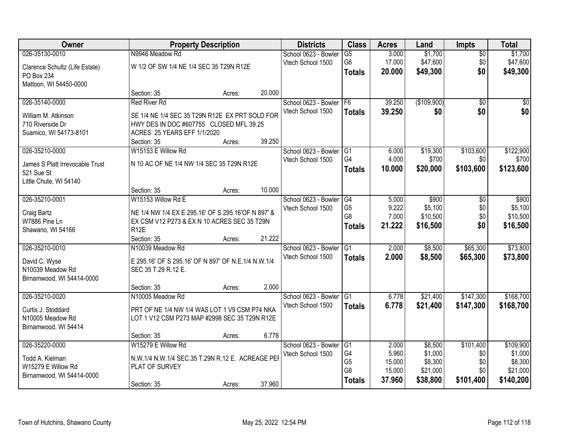| Owner                           |                                                     | <b>Property Description</b> |        | <b>Districts</b>     | <b>Class</b>    | <b>Acres</b> | Land        | <b>Impts</b>    | <b>Total</b> |
|---------------------------------|-----------------------------------------------------|-----------------------------|--------|----------------------|-----------------|--------------|-------------|-----------------|--------------|
| 026-35130-0010                  | N9946 Meadow Rd                                     |                             |        | School 0623 - Bowler | $\overline{G5}$ | 3.000        | \$1,700     | $\overline{50}$ | \$1,700      |
| Clarence Schultz (Life Estate)  | W 1/2 OF SW 1/4 NE 1/4 SEC 35 T29N R12E             |                             |        | Vtech School 1500    | G <sub>6</sub>  | 17.000       | \$47,600    | \$0             | \$47,600     |
| PO Box 234                      |                                                     |                             |        |                      | <b>Totals</b>   | 20.000       | \$49,300    | \$0             | \$49,300     |
| Mattoon, WI 54450-0000          |                                                     |                             |        |                      |                 |              |             |                 |              |
|                                 | Section: 35                                         | Acres:                      | 20.000 |                      |                 |              |             |                 |              |
| 026-35140-0000                  | <b>Red River Rd</b>                                 |                             |        | School 0623 - Bowler | F <sub>6</sub>  | 39.250       | (\$109,900) | $\overline{50}$ | \$0          |
| William M. Atkinson             | SE 1/4 NE 1/4 SEC 35 T29N R12E EX PRT SOLD FOR      |                             |        | Vtech School 1500    | <b>Totals</b>   | 39.250       | \$0         | \$0             | \$0          |
| 710 Riverside Dr                | HWY DES IN DOC #607755 CLOSED MFL 39.25             |                             |        |                      |                 |              |             |                 |              |
| Suamico, WI 54173-8101          | ACRES 25 YEARS EFF 1/1/2020                         |                             |        |                      |                 |              |             |                 |              |
|                                 | Section: 35                                         | Acres:                      | 39.250 |                      |                 |              |             |                 |              |
| 026-35210-0000                  | W15153 E Willow Rd                                  |                             |        | School 0623 - Bowler | G <sub>1</sub>  | 6.000        | \$19,300    | \$103,600       | \$122,900    |
| James S Platt Irrevocable Trust | N 10 AC OF NE 1/4 NW 1/4 SEC 35 T29N R12E           |                             |        | Vtech School 1500    | G4              | 4.000        | \$700       | \$0             | \$700        |
| 521 Sue St                      |                                                     |                             |        |                      | <b>Totals</b>   | 10.000       | \$20,000    | \$103,600       | \$123,600    |
| Little Chute, WI 54140          |                                                     |                             |        |                      |                 |              |             |                 |              |
|                                 | Section: 35                                         | Acres:                      | 10.000 |                      |                 |              |             |                 |              |
| 026-35210-0001                  | W15153 Willow Rd E                                  |                             |        | School 0623 - Bowler | G4              | 5.000        | \$900       | \$0             | \$900        |
| Craig Bartz                     | NE 1/4 NW 1/4 EX E 295.16' OF S 295.16'OF N 897' &  |                             |        | Vtech School 1500    | G <sub>5</sub>  | 9.222        | \$5,100     | \$0             | \$5,100      |
| W7886 Pine Ln                   | EX CSM V12 P273 & EX N 10 ACRES SEC 35 T29N         |                             |        |                      | G8              | 7.000        | \$10,500    | \$0             | \$10,500     |
| Shawano, WI 54166               | R <sub>12E</sub>                                    |                             |        |                      | <b>Totals</b>   | 21.222       | \$16,500    | \$0             | \$16,500     |
|                                 | Section: 35                                         | Acres:                      | 21.222 |                      |                 |              |             |                 |              |
| 026-35210-0010                  | N10039 Meadow Rd                                    |                             |        | School 0623 - Bowler | $\overline{G1}$ | 2.000        | \$8,500     | \$65,300        | \$73,800     |
| David C. Wyse                   | E 295.16' OF S 295.16' OF N 897' OF N.E.1/4 N.W.1/4 |                             |        | Vtech School 1500    | <b>Totals</b>   | 2.000        | \$8,500     | \$65,300        | \$73,800     |
| N10039 Meadow Rd                | SEC 35 T.29 R.12 E.                                 |                             |        |                      |                 |              |             |                 |              |
| Birnamwood, WI 54414-0000       |                                                     |                             |        |                      |                 |              |             |                 |              |
|                                 | Section: 35                                         | Acres:                      | 2.000  |                      |                 |              |             |                 |              |
| 026-35210-0020                  | N10005 Meadow Rd                                    |                             |        | School 0623 - Bowler | G1              | 6.778        | \$21,400    | \$147,300       | \$168,700    |
| Curtis J. Stoddard              | PRT OF NE 1/4 NW 1/4 WAS LOT 1 V9 CSM P74 NKA       |                             |        | Vtech School 1500    | <b>Totals</b>   | 6.778        | \$21,400    | \$147,300       | \$168,700    |
| N10005 Meadow Rd                | LOT 1 V12 CSM P273 MAP #2998 SEC 35 T29N R12E       |                             |        |                      |                 |              |             |                 |              |
| Birnamwood, WI 54414            |                                                     |                             |        |                      |                 |              |             |                 |              |
|                                 | Section: 35                                         | Acres:                      | 6.778  |                      |                 |              |             |                 |              |
| 026-35220-0000                  | W15279 E Willow Rd                                  |                             |        | School 0623 - Bowler | G1              | 2.000        | \$8,500     | \$101,400       | \$109,900    |
| Todd A. Kielman                 | N.W.1/4 N.W.1/4 SEC.35 T.29N R.12 E. ACREAGE PEI    |                             |        | Vtech School 1500    | G4              | 5.960        | \$1,000     | \$0             | \$1,000      |
| W15279 E Willow Rd              | PLAT OF SURVEY                                      |                             |        |                      | G <sub>5</sub>  | 15.000       | \$8,300     | \$0             | \$8,300      |
| Birnamwood, WI 54414-0000       |                                                     |                             |        |                      | G8              | 15.000       | \$21,000    | \$0             | \$21,000     |
|                                 | Section: 35                                         | Acres:                      | 37.960 |                      | <b>Totals</b>   | 37.960       | \$38,800    | \$101,400       | \$140,200    |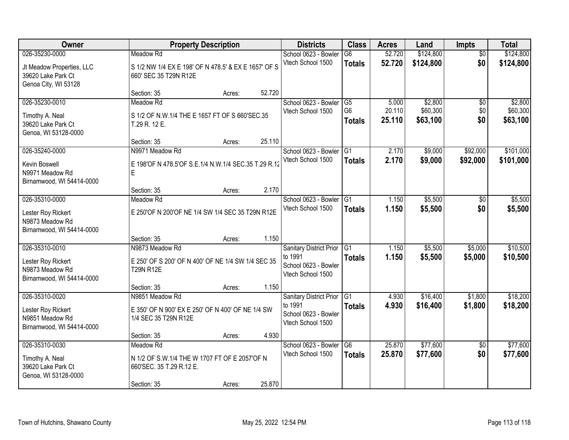| Owner                                                                                | <b>Property Description</b>                                                                                                |                  |                | <b>Districts</b>                                                                | <b>Class</b>                                      | <b>Acres</b>              | Land                            | Impts                  | <b>Total</b>                    |
|--------------------------------------------------------------------------------------|----------------------------------------------------------------------------------------------------------------------------|------------------|----------------|---------------------------------------------------------------------------------|---------------------------------------------------|---------------------------|---------------------------------|------------------------|---------------------------------|
| 026-35230-0000<br>Jt Meadow Properties, LLC<br>39620 Lake Park Ct                    | Meadow Rd<br>S 1/2 NW 1/4 EX E 198' OF N 478.5' & EX E 1657' OF S<br>660' SEC 35 T29N R12E                                 |                  |                | School 0623 - Bowler<br>Vtech School 1500                                       | G6<br><b>Totals</b>                               | 52.720<br>52.720          | \$124,800<br>\$124,800          | $\overline{50}$<br>\$0 | \$124,800<br>\$124,800          |
| Genoa City, WI 53128                                                                 | Section: 35                                                                                                                | Acres:           | 52.720         |                                                                                 |                                                   |                           |                                 |                        |                                 |
| 026-35230-0010<br>Timothy A. Neal<br>39620 Lake Park Ct<br>Genoa, WI 53128-0000      | Meadow Rd<br>S 1/2 OF N.W.1/4 THE E 1657 FT OF S 660'SEC.35<br>T.29 R. 12 E.                                               |                  |                | School 0623 - Bowler<br>Vtech School 1500                                       | G <sub>5</sub><br>G <sub>6</sub><br><b>Totals</b> | 5.000<br>20.110<br>25.110 | \$2,800<br>\$60,300<br>\$63,100 | \$0<br>\$0<br>\$0      | \$2,800<br>\$60,300<br>\$63,100 |
| 026-35240-0000<br>Kevin Boswell<br>N9971 Meadow Rd<br>Birnamwood, WI 54414-0000      | Section: 35<br>N9971 Meadow Rd<br>E 198'OF N 478.5'OF S.E.1/4 N.W.1/4 SEC.35 T.29 R.12<br>E                                | Acres:           | 25.110         | School 0623 - Bowler G1<br>Vtech School 1500                                    | <b>Totals</b>                                     | 2.170<br>2.170            | \$9,000<br>\$9,000              | \$92,000<br>\$92,000   | \$101,000<br>\$101,000          |
| 026-35310-0000<br>Lester Roy Rickert<br>N9873 Meadow Rd<br>Birnamwood, WI 54414-0000 | Section: 35<br>Meadow Rd<br>E 250'OF N 200'OF NE 1/4 SW 1/4 SEC 35 T29N R12E                                               | Acres:           | 2.170          | School 0623 - Bowler<br>Vtech School 1500                                       | G1<br><b>Totals</b>                               | 1.150<br>1.150            | \$5,500<br>\$5,500              | \$0<br>\$0             | \$5,500<br>\$5,500              |
| 026-35310-0010<br>Lester Roy Rickert<br>N9873 Meadow Rd<br>Birnamwood, WI 54414-0000 | Section: 35<br>N9873 Meadow Rd<br>E 250' OF S 200' OF N 400' OF NE 1/4 SW 1/4 SEC 35<br><b>T29N R12E</b>                   | Acres:           | 1.150          | Sanitary District Prior<br>to 1991<br>School 0623 - Bowler<br>Vtech School 1500 | $\overline{G1}$<br><b>Totals</b>                  | 1.150<br>1.150            | \$5,500<br>\$5,500              | \$5,000<br>\$5,000     | \$10,500<br>\$10,500            |
| 026-35310-0020<br>Lester Roy Rickert<br>N9851 Meadow Rd<br>Birnamwood, WI 54414-0000 | Section: 35<br>N9851 Meadow Rd<br>E 350' OF N 900' EX E 250' OF N 400' OF NE 1/4 SW<br>1/4 SEC 35 T29N R12E<br>Section: 35 | Acres:<br>Acres: | 1.150<br>4.930 | Sanitary District Prior<br>to 1991<br>School 0623 - Bowler<br>Vtech School 1500 | $\overline{G1}$<br><b>Totals</b>                  | 4.930<br>4.930            | \$16,400<br>\$16,400            | \$1,800<br>\$1,800     | \$18,200<br>\$18,200            |
| 026-35310-0030<br>Timothy A. Neal<br>39620 Lake Park Ct<br>Genoa, WI 53128-0000      | Meadow Rd<br>N 1/2 OF S.W.1/4 THE W 1707 FT OF E 2057'OF N<br>660'SEC. 35 T.29 R.12 E.<br>Section: 35                      | Acres:           | 25.870         | School 0623 - Bowler<br>Vtech School 1500                                       | G <sub>6</sub><br><b>Totals</b>                   | 25.870<br>25.870          | \$77,600<br>\$77,600            | $\overline{50}$<br>\$0 | \$77,600<br>\$77,600            |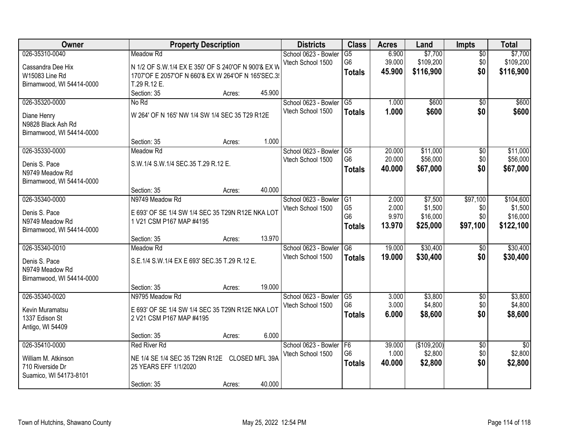| Owner                     |                                                     | <b>Property Description</b> |                | <b>Districts</b>                          | <b>Class</b>                      | <b>Acres</b>    | Land                 | Impts                  | <b>Total</b>         |
|---------------------------|-----------------------------------------------------|-----------------------------|----------------|-------------------------------------------|-----------------------------------|-----------------|----------------------|------------------------|----------------------|
| 026-35310-0040            | Meadow Rd                                           |                             |                | School 0623 - Bowler<br>Vtech School 1500 | $\overline{G5}$<br>G <sub>6</sub> | 6.900<br>39.000 | \$7,700<br>\$109,200 | $\overline{50}$<br>\$0 | \$7,700<br>\$109,200 |
| Cassandra Dee Hix         | N 1/2 OF S.W.1/4 EX E 350' OF S 240'OF N 900'& EX W |                             |                |                                           | <b>Totals</b>                     | 45.900          | \$116,900            | \$0                    | \$116,900            |
| W15083 Line Rd            | 1707'OF E 2057'OF N 660'& EX W 264'OF N 165'SEC.3!  |                             |                |                                           |                                   |                 |                      |                        |                      |
| Birnamwood, WI 54414-0000 | T.29 R.12 E.                                        |                             |                |                                           |                                   |                 |                      |                        |                      |
|                           | Section: 35                                         | Acres:                      | 45.900         |                                           |                                   |                 |                      |                        |                      |
| 026-35320-0000            | No Rd                                               |                             |                | School 0623 - Bowler                      | $\overline{G5}$                   | 1.000           | \$600                | $\overline{50}$        | \$600                |
| Diane Henry               | W 264' OF N 165' NW 1/4 SW 1/4 SEC 35 T29 R12E      |                             |                | Vtech School 1500                         | <b>Totals</b>                     | 1.000           | \$600                | \$0                    | \$600                |
| N9828 Black Ash Rd        |                                                     |                             |                |                                           |                                   |                 |                      |                        |                      |
| Birnamwood, WI 54414-0000 |                                                     |                             |                |                                           |                                   |                 |                      |                        |                      |
|                           | Section: 35                                         | Acres:                      | 1.000          |                                           |                                   |                 |                      |                        |                      |
| 026-35330-0000            | Meadow Rd                                           |                             |                | School 0623 - Bowler                      | G5                                | 20.000          | \$11,000             | \$0                    | \$11,000             |
| Denis S. Pace             | S.W.1/4 S.W.1/4 SEC.35 T.29 R.12 E.                 |                             |                | Vtech School 1500                         | G <sub>6</sub>                    | 20.000          | \$56,000             | \$0                    | \$56,000             |
| N9749 Meadow Rd           |                                                     |                             |                |                                           | <b>Totals</b>                     | 40.000          | \$67,000             | \$0                    | \$67,000             |
| Birnamwood, WI 54414-0000 |                                                     |                             |                |                                           |                                   |                 |                      |                        |                      |
|                           | Section: 35                                         | Acres:                      | 40.000         |                                           |                                   |                 |                      |                        |                      |
| 026-35340-0000            | N9749 Meadow Rd                                     |                             |                | School 0623 - Bowler                      | G1                                | 2.000           | \$7,500              | \$97,100               | \$104,600            |
|                           |                                                     |                             |                | Vtech School 1500                         | G <sub>5</sub>                    | 2.000           | \$1,500              | \$0                    | \$1,500              |
| Denis S. Pace             | E 693' OF SE 1/4 SW 1/4 SEC 35 T29N R12E NKA LOT    |                             |                |                                           | G <sub>6</sub>                    | 9.970           | \$16,000             | \$0                    | \$16,000             |
| N9749 Meadow Rd           | 1 V21 CSM P167 MAP #4195                            |                             |                |                                           | <b>Totals</b>                     | 13.970          | \$25,000             | \$97,100               | \$122,100            |
| Birnamwood, WI 54414-0000 |                                                     |                             |                |                                           |                                   |                 |                      |                        |                      |
|                           | Section: 35                                         | Acres:                      | 13.970         |                                           |                                   |                 |                      |                        |                      |
| 026-35340-0010            | Meadow Rd                                           |                             |                | School 0623 - Bowler                      | G6                                | 19.000          | \$30,400             | $\overline{50}$        | \$30,400             |
| Denis S. Pace             | S.E.1/4 S.W.1/4 EX E 693' SEC.35 T.29 R.12 E.       |                             |                | Vtech School 1500                         | <b>Totals</b>                     | 19.000          | \$30,400             | \$0                    | \$30,400             |
| N9749 Meadow Rd           |                                                     |                             |                |                                           |                                   |                 |                      |                        |                      |
| Birnamwood, WI 54414-0000 |                                                     |                             |                |                                           |                                   |                 |                      |                        |                      |
|                           | Section: 35                                         | Acres:                      | 19.000         |                                           |                                   |                 |                      |                        |                      |
| 026-35340-0020            | N9795 Meadow Rd                                     |                             |                | School 0623 - Bowler                      | $\overline{\text{G5}}$            | 3.000           | \$3,800              | $\overline{60}$        | \$3,800              |
| Kevin Muramatsu           | E 693' OF SE 1/4 SW 1/4 SEC 35 T29N R12E NKA LOT    |                             |                | Vtech School 1500                         | G <sub>6</sub>                    | 3.000           | \$4,800              | \$0                    | \$4,800              |
| 1337 Edison St            | 2 V21 CSM P167 MAP #4195                            |                             |                |                                           | <b>Totals</b>                     | 6.000           | \$8,600              | \$0                    | \$8,600              |
| Antigo, WI 54409          |                                                     |                             |                |                                           |                                   |                 |                      |                        |                      |
|                           | Section: 35                                         | Acres:                      | 6.000          |                                           |                                   |                 |                      |                        |                      |
| 026-35410-0000            | <b>Red River Rd</b>                                 |                             |                | School 0623 - Bowler                      | F6                                | 39.000          | (\$109,200)          | $\overline{50}$        | $\overline{30}$      |
|                           |                                                     |                             |                | Vtech School 1500                         | G <sub>6</sub>                    | 1.000           | \$2,800              | \$0                    | \$2,800              |
| William M. Atkinson       | NE 1/4 SE 1/4 SEC 35 T29N R12E                      |                             | CLOSED MFL 39A |                                           | <b>Totals</b>                     | 40.000          | \$2,800              | \$0                    | \$2,800              |
| 710 Riverside Dr          | 25 YEARS EFF 1/1/2020                               |                             |                |                                           |                                   |                 |                      |                        |                      |
| Suamico, WI 54173-8101    |                                                     |                             |                |                                           |                                   |                 |                      |                        |                      |
|                           | Section: 35                                         | Acres:                      | 40.000         |                                           |                                   |                 |                      |                        |                      |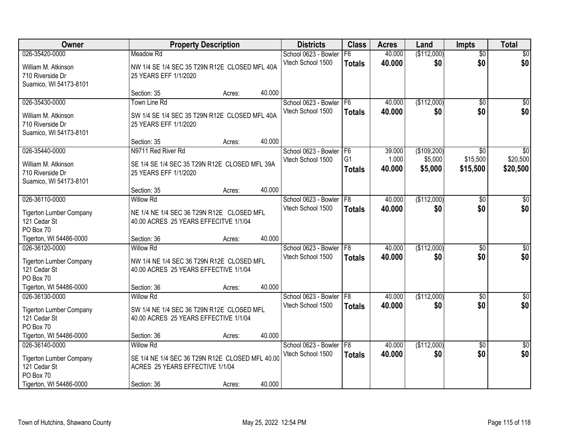| Owner                                                                                  |                                                                                                        | <b>Property Description</b> |        | <b>Districts</b>                          | <b>Class</b>                    | <b>Acres</b>     | Land               | <b>Impts</b>           | <b>Total</b>           |
|----------------------------------------------------------------------------------------|--------------------------------------------------------------------------------------------------------|-----------------------------|--------|-------------------------------------------|---------------------------------|------------------|--------------------|------------------------|------------------------|
| 026-35420-0000                                                                         | Meadow Rd                                                                                              |                             |        | School 0623 - Bowler                      | F6                              | 40.000           | (\$112,000)        | $\overline{50}$        | \$0                    |
| William M. Atkinson<br>710 Riverside Dr<br>Suamico, WI 54173-8101                      | NW 1/4 SE 1/4 SEC 35 T29N R12E CLOSED MFL 40A<br>25 YEARS EFF 1/1/2020                                 |                             |        | Vtech School 1500                         | <b>Totals</b>                   | 40.000           | \$0                | \$0                    | \$0                    |
|                                                                                        | Section: 35                                                                                            | Acres:                      | 40.000 |                                           |                                 |                  |                    |                        |                        |
| 026-35430-0000                                                                         | Town Line Rd                                                                                           |                             |        | School 0623 - Bowler                      | F <sub>6</sub>                  | 40.000           | (\$112,000)        | \$0                    | \$0                    |
| William M. Atkinson<br>710 Riverside Dr<br>Suamico, WI 54173-8101                      | SW 1/4 SE 1/4 SEC 35 T29N R12E CLOSED MFL 40A<br>25 YEARS EFF 1/1/2020                                 |                             |        | Vtech School 1500                         | <b>Totals</b>                   | 40.000           | \$0                | \$0                    | \$0                    |
|                                                                                        | Section: 35                                                                                            | Acres:                      | 40.000 |                                           |                                 |                  |                    |                        |                        |
| 026-35440-0000                                                                         | N9711 Red River Rd                                                                                     |                             |        | School 0623 - Bowler                      | IF <sub>6</sub>                 | 39.000           | (\$109,200)        | \$0                    | $\overline{30}$        |
| William M. Atkinson<br>710 Riverside Dr<br>Suamico, WI 54173-8101                      | SE 1/4 SE 1/4 SEC 35 T29N R12E CLOSED MFL 39A<br>25 YEARS EFF 1/1/2020                                 |                             |        | Vtech School 1500                         | G <sub>1</sub><br><b>Totals</b> | 1.000<br>40.000  | \$5,000<br>\$5,000 | \$15,500<br>\$15,500   | \$20,500<br>\$20,500   |
|                                                                                        | Section: 35                                                                                            | Acres:                      | 40.000 |                                           |                                 |                  |                    |                        |                        |
| 026-36110-0000                                                                         | <b>Willow Rd</b>                                                                                       |                             |        | School 0623 - Bowler                      | F8                              | 40.000           | (\$112,000)        | \$0                    | \$0                    |
| <b>Tigerton Lumber Company</b><br>121 Cedar St<br>PO Box 70                            | NE 1/4 NE 1/4 SEC 36 T29N R12E CLOSED MFL<br>40.00 ACRES 25 YEARS EFFECITVE 1/1/04                     |                             |        | Vtech School 1500                         | <b>Totals</b>                   | 40.000           | \$0                | \$0                    | \$0                    |
| Tigerton, WI 54486-0000                                                                | Section: 36                                                                                            | Acres:                      | 40.000 |                                           |                                 |                  |                    |                        |                        |
| 026-36120-0000                                                                         | <b>Willow Rd</b>                                                                                       |                             |        | School 0623 - Bowler                      | F8                              | 40.000           | (\$112,000)        | $\overline{50}$        | $\sqrt{50}$            |
| <b>Tigerton Lumber Company</b><br>121 Cedar St<br>PO Box 70<br>Tigerton, WI 54486-0000 | NW 1/4 NE 1/4 SEC 36 T29N R12E CLOSED MFL<br>40.00 ACRES 25 YEARS EFFECTIVE 1/1/04<br>Section: 36      | Acres:                      | 40.000 | Vtech School 1500                         | <b>Totals</b>                   | 40.000           | \$0                | \$0                    | \$0                    |
| 026-36130-0000                                                                         | <b>Willow Rd</b>                                                                                       |                             |        | School 0623 - Bowler F8                   |                                 | 40.000           | (\$112,000)        | \$0                    | \$0                    |
| <b>Tigerton Lumber Company</b><br>121 Cedar St<br>PO Box 70                            | SW 1/4 NE 1/4 SEC 36 T29N R12E CLOSED MFL<br>40.00 ACRES 25 YEARS EFFECTIVE 1/1/04                     |                             |        | Vtech School 1500                         | <b>Totals</b>                   | 40.000           | \$0                | \$0                    | \$0                    |
| Tigerton, WI 54486-0000                                                                | Section: 36                                                                                            | Acres:                      | 40.000 |                                           |                                 |                  |                    |                        |                        |
| 026-36140-0000<br><b>Tigerton Lumber Company</b><br>121 Cedar St                       | <b>Willow Rd</b><br>SE 1/4 NE 1/4 SEC 36 T29N R12E CLOSED MFL 40.00<br>ACRES 25 YEARS EFFECTIVE 1/1/04 |                             |        | School 0623 - Bowler<br>Vtech School 1500 | F8<br><b>Totals</b>             | 40.000<br>40.000 | (\$112,000)<br>\$0 | $\overline{50}$<br>\$0 | $\overline{50}$<br>\$0 |
| PO Box 70<br>Tigerton, WI 54486-0000                                                   | Section: 36                                                                                            | Acres:                      | 40.000 |                                           |                                 |                  |                    |                        |                        |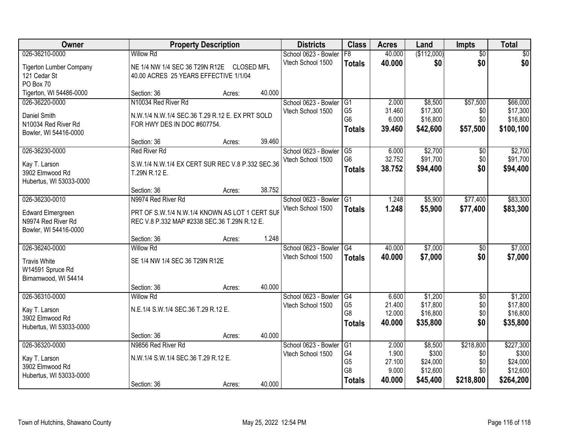| Owner                          |                                                  | <b>Property Description</b> |        | <b>Districts</b>     | <b>Class</b>    | <b>Acres</b> | Land        | <b>Impts</b>    | <b>Total</b> |
|--------------------------------|--------------------------------------------------|-----------------------------|--------|----------------------|-----------------|--------------|-------------|-----------------|--------------|
| 026-36210-0000                 | <b>Willow Rd</b>                                 |                             |        | School 0623 - Bowler | F8              | 40.000       | (\$112,000) | $\overline{50}$ | $\sqrt{50}$  |
| <b>Tigerton Lumber Company</b> | NE 1/4 NW 1/4 SEC 36 T29N R12E CLOSED MFL        |                             |        | Vtech School 1500    | <b>Totals</b>   | 40.000       | \$0         | \$0             | \$0          |
| 121 Cedar St                   | 40.00 ACRES 25 YEARS EFFECTIVE 1/1/04            |                             |        |                      |                 |              |             |                 |              |
| PO Box 70                      |                                                  |                             |        |                      |                 |              |             |                 |              |
| Tigerton, WI 54486-0000        | Section: 36                                      | Acres:                      | 40.000 |                      |                 |              |             |                 |              |
| 026-36220-0000                 | N10034 Red River Rd                              |                             |        | School 0623 - Bowler | G1              | 2.000        | \$8,500     | \$57,500        | \$66,000     |
| Daniel Smith                   | N.W.1/4 N.W.1/4 SEC.36 T.29 R.12 E. EX PRT SOLD  |                             |        | Vtech School 1500    | G <sub>5</sub>  | 31.460       | \$17,300    | \$0             | \$17,300     |
| N10034 Red River Rd            | FOR HWY DES IN DOC #607754.                      |                             |        |                      | G <sub>6</sub>  | 6.000        | \$16,800    | \$0             | \$16,800     |
| Bowler, WI 54416-0000          |                                                  |                             |        |                      | <b>Totals</b>   | 39.460       | \$42,600    | \$57,500        | \$100,100    |
|                                | Section: 36                                      | Acres:                      | 39.460 |                      |                 |              |             |                 |              |
| 026-36230-0000                 | <b>Red River Rd</b>                              |                             |        | School 0623 - Bowler | G5              | 6.000        | \$2,700     | \$0             | \$2,700      |
| Kay T. Larson                  | S.W.1/4 N.W.1/4 EX CERT SUR REC V.8 P.332 SEC.36 |                             |        | Vtech School 1500    | G <sub>6</sub>  | 32.752       | \$91,700    | \$0             | \$91,700     |
| 3902 Elmwood Rd                | T.29N R.12 E.                                    |                             |        |                      | <b>Totals</b>   | 38.752       | \$94,400    | \$0             | \$94,400     |
| Hubertus, WI 53033-0000        |                                                  |                             |        |                      |                 |              |             |                 |              |
|                                | Section: 36                                      | Acres:                      | 38.752 |                      |                 |              |             |                 |              |
| 026-36230-0010                 | N9974 Red River Rd                               |                             |        | School 0623 - Bowler | G1              | 1.248        | \$5,900     | \$77,400        | \$83,300     |
| <b>Edward Elmergreen</b>       | PRT OF S.W.1/4 N.W.1/4 KNOWN AS LOT 1 CERT SUF   |                             |        | Vtech School 1500    | <b>Totals</b>   | 1.248        | \$5,900     | \$77,400        | \$83,300     |
| N9974 Red River Rd             | REC V.8 P.332 MAP #2338 SEC.36 T.29N R.12 E.     |                             |        |                      |                 |              |             |                 |              |
| Bowler, WI 54416-0000          |                                                  |                             |        |                      |                 |              |             |                 |              |
|                                | Section: 36                                      | Acres:                      | 1.248  |                      |                 |              |             |                 |              |
| 026-36240-0000                 | <b>Willow Rd</b>                                 |                             |        | School 0623 - Bowler | $\overline{G4}$ | 40.000       | \$7,000     | \$0             | \$7,000      |
| <b>Travis White</b>            | SE 1/4 NW 1/4 SEC 36 T29N R12E                   |                             |        | Vtech School 1500    | <b>Totals</b>   | 40.000       | \$7,000     | \$0             | \$7,000      |
| W14591 Spruce Rd               |                                                  |                             |        |                      |                 |              |             |                 |              |
| Birnamwood, WI 54414           |                                                  |                             |        |                      |                 |              |             |                 |              |
|                                | Section: 36                                      | Acres:                      | 40.000 |                      |                 |              |             |                 |              |
| 026-36310-0000                 | <b>Willow Rd</b>                                 |                             |        | School 0623 - Bowler | G4              | 6.600        | \$1,200     | $\overline{60}$ | \$1,200      |
| Kay T. Larson                  | N.E.1/4 S.W.1/4 SEC.36 T.29 R.12 E.              |                             |        | Vtech School 1500    | G <sub>5</sub>  | 21.400       | \$17,800    | \$0             | \$17,800     |
| 3902 Elmwood Rd                |                                                  |                             |        |                      | G <sub>8</sub>  | 12.000       | \$16,800    | \$0             | \$16,800     |
| Hubertus, WI 53033-0000        |                                                  |                             |        |                      | <b>Totals</b>   | 40.000       | \$35,800    | \$0             | \$35,800     |
|                                | Section: 36                                      | Acres:                      | 40.000 |                      |                 |              |             |                 |              |
| 026-36320-0000                 | N9856 Red River Rd                               |                             |        | School 0623 - Bowler | G1              | 2.000        | \$8,500     | \$218,800       | \$227,300    |
| Kay T. Larson                  | N.W.1/4 S.W.1/4 SEC.36 T.29 R.12 E.              |                             |        | Vtech School 1500    | G4              | 1.900        | \$300       | \$0             | \$300        |
| 3902 Elmwood Rd                |                                                  |                             |        |                      | G <sub>5</sub>  | 27.100       | \$24,000    | \$0             | \$24,000     |
| Hubertus, WI 53033-0000        |                                                  |                             |        |                      | G8              | 9.000        | \$12,600    | \$0             | \$12,600     |
|                                | Section: 36                                      | Acres:                      | 40.000 |                      | <b>Totals</b>   | 40.000       | \$45,400    | \$218,800       | \$264,200    |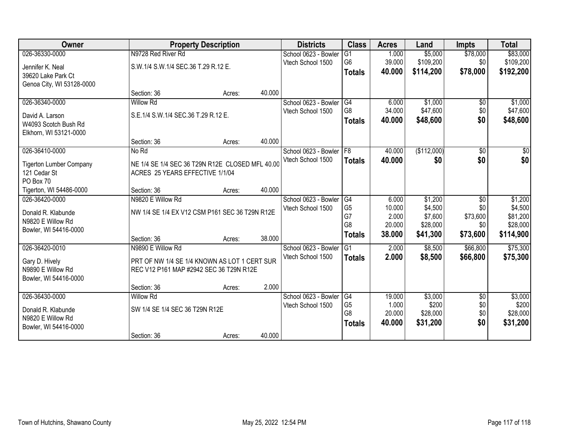| Owner                          |                                                 | <b>Property Description</b> |        | <b>Districts</b>     | <b>Class</b>    | <b>Acres</b> | Land        | <b>Impts</b>    | <b>Total</b> |
|--------------------------------|-------------------------------------------------|-----------------------------|--------|----------------------|-----------------|--------------|-------------|-----------------|--------------|
| 026-36330-0000                 | N9728 Red River Rd                              |                             |        | School 0623 - Bowler | $\overline{G1}$ | 1.000        | \$5,000     | \$78,000        | \$83,000     |
| Jennifer K. Neal               | S.W.1/4 S.W.1/4 SEC.36 T.29 R.12 E.             |                             |        | Vtech School 1500    | G6              | 39.000       | \$109,200   | \$0             | \$109,200    |
| 39620 Lake Park Ct             |                                                 |                             |        |                      | <b>Totals</b>   | 40.000       | \$114,200   | \$78,000        | \$192,200    |
| Genoa City, WI 53128-0000      |                                                 |                             |        |                      |                 |              |             |                 |              |
|                                | Section: 36                                     | Acres:                      | 40.000 |                      |                 |              |             |                 |              |
| 026-36340-0000                 | <b>Willow Rd</b>                                |                             |        | School 0623 - Bowler | G4              | 6.000        | \$1,000     | \$0             | \$1,000      |
| David A. Larson                | S.E.1/4 S.W.1/4 SEC.36 T.29 R.12 E.             |                             |        | Vtech School 1500    | G8              | 34.000       | \$47,600    | \$0             | \$47,600     |
| W4093 Scotch Bush Rd           |                                                 |                             |        |                      | <b>Totals</b>   | 40.000       | \$48,600    | \$0             | \$48,600     |
| Elkhorn, WI 53121-0000         |                                                 |                             |        |                      |                 |              |             |                 |              |
|                                | Section: 36                                     | Acres:                      | 40.000 |                      |                 |              |             |                 |              |
| 026-36410-0000                 | No Rd                                           |                             |        | School 0623 - Bowler | F8              | 40.000       | (\$112,000) | \$0             | $\sqrt{50}$  |
| <b>Tigerton Lumber Company</b> | NE 1/4 SE 1/4 SEC 36 T29N R12E CLOSED MFL 40.00 |                             |        | Vtech School 1500    | <b>Totals</b>   | 40,000       | \$0         | \$0             | \$0          |
| 121 Cedar St                   | ACRES 25 YEARS EFFECTIVE 1/1/04                 |                             |        |                      |                 |              |             |                 |              |
| PO Box 70                      |                                                 |                             |        |                      |                 |              |             |                 |              |
| Tigerton, WI 54486-0000        | Section: 36                                     | Acres:                      | 40.000 |                      |                 |              |             |                 |              |
| 026-36420-0000                 | N9820 E Willow Rd                               |                             |        | School 0623 - Bowler | G4              | 6.000        | \$1,200     | \$0             | \$1,200      |
| Donald R. Klabunde             | NW 1/4 SE 1/4 EX V12 CSM P161 SEC 36 T29N R12E  |                             |        | Vtech School 1500    | G <sub>5</sub>  | 10.000       | \$4,500     | \$0             | \$4,500      |
| N9820 E Willow Rd              |                                                 |                             |        |                      | G7              | 2.000        | \$7,600     | \$73,600        | \$81,200     |
| Bowler, WI 54416-0000          |                                                 |                             |        |                      | G <sub>8</sub>  | 20.000       | \$28,000    | \$0             | \$28,000     |
|                                | Section: 36                                     | Acres:                      | 38.000 |                      | <b>Totals</b>   | 38.000       | \$41,300    | \$73,600        | \$114,900    |
| 026-36420-0010                 | N9890 E Willow Rd                               |                             |        | School 0623 - Bowler | G1              | 2.000        | \$8,500     | \$66,800        | \$75,300     |
| Gary D. Hively                 | PRT OF NW 1/4 SE 1/4 KNOWN AS LOT 1 CERT SUR    |                             |        | Vtech School 1500    | <b>Totals</b>   | 2.000        | \$8,500     | \$66,800        | \$75,300     |
| N9890 E Willow Rd              | REC V12 P161 MAP #2942 SEC 36 T29N R12E         |                             |        |                      |                 |              |             |                 |              |
| Bowler, WI 54416-0000          |                                                 |                             |        |                      |                 |              |             |                 |              |
|                                | Section: 36                                     | Acres:                      | 2.000  |                      |                 |              |             |                 |              |
| 026-36430-0000                 | <b>Willow Rd</b>                                |                             |        | School 0623 - Bowler | $\overline{G4}$ | 19.000       | \$3,000     | $\overline{50}$ | \$3,000      |
| Donald R. Klabunde             | SW 1/4 SE 1/4 SEC 36 T29N R12E                  |                             |        | Vtech School 1500    | G <sub>5</sub>  | 1.000        | \$200       | \$0             | \$200        |
| N9820 E Willow Rd              |                                                 |                             |        |                      | G <sub>8</sub>  | 20.000       | \$28,000    | \$0             | \$28,000     |
| Bowler, WI 54416-0000          |                                                 |                             |        |                      | <b>Totals</b>   | 40.000       | \$31,200    | \$0             | \$31,200     |
|                                | Section: 36                                     | Acres:                      | 40.000 |                      |                 |              |             |                 |              |